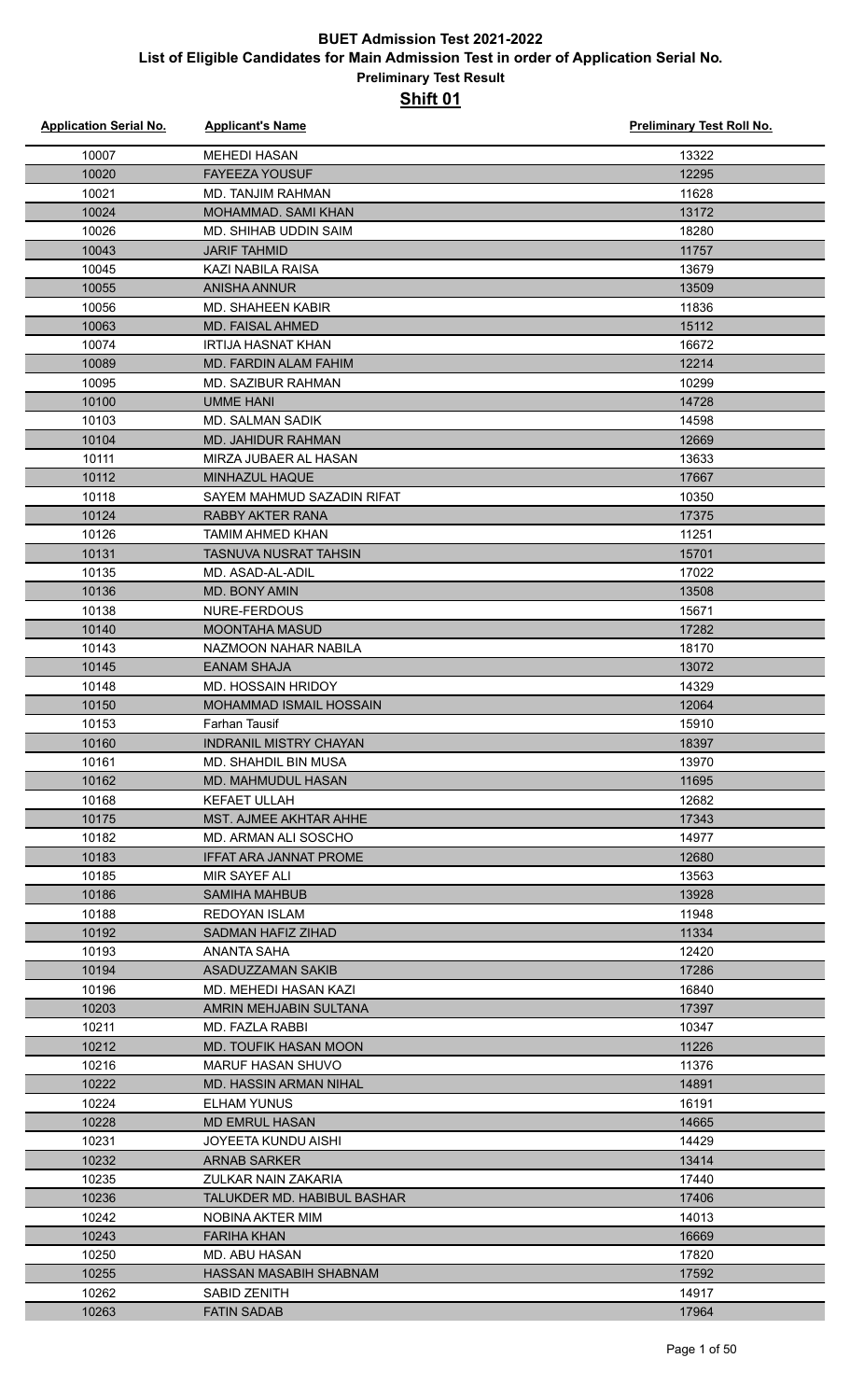| <b>Application Serial No.</b> | <b>Applicant's Name</b>        | <b>Preliminary Test Roll No.</b> |
|-------------------------------|--------------------------------|----------------------------------|
| 10007                         | <b>MEHEDI HASAN</b>            | 13322                            |
| 10020                         | <b>FAYEEZA YOUSUF</b>          | 12295                            |
| 10021                         | <b>MD. TANJIM RAHMAN</b>       | 11628                            |
| 10024                         | MOHAMMAD. SAMI KHAN            | 13172                            |
| 10026                         | MD. SHIHAB UDDIN SAIM          | 18280                            |
| 10043                         | <b>JARIF TAHMID</b>            | 11757                            |
| 10045                         | <b>KAZI NABILA RAISA</b>       | 13679                            |
| 10055                         | <b>ANISHA ANNUR</b>            | 13509                            |
| 10056                         | <b>MD. SHAHEEN KABIR</b>       | 11836                            |
| 10063                         | <b>MD. FAISAL AHMED</b>        | 15112                            |
| 10074                         | <b>IRTIJA HASNAT KHAN</b>      | 16672                            |
| 10089                         | <b>MD. FARDIN ALAM FAHIM</b>   | 12214                            |
| 10095                         | <b>MD. SAZIBUR RAHMAN</b>      | 10299                            |
| 10100                         | <b>UMME HANI</b>               | 14728                            |
| 10103                         | <b>MD. SALMAN SADIK</b>        | 14598                            |
| 10104                         | MD. JAHIDUR RAHMAN             | 12669                            |
| 10111                         | MIRZA JUBAER AL HASAN          | 13633                            |
| 10112                         | MINHAZUL HAQUE                 | 17667                            |
| 10118                         | SAYEM MAHMUD SAZADIN RIFAT     | 10350                            |
| 10124                         | <b>RABBY AKTER RANA</b>        | 17375                            |
| 10126                         | <b>TAMIM AHMED KHAN</b>        | 11251                            |
| 10131                         | <b>TASNUVA NUSRAT TAHSIN</b>   | 15701                            |
| 10135                         | MD. ASAD-AL-ADIL               | 17022                            |
| 10136                         | MD. BONY AMIN                  | 13508                            |
| 10138                         | NURE-FERDOUS                   | 15671                            |
| 10140                         | <b>MOONTAHA MASUD</b>          | 17282                            |
| 10143                         | NAZMOON NAHAR NABILA           | 18170                            |
| 10145                         | <b>EANAM SHAJA</b>             | 13072                            |
| 10148                         | MD. HOSSAIN HRIDOY             | 14329                            |
| 10150                         | <b>MOHAMMAD ISMAIL HOSSAIN</b> | 12064                            |
| 10153                         | <b>Farhan Tausif</b>           | 15910                            |
| 10160                         | INDRANIL MISTRY CHAYAN         | 18397                            |
| 10161                         | <b>MD. SHAHDIL BIN MUSA</b>    | 13970                            |
| 10162                         | MD. MAHMUDUL HASAN             | 11695                            |
| 10168                         | <b>KEFAET ULLAH</b>            | 12682                            |
| 10175                         | <b>MST. AJMEE AKHTAR AHHE</b>  | 17343                            |
| 10182                         | MD. ARMAN ALI SOSCHO           | 14977                            |
| 10183                         | <b>IFFAT ARA JANNAT PROME</b>  | 12680                            |
| 10185                         | MIR SAYEF ALI                  | 13563                            |
| 10186                         | <b>SAMIHA MAHBUB</b>           | 13928                            |
| 10188                         | REDOYAN ISLAM                  | 11948                            |
| 10192                         | SADMAN HAFIZ ZIHAD             | 11334                            |
| 10193                         | ANANTA SAHA                    | 12420                            |
| 10194                         | <b>ASADUZZAMAN SAKIB</b>       | 17286                            |
| 10196                         | MD. MEHEDI HASAN KAZI          | 16840                            |
| 10203                         | AMRIN MEHJABIN SULTANA         | 17397                            |
| 10211                         | MD. FAZLA RABBI                | 10347                            |
| 10212                         | MD. TOUFIK HASAN MOON          | 11226                            |
| 10216                         | <b>MARUF HASAN SHUVO</b>       | 11376                            |
| 10222                         | <b>MD. HASSIN ARMAN NIHAL</b>  | 14891                            |
| 10224                         | ELHAM YUNUS                    | 16191                            |
| 10228                         | <b>MD EMRUL HASAN</b>          | 14665                            |
| 10231                         | <b>JOYEETA KUNDU AISHI</b>     | 14429                            |
| 10232                         | <b>ARNAB SARKER</b>            | 13414                            |
| 10235                         | ZULKAR NAIN ZAKARIA            | 17440                            |
| 10236                         | TALUKDER MD. HABIBUL BASHAR    | 17406                            |
| 10242                         | NOBINA AKTER MIM               | 14013                            |
| 10243                         | <b>FARIHA KHAN</b>             | 16669                            |
| 10250                         | MD. ABU HASAN                  | 17820                            |
| 10255                         | HASSAN MASABIH SHABNAM         | 17592                            |
| 10262                         | SABID ZENITH                   | 14917                            |
| 10263                         | <b>FATIN SADAB</b>             | 17964                            |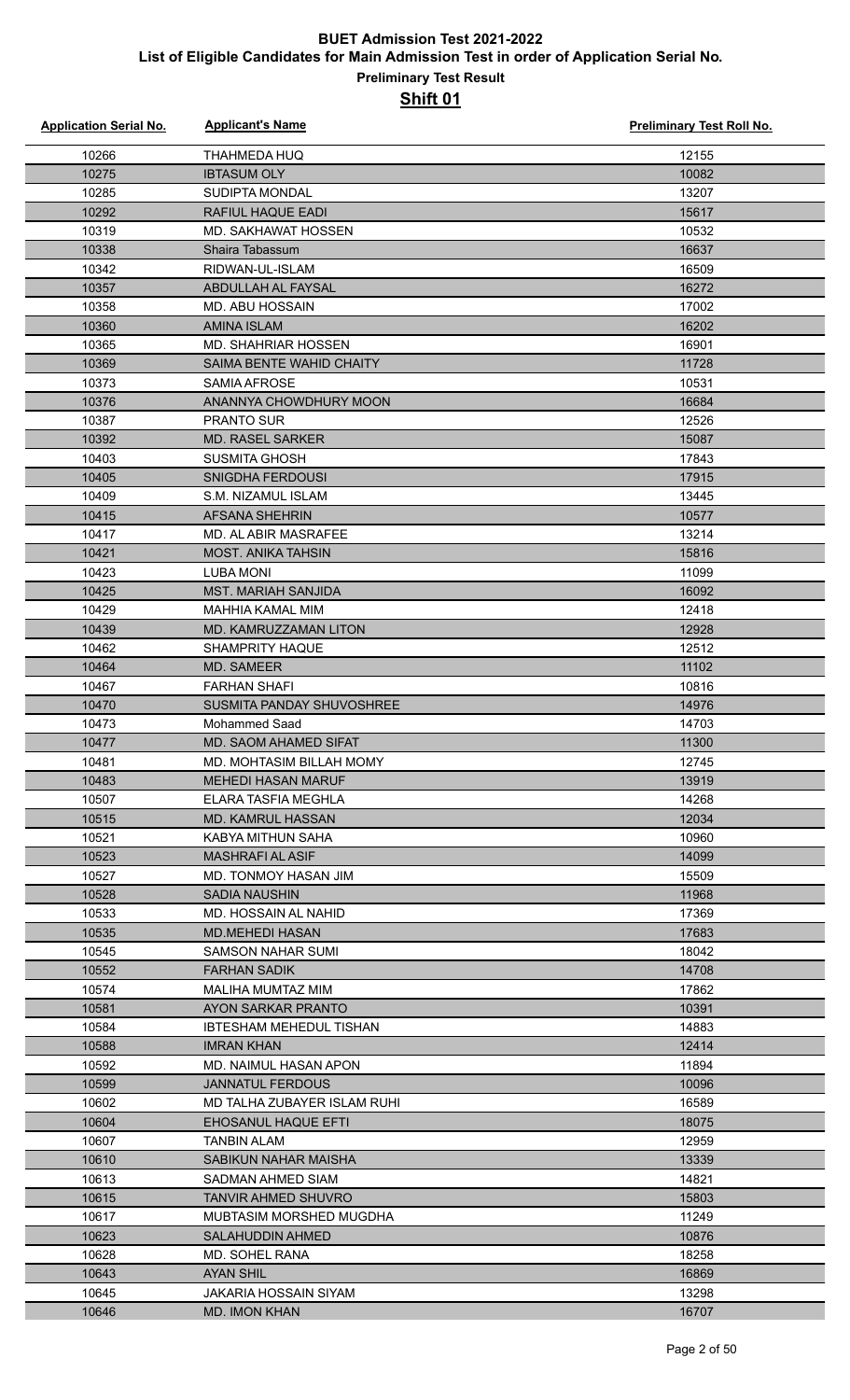| <b>Application Serial No.</b> | <b>Applicant's Name</b>                       | <b>Preliminary Test Roll No.</b> |
|-------------------------------|-----------------------------------------------|----------------------------------|
| 10266                         | <b>THAHMEDA HUQ</b>                           | 12155                            |
| 10275                         | <b>IBTASUM OLY</b>                            | 10082                            |
| 10285                         | <b>SUDIPTA MONDAL</b>                         | 13207                            |
| 10292                         | <b>RAFIUL HAQUE EADI</b>                      | 15617                            |
| 10319                         | <b>MD. SAKHAWAT HOSSEN</b>                    | 10532                            |
| 10338                         | Shaira Tabassum                               | 16637                            |
| 10342                         | RIDWAN-UL-ISLAM                               | 16509                            |
| 10357                         | ABDULLAH AL FAYSAL                            | 16272                            |
| 10358                         | MD. ABU HOSSAIN                               | 17002                            |
| 10360                         | <b>AMINA ISLAM</b>                            | 16202                            |
| 10365                         | <b>MD. SHAHRIAR HOSSEN</b>                    | 16901                            |
| 10369                         | SAIMA BENTE WAHID CHAITY                      | 11728                            |
| 10373                         | SAMIA AFROSE                                  | 10531                            |
| 10376                         | ANANNYA CHOWDHURY MOON                        | 16684                            |
| 10387                         | <b>PRANTO SUR</b>                             | 12526                            |
| 10392                         | <b>MD. RASEL SARKER</b>                       | 15087                            |
| 10403                         | <b>SUSMITA GHOSH</b>                          | 17843                            |
| 10405                         | <b>SNIGDHA FERDOUSI</b>                       | 17915                            |
| 10409                         | S.M. NIZAMUL ISLAM                            | 13445                            |
| 10415                         | AFSANA SHEHRIN                                | 10577                            |
| 10417                         | MD. AL ABIR MASRAFEE                          | 13214                            |
| 10421                         | <b>MOST. ANIKA TAHSIN</b>                     | 15816                            |
| 10423                         | <b>LUBA MONI</b>                              | 11099                            |
| 10425                         | <b>MST. MARIAH SANJIDA</b>                    | 16092                            |
| 10429                         | <b>MAHHIA KAMAL MIM</b>                       | 12418                            |
| 10439                         | MD. KAMRUZZAMAN LITON                         | 12928                            |
| 10462                         | <b>SHAMPRITY HAQUE</b>                        | 12512                            |
| 10464                         | MD. SAMEER                                    | 11102                            |
| 10467                         | <b>FARHAN SHAFI</b>                           | 10816                            |
| 10470                         | <b>SUSMITA PANDAY SHUVOSHREE</b>              | 14976                            |
| 10473                         | <b>Mohammed Saad</b>                          | 14703                            |
| 10477                         | MD. SAOM AHAMED SIFAT                         | 11300                            |
| 10481                         | MD. MOHTASIM BILLAH MOMY                      | 12745                            |
| 10483                         | <b>MEHEDI HASAN MARUF</b>                     | 13919                            |
| 10507                         | ELARA TASFIA MEGHLA                           | 14268                            |
| 10515                         | MD. KAMRUL HASSAN                             | 12034                            |
| 10521                         | KABYA MITHUN SAHA                             | 10960                            |
| 10523                         | <b>MASHRAFI AL ASIF</b>                       | 14099                            |
| 10527                         | MD. TONMOY HASAN JIM                          | 15509                            |
| 10528                         | <b>SADIA NAUSHIN</b>                          | 11968                            |
| 10533                         | MD. HOSSAIN AL NAHID                          | 17369                            |
| 10535                         | <b>MD.MEHEDI HASAN</b>                        | 17683                            |
| 10545                         | <b>SAMSON NAHAR SUMI</b>                      | 18042                            |
| 10552                         | <b>FARHAN SADIK</b>                           | 14708                            |
| 10574                         | MALIHA MUMTAZ MIM                             | 17862                            |
| 10581                         | AYON SARKAR PRANTO                            | 10391                            |
| 10584                         | <b>IBTESHAM MEHEDUL TISHAN</b>                | 14883                            |
| 10588                         | <b>IMRAN KHAN</b>                             | 12414                            |
| 10592                         | MD. NAIMUL HASAN APON                         | 11894                            |
| 10599                         | <b>JANNATUL FERDOUS</b>                       | 10096                            |
| 10602                         | MD TALHA ZUBAYER ISLAM RUHI                   | 16589                            |
| 10604                         | EHOSANUL HAQUE EFTI                           | 18075                            |
| 10607                         | <b>TANBIN ALAM</b>                            | 12959                            |
| 10610                         | SABIKUN NAHAR MAISHA                          | 13339                            |
| 10613                         | SADMAN AHMED SIAM                             | 14821                            |
| 10615                         | TANVIR AHMED SHUVRO                           | 15803                            |
| 10617                         | MUBTASIM MORSHED MUGDHA                       | 11249                            |
| 10623                         | SALAHUDDIN AHMED                              | 10876                            |
| 10628                         | MD. SOHEL RANA                                | 18258                            |
| 10643                         | <b>AYAN SHIL</b>                              | 16869                            |
| 10645                         | JAKARIA HOSSAIN SIYAM<br><b>MD. IMON KHAN</b> | 13298                            |
| 10646                         |                                               | 16707                            |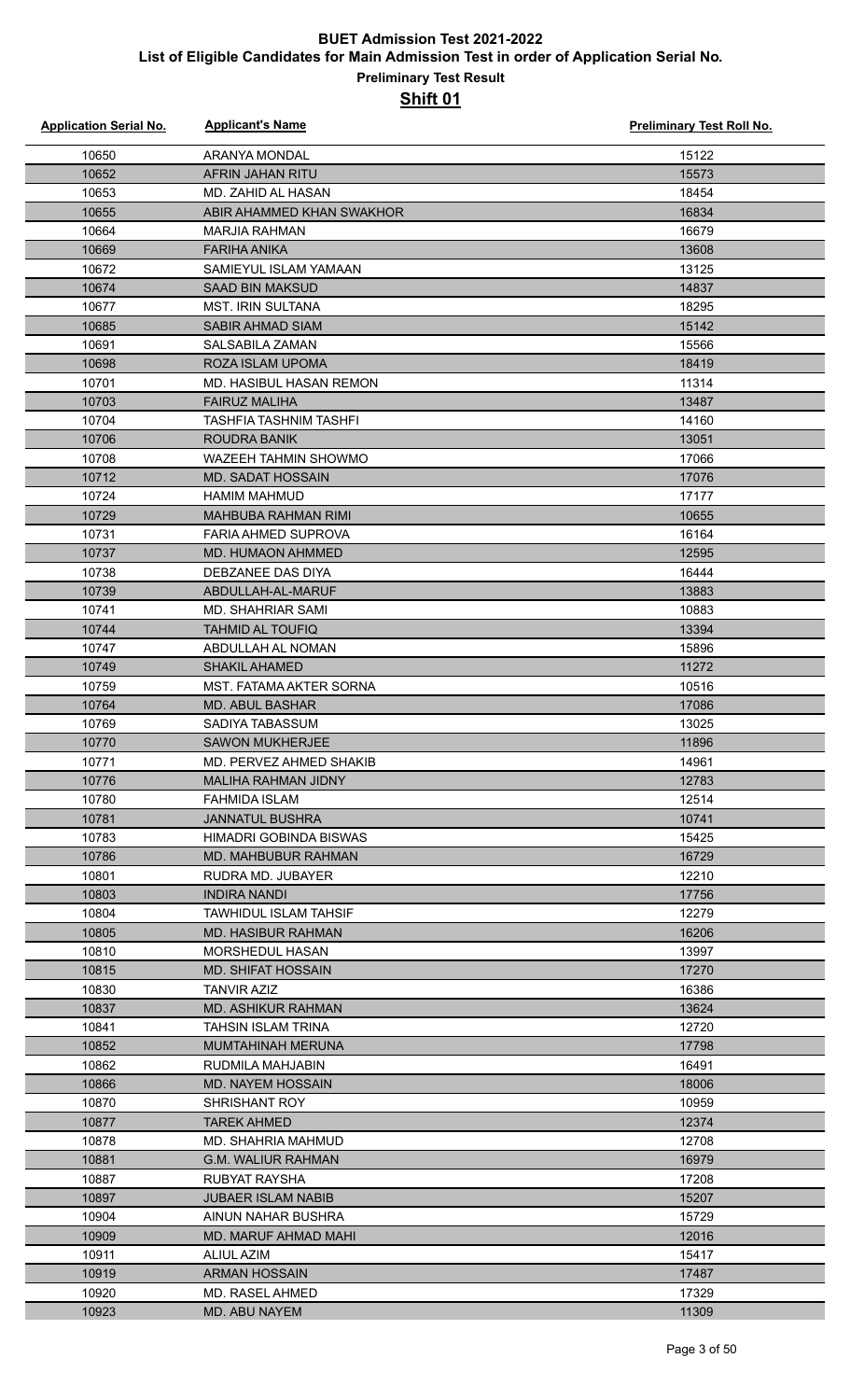| <b>Application Serial No.</b> | <b>Applicant's Name</b>                      | <b>Preliminary Test Roll No.</b> |
|-------------------------------|----------------------------------------------|----------------------------------|
| 10650                         | <b>ARANYA MONDAL</b>                         | 15122                            |
| 10652                         | AFRIN JAHAN RITU                             | 15573                            |
| 10653                         | MD. ZAHID AL HASAN                           | 18454                            |
| 10655                         | ABIR AHAMMED KHAN SWAKHOR                    | 16834                            |
| 10664                         | <b>MARJIA RAHMAN</b>                         | 16679                            |
| 10669                         | <b>FARIHA ANIKA</b>                          | 13608                            |
| 10672                         | SAMIEYUL ISLAM YAMAAN                        | 13125                            |
| 10674                         | <b>SAAD BIN MAKSUD</b>                       | 14837                            |
| 10677                         | <b>MST. IRIN SULTANA</b>                     | 18295                            |
| 10685                         | SABIR AHMAD SIAM                             | 15142                            |
| 10691                         | SALSABILA ZAMAN                              | 15566                            |
| 10698                         | ROZA ISLAM UPOMA                             | 18419                            |
| 10701                         | MD. HASIBUL HASAN REMON                      | 11314                            |
| 10703                         | <b>FAIRUZ MALIHA</b>                         | 13487                            |
| 10704                         | TASHFIA TASHNIM TASHFI                       | 14160                            |
| 10706                         | <b>ROUDRA BANIK</b>                          | 13051                            |
| 10708                         | <b>WAZEEH TAHMIN SHOWMO</b>                  | 17066                            |
| 10712                         | <b>MD. SADAT HOSSAIN</b>                     | 17076                            |
| 10724                         | <b>HAMIM MAHMUD</b>                          | 17177                            |
| 10729                         | <b>MAHBUBA RAHMAN RIMI</b>                   | 10655                            |
| 10731                         | FARIA AHMED SUPROVA                          | 16164                            |
| 10737                         | <b>MD. HUMAON AHMMED</b>                     | 12595                            |
| 10738                         | DEBZANEE DAS DIYA                            | 16444                            |
| 10739                         | ABDULLAH-AL-MARUF                            | 13883                            |
| 10741                         | MD. SHAHRIAR SAMI                            | 10883                            |
| 10744                         | <b>TAHMID AL TOUFIQ</b>                      | 13394                            |
| 10747                         | ABDULLAH AL NOMAN                            | 15896                            |
| 10749                         | <b>SHAKIL AHAMED</b>                         | 11272                            |
| 10759                         | MST. FATAMA AKTER SORNA                      | 10516                            |
| 10764                         | <b>MD. ABUL BASHAR</b>                       | 17086                            |
| 10769                         | SADIYA TABASSUM                              | 13025                            |
| 10770                         | <b>SAWON MUKHERJEE</b>                       | 11896                            |
| 10771                         | MD. PERVEZ AHMED SHAKIB                      | 14961                            |
| 10776                         | <b>MALIHA RAHMAN JIDNY</b>                   | 12783                            |
| 10780                         | FAHMIDA ISLAM                                | 12514                            |
| 10781                         | <b>JANNATUL BUSHRA</b>                       | 10741                            |
| 10783                         | HIMADRI GOBINDA BISWAS                       | 15425                            |
| 10786                         | MD. MAHBUBUR RAHMAN                          | 16729                            |
| 10801                         | RUDRA MD. JUBAYER                            | 12210                            |
| 10803                         | <b>INDIRA NANDI</b>                          | 17756                            |
| 10804                         | <b>TAWHIDUL ISLAM TAHSIF</b>                 | 12279                            |
| 10805                         | <b>MD. HASIBUR RAHMAN</b>                    | 16206                            |
| 10810                         | <b>MORSHEDUL HASAN</b>                       | 13997                            |
| 10815                         | <b>MD. SHIFAT HOSSAIN</b>                    | 17270                            |
| 10830                         | <b>TANVIR AZIZ</b>                           | 16386                            |
| 10837                         | <b>MD. ASHIKUR RAHMAN</b>                    | 13624                            |
| 10841                         | <b>TAHSIN ISLAM TRINA</b>                    | 12720                            |
| 10852<br>10862                | MUMTAHINAH MERUNA                            | 17798<br>16491                   |
| 10866                         | RUDMILA MAHJABIN<br><b>MD. NAYEM HOSSAIN</b> |                                  |
| 10870                         | SHRISHANT ROY                                | 18006<br>10959                   |
| 10877                         | <b>TAREK AHMED</b>                           | 12374                            |
| 10878                         | MD. SHAHRIA MAHMUD                           | 12708                            |
| 10881                         | <b>G.M. WALIUR RAHMAN</b>                    | 16979                            |
| 10887                         | RUBYAT RAYSHA                                | 17208                            |
| 10897                         | <b>JUBAER ISLAM NABIB</b>                    | 15207                            |
| 10904                         | AINUN NAHAR BUSHRA                           | 15729                            |
| 10909                         | MD. MARUF AHMAD MAHI                         | 12016                            |
| 10911                         | <b>ALIUL AZIM</b>                            | 15417                            |
| 10919                         | <b>ARMAN HOSSAIN</b>                         | 17487                            |
| 10920                         | MD. RASEL AHMED                              | 17329                            |
| 10923                         | MD. ABU NAYEM                                | 11309                            |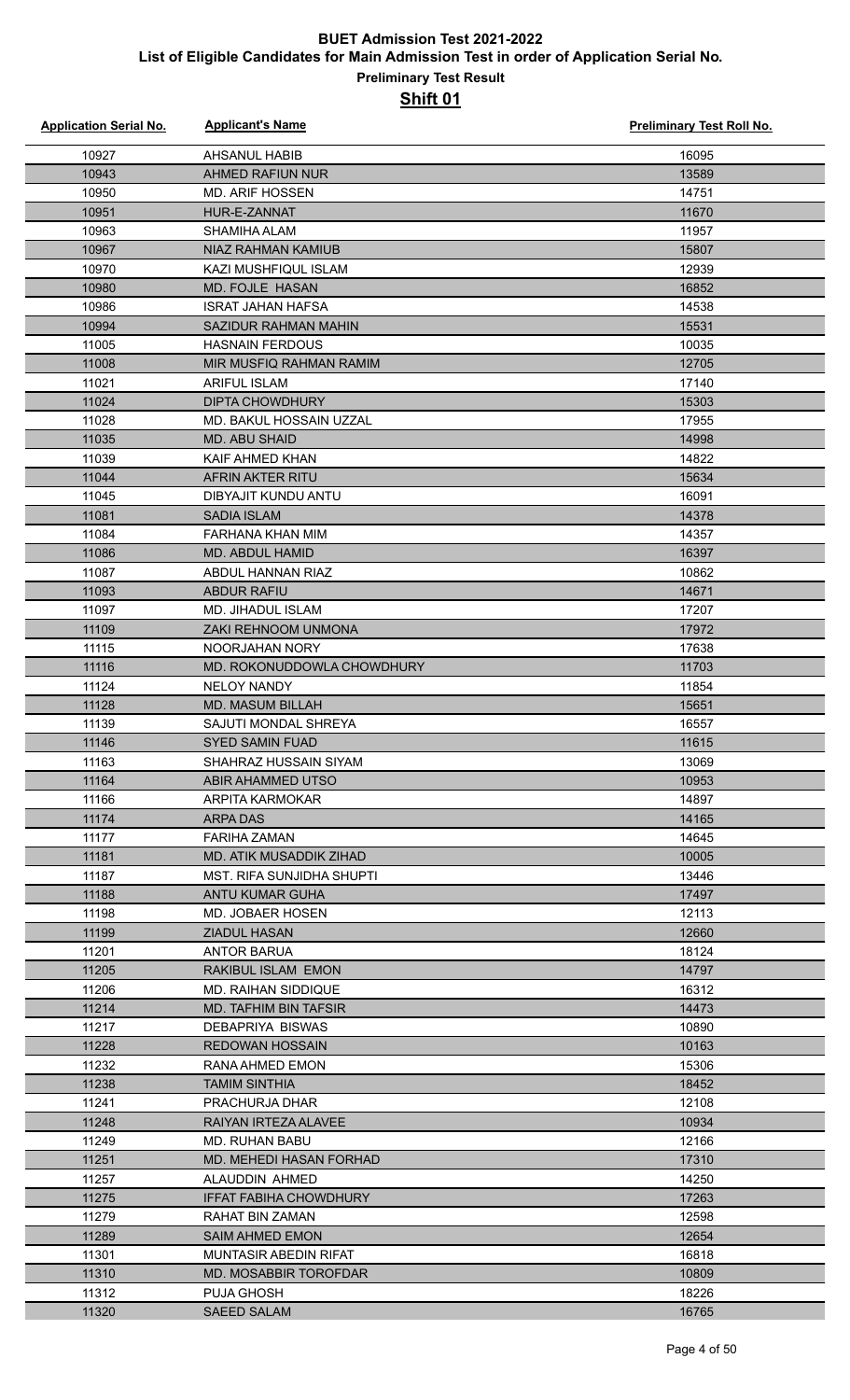| <b>Application Serial No.</b> | <b>Applicant's Name</b>                             | <b>Preliminary Test Roll No.</b> |
|-------------------------------|-----------------------------------------------------|----------------------------------|
| 10927                         | <b>AHSANUL HABIB</b>                                | 16095                            |
| 10943                         | AHMED RAFIUN NUR                                    | 13589                            |
| 10950                         | <b>MD. ARIF HOSSEN</b>                              | 14751                            |
| 10951                         | HUR-E-ZANNAT                                        | 11670                            |
| 10963                         | SHAMIHA ALAM                                        | 11957                            |
| 10967                         | <b>NIAZ RAHMAN KAMIUB</b>                           | 15807                            |
| 10970                         | <b>KAZI MUSHFIQUL ISLAM</b>                         | 12939                            |
| 10980                         | <b>MD. FOJLE HASAN</b>                              | 16852                            |
| 10986                         | <b>ISRAT JAHAN HAFSA</b>                            | 14538                            |
| 10994                         | SAZIDUR RAHMAN MAHIN                                | 15531                            |
| 11005                         | <b>HASNAIN FERDOUS</b>                              | 10035                            |
| 11008                         | MIR MUSFIQ RAHMAN RAMIM                             | 12705                            |
| 11021                         | <b>ARIFUL ISLAM</b>                                 | 17140                            |
| 11024                         | <b>DIPTA CHOWDHURY</b>                              | 15303                            |
| 11028                         | MD. BAKUL HOSSAIN UZZAL                             | 17955                            |
| 11035                         | <b>MD. ABU SHAID</b>                                | 14998                            |
| 11039                         | KAIF AHMED KHAN                                     | 14822                            |
| 11044                         | AFRIN AKTER RITU                                    | 15634                            |
| 11045                         | DIBYAJIT KUNDU ANTU                                 | 16091                            |
| 11081                         | <b>SADIA ISLAM</b>                                  | 14378                            |
| 11084                         | <b>FARHANA KHAN MIM</b>                             | 14357                            |
| 11086                         | MD. ABDUL HAMID                                     | 16397                            |
| 11087                         | ABDUL HANNAN RIAZ                                   | 10862                            |
| 11093                         | <b>ABDUR RAFIU</b>                                  | 14671                            |
| 11097                         | <b>MD. JIHADUL ISLAM</b>                            | 17207                            |
| 11109                         | <b>ZAKI REHNOOM UNMONA</b>                          | 17972                            |
| 11115                         | NOORJAHAN NORY                                      | 17638                            |
| 11116                         | MD. ROKONUDDOWLA CHOWDHURY                          | 11703                            |
| 11124                         | <b>NELOY NANDY</b>                                  | 11854                            |
| 11128                         | <b>MD. MASUM BILLAH</b>                             | 15651                            |
| 11139                         | SAJUTI MONDAL SHREYA                                | 16557                            |
| 11146                         | SYED SAMIN FUAD                                     | 11615                            |
| 11163                         | SHAHRAZ HUSSAIN SIYAM                               | 13069                            |
| 11164                         | ABIR AHAMMED UTSO                                   | 10953                            |
| 11166                         | ARPITA KARMOKAR                                     | 14897                            |
| 11174                         | <b>ARPADAS</b>                                      | 14165                            |
| 11177                         | <b>FARIHA ZAMAN</b>                                 | 14645                            |
| 11181                         | <b>MD. ATIK MUSADDIK ZIHAD</b>                      | 10005<br>13446                   |
| 11187<br>11188                | MST. RIFA SUNJIDHA SHUPTI<br><b>ANTU KUMAR GUHA</b> | 17497                            |
| 11198                         | MD. JOBAER HOSEN                                    | 12113                            |
| 11199                         | <b>ZIADUL HASAN</b>                                 | 12660                            |
| 11201                         | ANTOR BARUA                                         | 18124                            |
| 11205                         | <b>RAKIBUL ISLAM EMON</b>                           | 14797                            |
| 11206                         | <b>MD. RAIHAN SIDDIQUE</b>                          | 16312                            |
| 11214                         | <b>MD. TAFHIM BIN TAFSIR</b>                        | 14473                            |
| 11217                         | DEBAPRIYA BISWAS                                    | 10890                            |
| 11228                         | <b>REDOWAN HOSSAIN</b>                              | 10163                            |
| 11232                         | RANA AHMED EMON                                     | 15306                            |
| 11238                         | TAMIM SINTHIA                                       | 18452                            |
| 11241                         | PRACHURJA DHAR                                      | 12108                            |
| 11248                         | RAIYAN IRTEZA ALAVEE                                | 10934                            |
| 11249                         | <b>MD. RUHAN BABU</b>                               | 12166                            |
| 11251                         | MD. MEHEDI HASAN FORHAD                             | 17310                            |
| 11257                         | ALAUDDIN AHMED                                      | 14250                            |
| 11275                         | <b>IFFAT FABIHA CHOWDHURY</b>                       | 17263                            |
| 11279                         | <b>RAHAT BIN ZAMAN</b>                              | 12598                            |
| 11289                         | <b>SAIM AHMED EMON</b>                              | 12654                            |
| 11301                         | <b>MUNTASIR ABEDIN RIFAT</b>                        | 16818                            |
| 11310                         | MD. MOSABBIR TOROFDAR                               | 10809                            |
| 11312                         | <b>PUJA GHOSH</b>                                   | 18226                            |
| 11320                         | <b>SAEED SALAM</b>                                  | 16765                            |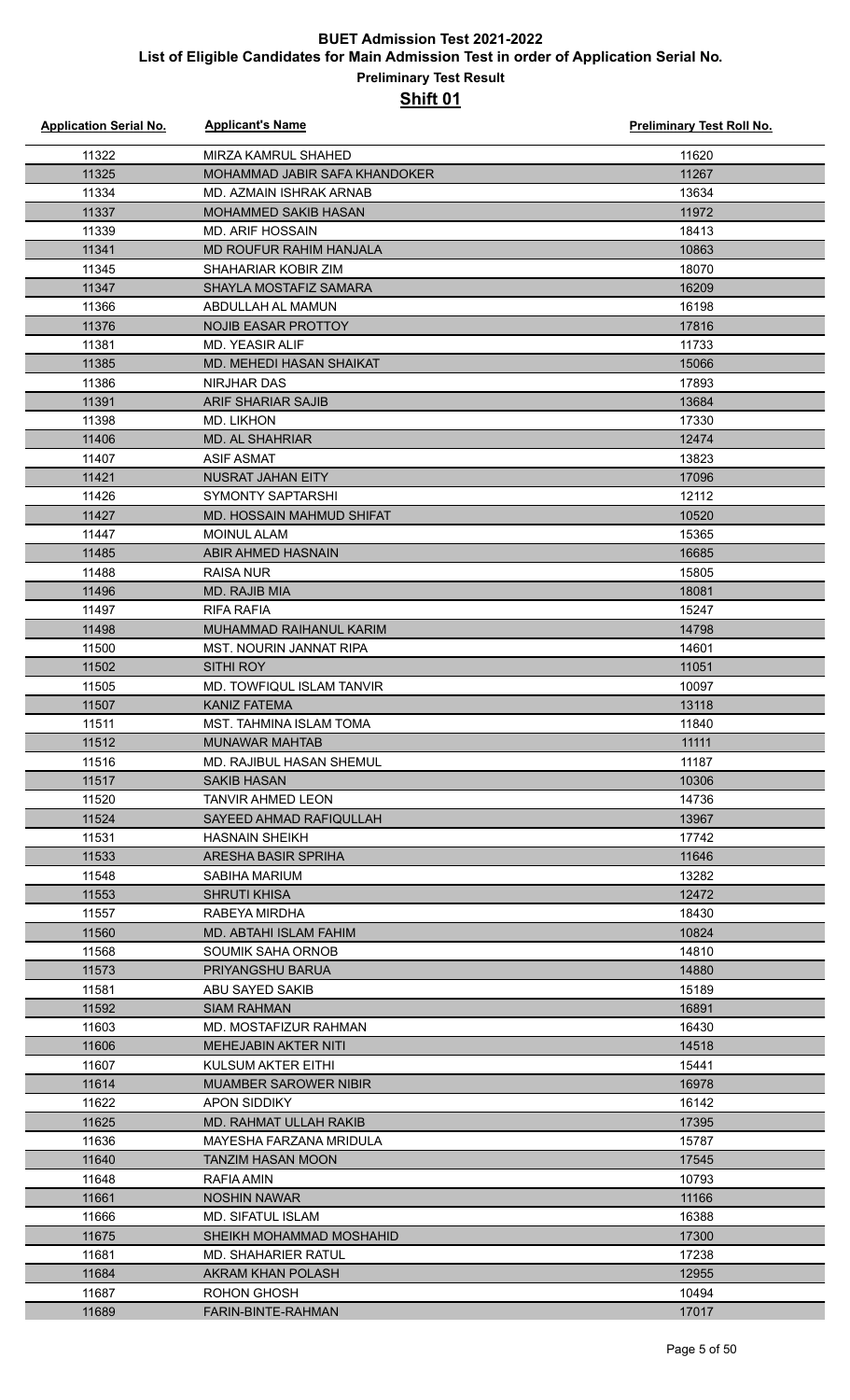| <b>Application Serial No.</b> | <b>Applicant's Name</b>             | <b>Preliminary Test Roll No.</b> |
|-------------------------------|-------------------------------------|----------------------------------|
| 11322                         | <b>MIRZA KAMRUL SHAHED</b>          | 11620                            |
| 11325                         | MOHAMMAD JABIR SAFA KHANDOKER       | 11267                            |
| 11334                         | MD. AZMAIN ISHRAK ARNAB             | 13634                            |
| 11337                         | MOHAMMED SAKIB HASAN                | 11972                            |
| 11339                         | <b>MD. ARIF HOSSAIN</b>             | 18413                            |
| 11341                         | MD ROUFUR RAHIM HANJALA             | 10863                            |
| 11345                         | SHAHARIAR KOBIR ZIM                 | 18070                            |
| 11347                         | SHAYLA MOSTAFIZ SAMARA              | 16209                            |
| 11366                         | ABDULLAH AL MAMUN                   | 16198                            |
| 11376                         | <b>NOJIB EASAR PROTTOY</b>          | 17816                            |
| 11381                         | <b>MD. YEASIR ALIF</b>              | 11733                            |
| 11385                         | MD. MEHEDI HASAN SHAIKAT            | 15066                            |
| 11386                         | NIRJHAR DAS                         | 17893                            |
| 11391                         | <b>ARIF SHARIAR SAJIB</b>           | 13684                            |
| 11398                         | <b>MD. LIKHON</b>                   | 17330                            |
| 11406                         | <b>MD. AL SHAHRIAR</b>              | 12474                            |
| 11407                         | <b>ASIF ASMAT</b>                   | 13823                            |
| 11421                         | NUSRAT JAHAN EITY                   | 17096                            |
| 11426                         | SYMONTY SAPTARSHI                   | 12112                            |
| 11427                         | MD. HOSSAIN MAHMUD SHIFAT           | 10520                            |
| 11447                         | <b>MOINUL ALAM</b>                  | 15365                            |
| 11485                         | ABIR AHMED HASNAIN                  | 16685                            |
| 11488                         | <b>RAISA NUR</b>                    | 15805                            |
| 11496                         | MD. RAJIB MIA                       | 18081                            |
| 11497                         | RIFA RAFIA                          | 15247                            |
| 11498                         | MUHAMMAD RAIHANUL KARIM             | 14798                            |
| 11500                         | MST. NOURIN JANNAT RIPA             | 14601                            |
| 11502                         | SITHI ROY                           | 11051                            |
| 11505                         | MD. TOWFIQUL ISLAM TANVIR           | 10097                            |
| 11507                         | <b>KANIZ FATEMA</b>                 | 13118                            |
| 11511                         | MST. TAHMINA ISLAM TOMA             | 11840                            |
| 11512                         | <b>MUNAWAR MAHTAB</b>               | 11111                            |
| 11516                         | MD. RAJIBUL HASAN SHEMUL            | 11187                            |
| 11517                         | <b>SAKIB HASAN</b>                  | 10306                            |
| 11520                         | <b>TANVIR AHMED LEON</b>            | 14736                            |
| 11524                         | SAYEED AHMAD RAFIQULLAH             | 13967                            |
| 11531                         | <b>HASNAIN SHEIKH</b>               | 17742                            |
| 11533                         | ARESHA BASIR SPRIHA                 | 11646                            |
| 11548                         | SABIHA MARIUM                       | 13282                            |
| 11553                         | <b>SHRUTI KHISA</b>                 | 12472                            |
| 11557                         | RABEYA MIRDHA                       | 18430                            |
| 11560                         | MD. ABTAHI ISLAM FAHIM              | 10824                            |
| 11568<br>11573                | SOUMIK SAHA ORNOB                   | 14810<br>14880                   |
| 11581                         | PRIYANGSHU BARUA<br>ABU SAYED SAKIB | 15189                            |
| 11592                         | <b>SIAM RAHMAN</b>                  | 16891                            |
| 11603                         | MD. MOSTAFIZUR RAHMAN               | 16430                            |
| 11606                         | <b>MEHEJABIN AKTER NITI</b>         | 14518                            |
| 11607                         | KULSUM AKTER EITHI                  | 15441                            |
| 11614                         | <b>MUAMBER SAROWER NIBIR</b>        | 16978                            |
| 11622                         | APON SIDDIKY                        | 16142                            |
| 11625                         | MD. RAHMAT ULLAH RAKIB              | 17395                            |
| 11636                         | MAYESHA FARZANA MRIDULA             | 15787                            |
| 11640                         | TANZIM HASAN MOON                   | 17545                            |
| 11648                         | RAFIA AMIN                          | 10793                            |
| 11661                         | NOSHIN NAWAR                        | 11166                            |
| 11666                         | <b>MD. SIFATUL ISLAM</b>            | 16388                            |
| 11675                         | SHEIKH MOHAMMAD MOSHAHID            | 17300                            |
| 11681                         | MD. SHAHARIER RATUL                 | 17238                            |
| 11684                         | AKRAM KHAN POLASH                   | 12955                            |
| 11687                         | ROHON GHOSH                         | 10494                            |
| 11689                         | FARIN-BINTE-RAHMAN                  | 17017                            |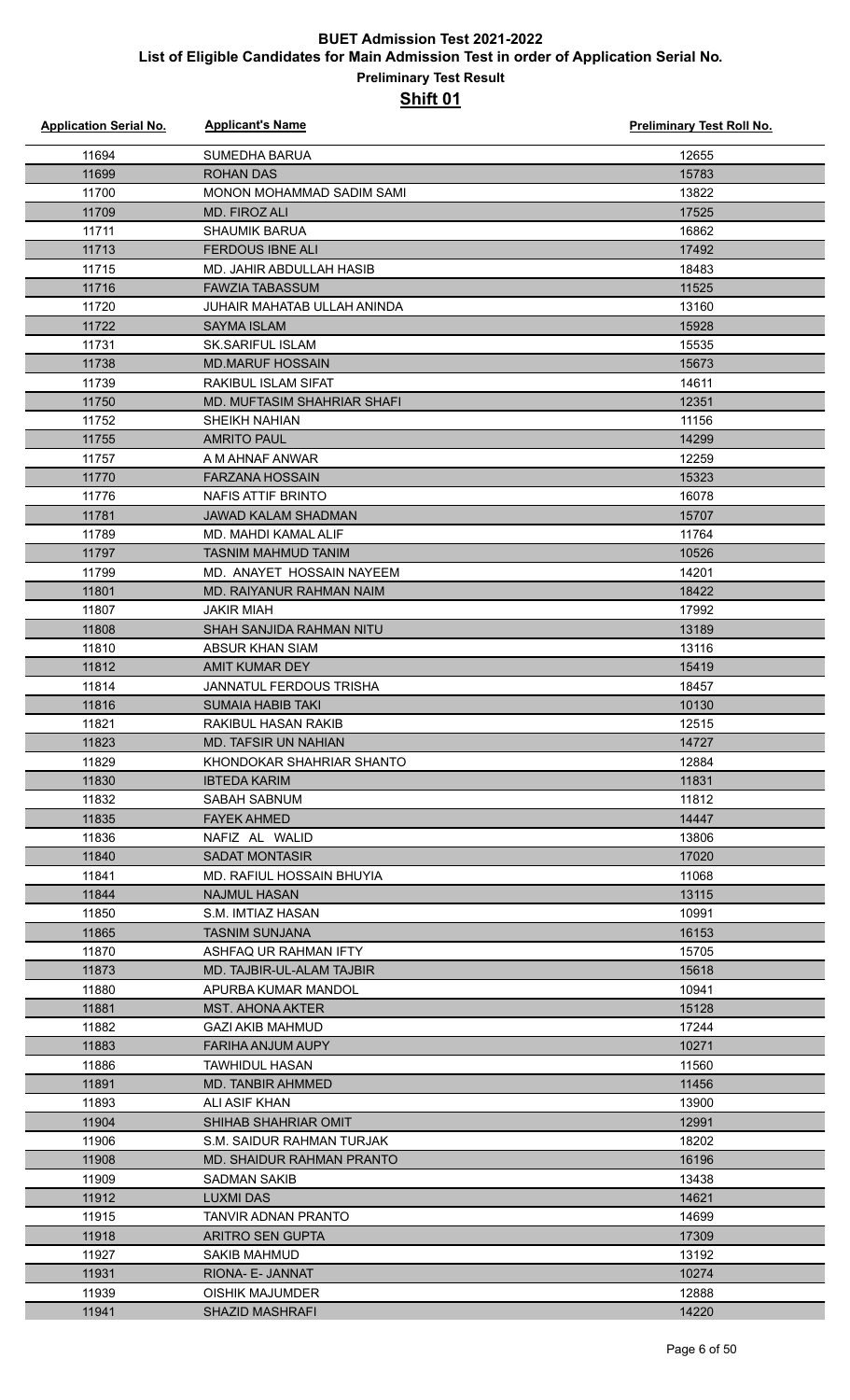| <b>Application Serial No.</b> | <b>Applicant's Name</b>                            | <b>Preliminary Test Roll No.</b> |
|-------------------------------|----------------------------------------------------|----------------------------------|
| 11694                         | <b>SUMEDHA BARUA</b>                               | 12655                            |
| 11699                         | <b>ROHAN DAS</b>                                   | 15783                            |
| 11700                         | MONON MOHAMMAD SADIM SAMI                          | 13822                            |
| 11709                         | MD. FIROZ ALI                                      | 17525                            |
| 11711                         | <b>SHAUMIK BARUA</b>                               | 16862                            |
| 11713                         | <b>FERDOUS IBNE ALI</b>                            | 17492                            |
| 11715                         | MD. JAHIR ABDULLAH HASIB                           | 18483                            |
| 11716                         | <b>FAWZIA TABASSUM</b>                             | 11525                            |
| 11720                         | JUHAIR MAHATAB ULLAH ANINDA                        | 13160                            |
| 11722                         | <b>SAYMA ISLAM</b>                                 | 15928                            |
| 11731                         | <b>SK.SARIFUL ISLAM</b>                            | 15535                            |
| 11738                         | <b>MD.MARUF HOSSAIN</b>                            | 15673                            |
| 11739                         | <b>RAKIBUL ISLAM SIFAT</b>                         | 14611                            |
| 11750                         | <b>MD. MUFTASIM SHAHRIAR SHAFI</b>                 | 12351                            |
| 11752                         | SHEIKH NAHIAN                                      | 11156                            |
| 11755                         | <b>AMRITO PAUL</b>                                 | 14299                            |
| 11757                         | A M AHNAF ANWAR                                    | 12259                            |
| 11770                         | <b>FARZANA HOSSAIN</b>                             | 15323                            |
| 11776                         | <b>NAFIS ATTIF BRINTO</b>                          | 16078                            |
| 11781                         | <b>JAWAD KALAM SHADMAN</b>                         | 15707                            |
| 11789                         | MD. MAHDI KAMAL ALIF                               | 11764                            |
| 11797                         | <b>TASNIM MAHMUD TANIM</b>                         | 10526                            |
| 11799                         | MD. ANAYET HOSSAIN NAYEEM                          | 14201                            |
| 11801                         | MD. RAIYANUR RAHMAN NAIM                           | 18422                            |
| 11807                         | <b>JAKIR MIAH</b>                                  | 17992                            |
| 11808                         | SHAH SANJIDA RAHMAN NITU                           | 13189                            |
| 11810                         | ABSUR KHAN SIAM                                    | 13116                            |
| 11812                         | AMIT KUMAR DEY                                     | 15419                            |
| 11814                         | <b>JANNATUL FERDOUS TRISHA</b>                     | 18457                            |
| 11816                         | SUMAIA HABIB TAKI                                  | 10130                            |
| 11821                         | RAKIBUL HASAN RAKIB                                | 12515                            |
| 11823                         | MD. TAFSIR UN NAHIAN                               | 14727                            |
| 11829                         | KHONDOKAR SHAHRIAR SHANTO                          | 12884                            |
| 11830                         | <b>IBTEDA KARIM</b>                                | 11831                            |
| 11832                         | SABAH SABNUM                                       | 11812                            |
| 11835                         | <b>FAYEK AHMED</b>                                 | 14447                            |
| 11836                         | NAFIZ AL WALID                                     | 13806                            |
| 11840                         | <b>SADAT MONTASIR</b>                              | 17020                            |
| 11841                         | MD. RAFIUL HOSSAIN BHUYIA                          | 11068                            |
| 11844                         | <b>NAJMUL HASAN</b>                                | 13115                            |
| 11850                         | S.M. IMTIAZ HASAN                                  | 10991                            |
| 11865                         | <b>TASNIM SUNJANA</b>                              | 16153                            |
| 11870<br>11873                | ASHFAQ UR RAHMAN IFTY<br>MD. TAJBIR-UL-ALAM TAJBIR | 15705<br>15618                   |
| 11880                         | APURBA KUMAR MANDOL                                | 10941                            |
| 11881                         | <b>MST. AHONA AKTER</b>                            | 15128                            |
| 11882                         | <b>GAZI AKIB MAHMUD</b>                            | 17244                            |
| 11883                         | FARIHA ANJUM AUPY                                  | 10271                            |
| 11886                         | TAWHIDUL HASAN                                     | 11560                            |
| 11891                         | MD. TANBIR AHMMED                                  | 11456                            |
| 11893                         | ALI ASIF KHAN                                      | 13900                            |
| 11904                         | SHIHAB SHAHRIAR OMIT                               | 12991                            |
| 11906                         | S.M. SAIDUR RAHMAN TURJAK                          | 18202                            |
| 11908                         | <b>MD. SHAIDUR RAHMAN PRANTO</b>                   | 16196                            |
| 11909                         | <b>SADMAN SAKIB</b>                                | 13438                            |
| 11912                         | LUXMI DAS                                          | 14621                            |
| 11915                         | TANVIR ADNAN PRANTO                                | 14699                            |
| 11918                         | <b>ARITRO SEN GUPTA</b>                            | 17309                            |
| 11927                         | <b>SAKIB MAHMUD</b>                                | 13192                            |
| 11931                         | RIONA- E- JANNAT                                   | 10274                            |
| 11939                         | <b>OISHIK MAJUMDER</b>                             | 12888                            |
| 11941                         | <b>SHAZID MASHRAFI</b>                             | 14220                            |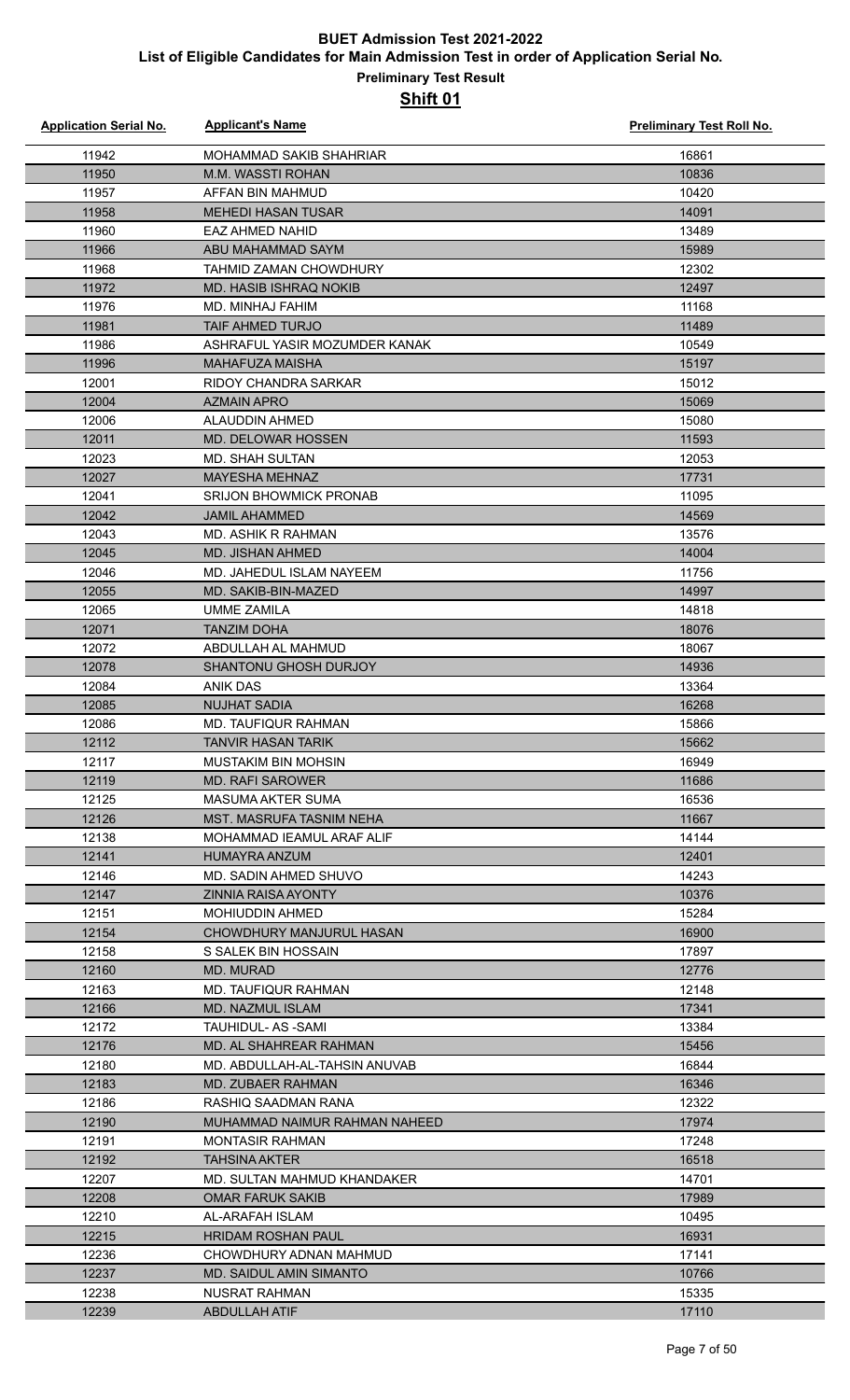| <b>Application Serial No.</b> | <b>Applicant's Name</b>                                 | <b>Preliminary Test Roll No.</b> |
|-------------------------------|---------------------------------------------------------|----------------------------------|
| 11942                         | <b>MOHAMMAD SAKIB SHAHRIAR</b>                          | 16861                            |
| 11950                         | M.M. WASSTI ROHAN                                       | 10836                            |
| 11957                         | AFFAN BIN MAHMUD                                        | 10420                            |
| 11958                         | <b>MEHEDI HASAN TUSAR</b>                               | 14091                            |
| 11960                         | <b>EAZ AHMED NAHID</b>                                  | 13489                            |
| 11966                         | ABU MAHAMMAD SAYM                                       | 15989                            |
| 11968                         | <b>TAHMID ZAMAN CHOWDHURY</b>                           | 12302                            |
| 11972                         | <b>MD. HASIB ISHRAQ NOKIB</b>                           | 12497                            |
| 11976                         | MD. MINHAJ FAHIM                                        | 11168                            |
| 11981                         | <b>TAIF AHMED TURJO</b>                                 | 11489                            |
| 11986                         | ASHRAFUL YASIR MOZUMDER KANAK                           | 10549                            |
| 11996                         | MAHAFUZA MAISHA                                         | 15197                            |
| 12001                         | <b>RIDOY CHANDRA SARKAR</b>                             | 15012                            |
| 12004                         | <b>AZMAIN APRO</b>                                      | 15069                            |
| 12006                         | ALAUDDIN AHMED                                          | 15080                            |
| 12011                         | MD. DELOWAR HOSSEN                                      | 11593                            |
| 12023                         | <b>MD. SHAH SULTAN</b>                                  | 12053                            |
| 12027                         | <b>MAYESHA MEHNAZ</b>                                   | 17731                            |
| 12041                         | <b>SRIJON BHOWMICK PRONAB</b>                           | 11095                            |
| 12042                         | <b>JAMIL AHAMMED</b>                                    | 14569                            |
| 12043                         | MD. ASHIK R RAHMAN                                      | 13576                            |
| 12045                         | MD. JISHAN AHMED                                        | 14004                            |
| 12046                         | MD. JAHEDUL ISLAM NAYEEM                                | 11756                            |
| 12055                         | MD. SAKIB-BIN-MAZED                                     | 14997                            |
| 12065                         | <b>UMME ZAMILA</b>                                      | 14818                            |
| 12071                         | TANZIM DOHA                                             | 18076                            |
| 12072                         | ABDULLAH AL MAHMUD                                      | 18067                            |
| 12078                         | <b>SHANTONU GHOSH DURJOY</b>                            | 14936                            |
| 12084                         | <b>ANIK DAS</b>                                         | 13364                            |
| 12085                         | <b>NUJHAT SADIA</b>                                     | 16268                            |
| 12086                         | MD. TAUFIQUR RAHMAN                                     | 15866                            |
| 12112                         | <b>TANVIR HASAN TARIK</b>                               | 15662                            |
| 12117                         | MUSTAKIM BIN MOHSIN                                     | 16949                            |
| 12119                         | <b>MD. RAFI SAROWER</b>                                 | 11686                            |
| 12125                         | MASUMA AKTER SUMA                                       | 16536                            |
| 12126                         | <b>MST. MASRUFA TASNIM NEHA</b>                         | 11667                            |
| 12138                         | MOHAMMAD IEAMUL ARAF ALIF                               | 14144                            |
| 12141                         | <b>HUMAYRA ANZUM</b>                                    | 12401                            |
| 12146                         | MD. SADIN AHMED SHUVO                                   | 14243                            |
| 12147                         | <b>ZINNIA RAISA AYONTY</b>                              | 10376                            |
| 12151                         | <b>MOHIUDDIN AHMED</b>                                  | 15284                            |
| 12154                         | CHOWDHURY MANJURUL HASAN                                | 16900                            |
| 12158                         | S SALEK BIN HOSSAIN                                     | 17897                            |
| 12160                         | <b>MD. MURAD</b>                                        | 12776                            |
| 12163                         | MD. TAUFIQUR RAHMAN                                     | 12148                            |
| 12166                         | <b>MD. NAZMUL ISLAM</b>                                 | 17341                            |
| 12172                         | TAUHIDUL- AS -SAMI                                      | 13384                            |
| 12176<br>12180                | MD. AL SHAHREAR RAHMAN<br>MD. ABDULLAH-AL-TAHSIN ANUVAB | 15456<br>16844                   |
| 12183                         | MD. ZUBAER RAHMAN                                       | 16346                            |
| 12186                         | RASHIQ SAADMAN RANA                                     | 12322                            |
| 12190                         | MUHAMMAD NAIMUR RAHMAN NAHEED                           | 17974                            |
| 12191                         | <b>MONTASIR RAHMAN</b>                                  | 17248                            |
| 12192                         | <b>TAHSINA AKTER</b>                                    | 16518                            |
| 12207                         | MD. SULTAN MAHMUD KHANDAKER                             | 14701                            |
| 12208                         | <b>OMAR FARUK SAKIB</b>                                 | 17989                            |
| 12210                         | AL-ARAFAH ISLAM                                         | 10495                            |
| 12215                         | <b>HRIDAM ROSHAN PAUL</b>                               | 16931                            |
| 12236                         | CHOWDHURY ADNAN MAHMUD                                  | 17141                            |
| 12237                         | <b>MD. SAIDUL AMIN SIMANTO</b>                          | 10766                            |
| 12238                         | NUSRAT RAHMAN                                           | 15335                            |
| 12239                         | <b>ABDULLAH ATIF</b>                                    | 17110                            |
|                               |                                                         |                                  |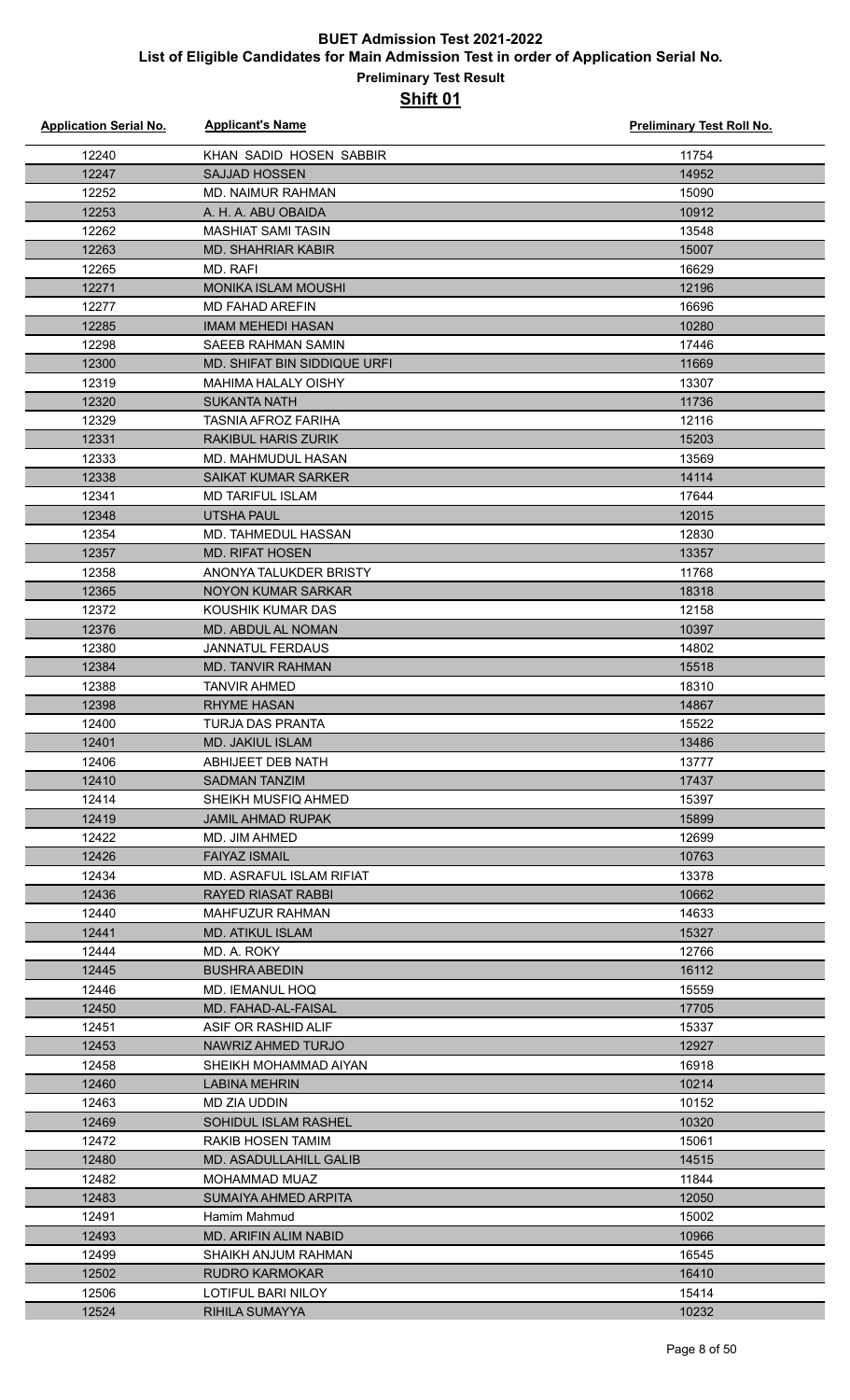| <b>Application Serial No.</b> | <b>Applicant's Name</b>      | <b>Preliminary Test Roll No.</b> |
|-------------------------------|------------------------------|----------------------------------|
| 12240                         | KHAN SADID HOSEN SABBIR      | 11754                            |
| 12247                         | <b>SAJJAD HOSSEN</b>         | 14952                            |
| 12252                         | <b>MD. NAIMUR RAHMAN</b>     | 15090                            |
| 12253                         | A. H. A. ABU OBAIDA          | 10912                            |
| 12262                         | <b>MASHIAT SAMI TASIN</b>    | 13548                            |
| 12263                         | <b>MD. SHAHRIAR KABIR</b>    | 15007                            |
| 12265                         | MD. RAFI                     | 16629                            |
| 12271                         | <b>MONIKA ISLAM MOUSHI</b>   | 12196                            |
| 12277                         | <b>MD FAHAD AREFIN</b>       | 16696                            |
| 12285                         | IMAM MEHEDI HASAN            | 10280                            |
| 12298                         | <b>SAEEB RAHMAN SAMIN</b>    | 17446                            |
| 12300                         | MD. SHIFAT BIN SIDDIQUE URFI | 11669                            |
| 12319                         | <b>MAHIMA HALALY OISHY</b>   | 13307                            |
| 12320                         | <b>SUKANTA NATH</b>          | 11736                            |
| 12329                         | <b>TASNIA AFROZ FARIHA</b>   | 12116                            |
| 12331                         | <b>RAKIBUL HARIS ZURIK</b>   | 15203                            |
| 12333                         | MD. MAHMUDUL HASAN           | 13569                            |
| 12338                         | <b>SAIKAT KUMAR SARKER</b>   | 14114                            |
| 12341                         | <b>MD TARIFUL ISLAM</b>      | 17644                            |
| 12348                         | <b>UTSHA PAUL</b>            | 12015                            |
| 12354                         | MD. TAHMEDUL HASSAN          | 12830                            |
| 12357                         | <b>MD. RIFAT HOSEN</b>       | 13357                            |
| 12358                         | ANONYA TALUKDER BRISTY       | 11768                            |
| 12365                         | NOYON KUMAR SARKAR           | 18318                            |
| 12372                         | KOUSHIK KUMAR DAS            | 12158                            |
| 12376                         | MD. ABDUL AL NOMAN           | 10397                            |
| 12380                         | <b>JANNATUL FERDAUS</b>      | 14802                            |
| 12384                         | MD. TANVIR RAHMAN            | 15518                            |
| 12388                         | <b>TANVIR AHMED</b>          | 18310                            |
| 12398                         | <b>RHYME HASAN</b>           | 14867                            |
| 12400                         | <b>TURJA DAS PRANTA</b>      | 15522                            |
| 12401                         | MD. JAKIUL ISLAM             | 13486                            |
| 12406                         | ABHIJEET DEB NATH            | 13777                            |
| 12410                         | <b>SADMAN TANZIM</b>         | 17437                            |
| 12414                         | SHEIKH MUSFIQ AHMED          | 15397                            |
| 12419                         | <b>JAMIL AHMAD RUPAK</b>     | 15899                            |
| 12422                         | MD. JIM AHMED                | 12699                            |
| 12426                         | <b>FAIYAZ ISMAIL</b>         | 10763                            |
| 12434                         | MD. ASRAFUL ISLAM RIFIAT     | 13378                            |
| 12436                         | RAYED RIASAT RABBI           | 10662                            |
| 12440                         | <b>MAHFUZUR RAHMAN</b>       | 14633                            |
| 12441                         | <b>MD. ATIKUL ISLAM</b>      | 15327                            |
| 12444                         | MD. A. ROKY                  | 12766                            |
| 12445                         | <b>BUSHRA ABEDIN</b>         | 16112                            |
| 12446                         | <b>MD. IEMANUL HOQ</b>       | 15559                            |
| 12450                         | MD. FAHAD-AL-FAISAL          | 17705                            |
| 12451                         | ASIF OR RASHID ALIF          | 15337                            |
| 12453                         | NAWRIZ AHMED TURJO           | 12927                            |
| 12458                         | SHEIKH MOHAMMAD AIYAN        | 16918                            |
| 12460                         | LABINA MEHRIN                | 10214                            |
| 12463                         | MD ZIA UDDIN                 | 10152                            |
| 12469                         | SOHIDUL ISLAM RASHEL         | 10320                            |
| 12472                         | RAKIB HOSEN TAMIM            | 15061                            |
| 12480                         | MD. ASADULLAHILL GALIB       | 14515                            |
| 12482                         | MOHAMMAD MUAZ                | 11844                            |
| 12483                         | SUMAIYA AHMED ARPITA         | 12050                            |
| 12491                         | Hamim Mahmud                 | 15002                            |
| 12493                         | <b>MD. ARIFIN ALIM NABID</b> | 10966                            |
| 12499                         | SHAIKH ANJUM RAHMAN          | 16545                            |
| 12502                         | <b>RUDRO KARMOKAR</b>        | 16410                            |
| 12506                         | LOTIFUL BARI NILOY           | 15414                            |
| 12524                         | <b>RIHILA SUMAYYA</b>        | 10232                            |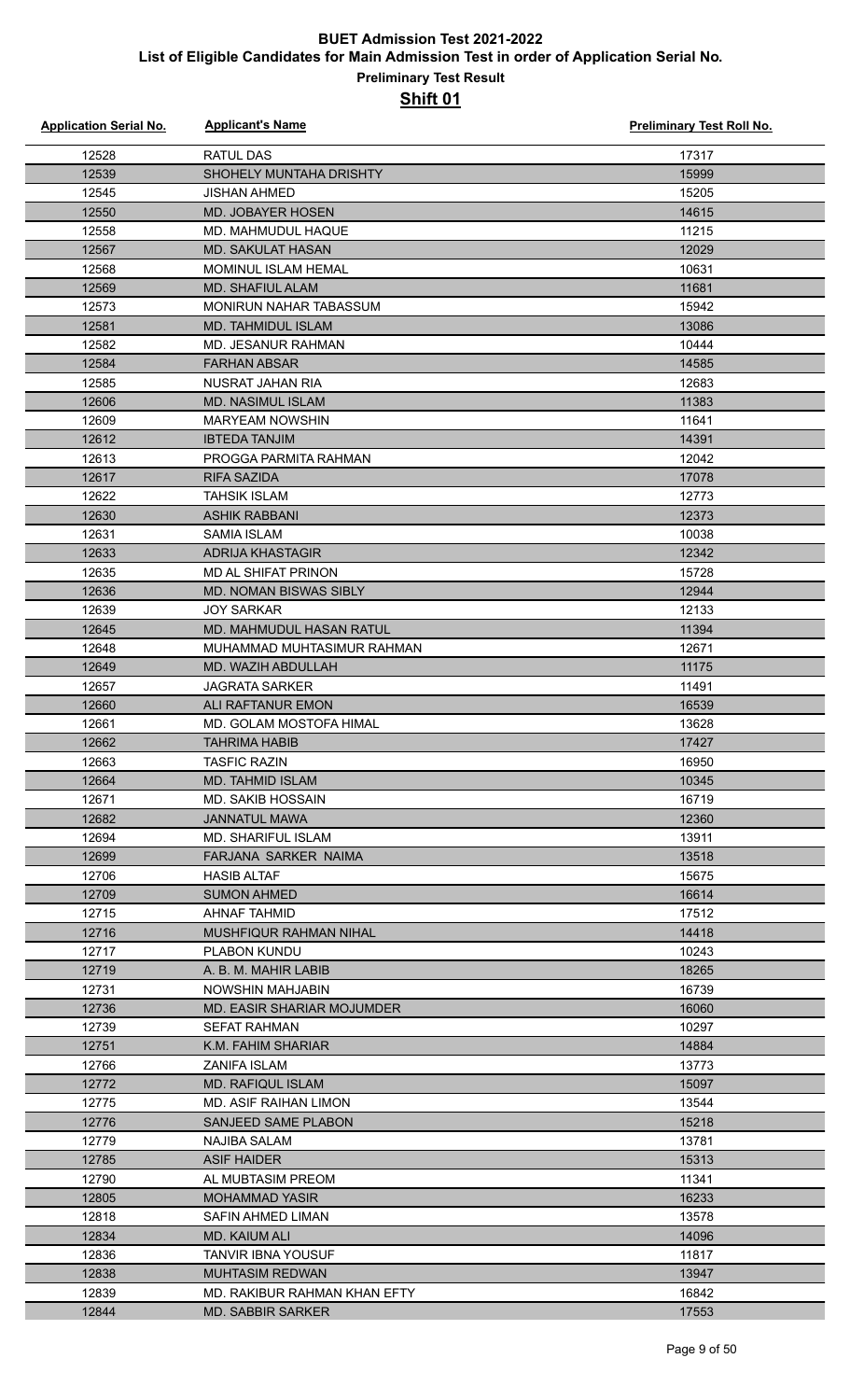| <b>Application Serial No.</b> | <b>Applicant's Name</b>         | Preliminary Test Roll No. |
|-------------------------------|---------------------------------|---------------------------|
| 12528                         | <b>RATUL DAS</b>                | 17317                     |
| 12539                         | <b>SHOHELY MUNTAHA DRISHTY</b>  | 15999                     |
| 12545                         | <b>JISHAN AHMED</b>             | 15205                     |
| 12550                         | <b>MD. JOBAYER HOSEN</b>        | 14615                     |
| 12558                         | MD. MAHMUDUL HAQUE              | 11215                     |
| 12567                         | <b>MD. SAKULAT HASAN</b>        | 12029                     |
| 12568                         | <b>MOMINUL ISLAM HEMAL</b>      | 10631                     |
| 12569                         | <b>MD. SHAFIUL ALAM</b>         | 11681                     |
| 12573                         | <b>MONIRUN NAHAR TABASSUM</b>   | 15942                     |
| 12581                         | MD. TAHMIDUL ISLAM              | 13086                     |
| 12582                         | <b>MD. JESANUR RAHMAN</b>       | 10444                     |
| 12584                         | <b>FARHAN ABSAR</b>             | 14585                     |
| 12585                         | NUSRAT JAHAN RIA                | 12683                     |
| 12606                         | <b>MD. NASIMUL ISLAM</b>        | 11383                     |
| 12609                         | <b>MARYEAM NOWSHIN</b>          | 11641                     |
| 12612                         | <b>IBTEDA TANJIM</b>            | 14391                     |
| 12613                         | PROGGA PARMITA RAHMAN           | 12042                     |
| 12617                         | <b>RIFA SAZIDA</b>              | 17078                     |
| 12622                         | <b>TAHSIK ISLAM</b>             | 12773                     |
|                               |                                 |                           |
| 12630                         | <b>ASHIK RABBANI</b>            | 12373                     |
| 12631                         | <b>SAMIA ISLAM</b>              | 10038                     |
| 12633                         | <b>ADRIJA KHASTAGIR</b>         | 12342                     |
| 12635                         | MD AL SHIFAT PRINON             | 15728                     |
| 12636                         | <b>MD. NOMAN BISWAS SIBLY</b>   | 12944                     |
| 12639                         | <b>JOY SARKAR</b>               | 12133                     |
| 12645                         | <b>MD. MAHMUDUL HASAN RATUL</b> | 11394                     |
| 12648                         | MUHAMMAD MUHTASIMUR RAHMAN      | 12671                     |
| 12649                         | MD. WAZIH ABDULLAH              | 11175                     |
| 12657                         | <b>JAGRATA SARKER</b>           | 11491                     |
| 12660                         | ALI RAFTANUR EMON               | 16539                     |
| 12661                         | MD. GOLAM MOSTOFA HIMAL         | 13628                     |
| 12662                         | <b>TAHRIMA HABIB</b>            | 17427                     |
| 12663                         | <b>TASFIC RAZIN</b>             | 16950                     |
| 12664                         | <b>MD. TAHMID ISLAM</b>         | 10345                     |
| 12671                         | <b>MD. SAKIB HOSSAIN</b>        | 16719                     |
| 12682                         | <b>JANNATUL MAWA</b>            | 12360                     |
| 12694                         | MD. SHARIFUL ISLAM              | 13911                     |
| 12699                         | FARJANA SARKER NAIMA            | 13518                     |
| 12706                         | <b>HASIB ALTAF</b>              | 15675                     |
| 12709                         | <b>SUMON AHMED</b>              | 16614                     |
| 12715                         | <b>AHNAF TAHMID</b>             | 17512                     |
| 12716                         | MUSHFIQUR RAHMAN NIHAL          | 14418                     |
| 12717                         | <b>PLABON KUNDU</b>             | 10243                     |
| 12719                         | A. B. M. MAHIR LABIB            | 18265                     |
| 12731                         | NOWSHIN MAHJABIN                | 16739                     |
| 12736                         | MD. EASIR SHARIAR MOJUMDER      | 16060                     |
| 12739                         | <b>SEFAT RAHMAN</b>             | 10297                     |
| 12751                         | K.M. FAHIM SHARIAR              | 14884                     |
| 12766                         | ZANIFA ISLAM                    | 13773                     |
| 12772                         | <b>MD. RAFIQUL ISLAM</b>        | 15097                     |
| 12775                         | MD. ASIF RAIHAN LIMON           | 13544                     |
| 12776                         | <b>SANJEED SAME PLABON</b>      | 15218                     |
| 12779                         | NAJIBA SALAM                    | 13781                     |
| 12785                         | <b>ASIF HAIDER</b>              | 15313                     |
| 12790                         | AL MUBTASIM PREOM               | 11341                     |
| 12805                         | <b>MOHAMMAD YASIR</b>           | 16233                     |
| 12818                         | SAFIN AHMED LIMAN               | 13578                     |
| 12834                         | MD. KAIUM ALI                   | 14096                     |
| 12836                         | TANVIR IBNA YOUSUF              | 11817                     |
| 12838                         | <b>MUHTASIM REDWAN</b>          | 13947                     |
| 12839                         | MD. RAKIBUR RAHMAN KHAN EFTY    | 16842                     |
| 12844                         | <b>MD. SABBIR SARKER</b>        | 17553                     |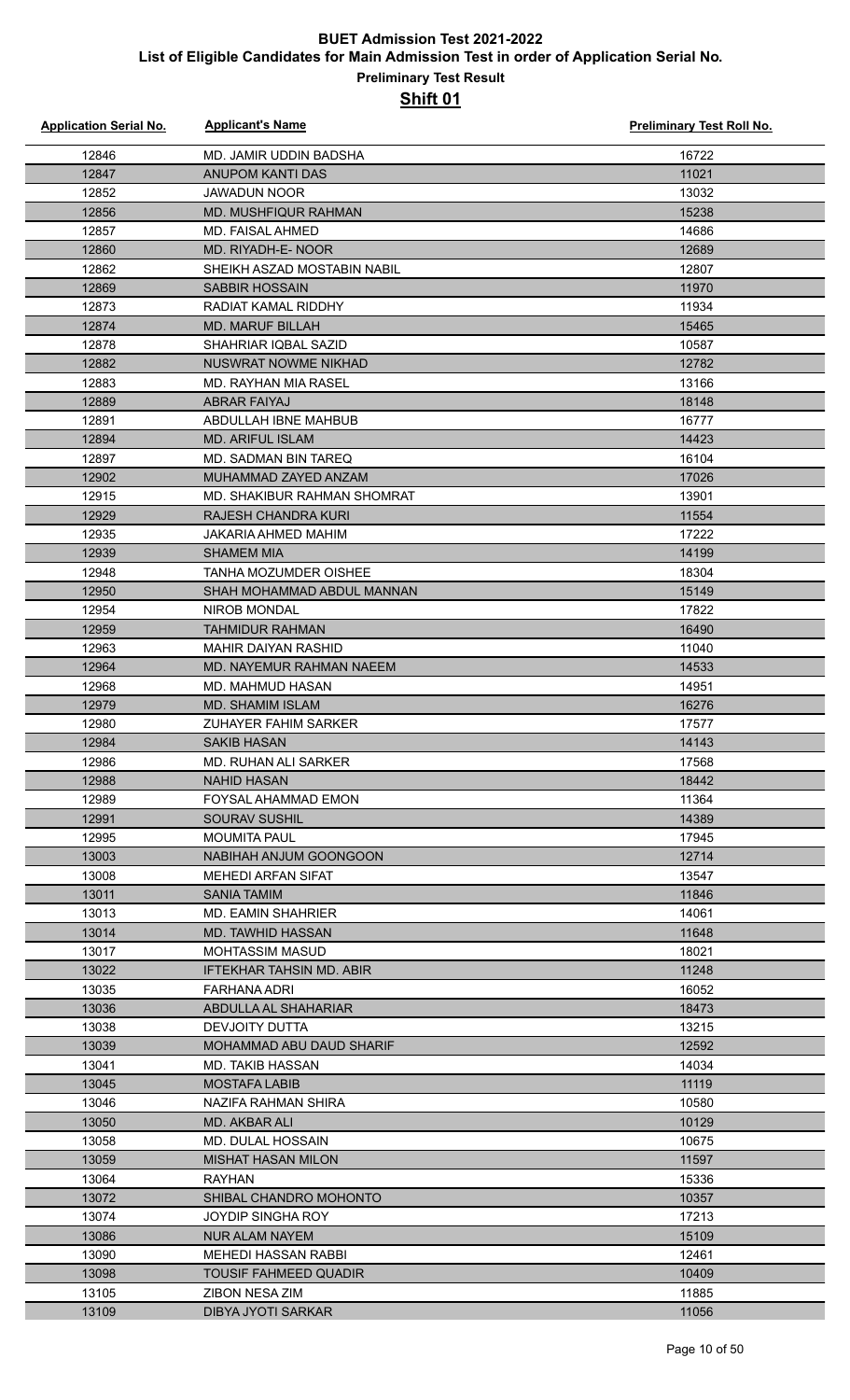| <b>Application Serial No.</b> | <b>Applicant's Name</b>                       | Preliminary Test Roll No. |
|-------------------------------|-----------------------------------------------|---------------------------|
| 12846                         | MD. JAMIR UDDIN BADSHA                        | 16722                     |
| 12847                         | <b>ANUPOM KANTI DAS</b>                       | 11021                     |
| 12852                         | <b>JAWADUN NOOR</b>                           | 13032                     |
| 12856                         | <b>MD. MUSHFIQUR RAHMAN</b>                   | 15238                     |
| 12857                         | MD. FAISAL AHMED                              | 14686                     |
| 12860                         | MD. RIYADH-E- NOOR                            | 12689                     |
| 12862                         | SHEIKH ASZAD MOSTABIN NABIL                   | 12807                     |
| 12869                         | <b>SABBIR HOSSAIN</b>                         | 11970                     |
| 12873                         | RADIAT KAMAL RIDDHY                           | 11934                     |
| 12874                         | <b>MD. MARUF BILLAH</b>                       | 15465                     |
| 12878                         | SHAHRIAR IQBAL SAZID                          | 10587                     |
| 12882                         | NUSWRAT NOWME NIKHAD                          | 12782                     |
| 12883                         | MD. RAYHAN MIA RASEL                          | 13166                     |
| 12889                         | ABRAR FAIYAJ                                  | 18148                     |
| 12891                         | ABDULLAH IBNE MAHBUB                          | 16777                     |
| 12894                         | <b>MD. ARIFUL ISLAM</b>                       | 14423                     |
| 12897                         | MD. SADMAN BIN TAREQ                          | 16104                     |
| 12902                         | MUHAMMAD ZAYED ANZAM                          | 17026                     |
| 12915                         | MD. SHAKIBUR RAHMAN SHOMRAT                   | 13901                     |
| 12929                         | RAJESH CHANDRA KURI                           | 11554                     |
| 12935                         | JAKARIA AHMED MAHIM                           | 17222                     |
| 12939                         | <b>SHAMEM MIA</b>                             | 14199                     |
| 12948                         | TANHA MOZUMDER OISHEE                         | 18304                     |
| 12950                         | SHAH MOHAMMAD ABDUL MANNAN                    | 15149                     |
| 12954                         | NIROB MONDAL                                  | 17822                     |
| 12959                         | <b>TAHMIDUR RAHMAN</b>                        | 16490                     |
| 12963                         | <b>MAHIR DAIYAN RASHID</b>                    | 11040                     |
| 12964                         | <b>MD. NAYEMUR RAHMAN NAEEM</b>               | 14533                     |
| 12968                         | MD. MAHMUD HASAN                              | 14951                     |
| 12979                         | <b>MD. SHAMIM ISLAM</b>                       | 16276                     |
| 12980                         | ZUHAYER FAHIM SARKER                          | 17577                     |
| 12984                         | <b>SAKIB HASAN</b>                            | 14143                     |
| 12986                         | MD. RUHAN ALI SARKER                          | 17568                     |
| 12988                         | <b>NAHID HASAN</b>                            | 18442                     |
| 12989                         | <b>FOYSAL AHAMMAD EMON</b>                    | 11364                     |
| 12991                         | <b>SOURAV SUSHIL</b>                          | 14389                     |
| 12995                         | <b>MOUMITA PAUL</b><br>NABIHAH ANJUM GOONGOON | 17945<br>12714            |
| 13003<br>13008                | <b>MEHEDI ARFAN SIFAT</b>                     | 13547                     |
| 13011                         | <b>SANIA TAMIM</b>                            | 11846                     |
| 13013                         | <b>MD. EAMIN SHAHRIER</b>                     | 14061                     |
| 13014                         | MD. TAWHID HASSAN                             | 11648                     |
| 13017                         | <b>MOHTASSIM MASUD</b>                        | 18021                     |
| 13022                         | <b>IFTEKHAR TAHSIN MD. ABIR</b>               | 11248                     |
| 13035                         | FARHANA ADRI                                  | 16052                     |
| 13036                         | ABDULLA AL SHAHARIAR                          | 18473                     |
| 13038                         | DEVJOITY DUTTA                                | 13215                     |
| 13039                         | MOHAMMAD ABU DAUD SHARIF                      | 12592                     |
| 13041                         | MD. TAKIB HASSAN                              | 14034                     |
| 13045                         | <b>MOSTAFA LABIB</b>                          | 11119                     |
| 13046                         | NAZIFA RAHMAN SHIRA                           | 10580                     |
| 13050                         | MD. AKBAR ALI                                 | 10129                     |
| 13058                         | MD. DULAL HOSSAIN                             | 10675                     |
| 13059                         | <b>MISHAT HASAN MILON</b>                     | 11597                     |
| 13064                         | <b>RAYHAN</b>                                 | 15336                     |
| 13072                         | SHIBAL CHANDRO MOHONTO                        | 10357                     |
| 13074                         | JOYDIP SINGHA ROY                             | 17213                     |
| 13086                         | <b>NUR ALAM NAYEM</b>                         | 15109                     |
| 13090                         | <b>MEHEDI HASSAN RABBI</b>                    | 12461                     |
| 13098                         | <b>TOUSIF FAHMEED QUADIR</b>                  | 10409                     |
| 13105                         | ZIBON NESA ZIM                                | 11885                     |
| 13109                         | <b>DIBYA JYOTI SARKAR</b>                     | 11056                     |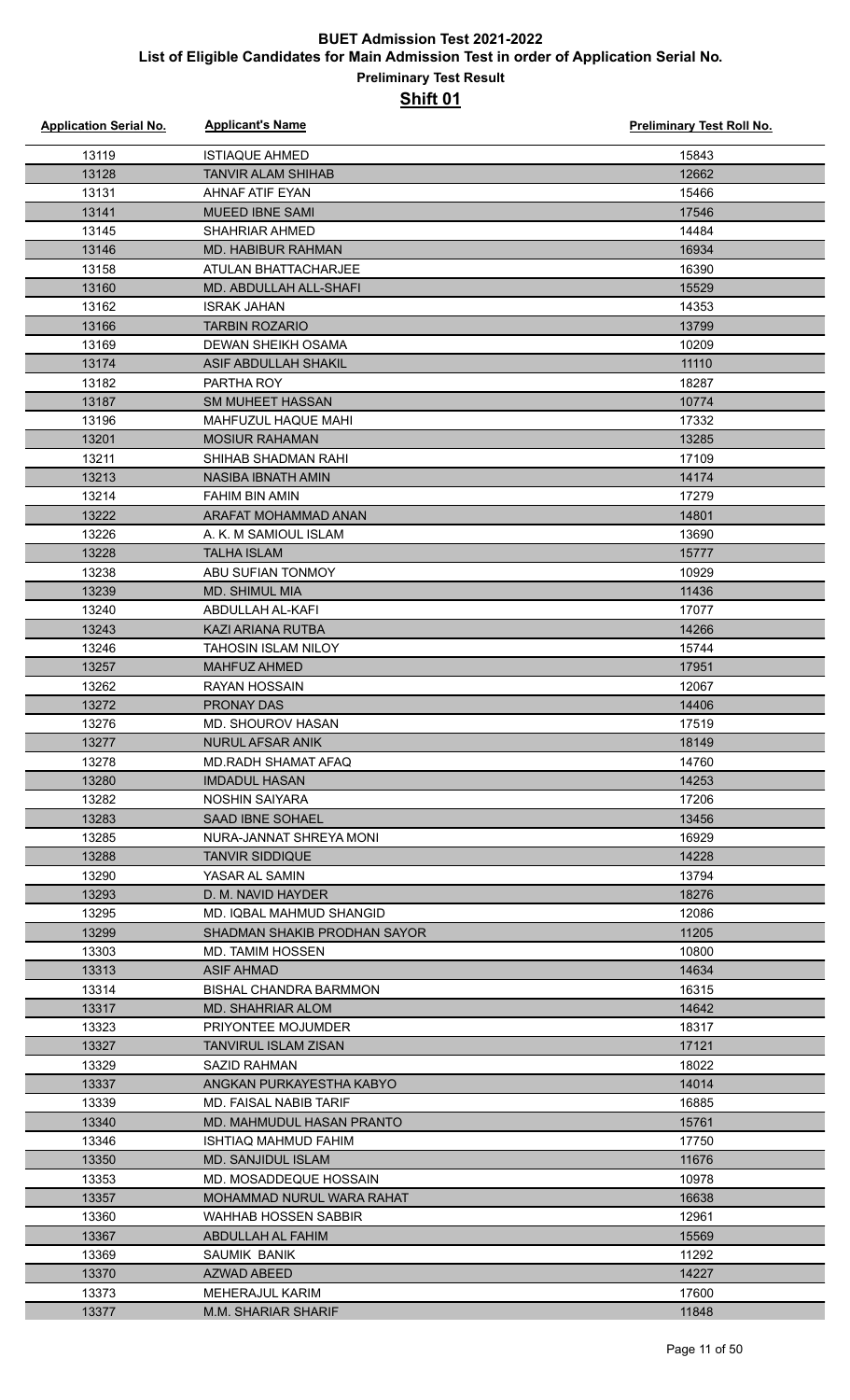| <b>Application Serial No.</b> | <b>Applicant's Name</b>      | Preliminary Test Roll No. |
|-------------------------------|------------------------------|---------------------------|
| 13119                         | <b>ISTIAQUE AHMED</b>        | 15843                     |
| 13128                         | <b>TANVIR ALAM SHIHAB</b>    | 12662                     |
| 13131                         | <b>AHNAF ATIF EYAN</b>       | 15466                     |
| 13141                         | <b>MUEED IBNE SAMI</b>       | 17546                     |
| 13145                         | <b>SHAHRIAR AHMED</b>        | 14484                     |
| 13146                         | MD. HABIBUR RAHMAN           | 16934                     |
| 13158                         | ATULAN BHATTACHARJEE         | 16390                     |
| 13160                         | MD. ABDULLAH ALL-SHAFI       | 15529                     |
| 13162                         | <b>ISRAK JAHAN</b>           | 14353                     |
| 13166                         | <b>TARBIN ROZARIO</b>        | 13799                     |
| 13169                         | DEWAN SHEIKH OSAMA           | 10209                     |
| 13174                         | ASIF ABDULLAH SHAKIL         | 11110                     |
| 13182                         | PARTHA ROY                   | 18287                     |
| 13187                         | <b>SM MUHEET HASSAN</b>      | 10774                     |
| 13196                         | MAHFUZUL HAQUE MAHI          | 17332                     |
| 13201                         | <b>MOSIUR RAHAMAN</b>        | 13285                     |
| 13211                         | SHIHAB SHADMAN RAHI          | 17109                     |
| 13213                         | <b>NASIBA IBNATH AMIN</b>    | 14174                     |
| 13214                         | FAHIM BIN AMIN               | 17279                     |
|                               | ARAFAT MOHAMMAD ANAN         | 14801                     |
| 13222<br>13226                | A. K. M SAMIOUL ISLAM        | 13690                     |
|                               | <b>TALHA ISLAM</b>           |                           |
| 13228                         |                              | 15777                     |
| 13238                         | ABU SUFIAN TONMOY            | 10929                     |
| 13239                         | <b>MD. SHIMUL MIA</b>        | 11436                     |
| 13240                         | ABDULLAH AL-KAFI             | 17077                     |
| 13243                         | KAZI ARIANA RUTBA            | 14266                     |
| 13246                         | TAHOSIN ISLAM NILOY          | 15744                     |
| 13257                         | <b>MAHFUZ AHMED</b>          | 17951                     |
| 13262                         | <b>RAYAN HOSSAIN</b>         | 12067                     |
| 13272                         | <b>PRONAY DAS</b>            | 14406                     |
| 13276                         | MD. SHOUROV HASAN            | 17519                     |
| 13277                         | NURUL AFSAR ANIK             | 18149                     |
| 13278                         | <b>MD.RADH SHAMAT AFAQ</b>   | 14760                     |
| 13280                         | <b>IMDADUL HASAN</b>         | 14253                     |
| 13282                         | NOSHIN SAIYARA               | 17206                     |
| 13283                         | <b>SAAD IBNE SOHAEL</b>      | 13456                     |
| 13285                         | NURA-JANNAT SHREYA MONI      | 16929                     |
| 13288                         | <b>TANVIR SIDDIQUE</b>       | 14228                     |
| 13290                         | YASAR AL SAMIN               | 13794                     |
| 13293                         | D. M. NAVID HAYDER           | 18276                     |
| 13295                         | MD. IQBAL MAHMUD SHANGID     | 12086                     |
| 13299                         | SHADMAN SHAKIB PRODHAN SAYOR | 11205                     |
| 13303                         | MD. TAMIM HOSSEN             | 10800                     |
| 13313                         | <b>ASIF AHMAD</b>            | 14634                     |
| 13314                         | BISHAL CHANDRA BARMMON       | 16315                     |
| 13317                         | <b>MD. SHAHRIAR ALOM</b>     | 14642                     |
| 13323                         | PRIYONTEE MOJUMDER           | 18317                     |
| 13327                         | <b>TANVIRUL ISLAM ZISAN</b>  | 17121                     |
| 13329                         | SAZID RAHMAN                 | 18022                     |
| 13337                         | ANGKAN PURKAYESTHA KABYO     | 14014                     |
| 13339                         | MD. FAISAL NABIB TARIF       | 16885                     |
| 13340                         | MD. MAHMUDUL HASAN PRANTO    | 15761                     |
| 13346                         | ISHTIAQ MAHMUD FAHIM         | 17750                     |
| 13350                         | <b>MD. SANJIDUL ISLAM</b>    | 11676                     |
| 13353                         | MD. MOSADDEQUE HOSSAIN       | 10978                     |
| 13357                         | MOHAMMAD NURUL WARA RAHAT    | 16638                     |
| 13360                         | WAHHAB HOSSEN SABBIR         | 12961                     |
| 13367                         | ABDULLAH AL FAHIM            | 15569                     |
| 13369                         | SAUMIK BANIK                 | 11292                     |
| 13370                         | AZWAD ABEED                  | 14227                     |
| 13373                         | <b>MEHERAJUL KARIM</b>       | 17600                     |
| 13377                         | <b>M.M. SHARIAR SHARIF</b>   | 11848                     |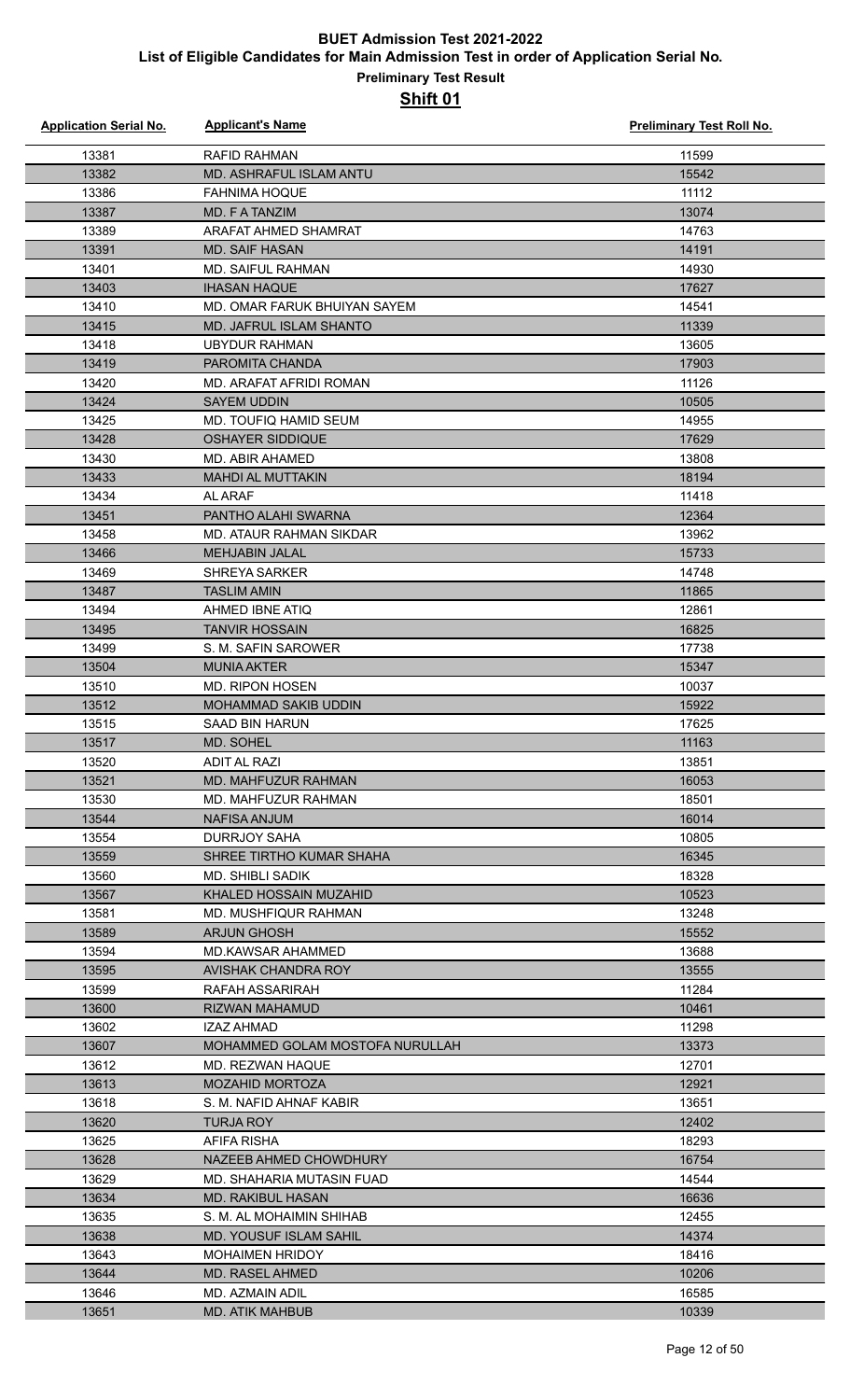| <b>Application Serial No.</b> | <b>Applicant's Name</b>                    | <b>Preliminary Test Roll No.</b> |
|-------------------------------|--------------------------------------------|----------------------------------|
| 13381                         | <b>RAFID RAHMAN</b>                        | 11599                            |
| 13382                         | <b>MD. ASHRAFUL ISLAM ANTU</b>             | 15542                            |
| 13386                         | <b>FAHNIMA HOQUE</b>                       | 11112                            |
| 13387                         | MD. F A TANZIM                             | 13074                            |
| 13389                         | ARAFAT AHMED SHAMRAT                       | 14763                            |
| 13391                         | <b>MD. SAIF HASAN</b>                      | 14191                            |
| 13401                         | MD. SAIFUL RAHMAN                          | 14930                            |
| 13403                         | <b>IHASAN HAQUE</b>                        | 17627                            |
| 13410                         | MD. OMAR FARUK BHUIYAN SAYEM               | 14541                            |
| 13415                         | MD. JAFRUL ISLAM SHANTO                    | 11339                            |
| 13418                         | <b>UBYDUR RAHMAN</b>                       | 13605                            |
| 13419                         | PAROMITA CHANDA                            | 17903                            |
| 13420                         | MD. ARAFAT AFRIDI ROMAN                    | 11126                            |
| 13424                         | <b>SAYEM UDDIN</b>                         | 10505                            |
| 13425                         | MD. TOUFIQ HAMID SEUM                      | 14955                            |
| 13428                         | <b>OSHAYER SIDDIQUE</b>                    | 17629                            |
| 13430                         | MD. ABIR AHAMED                            | 13808                            |
| 13433                         | <b>MAHDI AL MUTTAKIN</b>                   | 18194                            |
| 13434                         | AL ARAF                                    | 11418                            |
| 13451                         | PANTHO ALAHI SWARNA                        | 12364                            |
| 13458                         | MD. ATAUR RAHMAN SIKDAR                    | 13962                            |
| 13466                         | <b>MEHJABIN JALAL</b>                      | 15733                            |
| 13469                         | <b>SHREYA SARKER</b>                       | 14748                            |
| 13487                         | <b>TASLIM AMIN</b>                         | 11865                            |
| 13494                         | AHMED IBNE ATIQ                            | 12861                            |
| 13495                         | <b>TANVIR HOSSAIN</b>                      | 16825                            |
| 13499                         | S. M. SAFIN SAROWER                        | 17738                            |
| 13504                         | <b>MUNIA AKTER</b>                         | 15347                            |
| 13510                         | <b>MD. RIPON HOSEN</b>                     | 10037                            |
| 13512                         | MOHAMMAD SAKIB UDDIN                       | 15922                            |
| 13515                         | <b>SAAD BIN HARUN</b>                      | 17625                            |
| 13517                         | MD. SOHEL                                  | 11163                            |
| 13520                         | ADIT AL RAZI                               | 13851                            |
| 13521                         | MD. MAHFUZUR RAHMAN                        | 16053                            |
| 13530                         | MD. MAHFUZUR RAHMAN                        | 18501                            |
| 13544<br>13554                | <b>NAFISA ANJUM</b><br><b>DURRJOY SAHA</b> | 16014<br>10805                   |
| 13559                         | SHREE TIRTHO KUMAR SHAHA                   | 16345                            |
| 13560                         | MD. SHIBLI SADIK                           | 18328                            |
| 13567                         | KHALED HOSSAIN MUZAHID                     | 10523                            |
| 13581                         | MD. MUSHFIQUR RAHMAN                       | 13248                            |
| 13589                         | <b>ARJUN GHOSH</b>                         | 15552                            |
| 13594                         | <b>MD.KAWSAR AHAMMED</b>                   | 13688                            |
| 13595                         | AVISHAK CHANDRA ROY                        | 13555                            |
| 13599                         | RAFAH ASSARIRAH                            | 11284                            |
| 13600                         | <b>RIZWAN MAHAMUD</b>                      | 10461                            |
| 13602                         | <b>IZAZ AHMAD</b>                          | 11298                            |
| 13607                         | MOHAMMED GOLAM MOSTOFA NURULLAH            | 13373                            |
| 13612                         | MD. REZWAN HAQUE                           | 12701                            |
| 13613                         | <b>MOZAHID MORTOZA</b>                     | 12921                            |
| 13618                         | S. M. NAFID AHNAF KABIR                    | 13651                            |
| 13620                         | <b>TURJA ROY</b>                           | 12402                            |
| 13625                         | AFIFA RISHA                                | 18293                            |
| 13628                         | NAZEEB AHMED CHOWDHURY                     | 16754                            |
| 13629                         | MD. SHAHARIA MUTASIN FUAD                  | 14544                            |
| 13634                         | MD. RAKIBUL HASAN                          | 16636                            |
| 13635                         | S. M. AL MOHAIMIN SHIHAB                   | 12455                            |
| 13638                         | <b>MD. YOUSUF ISLAM SAHIL</b>              | 14374                            |
| 13643                         | <b>MOHAIMEN HRIDOY</b>                     | 18416                            |
| 13644                         | <b>MD. RASEL AHMED</b>                     | 10206                            |
| 13646                         | MD. AZMAIN ADIL                            | 16585                            |
| 13651                         | <b>MD. ATIK MAHBUB</b>                     | 10339                            |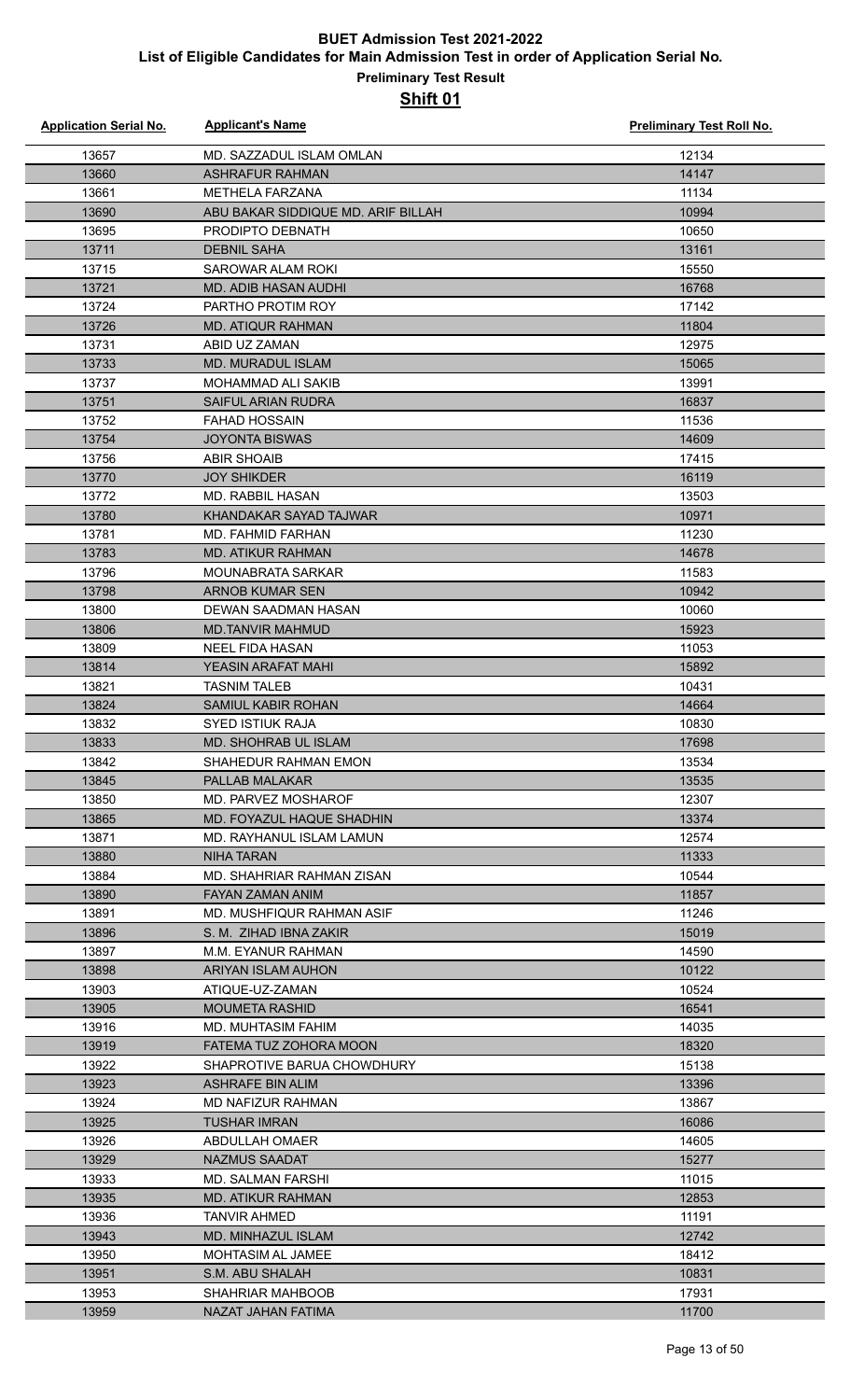| <b>Application Serial No.</b> | <b>Applicant's Name</b>            | <b>Preliminary Test Roll No.</b> |
|-------------------------------|------------------------------------|----------------------------------|
| 13657                         | MD. SAZZADUL ISLAM OMLAN           | 12134                            |
| 13660                         | <b>ASHRAFUR RAHMAN</b>             | 14147                            |
| 13661                         | <b>METHELA FARZANA</b>             | 11134                            |
| 13690                         | ABU BAKAR SIDDIQUE MD. ARIF BILLAH | 10994                            |
| 13695                         | PRODIPTO DEBNATH                   | 10650                            |
| 13711                         | <b>DEBNIL SAHA</b>                 | 13161                            |
| 13715                         | SAROWAR ALAM ROKI                  | 15550                            |
| 13721                         | <b>MD. ADIB HASAN AUDHI</b>        | 16768                            |
| 13724                         | PARTHO PROTIM ROY                  | 17142                            |
| 13726                         | <b>MD. ATIQUR RAHMAN</b>           | 11804                            |
| 13731                         | ABID UZ ZAMAN                      | 12975                            |
| 13733                         | <b>MD. MURADUL ISLAM</b>           | 15065                            |
| 13737                         | <b>MOHAMMAD ALI SAKIB</b>          | 13991                            |
| 13751                         | <b>SAIFUL ARIAN RUDRA</b>          | 16837                            |
| 13752                         | <b>FAHAD HOSSAIN</b>               | 11536                            |
| 13754                         | <b>JOYONTA BISWAS</b>              | 14609                            |
| 13756                         | <b>ABIR SHOAIB</b>                 | 17415                            |
| 13770                         | <b>JOY SHIKDER</b>                 | 16119                            |
| 13772                         | <b>MD. RABBIL HASAN</b>            | 13503                            |
| 13780                         | KHANDAKAR SAYAD TAJWAR             | 10971                            |
| 13781                         | MD. FAHMID FARHAN                  | 11230                            |
| 13783                         | <b>MD. ATIKUR RAHMAN</b>           | 14678                            |
| 13796                         | <b>MOUNABRATA SARKAR</b>           | 11583                            |
| 13798                         | <b>ARNOB KUMAR SEN</b>             | 10942                            |
| 13800                         | DEWAN SAADMAN HASAN                | 10060                            |
| 13806                         | <b>MD.TANVIR MAHMUD</b>            | 15923                            |
| 13809                         | <b>NEEL FIDA HASAN</b>             | 11053                            |
| 13814                         | <b>YEASIN ARAFAT MAHI</b>          | 15892                            |
| 13821                         | <b>TASNIM TALEB</b>                | 10431                            |
| 13824                         | SAMIUL KABIR ROHAN                 | 14664                            |
| 13832                         | <b>SYED ISTIUK RAJA</b>            | 10830                            |
| 13833                         | MD. SHOHRAB UL ISLAM               | 17698                            |
| 13842                         | SHAHEDUR RAHMAN EMON               | 13534                            |
| 13845                         | <b>PALLAB MALAKAR</b>              | 13535                            |
| 13850                         | MD. PARVEZ MOSHAROF                | 12307                            |
| 13865                         | MD. FOYAZUL HAQUE SHADHIN          | 13374                            |
| 13871                         | MD. RAYHANUL ISLAM LAMUN           | 12574                            |
| 13880                         | <b>NIHA TARAN</b>                  | 11333                            |
| 13884                         | MD. SHAHRIAR RAHMAN ZISAN          | 10544                            |
| 13890                         | FAYAN ZAMAN ANIM                   | 11857                            |
| 13891                         | MD. MUSHFIQUR RAHMAN ASIF          | 11246                            |
| 13896                         | S. M. ZIHAD IBNA ZAKIR             | 15019                            |
| 13897                         | M.M. EYANUR RAHMAN                 | 14590                            |
| 13898                         | <b>ARIYAN ISLAM AUHON</b>          | 10122                            |
| 13903                         | ATIQUE-UZ-ZAMAN                    | 10524                            |
| 13905                         | <b>MOUMETA RASHID</b>              | 16541                            |
| 13916                         | <b>MD. MUHTASIM FAHIM</b>          | 14035                            |
| 13919                         | FATEMA TUZ ZOHORA MOON             | 18320                            |
| 13922                         | SHAPROTIVE BARUA CHOWDHURY         | 15138                            |
| 13923                         | ASHRAFE BIN ALIM                   | 13396                            |
| 13924                         | MD NAFIZUR RAHMAN                  | 13867                            |
| 13925                         | <b>TUSHAR IMRAN</b>                | 16086                            |
| 13926                         | ABDULLAH OMAER                     | 14605                            |
| 13929                         | <b>NAZMUS SAADAT</b>               | 15277                            |
| 13933                         | <b>MD. SALMAN FARSHI</b>           | 11015                            |
| 13935                         | <b>MD. ATIKUR RAHMAN</b>           | 12853                            |
| 13936                         | <b>TANVIR AHMED</b>                | 11191                            |
| 13943                         | <b>MD. MINHAZUL ISLAM</b>          | 12742                            |
| 13950                         | <b>MOHTASIM AL JAMEE</b>           | 18412                            |
| 13951                         | S.M. ABU SHALAH                    | 10831                            |
| 13953                         | <b>SHAHRIAR MAHBOOB</b>            | 17931                            |
| 13959                         | NAZAT JAHAN FATIMA                 | 11700                            |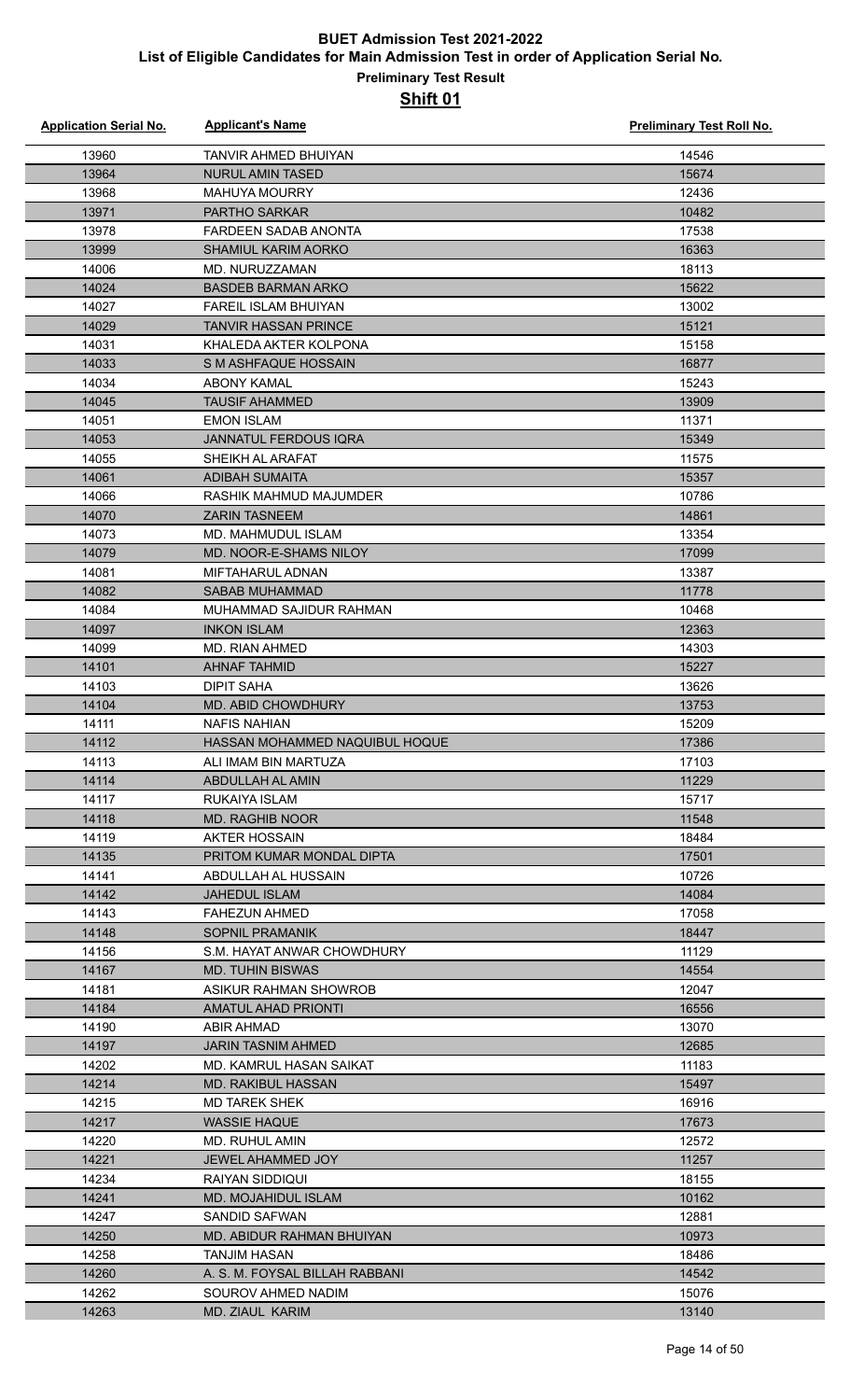| <b>Application Serial No.</b> | <b>Applicant's Name</b>        | Preliminary Test Roll No. |
|-------------------------------|--------------------------------|---------------------------|
| 13960                         | TANVIR AHMED BHUIYAN           | 14546                     |
| 13964                         | <b>NURUL AMIN TASED</b>        | 15674                     |
| 13968                         | <b>MAHUYA MOURRY</b>           | 12436                     |
| 13971                         | <b>PARTHO SARKAR</b>           | 10482                     |
| 13978                         | <b>FARDEEN SADAB ANONTA</b>    | 17538                     |
| 13999                         | <b>SHAMIUL KARIM AORKO</b>     | 16363                     |
| 14006                         | MD. NURUZZAMAN                 | 18113                     |
| 14024                         | <b>BASDEB BARMAN ARKO</b>      | 15622                     |
| 14027                         | FAREIL ISLAM BHUIYAN           | 13002                     |
| 14029                         | TANVIR HASSAN PRINCE           | 15121                     |
| 14031                         | KHALEDA AKTER KOLPONA          | 15158                     |
| 14033                         | S M ASHFAQUE HOSSAIN           | 16877                     |
| 14034                         | ABONY KAMAL                    | 15243                     |
| 14045                         | <b>TAUSIF AHAMMED</b>          | 13909                     |
| 14051                         | <b>EMON ISLAM</b>              | 11371                     |
| 14053                         | <b>JANNATUL FERDOUS IQRA</b>   | 15349                     |
| 14055                         | SHEIKH AL ARAFAT               | 11575                     |
| 14061                         | <b>ADIBAH SUMAITA</b>          | 15357                     |
| 14066                         | RASHIK MAHMUD MAJUMDER         | 10786                     |
| 14070                         | <b>ZARIN TASNEEM</b>           | 14861                     |
| 14073                         | MD. MAHMUDUL ISLAM             | 13354                     |
| 14079                         | MD. NOOR-E-SHAMS NILOY         | 17099                     |
| 14081                         | <b>MIFTAHARUL ADNAN</b>        | 13387                     |
| 14082                         | <b>SABAB MUHAMMAD</b>          | 11778                     |
| 14084                         | MUHAMMAD SAJIDUR RAHMAN        | 10468                     |
| 14097                         | <b>INKON ISLAM</b>             | 12363                     |
| 14099                         | <b>MD. RIAN AHMED</b>          | 14303                     |
| 14101                         | <b>AHNAF TAHMID</b>            | 15227                     |
| 14103                         | <b>DIPIT SAHA</b>              | 13626                     |
| 14104                         | MD. ABID CHOWDHURY             | 13753                     |
| 14111                         | <b>NAFIS NAHIAN</b>            | 15209                     |
| 14112                         | HASSAN MOHAMMED NAQUIBUL HOQUE | 17386                     |
| 14113                         | ALI IMAM BIN MARTUZA           | 17103                     |
| 14114                         | ABDULLAH AL AMIN               | 11229                     |
| 14117                         | RUKAIYA ISLAM                  | 15717                     |
| 14118                         | <b>MD. RAGHIB NOOR</b>         | 11548                     |
| 14119                         | AKTER HOSSAIN                  | 18484                     |
| 14135                         | PRITOM KUMAR MONDAL DIPTA      | 17501                     |
| 14141                         | ABDULLAH AL HUSSAIN            | 10726                     |
| 14142                         | <b>JAHEDUL ISLAM</b>           | 14084                     |
| 14143                         | <b>FAHEZUN AHMED</b>           | 17058                     |
| 14148                         | <b>SOPNIL PRAMANIK</b>         | 18447                     |
| 14156                         | S.M. HAYAT ANWAR CHOWDHURY     | 11129                     |
| 14167                         | <b>MD. TUHIN BISWAS</b>        | 14554                     |
| 14181                         | ASIKUR RAHMAN SHOWROB          | 12047                     |
| 14184                         | <b>AMATUL AHAD PRIONTI</b>     | 16556                     |
| 14190                         | <b>ABIR AHMAD</b>              | 13070                     |
| 14197                         | JARIN TASNIM AHMED             | 12685                     |
| 14202                         | MD. KAMRUL HASAN SAIKAT        | 11183                     |
| 14214                         | <b>MD. RAKIBUL HASSAN</b>      | 15497                     |
| 14215                         | <b>MD TAREK SHEK</b>           | 16916                     |
| 14217                         | <b>WASSIE HAQUE</b>            | 17673                     |
| 14220                         | MD. RUHUL AMIN                 | 12572                     |
| 14221                         | <b>JEWEL AHAMMED JOY</b>       | 11257                     |
| 14234                         | RAIYAN SIDDIQUI                | 18155                     |
| 14241                         | MD. MOJAHIDUL ISLAM            | 10162                     |
| 14247                         | SANDID SAFWAN                  | 12881                     |
| 14250                         | MD. ABIDUR RAHMAN BHUIYAN      | 10973                     |
| 14258                         | <b>TANJIM HASAN</b>            | 18486                     |
| 14260                         | A. S. M. FOYSAL BILLAH RABBANI | 14542                     |
| 14262                         | SOUROV AHMED NADIM             | 15076                     |
| 14263                         | MD. ZIAUL KARIM                | 13140                     |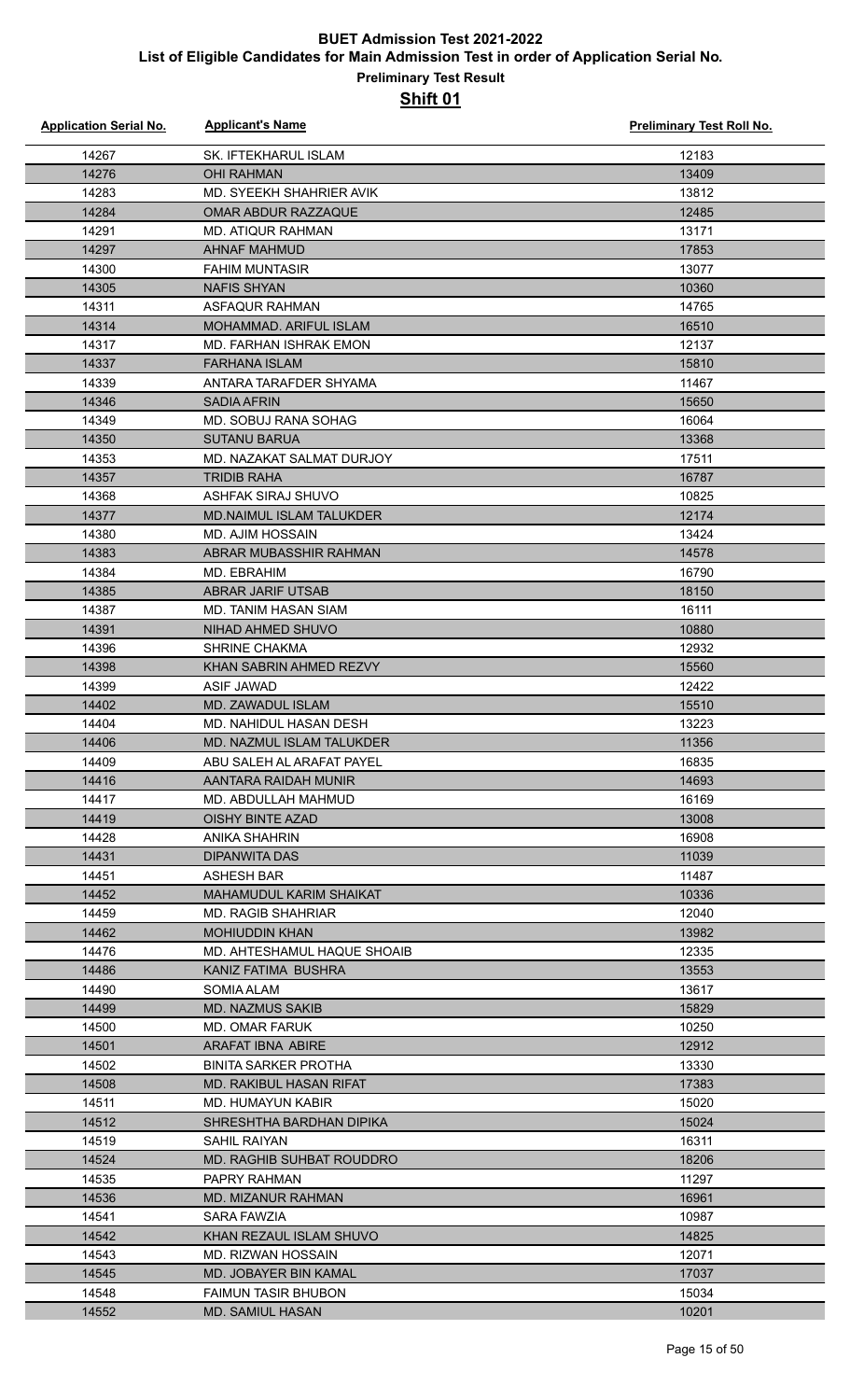| <b>Application Serial No.</b> | <b>Applicant's Name</b>                               | <b>Preliminary Test Roll No.</b> |
|-------------------------------|-------------------------------------------------------|----------------------------------|
| 14267                         | SK. IFTEKHARUL ISLAM                                  | 12183                            |
| 14276                         | <b>OHI RAHMAN</b>                                     | 13409                            |
| 14283                         | MD. SYEEKH SHAHRIER AVIK                              | 13812                            |
| 14284                         | <b>OMAR ABDUR RAZZAQUE</b>                            | 12485                            |
| 14291                         | <b>MD. ATIQUR RAHMAN</b>                              | 13171                            |
| 14297                         | <b>AHNAF MAHMUD</b>                                   | 17853                            |
| 14300                         | <b>FAHIM MUNTASIR</b>                                 | 13077                            |
| 14305                         | <b>NAFIS SHYAN</b>                                    | 10360                            |
| 14311                         | ASFAQUR RAHMAN                                        | 14765                            |
| 14314                         | MOHAMMAD, ARIFUL ISLAM                                | 16510                            |
| 14317                         | <b>MD. FARHAN ISHRAK EMON</b>                         | 12137                            |
| 14337                         | <b>FARHANA ISLAM</b>                                  | 15810                            |
| 14339                         | ANTARA TARAFDER SHYAMA                                | 11467                            |
| 14346                         | <b>SADIA AFRIN</b>                                    | 15650                            |
| 14349                         | MD. SOBUJ RANA SOHAG                                  | 16064                            |
| 14350                         | <b>SUTANU BARUA</b>                                   | 13368                            |
| 14353                         | MD. NAZAKAT SALMAT DURJOY                             | 17511                            |
| 14357                         | <b>TRIDIB RAHA</b>                                    | 16787                            |
| 14368                         | ASHFAK SIRAJ SHUVO                                    | 10825                            |
| 14377                         | <b>MD.NAIMUL ISLAM TALUKDER</b>                       | 12174                            |
| 14380                         | <b>MD. AJIM HOSSAIN</b>                               | 13424                            |
| 14383                         | ABRAR MUBASSHIR RAHMAN                                | 14578                            |
| 14384                         | MD. EBRAHIM                                           | 16790                            |
| 14385                         | <b>ABRAR JARIF UTSAB</b>                              | 18150                            |
| 14387                         | MD. TANIM HASAN SIAM                                  | 16111                            |
| 14391                         | NIHAD AHMED SHUVO                                     | 10880                            |
| 14396                         | <b>SHRINE CHAKMA</b>                                  | 12932                            |
| 14398                         | KHAN SABRIN AHMED REZVY                               | 15560                            |
| 14399                         | ASIF JAWAD                                            | 12422                            |
| 14402                         | MD. ZAWADUL ISLAM                                     | 15510                            |
| 14404                         | MD. NAHIDUL HASAN DESH<br>MD. NAZMUL ISLAM TALUKDER   | 13223                            |
| 14406<br>14409                | ABU SAI FH AI ARAFAT PAYFI                            | 11356<br>16835                   |
| 14416                         | AANTARA RAIDAH MUNIR                                  | 14693                            |
| 14417                         | MD. ABDULLAH MAHMUD                                   | 16169                            |
| 14419                         | OISHY BINTE AZAD                                      | 13008                            |
| 14428                         | ANIKA SHAHRIN                                         | 16908                            |
| 14431                         | DIPANWITA DAS                                         | 11039                            |
| 14451                         | <b>ASHESH BAR</b>                                     | 11487                            |
| 14452                         | MAHAMUDUL KARIM SHAIKAT                               | 10336                            |
| 14459                         | <b>MD. RAGIB SHAHRIAR</b>                             | 12040                            |
| 14462                         | <b>MOHIUDDIN KHAN</b>                                 | 13982                            |
| 14476                         | MD. AHTESHAMUL HAQUE SHOAIB                           | 12335                            |
| 14486                         | KANIZ FATIMA BUSHRA                                   | 13553                            |
| 14490                         | SOMIA ALAM                                            | 13617                            |
| 14499                         | <b>MD. NAZMUS SAKIB</b>                               | 15829                            |
| 14500                         | MD. OMAR FARUK                                        | 10250                            |
| 14501                         | <b>ARAFAT IBNA ABIRE</b>                              | 12912                            |
| 14502                         | <b>BINITA SARKER PROTHA</b>                           | 13330                            |
| 14508                         | MD. RAKIBUL HASAN RIFAT                               | 17383                            |
| 14511                         | MD. HUMAYUN KABIR                                     | 15020                            |
| 14512                         | SHRESHTHA BARDHAN DIPIKA                              | 15024                            |
| 14519                         | SAHIL RAIYAN                                          | 16311                            |
| 14524                         | MD. RAGHIB SUHBAT ROUDDRO                             | 18206                            |
| 14535                         | PAPRY RAHMAN                                          | 11297                            |
| 14536                         | MD. MIZANUR RAHMAN                                    | 16961                            |
| 14541                         | SARA FAWZIA                                           | 10987                            |
| 14542                         | KHAN REZAUL ISLAM SHUVO                               | 14825                            |
| 14543                         | MD. RIZWAN HOSSAIN                                    | 12071                            |
| 14545                         | MD. JOBAYER BIN KAMAL                                 | 17037                            |
| 14548<br>14552                | <b>FAIMUN TASIR BHUBON</b><br><b>MD. SAMIUL HASAN</b> | 15034<br>10201                   |
|                               |                                                       |                                  |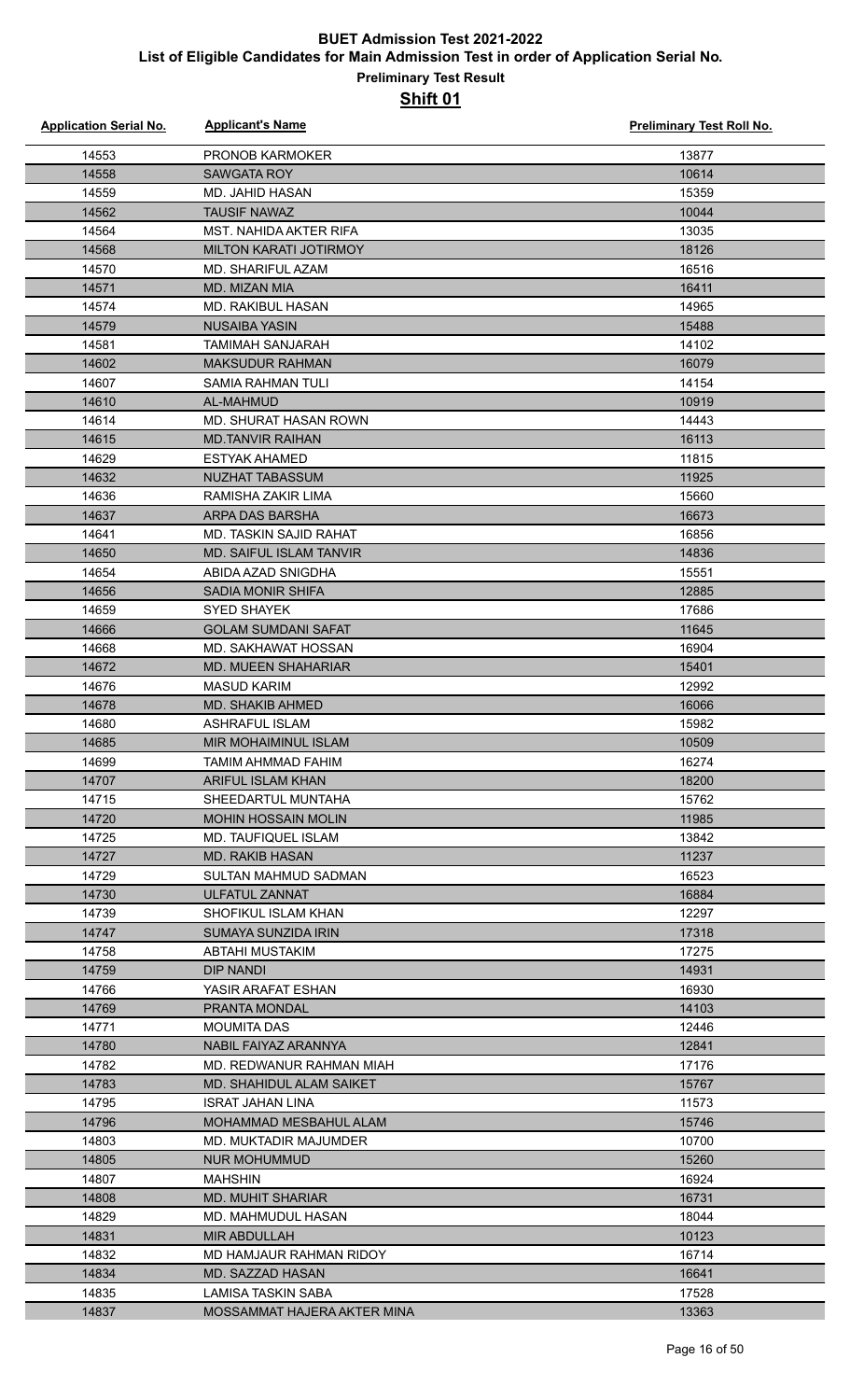| <b>Application Serial No.</b> | <b>Applicant's Name</b>                | Preliminary Test Roll No. |
|-------------------------------|----------------------------------------|---------------------------|
| 14553                         | <b>PRONOB KARMOKER</b>                 | 13877                     |
| 14558                         | <b>SAWGATA ROY</b>                     | 10614                     |
| 14559                         | <b>MD. JAHID HASAN</b>                 | 15359                     |
| 14562                         | <b>TAUSIF NAWAZ</b>                    | 10044                     |
| 14564                         | <b>MST. NAHIDA AKTER RIFA</b>          | 13035                     |
| 14568                         | MILTON KARATI JOTIRMOY                 | 18126                     |
| 14570                         | MD. SHARIFUL AZAM                      | 16516                     |
| 14571                         | <b>MD. MIZAN MIA</b>                   | 16411                     |
| 14574                         | <b>MD. RAKIBUL HASAN</b>               | 14965                     |
| 14579                         | <b>NUSAIBA YASIN</b>                   | 15488                     |
| 14581                         | <b>TAMIMAH SANJARAH</b>                | 14102                     |
| 14602                         | <b>MAKSUDUR RAHMAN</b>                 | 16079                     |
| 14607                         | <b>SAMIA RAHMAN TULI</b>               | 14154                     |
| 14610                         | AL-MAHMUD                              | 10919                     |
| 14614                         | MD. SHURAT HASAN ROWN                  | 14443                     |
| 14615                         | <b>MD.TANVIR RAIHAN</b>                | 16113                     |
| 14629                         | <b>ESTYAK AHAMED</b>                   | 11815                     |
| 14632                         | NUZHAT TABASSUM                        | 11925                     |
| 14636                         | RAMISHA ZAKIR LIMA                     | 15660                     |
| 14637                         | ARPA DAS BARSHA                        | 16673                     |
| 14641                         | <b>MD. TASKIN SAJID RAHAT</b>          | 16856                     |
| 14650                         | <b>MD. SAIFUL ISLAM TANVIR</b>         | 14836                     |
| 14654                         | ABIDA AZAD SNIGDHA                     | 15551                     |
| 14656                         | <b>SADIA MONIR SHIFA</b>               | 12885                     |
| 14659                         | <b>SYED SHAYEK</b>                     | 17686                     |
| 14666                         | <b>GOLAM SUMDANI SAFAT</b>             | 11645                     |
| 14668                         | MD. SAKHAWAT HOSSAN                    | 16904                     |
| 14672                         | <b>MD. MUEEN SHAHARIAR</b>             | 15401                     |
| 14676                         | <b>MASUD KARIM</b>                     | 12992                     |
| 14678                         | <b>MD. SHAKIB AHMED</b>                | 16066                     |
| 14680                         | <b>ASHRAFUL ISLAM</b>                  | 15982                     |
| 14685                         | MIR MOHAIMINUL ISLAM                   | 10509                     |
| 14699                         | TAMIM AHMMAD FAHIM                     | 16274                     |
| 14707                         | ARIFUL ISLAM KHAN                      | 18200                     |
| 14715                         | SHEEDARTUL MUNTAHA                     | 15762                     |
| 14720                         | <b>MOHIN HOSSAIN MOLIN</b>             | 11985                     |
| 14725                         | MD. TAUFIQUEL ISLAM                    | 13842                     |
| 14727                         | <b>MD. RAKIB HASAN</b>                 | 11237                     |
| 14729                         | <b>SULTAN MAHMUD SADMAN</b>            | 16523                     |
| 14730                         | <b>ULFATUL ZANNAT</b>                  | 16884                     |
| 14739                         | SHOFIKUL ISLAM KHAN                    | 12297                     |
| 14747                         | <b>SUMAYA SUNZIDA IRIN</b>             | 17318                     |
| 14758                         | ABTAHI MUSTAKIM                        | 17275                     |
| 14759                         | <b>DIP NANDI</b>                       | 14931                     |
| 14766                         | YASIR ARAFAT ESHAN                     | 16930                     |
| 14769                         | PRANTA MONDAL                          | 14103                     |
| 14771                         | MOUMITA DAS                            | 12446                     |
| 14780                         | NABIL FAIYAZ ARANNYA                   | 12841                     |
| 14782                         | MD. REDWANUR RAHMAN MIAH               | 17176                     |
| 14783                         | MD. SHAHIDUL ALAM SAIKET               | 15767                     |
| 14795                         | ISRAT JAHAN LINA                       | 11573                     |
| 14796                         | MOHAMMAD MESBAHUL ALAM                 | 15746                     |
| 14803                         | <b>MD. MUKTADIR MAJUMDER</b>           | 10700                     |
| 14805                         | <b>NUR MOHUMMUD</b>                    | 15260                     |
| 14807                         | <b>MAHSHIN</b>                         | 16924                     |
| 14808                         | <b>MD. MUHIT SHARIAR</b>               | 16731                     |
| 14829                         | MD. MAHMUDUL HASAN                     | 18044                     |
| 14831                         | <b>MIR ABDULLAH</b>                    | 10123<br>16714            |
| 14832                         | MD HAMJAUR RAHMAN RIDOY                |                           |
| 14834<br>14835                | MD. SAZZAD HASAN<br>LAMISA TASKIN SABA | 16641<br>17528            |
| 14837                         | MOSSAMMAT HAJERA AKTER MINA            | 13363                     |
|                               |                                        |                           |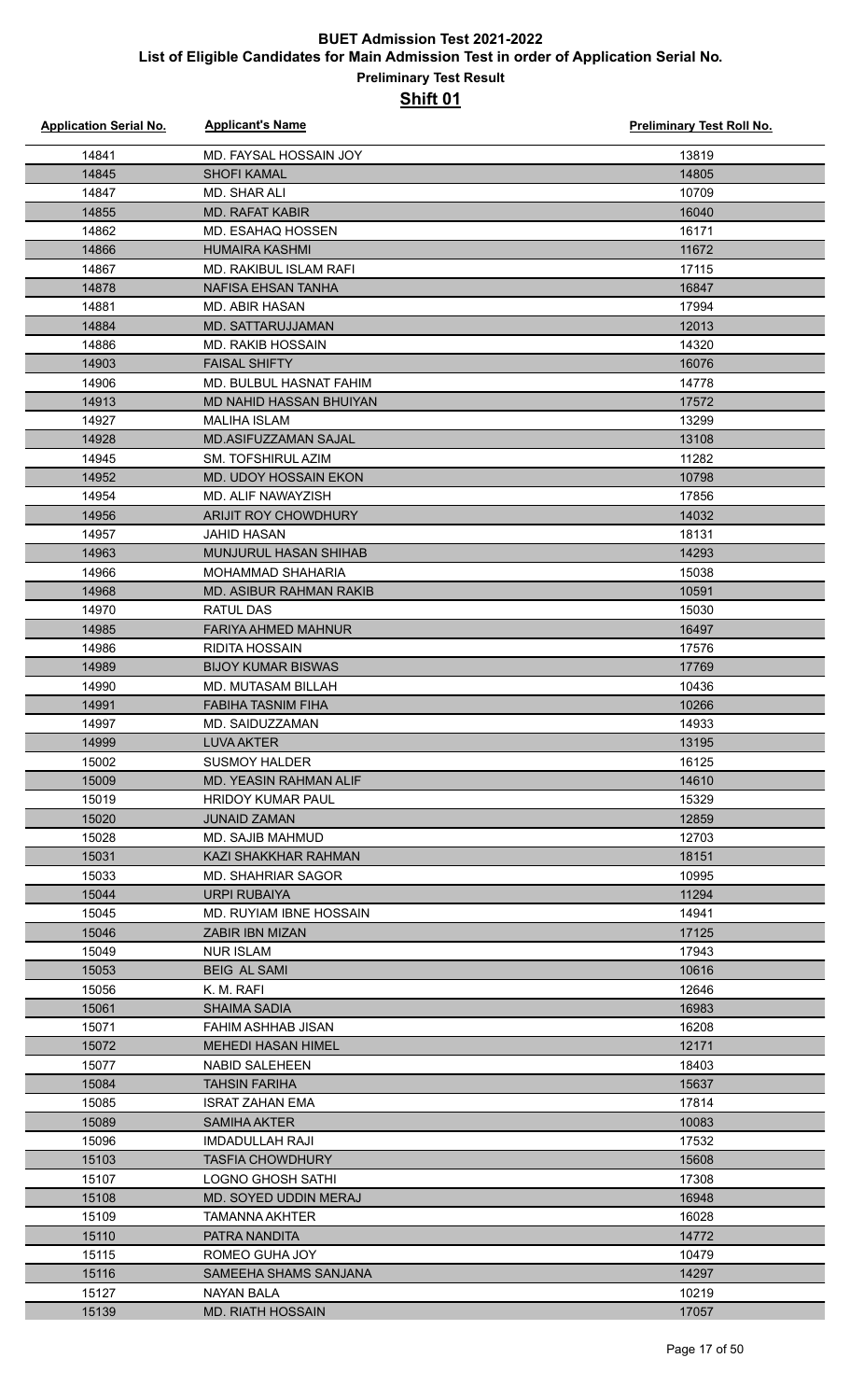| <b>Application Serial No.</b> | <b>Applicant's Name</b>                 | <b>Preliminary Test Roll No.</b> |
|-------------------------------|-----------------------------------------|----------------------------------|
| 14841                         | MD. FAYSAL HOSSAIN JOY                  | 13819                            |
| 14845                         | <b>SHOFI KAMAL</b>                      | 14805                            |
| 14847                         | <b>MD. SHAR ALI</b>                     | 10709                            |
| 14855                         | <b>MD. RAFAT KABIR</b>                  | 16040                            |
| 14862                         | MD. ESAHAQ HOSSEN                       | 16171                            |
| 14866                         | <b>HUMAIRA KASHMI</b>                   | 11672                            |
| 14867                         | <b>MD. RAKIBUL ISLAM RAFI</b>           | 17115                            |
| 14878                         | NAFISA EHSAN TANHA                      | 16847                            |
| 14881                         | <b>MD. ABIR HASAN</b>                   | 17994                            |
| 14884                         | <b>MD. SATTARUJJAMAN</b>                | 12013                            |
| 14886                         | <b>MD. RAKIB HOSSAIN</b>                | 14320                            |
| 14903                         | <b>FAISAL SHIFTY</b>                    | 16076                            |
| 14906                         | MD. BULBUL HASNAT FAHIM                 | 14778                            |
| 14913                         | MD NAHID HASSAN BHUIYAN                 | 17572                            |
| 14927                         | <b>MALIHA ISLAM</b>                     | 13299                            |
| 14928                         | <b>MD.ASIFUZZAMAN SAJAL</b>             | 13108                            |
| 14945                         | <b>SM. TOFSHIRUL AZIM</b>               | 11282                            |
| 14952                         | MD. UDOY HOSSAIN EKON                   | 10798                            |
| 14954                         | MD. ALIF NAWAYZISH                      | 17856                            |
| 14956                         | ARIJIT ROY CHOWDHURY                    | 14032                            |
| 14957                         | <b>JAHID HASAN</b>                      | 18131                            |
| 14963                         | <b>MUNJURUL HASAN SHIHAB</b>            | 14293                            |
| 14966                         | MOHAMMAD SHAHARIA                       | 15038                            |
| 14968                         | MD. ASIBUR RAHMAN RAKIB                 | 10591                            |
| 14970                         | <b>RATUL DAS</b>                        | 15030                            |
| 14985                         | <b>FARIYA AHMED MAHNUR</b>              | 16497                            |
| 14986                         | <b>RIDITA HOSSAIN</b>                   | 17576                            |
| 14989                         | <b>BIJOY KUMAR BISWAS</b>               | 17769                            |
| 14990                         | <b>MD. MUTASAM BILLAH</b>               | 10436                            |
| 14991                         | <b>FABIHA TASNIM FIHA</b>               | 10266                            |
| 14997                         | MD. SAIDUZZAMAN                         | 14933                            |
| 14999                         | <b>LUVA AKTER</b>                       | 13195                            |
| 15002                         | <b>SUSMOY HALDER</b>                    | 16125                            |
| 15009                         | <b>MD. YEASIN RAHMAN ALIF</b>           | 14610                            |
| 15019                         | <b>HRIDOY KUMAR PAUL</b>                | 15329                            |
| 15020<br>15028                | <b>JUNAID ZAMAN</b><br>MD. SAJIB MAHMUD | 12859<br>12703                   |
| 15031                         | KAZI SHAKKHAR RAHMAN                    | 18151                            |
| 15033                         | MD. SHAHRIAR SAGOR                      | 10995                            |
| 15044                         | <b>URPI RUBAIYA</b>                     | 11294                            |
| 15045                         | MD. RUYIAM IBNE HOSSAIN                 | 14941                            |
| 15046                         | <b>ZABIR IBN MIZAN</b>                  | 17125                            |
| 15049                         | <b>NUR ISLAM</b>                        | 17943                            |
| 15053                         | <b>BEIG AL SAMI</b>                     | 10616                            |
| 15056                         | K. M. RAFI                              | 12646                            |
| 15061                         | <b>SHAIMA SADIA</b>                     | 16983                            |
| 15071                         | FAHIM ASHHAB JISAN                      | 16208                            |
| 15072                         | <b>MEHEDI HASAN HIMEL</b>               | 12171                            |
| 15077                         | <b>NABID SALEHEEN</b>                   | 18403                            |
| 15084                         | <b>TAHSIN FARIHA</b>                    | 15637                            |
| 15085                         | <b>ISRAT ZAHAN EMA</b>                  | 17814                            |
| 15089                         | <b>SAMIHA AKTER</b>                     | 10083                            |
| 15096                         | <b>IMDADULLAH RAJI</b>                  | 17532                            |
| 15103                         | <b>TASFIA CHOWDHURY</b>                 | 15608                            |
| 15107                         | <b>LOGNO GHOSH SATHI</b>                | 17308                            |
| 15108                         | MD. SOYED UDDIN MERAJ                   | 16948                            |
| 15109                         | <b>TAMANNA AKHTER</b>                   | 16028                            |
| 15110                         | PATRA NANDITA                           | 14772                            |
| 15115                         | ROMEO GUHA JOY                          | 10479                            |
| 15116                         | SAMEEHA SHAMS SANJANA                   | 14297                            |
| 15127                         | <b>NAYAN BALA</b>                       | 10219                            |
| 15139                         | <b>MD. RIATH HOSSAIN</b>                | 17057                            |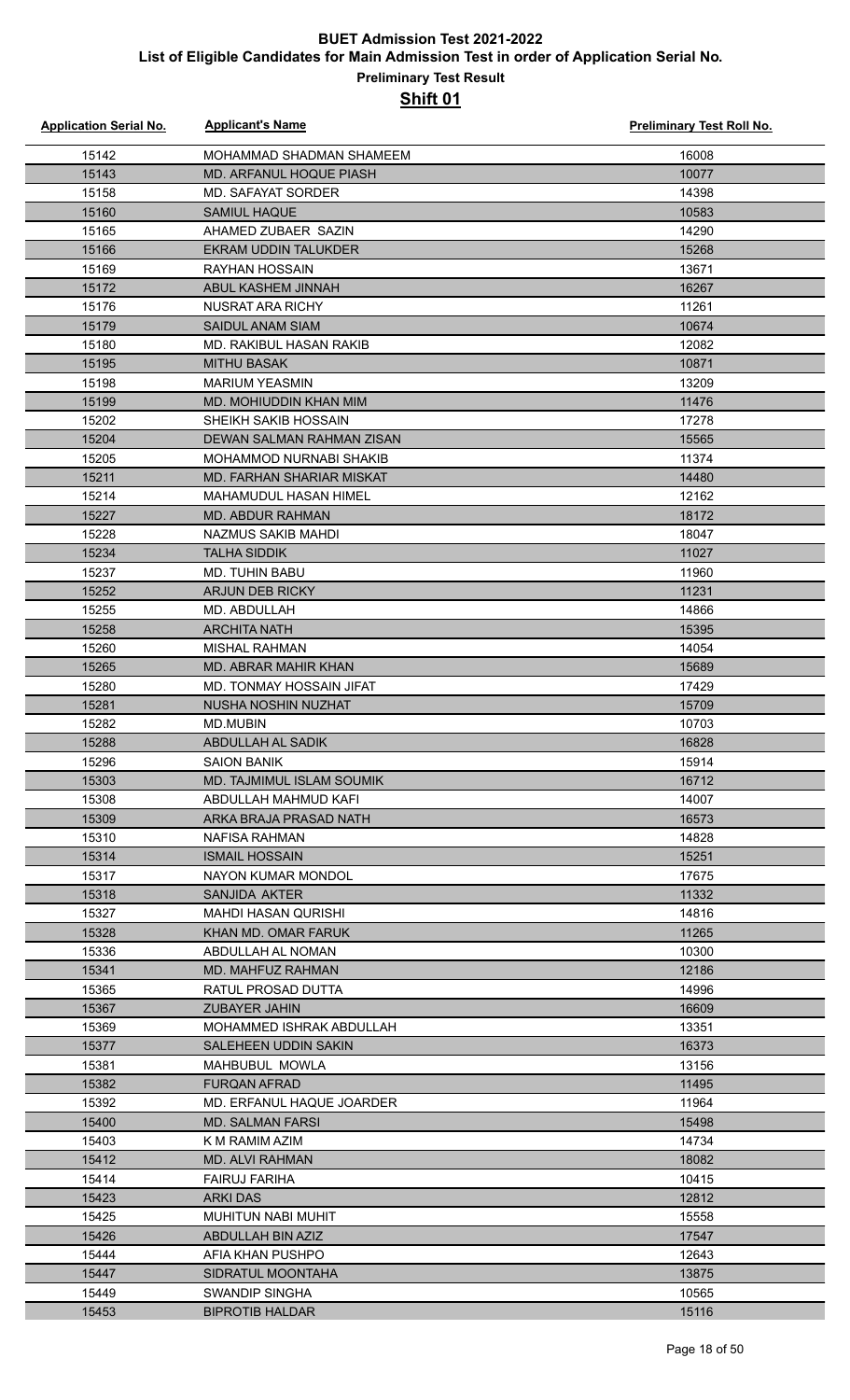| <b>Application Serial No.</b> | <b>Applicant's Name</b>                            | <b>Preliminary Test Roll No.</b> |
|-------------------------------|----------------------------------------------------|----------------------------------|
| 15142                         | MOHAMMAD SHADMAN SHAMEEM                           | 16008                            |
| 15143                         | MD. ARFANUL HOQUE PIASH                            | 10077                            |
| 15158                         | MD. SAFAYAT SORDER                                 | 14398                            |
| 15160                         | <b>SAMIUL HAQUE</b>                                | 10583                            |
| 15165                         | AHAMED ZUBAER SAZIN                                | 14290                            |
| 15166                         | EKRAM UDDIN TALUKDER                               | 15268                            |
| 15169                         | <b>RAYHAN HOSSAIN</b>                              | 13671                            |
| 15172                         | ABUL KASHEM JINNAH                                 | 16267                            |
| 15176                         | NUSRAT ARA RICHY                                   | 11261                            |
| 15179                         | <b>SAIDUL ANAM SIAM</b>                            | 10674                            |
| 15180                         | MD. RAKIBUL HASAN RAKIB                            | 12082                            |
| 15195                         | <b>MITHU BASAK</b>                                 | 10871                            |
| 15198                         | <b>MARIUM YEASMIN</b>                              | 13209                            |
| 15199                         | MD. MOHIUDDIN KHAN MIM                             | 11476                            |
| 15202                         | SHEIKH SAKIB HOSSAIN                               | 17278                            |
| 15204                         | DEWAN SALMAN RAHMAN ZISAN                          | 15565                            |
| 15205                         | <b>MOHAMMOD NURNABI SHAKIB</b>                     | 11374                            |
| 15211                         | MD. FARHAN SHARIAR MISKAT                          | 14480                            |
| 15214                         | MAHAMUDUL HASAN HIMEL                              | 12162                            |
| 15227                         | <b>MD. ABDUR RAHMAN</b>                            | 18172                            |
| 15228                         | NAZMUS SAKIB MAHDI                                 | 18047                            |
| 15234                         | <b>TALHA SIDDIK</b>                                | 11027                            |
| 15237                         | <b>MD. TUHIN BABU</b>                              | 11960                            |
| 15252                         | ARJUN DEB RICKY                                    | 11231                            |
| 15255                         | MD. ABDULLAH                                       | 14866                            |
| 15258                         | <b>ARCHITA NATH</b>                                | 15395                            |
| 15260                         | MISHAL RAHMAN                                      | 14054                            |
| 15265                         | <b>MD. ABRAR MAHIR KHAN</b>                        | 15689                            |
| 15280                         | MD. TONMAY HOSSAIN JIFAT                           | 17429                            |
| 15281                         | NUSHA NOSHIN NUZHAT                                | 15709                            |
| 15282                         | <b>MD.MUBIN</b>                                    | 10703                            |
| 15288                         | ABDULLAH AL SADIK                                  | 16828                            |
| 15296                         | <b>SAION BANIK</b>                                 | 15914                            |
| 15303                         | MD. TAJMIMUL ISLAM SOUMIK                          | 16712                            |
| 15308                         | ABDULLAH MAHMUD KAFI                               | 14007                            |
| 15309                         | ARKA BRAJA PRASAD NATH                             | 16573                            |
| 15310                         | <b>NAFISA RAHMAN</b>                               | 14828                            |
| 15314                         | <b>ISMAIL HOSSAIN</b>                              | 15251                            |
| 15317                         | NAYON KUMAR MONDOL                                 | 17675                            |
| 15318                         | <b>SANJIDA AKTER</b><br><b>MAHDI HASAN QURISHI</b> | 11332                            |
| 15327<br>15328                | KHAN MD. OMAR FARUK                                | 14816<br>11265                   |
| 15336                         | ABDULLAH AL NOMAN                                  | 10300                            |
| 15341                         | MD. MAHFUZ RAHMAN                                  | 12186                            |
| 15365                         | RATUL PROSAD DUTTA                                 | 14996                            |
| 15367                         | <b>ZUBAYER JAHIN</b>                               | 16609                            |
| 15369                         | MOHAMMED ISHRAK ABDULLAH                           | 13351                            |
| 15377                         | SALEHEEN UDDIN SAKIN                               | 16373                            |
| 15381                         | MAHBUBUL MOWLA                                     | 13156                            |
| 15382                         | <b>FURQAN AFRAD</b>                                | 11495                            |
| 15392                         | MD. ERFANUL HAQUE JOARDER                          | 11964                            |
| 15400                         | <b>MD. SALMAN FARSI</b>                            | 15498                            |
| 15403                         | K M RAMIM AZIM                                     | 14734                            |
| 15412                         | MD. ALVI RAHMAN                                    | 18082                            |
| 15414                         | <b>FAIRUJ FARIHA</b>                               | 10415                            |
| 15423                         | ARKI DAS                                           | 12812                            |
| 15425                         | MUHITUN NABI MUHIT                                 | 15558                            |
| 15426                         | ABDULLAH BIN AZIZ                                  | 17547                            |
| 15444                         | AFIA KHAN PUSHPO                                   | 12643                            |
| 15447                         | SIDRATUL MOONTAHA                                  | 13875                            |
| 15449                         | SWANDIP SINGHA                                     | 10565                            |
| 15453                         | <b>BIPROTIB HALDAR</b>                             | 15116                            |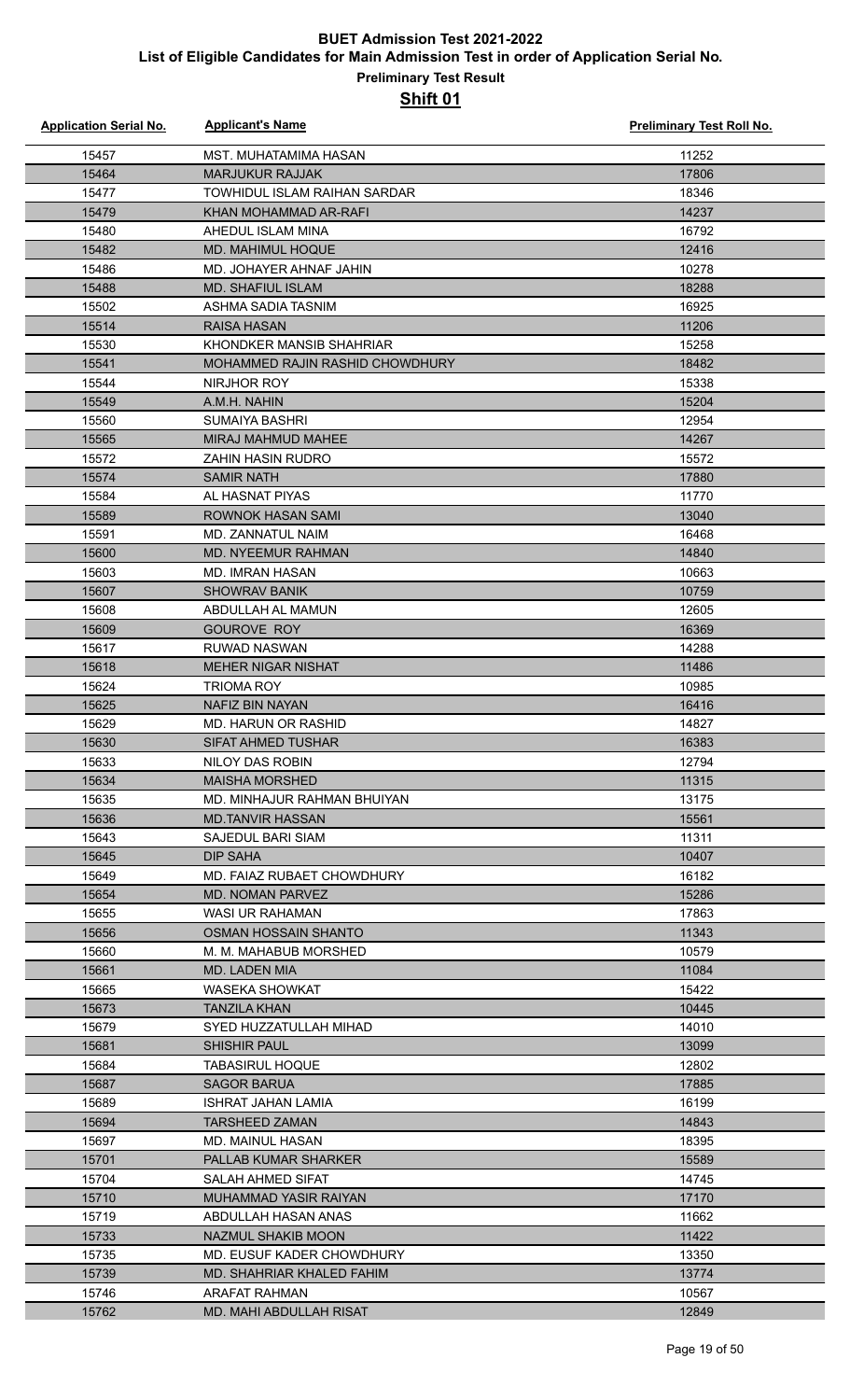| <b>Application Serial No.</b> | <b>Applicant's Name</b>               | Preliminary Test Roll No. |
|-------------------------------|---------------------------------------|---------------------------|
| 15457                         | MST. MUHATAMIMA HASAN                 | 11252                     |
| 15464                         | <b>MARJUKUR RAJJAK</b>                | 17806                     |
| 15477                         | TOWHIDUL ISLAM RAIHAN SARDAR          | 18346                     |
| 15479                         | KHAN MOHAMMAD AR-RAFI                 | 14237                     |
| 15480                         | AHEDUL ISLAM MINA                     | 16792                     |
| 15482                         | MD. MAHIMUL HOQUE                     | 12416                     |
| 15486                         | MD. JOHAYER AHNAF JAHIN               | 10278                     |
| 15488                         | <b>MD. SHAFIUL ISLAM</b>              | 18288                     |
| 15502                         | ASHMA SADIA TASNIM                    | 16925                     |
| 15514                         | <b>RAISA HASAN</b>                    | 11206                     |
| 15530                         | KHONDKER MANSIB SHAHRIAR              | 15258                     |
| 15541                         | MOHAMMED RAJIN RASHID CHOWDHURY       | 18482                     |
| 15544                         | NIRJHOR ROY                           | 15338                     |
| 15549                         | A.M.H. NAHIN                          | 15204                     |
| 15560                         | <b>SUMAIYA BASHRI</b>                 | 12954                     |
| 15565                         | <b>MIRAJ MAHMUD MAHEE</b>             | 14267                     |
| 15572                         | ZAHIN HASIN RUDRO                     | 15572                     |
| 15574                         | <b>SAMIR NATH</b>                     | 17880                     |
| 15584                         | AL HASNAT PIYAS                       | 11770                     |
| 15589                         | <b>ROWNOK HASAN SAMI</b>              | 13040                     |
| 15591                         | MD. ZANNATUL NAIM                     | 16468                     |
| 15600                         | MD. NYEEMUR RAHMAN                    | 14840                     |
| 15603                         | <b>MD. IMRAN HASAN</b>                | 10663                     |
| 15607                         | <b>SHOWRAV BANIK</b>                  | 10759                     |
| 15608                         | ABDULLAH AL MAMUN                     | 12605                     |
| 15609                         | <b>GOUROVE ROY</b>                    | 16369                     |
| 15617                         | RUWAD NASWAN                          | 14288                     |
| 15618                         | <b>MEHER NIGAR NISHAT</b>             | 11486                     |
| 15624                         | TRIOMA ROY                            | 10985                     |
| 15625                         | NAFIZ BIN NAYAN                       | 16416                     |
| 15629                         | MD. HARUN OR RASHID                   | 14827                     |
| 15630                         | <b>SIFAT AHMED TUSHAR</b>             | 16383                     |
| 15633                         | NILOY DAS ROBIN                       | 12794                     |
| 15634                         | <b>MAISHA MORSHED</b>                 | 11315                     |
| 15635                         | MD. MINHAJUR RAHMAN BHUIYAN           | 13175                     |
| 15636                         | <b>MD.TANVIR HASSAN</b>               | 15561                     |
| 15643                         | SAJEDUL BARI SIAM                     | 11311                     |
| 15645                         | DIP SAHA                              | 10407                     |
| 15649                         | MD. FAIAZ RUBAET CHOWDHURY            | 16182                     |
| 15654                         | <b>MD. NOMAN PARVEZ</b>               | 15286                     |
| 15655                         | <b>WASI UR RAHAMAN</b>                | 17863                     |
| 15656                         | OSMAN HOSSAIN SHANTO                  | 11343                     |
| 15660                         | M. M. MAHABUB MORSHED                 | 10579                     |
| 15661                         | MD. LADEN MIA                         | 11084                     |
| 15665<br>15673                | WASEKA SHOWKAT<br><b>TANZILA KHAN</b> | 15422<br>10445            |
| 15679                         | SYED HUZZATULLAH MIHAD                | 14010                     |
| 15681                         | <b>SHISHIR PAUL</b>                   | 13099                     |
| 15684                         | <b>TABASIRUL HOQUE</b>                | 12802                     |
| 15687                         | <b>SAGOR BARUA</b>                    | 17885                     |
| 15689                         | <b>ISHRAT JAHAN LAMIA</b>             | 16199                     |
| 15694                         | <b>TARSHEED ZAMAN</b>                 | 14843                     |
| 15697                         | MD. MAINUL HASAN                      | 18395                     |
| 15701                         | PALLAB KUMAR SHARKER                  | 15589                     |
| 15704                         | <b>SALAH AHMED SIFAT</b>              | 14745                     |
| 15710                         | MUHAMMAD YASIR RAIYAN                 | 17170                     |
| 15719                         | ABDULLAH HASAN ANAS                   | 11662                     |
| 15733                         | NAZMUL SHAKIB MOON                    | 11422                     |
| 15735                         | MD. EUSUF KADER CHOWDHURY             | 13350                     |
| 15739                         | MD. SHAHRIAR KHALED FAHIM             | 13774                     |
| 15746                         | ARAFAT RAHMAN                         | 10567                     |
| 15762                         | <b>MD. MAHI ABDULLAH RISAT</b>        | 12849                     |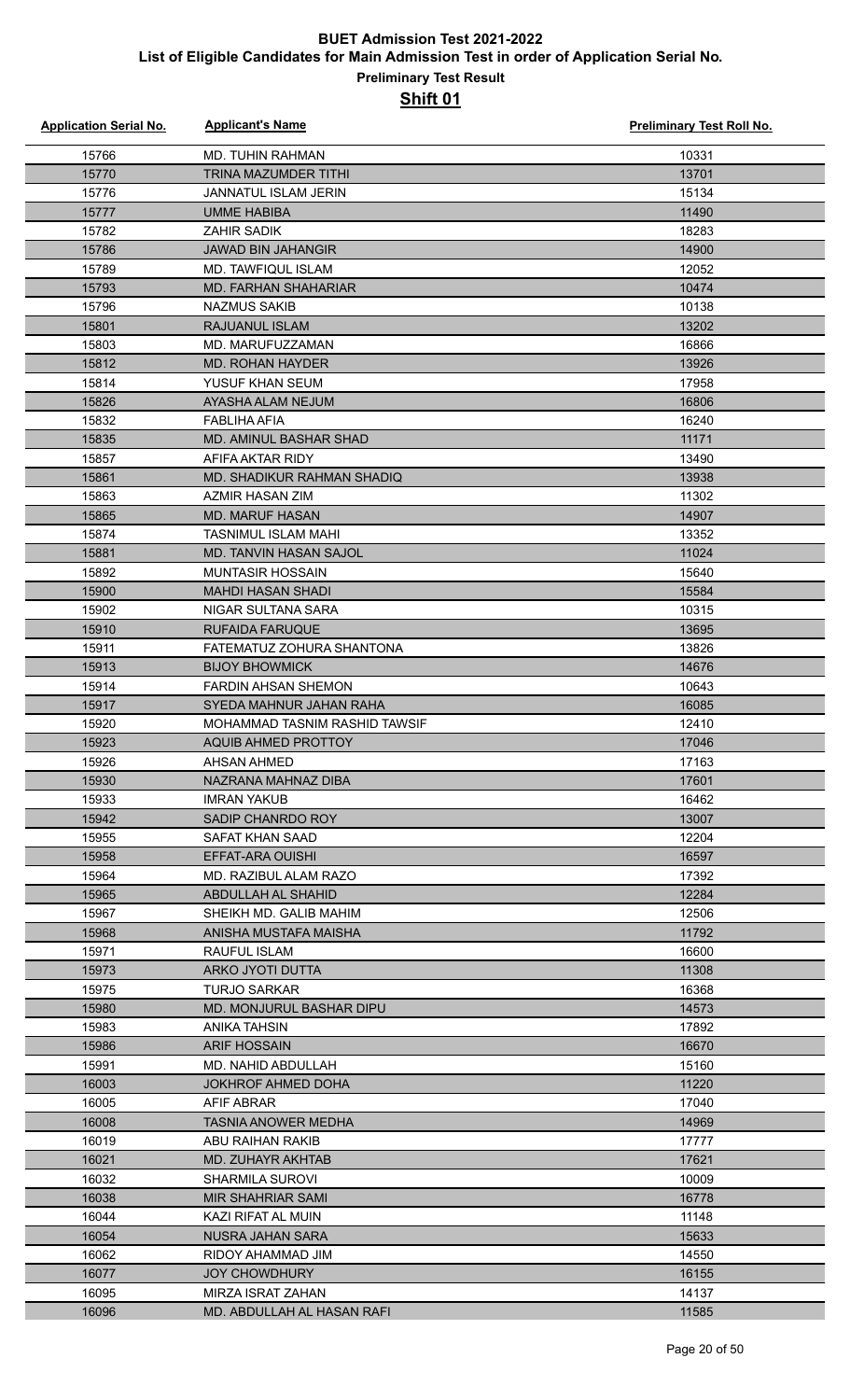| <b>Application Serial No.</b> | <b>Applicant's Name</b>                      | Preliminary Test Roll No. |
|-------------------------------|----------------------------------------------|---------------------------|
| 15766                         | <b>MD. TUHIN RAHMAN</b>                      | 10331                     |
| 15770                         | TRINA MAZUMDER TITHI                         | 13701                     |
| 15776                         | <b>JANNATUL ISLAM JERIN</b>                  | 15134                     |
| 15777                         | <b>UMME HABIBA</b>                           | 11490                     |
| 15782                         | <b>ZAHIR SADIK</b>                           | 18283                     |
| 15786                         | <b>JAWAD BIN JAHANGIR</b>                    | 14900                     |
| 15789                         | MD. TAWFIQUL ISLAM                           | 12052                     |
| 15793                         | <b>MD. FARHAN SHAHARIAR</b>                  | 10474                     |
| 15796                         | <b>NAZMUS SAKIB</b>                          | 10138                     |
| 15801                         | <b>RAJUANUL ISLAM</b>                        | 13202                     |
| 15803                         | MD. MARUFUZZAMAN                             | 16866                     |
| 15812                         | <b>MD. ROHAN HAYDER</b>                      | 13926                     |
| 15814                         | YUSUF KHAN SEUM                              | 17958                     |
| 15826                         | AYASHA ALAM NEJUM                            | 16806                     |
| 15832                         | FABLIHA AFIA                                 | 16240                     |
| 15835                         | <b>MD. AMINUL BASHAR SHAD</b>                | 11171                     |
| 15857                         | AFIFA AKTAR RIDY                             | 13490                     |
| 15861                         | MD. SHADIKUR RAHMAN SHADIQ                   | 13938                     |
| 15863                         | <b>AZMIR HASAN ZIM</b>                       | 11302                     |
| 15865                         | <b>MD. MARUF HASAN</b>                       | 14907                     |
| 15874                         | <b>TASNIMUL ISLAM MAHI</b>                   | 13352                     |
| 15881                         | <b>MD. TANVIN HASAN SAJOL</b>                | 11024                     |
| 15892                         | <b>MUNTASIR HOSSAIN</b>                      | 15640                     |
| 15900                         | <b>MAHDI HASAN SHADI</b>                     | 15584                     |
| 15902                         | NIGAR SULTANA SARA                           | 10315                     |
| 15910                         | RUFAIDA FARUQUE                              | 13695                     |
| 15911                         | FATEMATUZ ZOHURA SHANTONA                    | 13826                     |
| 15913                         | <b>BIJOY BHOWMICK</b>                        | 14676                     |
| 15914                         | <b>FARDIN AHSAN SHEMON</b>                   | 10643                     |
| 15917                         | SYEDA MAHNUR JAHAN RAHA                      | 16085                     |
| 15920                         | MOHAMMAD TASNIM RASHID TAWSIF                | 12410                     |
| 15923                         | AQUIB AHMED PROTTOY                          | 17046                     |
| 15926                         | AHSAN AHMED                                  | 17163                     |
| 15930                         | NAZRANA MAHNAZ DIBA                          | 17601                     |
| 15933                         | <b>IMRAN YAKUB</b>                           | 16462                     |
| 15942                         | SADIP CHANRDO ROY                            | 13007                     |
| 15955                         | SAFAT KHAN SAAD                              | 12204                     |
| 15958                         | EFFAT-ARA OUISHI                             | 16597                     |
| 15964                         | MD. RAZIBUL ALAM RAZO                        | 17392                     |
| 15965<br>15967                | ABDULLAH AL SHAHID<br>SHEIKH MD. GALIB MAHIM | 12284<br>12506            |
| 15968                         | ANISHA MUSTAFA MAISHA                        | 11792                     |
| 15971                         | RAUFUL ISLAM                                 | 16600                     |
| 15973                         | ARKO JYOTI DUTTA                             | 11308                     |
| 15975                         | TURJO SARKAR                                 | 16368                     |
| 15980                         | MD. MONJURUL BASHAR DIPU                     | 14573                     |
| 15983                         | ANIKA TAHSIN                                 | 17892                     |
| 15986                         | <b>ARIF HOSSAIN</b>                          | 16670                     |
| 15991                         | MD. NAHID ABDULLAH                           | 15160                     |
| 16003                         | JOKHROF AHMED DOHA                           | 11220                     |
| 16005                         | AFIF ABRAR                                   | 17040                     |
| 16008                         | <b>TASNIA ANOWER MEDHA</b>                   | 14969                     |
| 16019                         | ABU RAIHAN RAKIB                             | 17777                     |
| 16021                         | <b>MD. ZUHAYR AKHTAB</b>                     | 17621                     |
| 16032                         | <b>SHARMILA SUROVI</b>                       | 10009                     |
| 16038                         | <b>MIR SHAHRIAR SAMI</b>                     | 16778                     |
| 16044                         | KAZI RIFAT AL MUIN                           | 11148                     |
| 16054                         | NUSRA JAHAN SARA                             | 15633                     |
| 16062                         | RIDOY AHAMMAD JIM                            | 14550                     |
| 16077                         | <b>JOY CHOWDHURY</b>                         | 16155                     |
| 16095                         | MIRZA ISRAT ZAHAN                            | 14137                     |
| 16096                         | MD. ABDULLAH AL HASAN RAFI                   | 11585                     |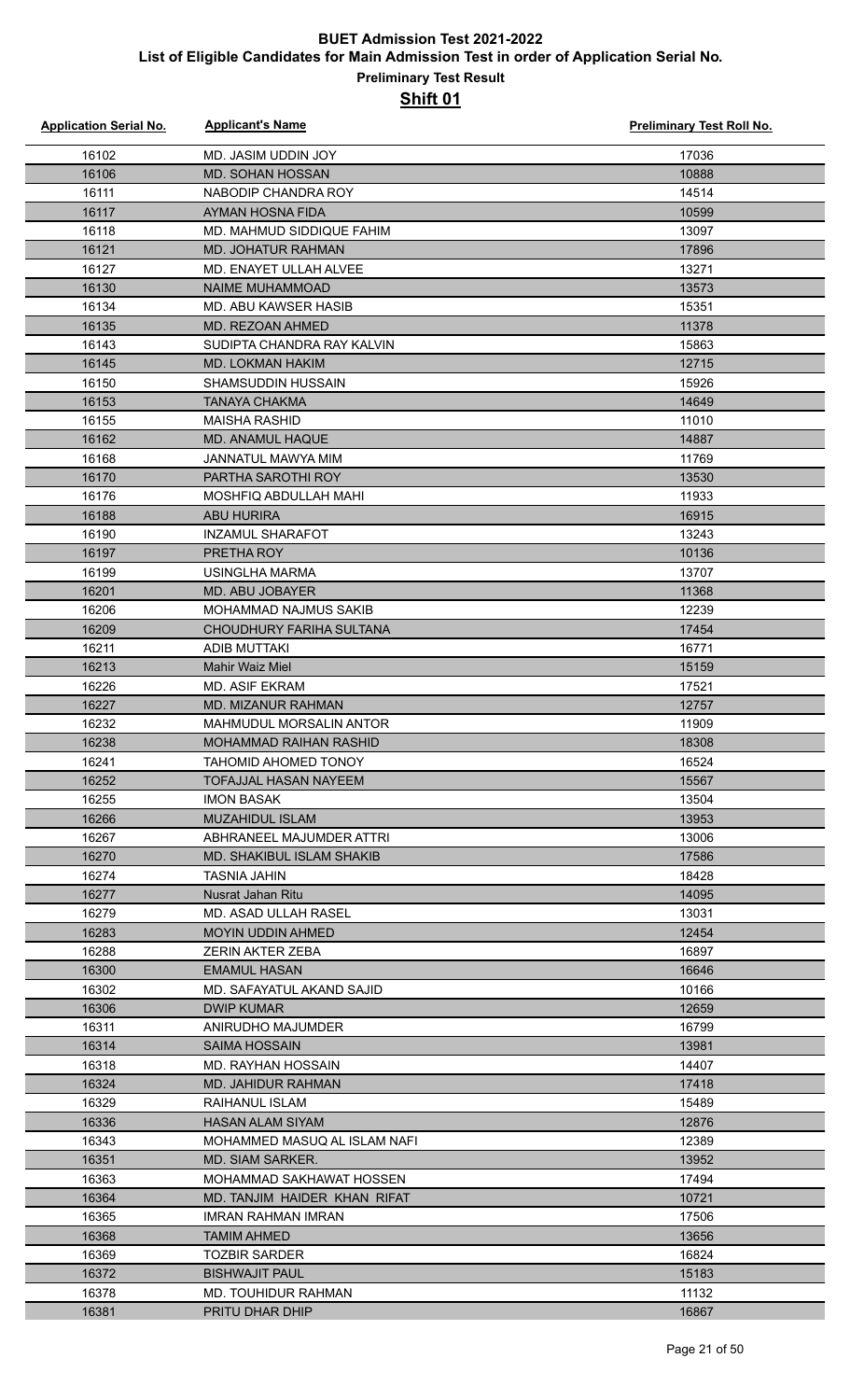| <b>Application Serial No.</b> | <b>Applicant's Name</b>                                  | Preliminary Test Roll No. |
|-------------------------------|----------------------------------------------------------|---------------------------|
| 16102                         | MD. JASIM UDDIN JOY                                      | 17036                     |
| 16106                         | MD. SOHAN HOSSAN                                         | 10888                     |
| 16111                         | NABODIP CHANDRA ROY                                      | 14514                     |
| 16117                         | AYMAN HOSNA FIDA                                         | 10599                     |
| 16118                         | MD. MAHMUD SIDDIQUE FAHIM                                | 13097                     |
| 16121                         | MD. JOHATUR RAHMAN                                       | 17896                     |
| 16127                         | MD. ENAYET ULLAH ALVEE                                   | 13271                     |
| 16130                         | <b>NAIME MUHAMMOAD</b>                                   | 13573                     |
| 16134                         | MD. ABU KAWSER HASIB                                     | 15351                     |
| 16135                         | MD. REZOAN AHMED                                         | 11378                     |
| 16143                         | SUDIPTA CHANDRA RAY KALVIN                               | 15863                     |
| 16145                         | MD. LOKMAN HAKIM                                         | 12715                     |
| 16150                         | SHAMSUDDIN HUSSAIN                                       | 15926                     |
| 16153                         | <b>TANAYA CHAKMA</b>                                     | 14649                     |
| 16155                         | <b>MAISHA RASHID</b>                                     | 11010                     |
| 16162                         | MD. ANAMUL HAQUE                                         | 14887                     |
| 16168                         | <b>JANNATUL MAWYA MIM</b>                                | 11769                     |
| 16170                         | PARTHA SAROTHI ROY                                       | 13530                     |
| 16176                         | MOSHFIQ ABDULLAH MAHI                                    | 11933                     |
| 16188                         | <b>ABU HURIRA</b>                                        | 16915                     |
| 16190                         | <b>INZAMUL SHARAFOT</b>                                  | 13243                     |
| 16197                         | PRETHA ROY                                               | 10136                     |
| 16199                         | <b>USINGLHA MARMA</b>                                    | 13707                     |
| 16201                         | MD. ABU JOBAYER                                          | 11368                     |
| 16206                         | MOHAMMAD NAJMUS SAKIB                                    | 12239                     |
| 16209                         | CHOUDHURY FARIHA SULTANA                                 | 17454                     |
| 16211                         | <b>ADIB MUTTAKI</b>                                      | 16771                     |
| 16213                         | <b>Mahir Waiz Miel</b><br>MD. ASIF EKRAM                 | 15159                     |
| 16226                         | MD. MIZANUR RAHMAN                                       | 17521                     |
| 16227<br>16232                | MAHMUDUL MORSALIN ANTOR                                  | 12757<br>11909            |
| 16238                         | MOHAMMAD RAIHAN RASHID                                   | 18308                     |
| 16241                         | <b>TAHOMID AHOMED TONOY</b>                              | 16524                     |
| 16252                         | TOFAJJAL HASAN NAYEEM                                    | 15567                     |
| 16255                         | <b>IMON BASAK</b>                                        | 13504                     |
| 16266                         | <b>MUZAHIDUL ISLAM</b>                                   | 13953                     |
| 16267                         | ABHRANEEL MAJUMDER ATTRI                                 | 13006                     |
| 16270                         | MD. SHAKIBUL ISLAM SHAKIB                                | 17586                     |
| 16274                         | <b>TASNIA JAHIN</b>                                      | 18428                     |
| 16277                         | Nusrat Jahan Ritu                                        | 14095                     |
| 16279                         | <b>MD. ASAD ULLAH RASEL</b>                              | 13031                     |
| 16283                         | <b>MOYIN UDDIN AHMED</b>                                 | 12454                     |
| 16288                         | ZERIN AKTER ZEBA                                         | 16897                     |
| 16300                         | <b>EMAMUL HASAN</b>                                      | 16646                     |
| 16302                         | MD. SAFAYATUL AKAND SAJID                                | 10166                     |
| 16306                         | <b>DWIP KUMAR</b>                                        | 12659                     |
| 16311                         | ANIRUDHO MAJUMDER                                        | 16799                     |
| 16314                         | <b>SAIMA HOSSAIN</b>                                     | 13981                     |
| 16318                         | MD. RAYHAN HOSSAIN                                       | 14407                     |
| 16324                         | MD. JAHIDUR RAHMAN                                       | 17418                     |
| 16329                         | RAIHANUL ISLAM                                           | 15489                     |
| 16336                         | <b>HASAN ALAM SIYAM</b>                                  | 12876                     |
| 16343                         | MOHAMMED MASUQ AL ISLAM NAFI                             | 12389                     |
| 16351                         | MD. SIAM SARKER.                                         | 13952                     |
| 16363<br>16364                | MOHAMMAD SAKHAWAT HOSSEN<br>MD. TANJIM HAIDER KHAN RIFAT | 17494<br>10721            |
| 16365                         | IMRAN RAHMAN IMRAN                                       | 17506                     |
| 16368                         | <b>TAMIM AHMED</b>                                       | 13656                     |
| 16369                         | <b>TOZBIR SARDER</b>                                     | 16824                     |
| 16372                         | <b>BISHWAJIT PAUL</b>                                    | 15183                     |
| 16378                         | MD. TOUHIDUR RAHMAN                                      | 11132                     |
| 16381                         | <b>PRITU DHAR DHIP</b>                                   | 16867                     |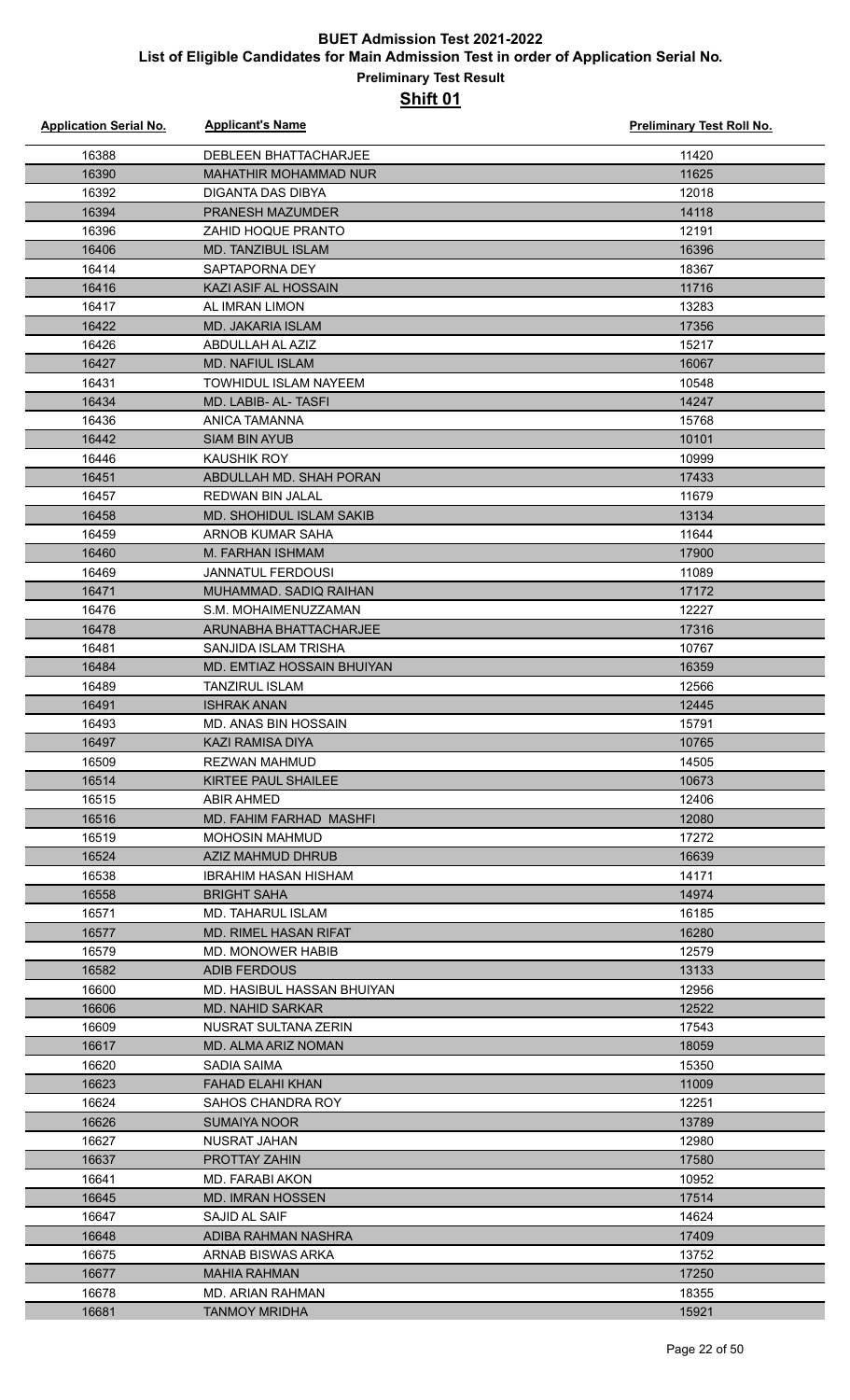| <b>Application Serial No.</b> | <b>Applicant's Name</b>                  | <b>Preliminary Test Roll No.</b> |
|-------------------------------|------------------------------------------|----------------------------------|
| 16388                         | <b>DEBLEEN BHATTACHARJEE</b>             | 11420                            |
| 16390                         | MAHATHIR MOHAMMAD NUR                    | 11625                            |
| 16392                         | DIGANTA DAS DIBYA                        | 12018                            |
| 16394                         | PRANESH MAZUMDER                         | 14118                            |
| 16396                         | <b>ZAHID HOQUE PRANTO</b>                | 12191                            |
| 16406                         | <b>MD. TANZIBUL ISLAM</b>                | 16396                            |
| 16414                         | SAPTAPORNA DEY                           | 18367                            |
| 16416                         | KAZI ASIF AL HOSSAIN                     | 11716                            |
| 16417                         | AL IMRAN LIMON                           | 13283                            |
| 16422                         | <b>MD. JAKARIA ISLAM</b>                 | 17356                            |
| 16426                         | ABDULLAH AL AZIZ                         | 15217                            |
| 16427                         | <b>MD. NAFIUL ISLAM</b>                  | 16067                            |
| 16431                         | TOWHIDUL ISLAM NAYEEM                    | 10548                            |
| 16434                         | MD. LABIB- AL- TASFI                     | 14247                            |
| 16436                         | <b>ANICA TAMANNA</b>                     | 15768                            |
| 16442                         | <b>SIAM BIN AYUB</b>                     | 10101                            |
| 16446                         | <b>KAUSHIK ROY</b>                       | 10999                            |
| 16451                         | ABDULLAH MD. SHAH PORAN                  | 17433                            |
| 16457                         | <b>REDWAN BIN JALAL</b>                  | 11679                            |
| 16458                         | <b>MD. SHOHIDUL ISLAM SAKIB</b>          | 13134                            |
| 16459                         | ARNOB KUMAR SAHA                         | 11644                            |
| 16460                         | M. FARHAN ISHMAM                         | 17900                            |
| 16469                         | <b>JANNATUL FERDOUSI</b>                 | 11089                            |
| 16471                         | MUHAMMAD. SADIQ RAIHAN                   | 17172                            |
| 16476                         | S.M. MOHAIMENUZZAMAN                     | 12227                            |
| 16478                         | ARUNABHA BHATTACHARJEE                   | 17316                            |
| 16481                         | SANJIDA ISLAM TRISHA                     | 10767                            |
| 16484                         | MD. EMTIAZ HOSSAIN BHUIYAN               | 16359                            |
| 16489                         | <b>TANZIRUL ISLAM</b>                    | 12566                            |
| 16491                         | <b>ISHRAK ANAN</b>                       | 12445                            |
| 16493                         | MD. ANAS BIN HOSSAIN                     | 15791                            |
| 16497                         | <b>KAZI RAMISA DIYA</b>                  | 10765                            |
| 16509                         | <b>REZWAN MAHMUD</b>                     | 14505                            |
| 16514                         | KIRTEE PAUL SHAILEE                      | 10673                            |
| 16515                         | ABIR AHMED                               | 12406                            |
| 16516                         | MD. FAHIM FARHAD MASHFI                  | 12080                            |
| 16519                         | <b>MOHOSIN MAHMUD</b>                    | 17272                            |
| 16524                         | AZIZ MAHMUD DHRUB                        | 16639                            |
| 16538                         | IBRAHIM HASAN HISHAM                     | 14171                            |
| 16558                         | <b>BRIGHT SAHA</b>                       | 14974                            |
| 16571                         | <b>MD. TAHARUL ISLAM</b>                 | 16185                            |
| 16577                         | MD. RIMEL HASAN RIFAT                    | 16280                            |
| 16579                         | MD. MONOWER HABIB                        | 12579                            |
| 16582                         | <b>ADIB FERDOUS</b>                      | 13133                            |
| 16600                         | MD. HASIBUL HASSAN BHUIYAN               | 12956                            |
| 16606<br>16609                | MD. NAHID SARKAR<br>NUSRAT SULTANA ZERIN | 12522<br>17543                   |
| 16617                         | MD. ALMA ARIZ NOMAN                      | 18059                            |
| 16620                         | SADIA SAIMA                              | 15350                            |
| 16623                         | FAHAD ELAHI KHAN                         | 11009                            |
| 16624                         | <b>SAHOS CHANDRA ROY</b>                 | 12251                            |
| 16626                         | <b>SUMAIYA NOOR</b>                      | 13789                            |
| 16627                         | NUSRAT JAHAN                             | 12980                            |
| 16637                         | <b>PROTTAY ZAHIN</b>                     | 17580                            |
| 16641                         | <b>MD. FARABI AKON</b>                   | 10952                            |
| 16645                         | <b>MD. IMRAN HOSSEN</b>                  | 17514                            |
| 16647                         | SAJID AL SAIF                            | 14624                            |
| 16648                         | ADIBA RAHMAN NASHRA                      | 17409                            |
| 16675                         | ARNAB BISWAS ARKA                        | 13752                            |
| 16677                         | <b>MAHIA RAHMAN</b>                      | 17250                            |
| 16678                         | MD. ARIAN RAHMAN                         | 18355                            |
| 16681                         | <b>TANMOY MRIDHA</b>                     | 15921                            |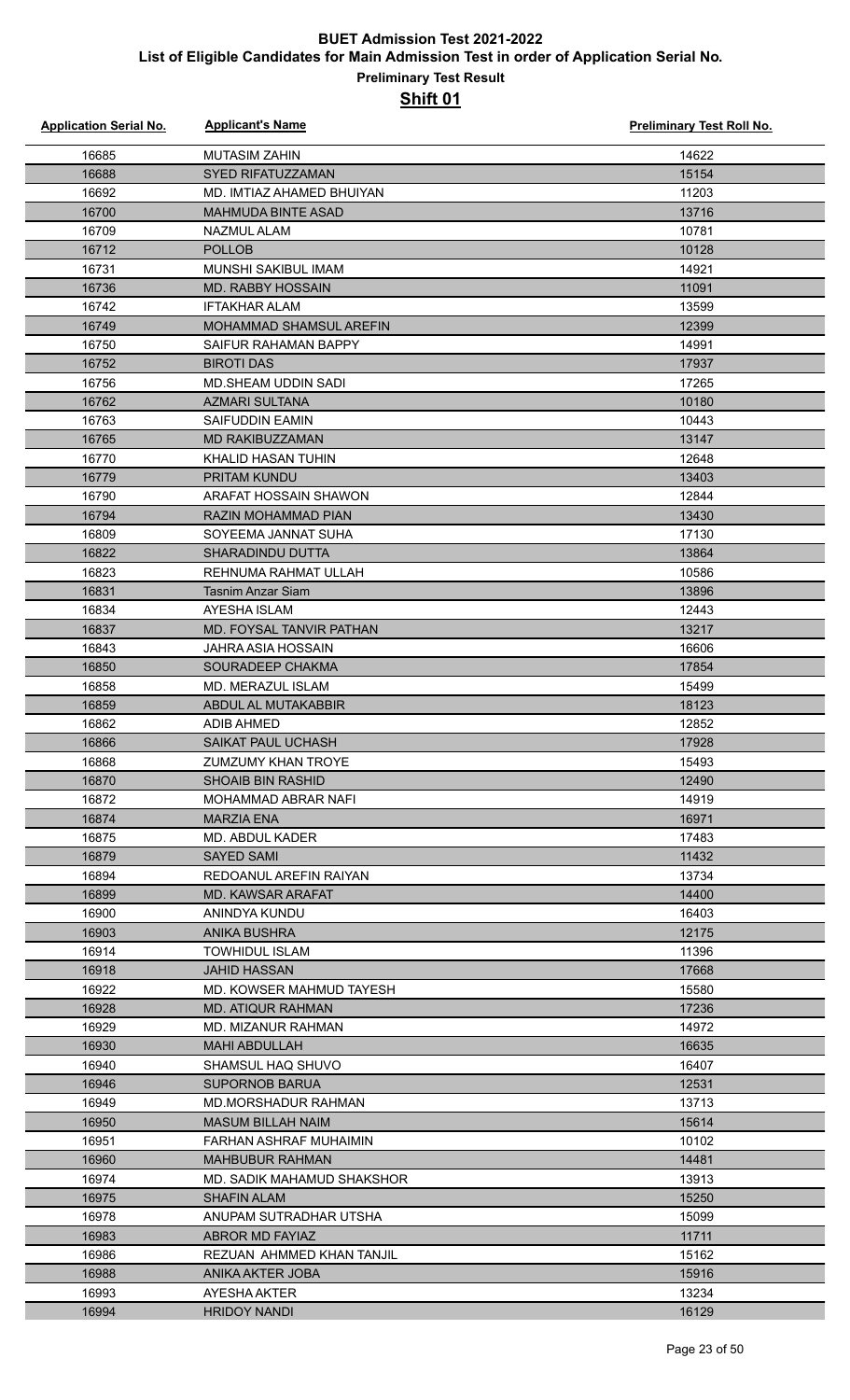| <b>Application Serial No.</b> | <b>Applicant's Name</b>        | <b>Preliminary Test Roll No.</b> |
|-------------------------------|--------------------------------|----------------------------------|
| 16685                         | <b>MUTASIM ZAHIN</b>           | 14622                            |
| 16688                         | <b>SYED RIFATUZZAMAN</b>       | 15154                            |
| 16692                         | MD. IMTIAZ AHAMED BHUIYAN      | 11203                            |
| 16700                         | <b>MAHMUDA BINTE ASAD</b>      | 13716                            |
| 16709                         | <b>NAZMUL ALAM</b>             | 10781                            |
| 16712                         | <b>POLLOB</b>                  | 10128                            |
| 16731                         | MUNSHI SAKIBUL IMAM            | 14921                            |
| 16736                         | <b>MD. RABBY HOSSAIN</b>       | 11091                            |
| 16742                         | <b>IFTAKHAR ALAM</b>           | 13599                            |
| 16749                         | <b>MOHAMMAD SHAMSUL AREFIN</b> | 12399                            |
| 16750                         | SAIFUR RAHAMAN BAPPY           | 14991                            |
| 16752                         | <b>BIROTI DAS</b>              | 17937                            |
| 16756                         | <b>MD.SHEAM UDDIN SADI</b>     | 17265                            |
| 16762                         | <b>AZMARI SULTANA</b>          | 10180                            |
| 16763                         | SAIFUDDIN EAMIN                | 10443                            |
| 16765                         | <b>MD RAKIBUZZAMAN</b>         | 13147                            |
| 16770                         | KHALID HASAN TUHIN             | 12648                            |
| 16779                         | PRITAM KUNDU                   | 13403                            |
| 16790                         | ARAFAT HOSSAIN SHAWON          | 12844                            |
| 16794                         | <b>RAZIN MOHAMMAD PIAN</b>     | 13430                            |
| 16809                         | SOYEEMA JANNAT SUHA            | 17130                            |
| 16822                         | SHARADINDU DUTTA               | 13864                            |
| 16823                         | REHNUMA RAHMAT ULLAH           | 10586                            |
| 16831                         | <b>Tasnim Anzar Siam</b>       | 13896                            |
| 16834                         | AYESHA ISLAM                   | 12443                            |
| 16837                         | MD. FOYSAL TANVIR PATHAN       | 13217                            |
| 16843                         | <b>JAHRA ASIA HOSSAIN</b>      | 16606                            |
|                               |                                |                                  |
| 16850                         | SOURADEEP CHAKMA               | 17854                            |
| 16858                         | MD. MERAZUL ISLAM              | 15499                            |
| 16859                         | ABDUL AL MUTAKABBIR            | 18123                            |
| 16862                         | <b>ADIB AHMED</b>              | 12852                            |
| 16866                         | SAIKAT PAUL UCHASH             | 17928                            |
| 16868                         | ZUMZUMY KHAN TROYE             | 15493                            |
| 16870                         | <b>SHOAIB BIN RASHID</b>       | 12490                            |
| 16872                         | <b>MOHAMMAD ABRAR NAFI</b>     | 14919                            |
| 16874                         | <b>MARZIA ENA</b>              | 16971                            |
| 16875                         | MD. ABDUL KADER                | 17483                            |
| 16879                         | SAYED SAMI                     | 11432                            |
| 16894                         | REDOANUL AREFIN RAIYAN         | 13734                            |
| 16899                         | <b>MD. KAWSAR ARAFAT</b>       | 14400                            |
| 16900                         | ANINDYA KUNDU                  | 16403                            |
| 16903                         | <b>ANIKA BUSHRA</b>            | 12175                            |
| 16914                         | <b>TOWHIDUL ISLAM</b>          | 11396                            |
| 16918                         | JAHID HASSAN                   | 17668                            |
| 16922                         | MD. KOWSER MAHMUD TAYESH       | 15580                            |
| 16928                         | <b>MD. ATIQUR RAHMAN</b>       | 17236                            |
| 16929                         | MD. MIZANUR RAHMAN             | 14972                            |
| 16930                         | <b>MAHI ABDULLAH</b>           | 16635                            |
| 16940                         | SHAMSUL HAQ SHUVO              | 16407                            |
| 16946                         | <b>SUPORNOB BARUA</b>          | 12531                            |
| 16949                         | MD.MORSHADUR RAHMAN            | 13713                            |
| 16950                         | <b>MASUM BILLAH NAIM</b>       | 15614                            |
| 16951                         | FARHAN ASHRAF MUHAIMIN         | 10102                            |
| 16960                         | <b>MAHBUBUR RAHMAN</b>         | 14481                            |
| 16974                         | MD. SADIK MAHAMUD SHAKSHOR     | 13913                            |
| 16975                         | <b>SHAFIN ALAM</b>             | 15250                            |
| 16978                         | ANUPAM SUTRADHAR UTSHA         | 15099                            |
| 16983                         | <b>ABROR MD FAYIAZ</b>         | 11711                            |
| 16986                         | REZUAN AHMMED KHAN TANJIL      | 15162                            |
| 16988                         | ANIKA AKTER JOBA               | 15916                            |
| 16993                         | AYESHA AKTER                   | 13234                            |
| 16994                         | <b>HRIDOY NANDI</b>            | 16129                            |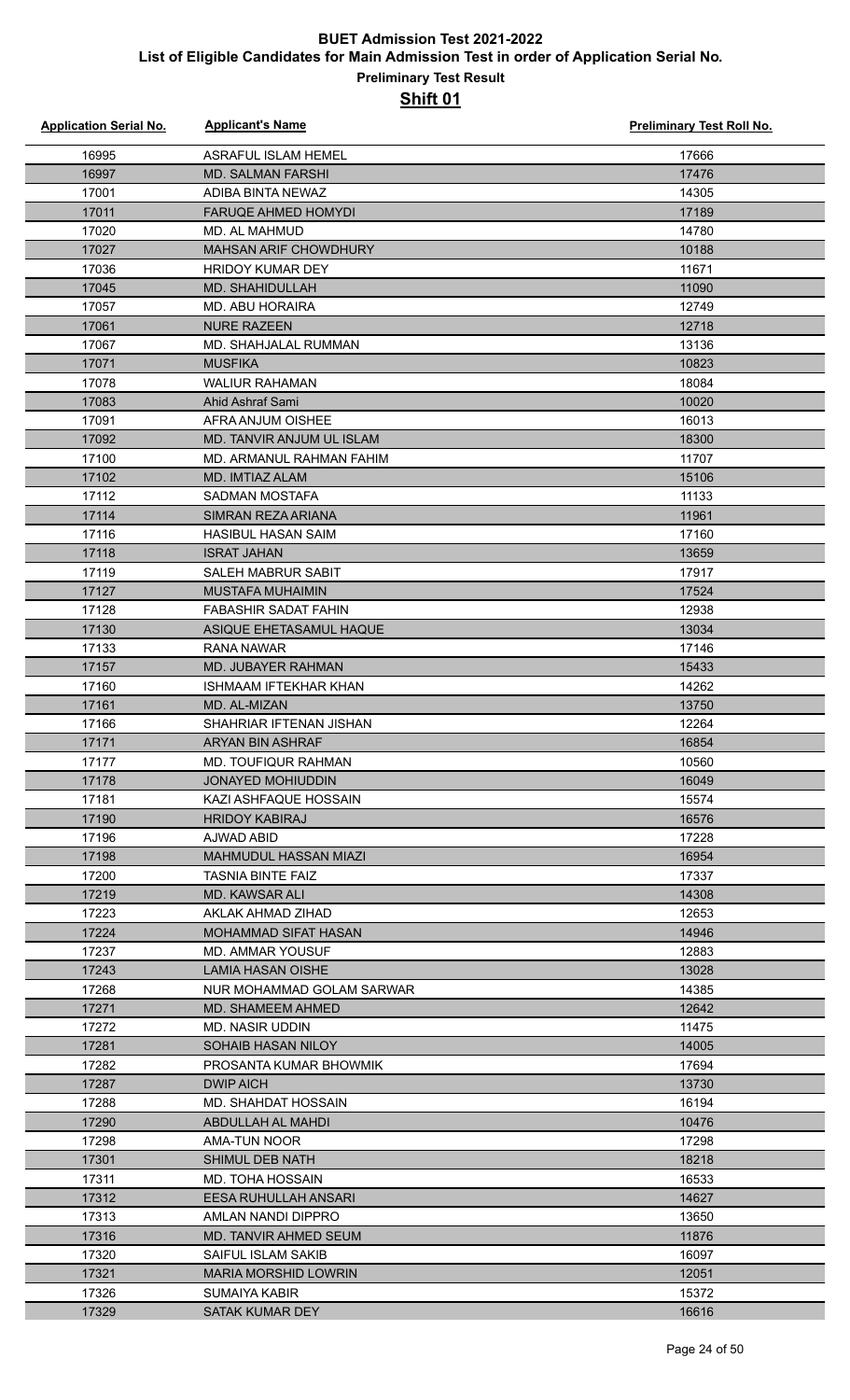| <b>Application Serial No.</b> | <b>Applicant's Name</b>                     | <b>Preliminary Test Roll No.</b> |
|-------------------------------|---------------------------------------------|----------------------------------|
| 16995                         | ASRAFUL ISLAM HEMEL                         | 17666                            |
| 16997                         | <b>MD. SALMAN FARSHI</b>                    | 17476                            |
| 17001                         | ADIBA BINTA NEWAZ                           | 14305                            |
| 17011                         | <b>FARUQE AHMED HOMYDI</b>                  | 17189                            |
| 17020                         | MD. AL MAHMUD                               | 14780                            |
| 17027                         | MAHSAN ARIF CHOWDHURY                       | 10188                            |
| 17036                         | <b>HRIDOY KUMAR DEY</b>                     | 11671                            |
| 17045                         | MD. SHAHIDULLAH                             | 11090                            |
| 17057                         | <b>MD. ABU HORAIRA</b>                      | 12749                            |
| 17061                         | <b>NURE RAZEEN</b>                          | 12718                            |
| 17067                         | MD. SHAHJALAL RUMMAN                        | 13136                            |
| 17071                         | <b>MUSFIKA</b>                              | 10823                            |
| 17078                         | <b>WALIUR RAHAMAN</b>                       | 18084                            |
| 17083                         | Ahid Ashraf Sami                            | 10020                            |
| 17091                         | AFRA ANJUM OISHEE                           | 16013                            |
| 17092                         | MD. TANVIR ANJUM UL ISLAM                   | 18300                            |
| 17100                         | MD. ARMANUL RAHMAN FAHIM                    | 11707                            |
| 17102                         | MD. IMTIAZ ALAM                             | 15106                            |
| 17112                         | SADMAN MOSTAFA                              | 11133                            |
| 17114                         | SIMRAN REZA ARIANA                          | 11961                            |
| 17116                         | <b>HASIBUL HASAN SAIM</b>                   | 17160                            |
| 17118                         | <b>ISRAT JAHAN</b>                          | 13659                            |
| 17119                         | SALEH MABRUR SABIT                          | 17917                            |
| 17127                         | <b>MUSTAFA MUHAIMIN</b>                     | 17524                            |
| 17128                         | FABASHIR SADAT FAHIN                        | 12938                            |
| 17130                         | ASIQUE EHETASAMUL HAQUE                     | 13034                            |
| 17133                         | RANA NAWAR                                  | 17146                            |
| 17157                         | MD. JUBAYER RAHMAN                          | 15433                            |
| 17160                         | <b>ISHMAAM IFTEKHAR KHAN</b>                | 14262                            |
| 17161<br>17166                | MD. AL-MIZAN<br>SHAHRIAR IFTENAN JISHAN     | 13750<br>12264                   |
| 17171                         | <b>ARYAN BIN ASHRAF</b>                     | 16854                            |
| 17177                         | <b>MD. TOUFIQUR RAHMAN</b>                  | 10560                            |
| 17178                         | <b>JONAYED MOHIUDDIN</b>                    | 16049                            |
| 17181                         | KAZI ASHFAQUE HOSSAIN                       | 15574                            |
| 17190                         | <b>HRIDOY KABIRAJ</b>                       | 16576                            |
| 17196                         | AJWAD ABID                                  | 17228                            |
| 17198                         | <b>MAHMUDUL HASSAN MIAZI</b>                | 16954                            |
| 17200                         | <b>TASNIA BINTE FAIZ</b>                    | 17337                            |
| 17219                         | <b>MD. KAWSAR ALI</b>                       | 14308                            |
| 17223                         | AKLAK AHMAD ZIHAD                           | 12653                            |
| 17224                         | MOHAMMAD SIFAT HASAN                        | 14946                            |
| 17237                         | <b>MD. AMMAR YOUSUF</b>                     | 12883                            |
| 17243                         | LAMIA HASAN OISHE                           | 13028                            |
| 17268                         | NUR MOHAMMAD GOLAM SARWAR                   | 14385                            |
| 17271                         | <b>MD. SHAMEEM AHMED</b>                    | 12642                            |
| 17272                         | MD. NASIR UDDIN                             | 11475                            |
| 17281                         | <b>SOHAIB HASAN NILOY</b>                   | 14005                            |
| 17282                         | PROSANTA KUMAR BHOWMIK                      | 17694                            |
| 17287                         | <b>DWIP AICH</b>                            | 13730                            |
| 17288                         | MD. SHAHDAT HOSSAIN                         | 16194                            |
| 17290                         | ABDULLAH AL MAHDI                           | 10476                            |
| 17298                         | AMA-TUN NOOR                                | 17298                            |
| 17301                         | SHIMUL DEB NATH                             | 18218                            |
| 17311                         | <b>MD. TOHA HOSSAIN</b>                     | 16533                            |
| 17312                         | EESA RUHULLAH ANSARI                        | 14627                            |
| 17313<br>17316                | AMLAN NANDI DIPPRO<br>MD. TANVIR AHMED SEUM | 13650<br>11876                   |
| 17320                         | SAIFUL ISLAM SAKIB                          | 16097                            |
| 17321                         | <b>MARIA MORSHID LOWRIN</b>                 | 12051                            |
| 17326                         | <b>SUMAIYA KABIR</b>                        | 15372                            |
| 17329                         | SATAK KUMAR DEY                             | 16616                            |
|                               |                                             |                                  |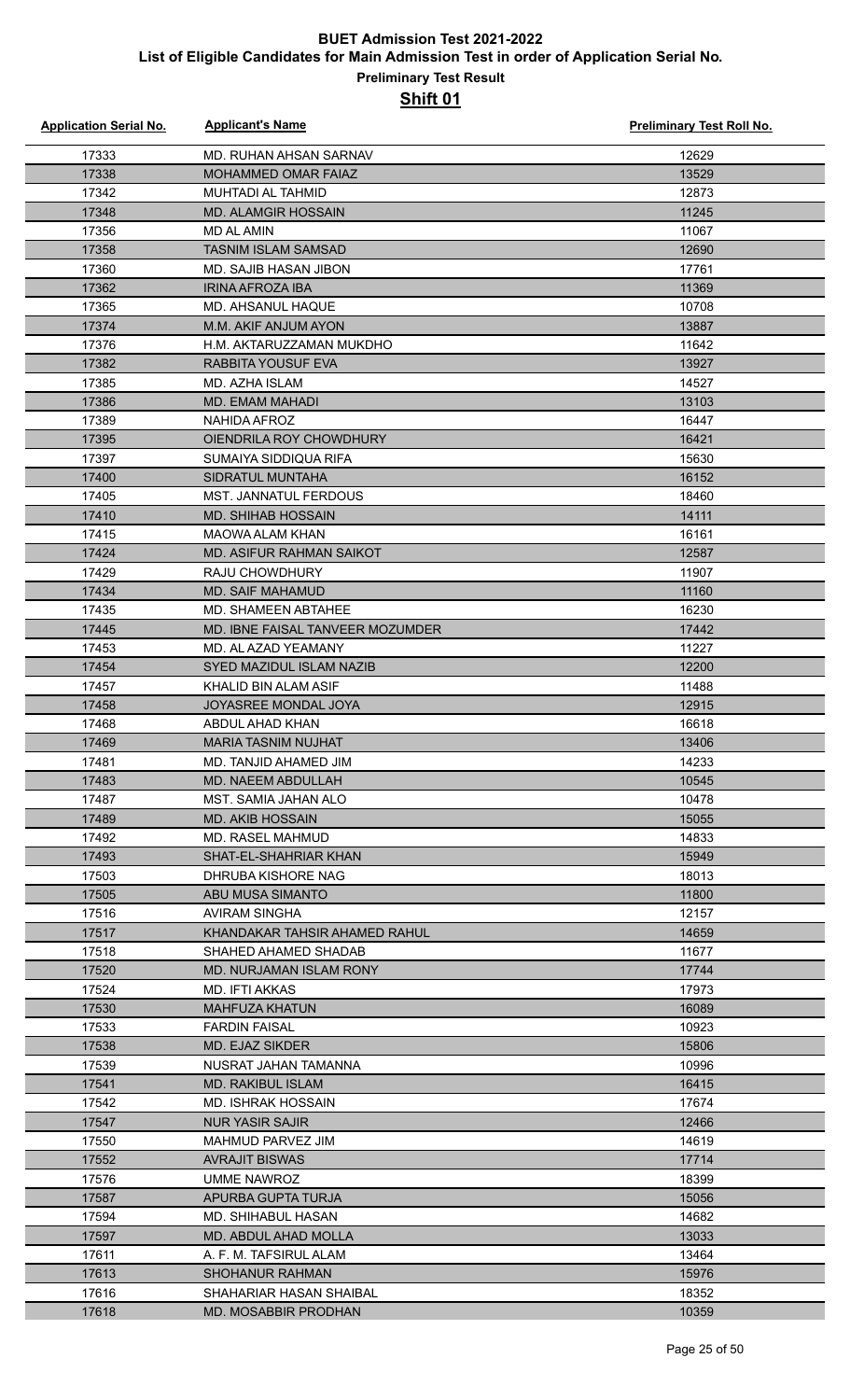| <b>Application Serial No.</b> | <b>Applicant's Name</b>          | <b>Preliminary Test Roll No.</b> |
|-------------------------------|----------------------------------|----------------------------------|
| 17333                         | MD. RUHAN AHSAN SARNAV           | 12629                            |
| 17338                         | <b>MOHAMMED OMAR FAIAZ</b>       | 13529                            |
| 17342                         | <b>MUHTADI AL TAHMID</b>         | 12873                            |
| 17348                         | <b>MD. ALAMGIR HOSSAIN</b>       | 11245                            |
| 17356                         | <b>MD AL AMIN</b>                | 11067                            |
| 17358                         | <b>TASNIM ISLAM SAMSAD</b>       | 12690                            |
| 17360                         | MD. SAJIB HASAN JIBON            | 17761                            |
| 17362                         | <b>IRINA AFROZA IBA</b>          | 11369                            |
| 17365                         | MD. AHSANUL HAQUE                | 10708                            |
| 17374                         | M.M. AKIF ANJUM AYON             | 13887                            |
| 17376                         | H.M. AKTARUZZAMAN MUKDHO         | 11642                            |
| 17382                         | RABBITA YOUSUF EVA               | 13927                            |
| 17385                         | MD. AZHA ISLAM                   | 14527                            |
| 17386                         | MD. EMAM MAHADI                  | 13103                            |
| 17389                         | NAHIDA AFROZ                     | 16447                            |
| 17395                         | OIENDRILA ROY CHOWDHURY          | 16421                            |
| 17397                         | SUMAIYA SIDDIQUA RIFA            | 15630                            |
| 17400                         | <b>SIDRATUL MUNTAHA</b>          | 16152                            |
| 17405                         | <b>MST. JANNATUL FERDOUS</b>     | 18460                            |
| 17410                         | <b>MD. SHIHAB HOSSAIN</b>        | 14111                            |
| 17415                         | <b>MAOWA ALAM KHAN</b>           | 16161                            |
| 17424                         | MD. ASIFUR RAHMAN SAIKOT         | 12587                            |
| 17429                         | <b>RAJU CHOWDHURY</b>            | 11907                            |
| 17434                         | <b>MD. SAIF MAHAMUD</b>          | 11160                            |
| 17435                         | MD. SHAMEEN ABTAHEE              | 16230                            |
| 17445                         | MD. IBNE FAISAL TANVEER MOZUMDER | 17442                            |
| 17453                         | MD. AL AZAD YEAMANY              | 11227                            |
| 17454                         | SYED MAZIDUL ISLAM NAZIB         | 12200                            |
| 17457                         | KHALID BIN ALAM ASIF             | 11488                            |
| 17458                         | JOYASREE MONDAL JOYA             | 12915                            |
| 17468                         | ABDUL AHAD KHAN                  | 16618                            |
| 17469                         | MARIA TASNIM NUJHAT              | 13406                            |
| 17481                         | MD. TANJID AHAMED JIM            | 14233                            |
| 17483                         | <b>MD. NAEEM ABDULLAH</b>        | 10545                            |
| 17487                         | MST. SAMIA JAHAN ALO             | 10478                            |
| 17489                         | <b>MD. AKIB HOSSAIN</b>          | 15055                            |
| 17492                         | MD. RASEL MAHMUD                 | 14833                            |
| 17493                         | SHAT-EL-SHAHRIAR KHAN            | 15949                            |
| 17503                         | DHRUBA KISHORE NAG               | 18013                            |
| 17505                         | ABU MUSA SIMANTO                 | 11800                            |
| 17516                         | AVIRAM SINGHA                    | 12157                            |
| 17517                         | KHANDAKAR TAHSIR AHAMED RAHUL    | 14659                            |
| 17518                         | SHAHED AHAMED SHADAB             | 11677                            |
| 17520                         | MD. NURJAMAN ISLAM RONY          | 17744                            |
| 17524                         | MD. IFTI AKKAS                   | 17973                            |
| 17530                         | <b>MAHFUZA KHATUN</b>            | 16089                            |
| 17533                         | <b>FARDIN FAISAL</b>             | 10923                            |
| 17538                         | MD. EJAZ SIKDER                  | 15806                            |
| 17539                         | NUSRAT JAHAN TAMANNA             | 10996                            |
| 17541                         | <b>MD. RAKIBUL ISLAM</b>         | 16415                            |
| 17542                         | MD. ISHRAK HOSSAIN               | 17674                            |
| 17547                         | <b>NUR YASIR SAJIR</b>           | 12466                            |
| 17550                         | MAHMUD PARVEZ JIM                | 14619                            |
| 17552                         | <b>AVRAJIT BISWAS</b>            | 17714                            |
| 17576                         | UMME NAWROZ                      | 18399                            |
| 17587                         | APURBA GUPTA TURJA               | 15056                            |
| 17594                         | MD. SHIHABUL HASAN               | 14682                            |
| 17597                         | MD. ABDUL AHAD MOLLA             | 13033                            |
| 17611                         | A. F. M. TAFSIRUL ALAM           | 13464                            |
| 17613                         | <b>SHOHANUR RAHMAN</b>           | 15976                            |
| 17616                         | SHAHARIAR HASAN SHAIBAL          | 18352                            |
| 17618                         | <b>MD. MOSABBIR PRODHAN</b>      | 10359                            |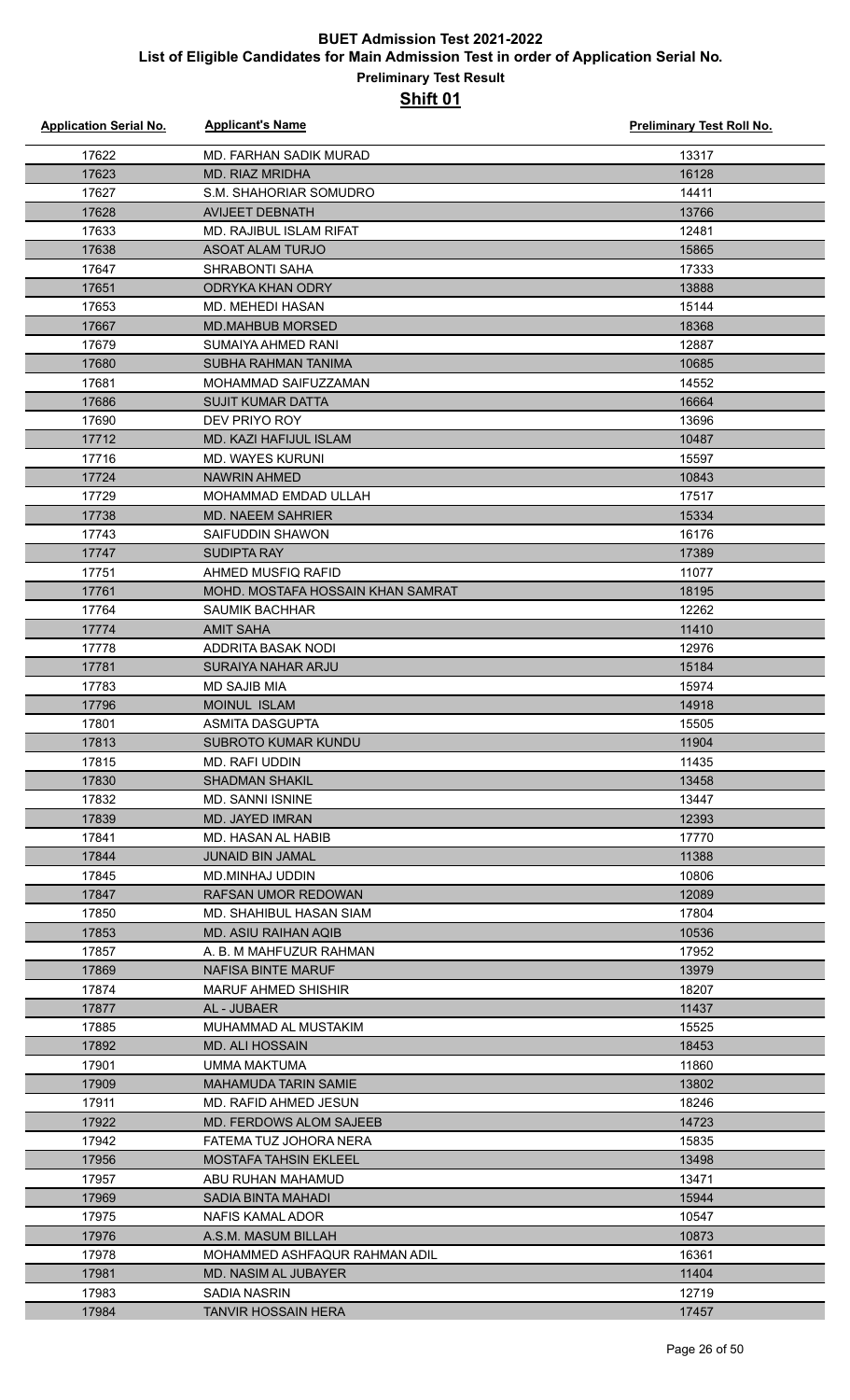| <b>Application Serial No.</b> | <b>Applicant's Name</b>                         | <b>Preliminary Test Roll No.</b> |
|-------------------------------|-------------------------------------------------|----------------------------------|
| 17622                         | MD. FARHAN SADIK MURAD                          | 13317                            |
| 17623                         | <b>MD. RIAZ MRIDHA</b>                          | 16128                            |
| 17627                         | S.M. SHAHORIAR SOMUDRO                          | 14411                            |
| 17628                         | <b>AVIJEET DEBNATH</b>                          | 13766                            |
| 17633                         | <b>MD. RAJIBUL ISLAM RIFAT</b>                  | 12481                            |
| 17638                         | <b>ASOAT ALAM TURJO</b>                         | 15865                            |
| 17647                         | SHRABONTI SAHA                                  | 17333                            |
| 17651                         | ODRYKA KHAN ODRY                                | 13888                            |
| 17653                         | <b>MD. MEHEDI HASAN</b>                         | 15144                            |
| 17667                         | <b>MD.MAHBUB MORSED</b>                         | 18368                            |
| 17679                         | SUMAIYA AHMED RANI                              | 12887                            |
| 17680                         | SUBHA RAHMAN TANIMA                             | 10685                            |
| 17681                         | MOHAMMAD SAIFUZZAMAN                            | 14552                            |
| 17686                         | <b>SUJIT KUMAR DATTA</b>                        | 16664                            |
| 17690                         | DEV PRIYO ROY                                   | 13696                            |
| 17712                         | MD. KAZI HAFIJUL ISLAM                          | 10487                            |
| 17716                         | <b>MD. WAYES KURUNI</b>                         | 15597                            |
| 17724                         | <b>NAWRIN AHMED</b>                             | 10843                            |
| 17729                         | MOHAMMAD EMDAD ULLAH                            | 17517                            |
| 17738                         | <b>MD. NAEEM SAHRIER</b>                        | 15334                            |
| 17743                         | SAIFUDDIN SHAWON                                | 16176                            |
| 17747                         | <b>SUDIPTA RAY</b>                              | 17389                            |
| 17751                         | AHMED MUSFIQ RAFID                              | 11077                            |
| 17761                         | MOHD. MOSTAFA HOSSAIN KHAN SAMRAT               | 18195                            |
| 17764                         | <b>SAUMIK BACHHAR</b>                           | 12262                            |
| 17774                         | <b>AMIT SAHA</b>                                | 11410                            |
| 17778<br>17781                | ADDRITA BASAK NODI<br><b>SURAIYA NAHAR ARJU</b> | 12976<br>15184                   |
| 17783                         | <b>MD SAJIB MIA</b>                             | 15974                            |
| 17796                         | MOINUL ISLAM                                    | 14918                            |
| 17801                         | <b>ASMITA DASGUPTA</b>                          | 15505                            |
| 17813                         | SUBROTO KUMAR KUNDU                             | 11904                            |
| 17815                         | MD. RAFI UDDIN                                  | 11435                            |
| 17830                         | <b>SHADMAN SHAKIL</b>                           | 13458                            |
| 17832                         | <b>MD. SANNI ISNINE</b>                         | 13447                            |
| 17839                         | <b>MD. JAYED IMRAN</b>                          | 12393                            |
| 17841                         | MD. HASAN AL HABIB                              | 17770                            |
| 17844                         | <b>JUNAID BIN JAMAL</b>                         | 11388                            |
| 17845                         | <b>MD.MINHAJ UDDIN</b>                          | 10806                            |
| 17847                         | RAFSAN UMOR REDOWAN                             | 12089                            |
| 17850                         | <b>MD. SHAHIBUL HASAN SIAM</b>                  | 17804                            |
| 17853                         | <b>MD. ASIU RAIHAN AQIB</b>                     | 10536                            |
| 17857                         | A. B. M MAHFUZUR RAHMAN                         | 17952                            |
| 17869                         | NAFISA BINTE MARUF                              | 13979                            |
| 17874                         | <b>MARUF AHMED SHISHIR</b>                      | 18207                            |
| 17877                         | AL - JUBAER                                     | 11437                            |
| 17885                         | MUHAMMAD AL MUSTAKIM                            | 15525                            |
| 17892                         | <b>MD. ALI HOSSAIN</b>                          | 18453<br>11860                   |
| 17901<br>17909                | UMMA MAKTUMA<br>MAHAMUDA TARIN SAMIE            | 13802                            |
| 17911                         | MD. RAFID AHMED JESUN                           | 18246                            |
| 17922                         | MD. FERDOWS ALOM SAJEEB                         | 14723                            |
| 17942                         | FATEMA TUZ JOHORA NERA                          | 15835                            |
| 17956                         | <b>MOSTAFA TAHSIN EKLEEL</b>                    | 13498                            |
| 17957                         | ABU RUHAN MAHAMUD                               | 13471                            |
| 17969                         | SADIA BINTA MAHADI                              | 15944                            |
| 17975                         | NAFIS KAMAL ADOR                                | 10547                            |
| 17976                         | A.S.M. MASUM BILLAH                             | 10873                            |
| 17978                         | MOHAMMED ASHFAQUR RAHMAN ADIL                   | 16361                            |
| 17981                         | <b>MD. NASIM AL JUBAYER</b>                     | 11404                            |
| 17983                         | SADIA NASRIN                                    | 12719                            |
| 17984                         | <b>TANVIR HOSSAIN HERA</b>                      | 17457                            |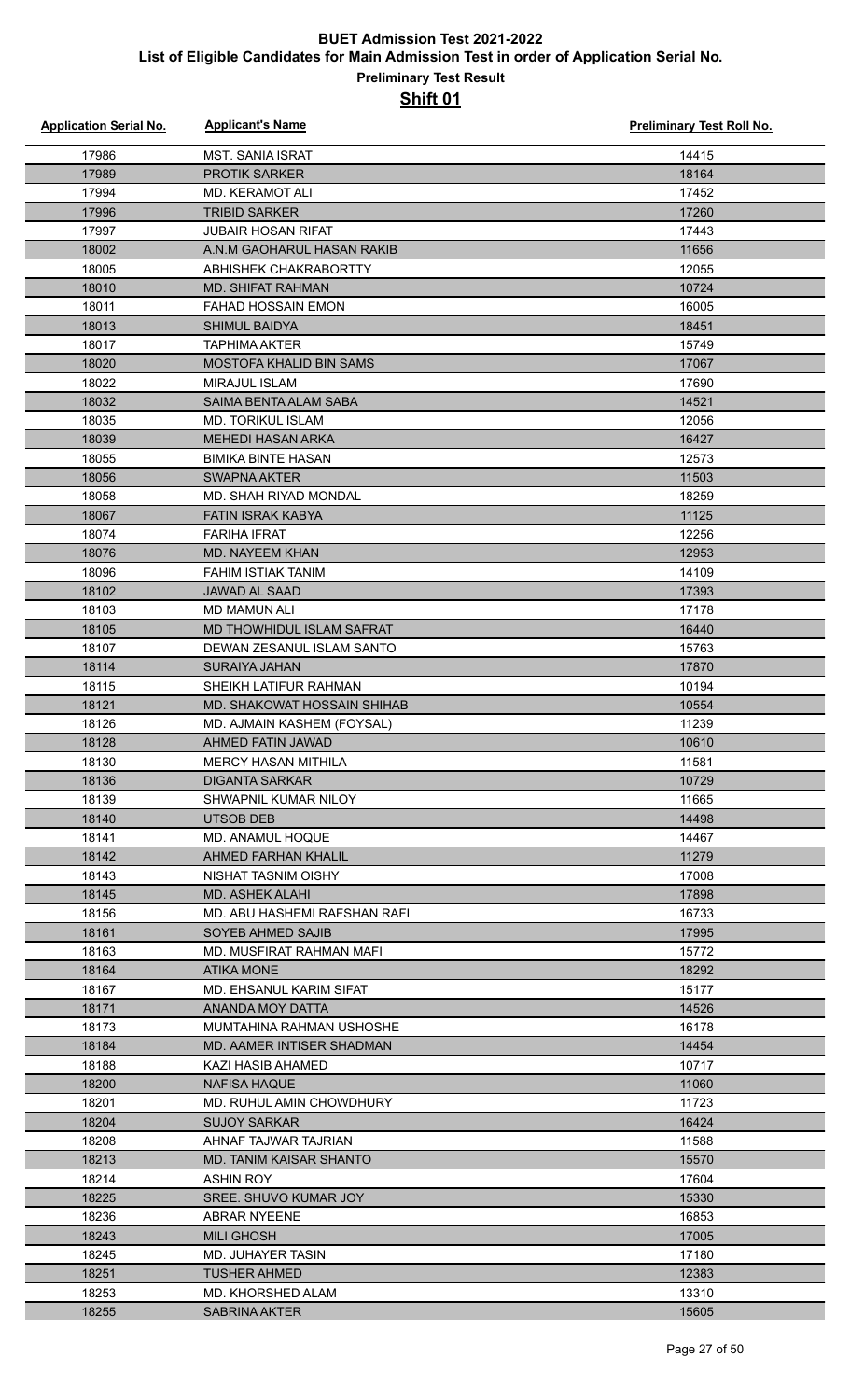| <b>Application Serial No.</b> | <b>Applicant's Name</b>          | <b>Preliminary Test Roll No.</b> |
|-------------------------------|----------------------------------|----------------------------------|
| 17986                         | <b>MST. SANIA ISRAT</b>          | 14415                            |
| 17989                         | <b>PROTIK SARKER</b>             | 18164                            |
| 17994                         | <b>MD. KERAMOT ALI</b>           | 17452                            |
| 17996                         | <b>TRIBID SARKER</b>             | 17260                            |
| 17997                         | <b>JUBAIR HOSAN RIFAT</b>        | 17443                            |
| 18002                         | A.N.M GAOHARUL HASAN RAKIB       | 11656                            |
| 18005                         | ABHISHEK CHAKRABORTTY            | 12055                            |
| 18010                         | <b>MD. SHIFAT RAHMAN</b>         | 10724                            |
| 18011                         | <b>FAHAD HOSSAIN EMON</b>        | 16005                            |
| 18013                         | <b>SHIMUL BAIDYA</b>             | 18451                            |
| 18017                         | <b>TAPHIMA AKTER</b>             | 15749                            |
| 18020                         | <b>MOSTOFA KHALID BIN SAMS</b>   | 17067                            |
| 18022                         | <b>MIRAJUL ISLAM</b>             | 17690                            |
| 18032                         | SAIMA BENTA ALAM SABA            | 14521                            |
| 18035                         | <b>MD. TORIKUL ISLAM</b>         | 12056                            |
| 18039                         | <b>MEHEDI HASAN ARKA</b>         | 16427                            |
| 18055                         | <b>BIMIKA BINTE HASAN</b>        | 12573                            |
| 18056                         | SWAPNA AKTER                     | 11503                            |
| 18058                         | <b>MD. SHAH RIYAD MONDAL</b>     | 18259                            |
| 18067                         | <b>FATIN ISRAK KABYA</b>         | 11125                            |
| 18074                         | <b>FARIHA IFRAT</b>              | 12256                            |
| 18076                         | <b>MD. NAYEEM KHAN</b>           | 12953                            |
| 18096                         | <b>FAHIM ISTIAK TANIM</b>        | 14109                            |
| 18102                         | <b>JAWAD AL SAAD</b>             | 17393                            |
| 18103                         | <b>MD MAMUN ALI</b>              | 17178                            |
| 18105                         | <b>MD THOWHIDUL ISLAM SAFRAT</b> | 16440                            |
| 18107                         | DEWAN ZESANUL ISLAM SANTO        | 15763                            |
| 18114                         | <b>SURAIYA JAHAN</b>             | 17870                            |
| 18115                         | SHEIKH LATIFUR RAHMAN            | 10194                            |
| 18121                         | MD. SHAKOWAT HOSSAIN SHIHAB      | 10554                            |
| 18126                         | MD. AJMAIN KASHEM (FOYSAL)       | 11239                            |
| 18128                         | AHMED FATIN JAWAD                | 10610                            |
| 18130                         | <b>MERCY HASAN MITHILA</b>       | 11581                            |
| 18136                         | <b>DIGANTA SARKAR</b>            | 10729                            |
| 18139                         | SHWAPNIL KUMAR NILOY             | 11665                            |
| 18140                         | UTSOB DEB                        | 14498                            |
| 18141                         | MD. ANAMUL HOQUE                 | 14467                            |
| 18142                         | AHMED FARHAN KHALIL              | 11279                            |
| 18143                         | NISHAT TASNIM OISHY              | 17008                            |
| 18145                         | MD. ASHEK ALAHI                  | 17898                            |
| 18156                         | MD. ABU HASHEMI RAFSHAN RAFI     | 16733                            |
| 18161                         | SOYEB AHMED SAJIB                | 17995                            |
| 18163                         | MD. MUSFIRAT RAHMAN MAFI         | 15772                            |
| 18164                         | ATIKA MONE                       | 18292                            |
| 18167                         | MD. EHSANUL KARIM SIFAT          | 15177                            |
| 18171                         | ANANDA MOY DATTA                 | 14526                            |
| 18173                         | MUMTAHINA RAHMAN USHOSHE         | 16178                            |
| 18184                         | MD. AAMER INTISER SHADMAN        | 14454                            |
| 18188                         | KAZI HASIB AHAMED                | 10717                            |
| 18200                         | NAFISA HAQUE                     | 11060                            |
| 18201                         | MD. RUHUL AMIN CHOWDHURY         | 11723                            |
| 18204                         | <b>SUJOY SARKAR</b>              | 16424                            |
| 18208                         | AHNAF TAJWAR TAJRIAN             | 11588                            |
| 18213                         | MD. TANIM KAISAR SHANTO          | 15570                            |
| 18214                         | ASHIN ROY                        | 17604                            |
| 18225                         | SREE. SHUVO KUMAR JOY            | 15330                            |
| 18236                         | <b>ABRAR NYEENE</b>              | 16853                            |
| 18243                         | <b>MILI GHOSH</b>                | 17005                            |
| 18245                         | MD. JUHAYER TASIN                | 17180                            |
| 18251                         | <b>TUSHER AHMED</b>              | 12383                            |
| 18253                         | MD. KHORSHED ALAM                | 13310                            |
| 18255                         | <b>SABRINA AKTER</b>             | 15605                            |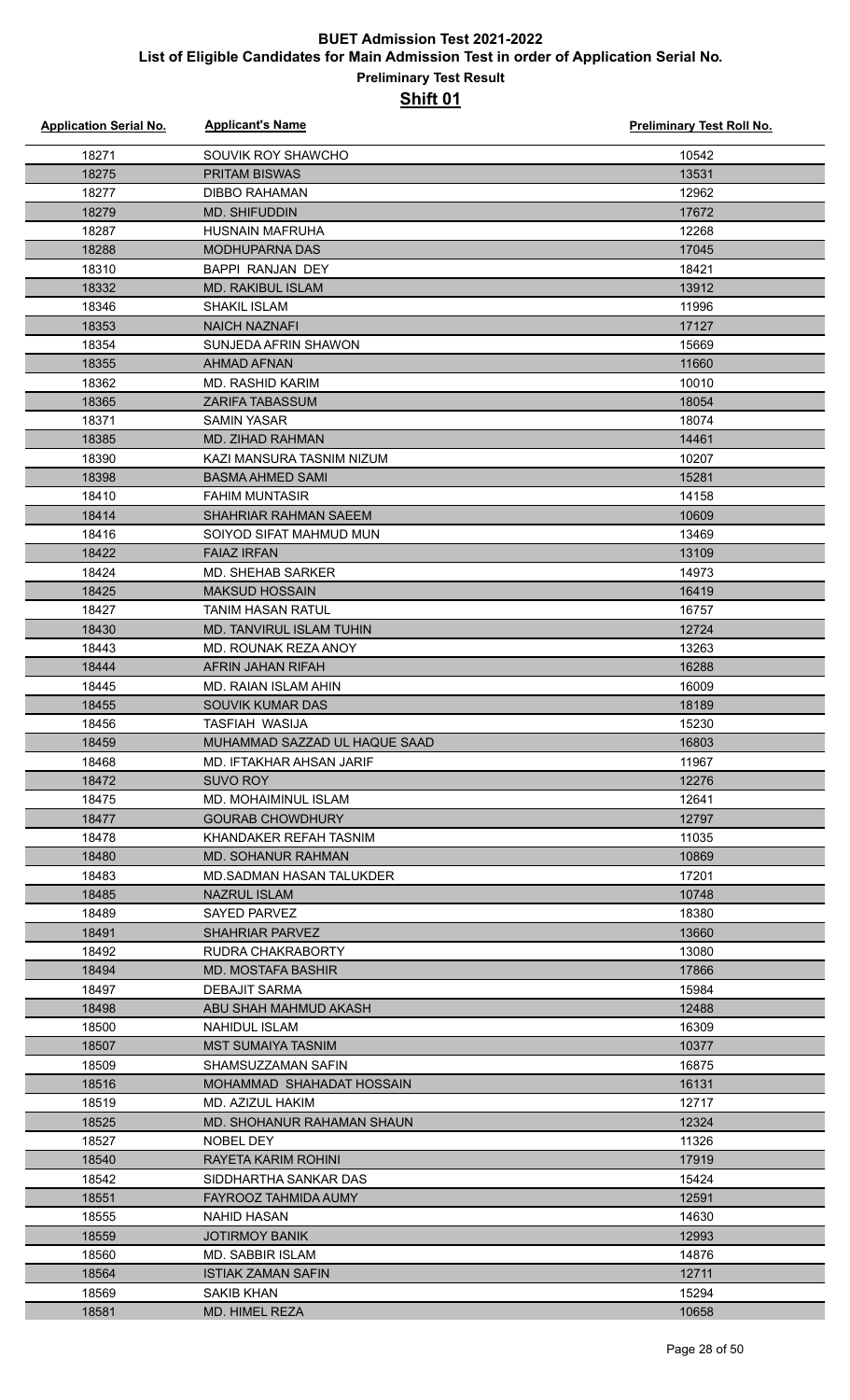| <b>Application Serial No.</b> | <b>Applicant's Name</b>                        | <b>Preliminary Test Roll No.</b> |
|-------------------------------|------------------------------------------------|----------------------------------|
| 18271                         | SOUVIK ROY SHAWCHO                             | 10542                            |
| 18275                         | <b>PRITAM BISWAS</b>                           | 13531                            |
| 18277                         | <b>DIBBO RAHAMAN</b>                           | 12962                            |
| 18279                         | <b>MD. SHIFUDDIN</b>                           | 17672                            |
| 18287                         | <b>HUSNAIN MAFRUHA</b>                         | 12268                            |
| 18288                         | <b>MODHUPARNA DAS</b>                          | 17045                            |
| 18310                         | BAPPI RANJAN DEY                               | 18421                            |
| 18332                         | MD. RAKIBUL ISLAM                              | 13912                            |
| 18346                         | SHAKIL ISLAM                                   | 11996                            |
| 18353                         | <b>NAICH NAZNAFI</b>                           | 17127                            |
| 18354                         | SUNJEDA AFRIN SHAWON                           | 15669                            |
| 18355                         | <b>AHMAD AFNAN</b>                             | 11660                            |
| 18362                         | MD. RASHID KARIM                               | 10010                            |
| 18365                         | <b>ZARIFA TABASSUM</b>                         | 18054                            |
| 18371                         | <b>SAMIN YASAR</b>                             | 18074                            |
| 18385                         | MD. ZIHAD RAHMAN                               | 14461                            |
| 18390                         | KAZI MANSURA TASNIM NIZUM                      | 10207                            |
| 18398                         | <b>BASMA AHMED SAMI</b>                        | 15281                            |
| 18410                         | <b>FAHIM MUNTASIR</b>                          | 14158                            |
| 18414                         | SHAHRIAR RAHMAN SAEEM                          | 10609                            |
| 18416                         | SOIYOD SIFAT MAHMUD MUN                        | 13469                            |
| 18422                         | <b>FAIAZ IRFAN</b>                             | 13109                            |
| 18424                         | <b>MD. SHEHAB SARKER</b>                       | 14973                            |
| 18425                         | <b>MAKSUD HOSSAIN</b>                          | 16419                            |
| 18427                         | <b>TANIM HASAN RATUL</b>                       | 16757                            |
| 18430                         | <b>MD. TANVIRUL ISLAM TUHIN</b>                | 12724                            |
| 18443                         | MD. ROUNAK REZA ANOY                           | 13263                            |
| 18444                         | <b>AFRIN JAHAN RIFAH</b>                       | 16288                            |
| 18445                         | MD. RAIAN ISLAM AHIN                           | 16009                            |
| 18455                         | SOUVIK KUMAR DAS                               | 18189                            |
| 18456                         | <b>TASFIAH WASIJA</b>                          | 15230                            |
| 18459                         | MUHAMMAD SAZZAD UL HAQUE SAAD                  | 16803                            |
| 18468                         | MD. IFTAKHAR AHSAN JARIF                       | 11967                            |
| 18472                         | SUVO ROY                                       | 12276                            |
| 18475                         | MD. MOHAIMINUL ISLAM                           | 12641                            |
| 18477                         | <b>GOURAB CHOWDHURY</b>                        | 12797                            |
| 18478                         | KHANDAKER REFAH TASNIM                         | 11035                            |
| 18480                         | <b>MD. SOHANUR RAHMAN</b>                      | 10869                            |
| 18483                         | MD. SADMAN HASAN TALUKDER                      | 17201                            |
| 18485                         | <b>NAZRUL ISLAM</b>                            | 10748                            |
| 18489                         | SAYED PARVEZ                                   | 18380                            |
| 18491                         | <b>SHAHRIAR PARVEZ</b>                         | 13660                            |
| 18492                         | RUDRA CHAKRABORTY                              | 13080                            |
| 18494                         | MD. MOSTAFA BASHIR                             | 17866                            |
| 18497                         | <b>DEBAJIT SARMA</b>                           | 15984                            |
| 18498                         | ABU SHAH MAHMUD AKASH                          | 12488                            |
| 18500                         | <b>NAHIDUL ISLAM</b>                           | 16309                            |
| 18507                         | <b>MST SUMAIYA TASNIM</b>                      | 10377                            |
| 18509                         | SHAMSUZZAMAN SAFIN                             | 16875                            |
| 18516                         | MOHAMMAD SHAHADAT HOSSAIN                      | 16131                            |
| 18519                         | MD. AZIZUL HAKIM                               | 12717                            |
| 18525                         | MD. SHOHANUR RAHAMAN SHAUN                     | 12324                            |
| 18527                         | NOBEL DEY                                      | 11326                            |
| 18540                         | RAYETA KARIM ROHINI                            | 17919                            |
| 18542                         | SIDDHARTHA SANKAR DAS                          | 15424                            |
| 18551                         | FAYROOZ TAHMIDA AUMY                           | 12591                            |
| 18555                         | NAHID HASAN                                    | 14630                            |
| 18559                         | <b>JOTIRMOY BANIK</b><br>MD. SABBIR ISLAM      | 12993                            |
| 18560                         |                                                | 14876<br>12711                   |
| 18564<br>18569                | <b>ISTIAK ZAMAN SAFIN</b><br><b>SAKIB KHAN</b> | 15294                            |
| 18581                         | MD. HIMEL REZA                                 | 10658                            |
|                               |                                                |                                  |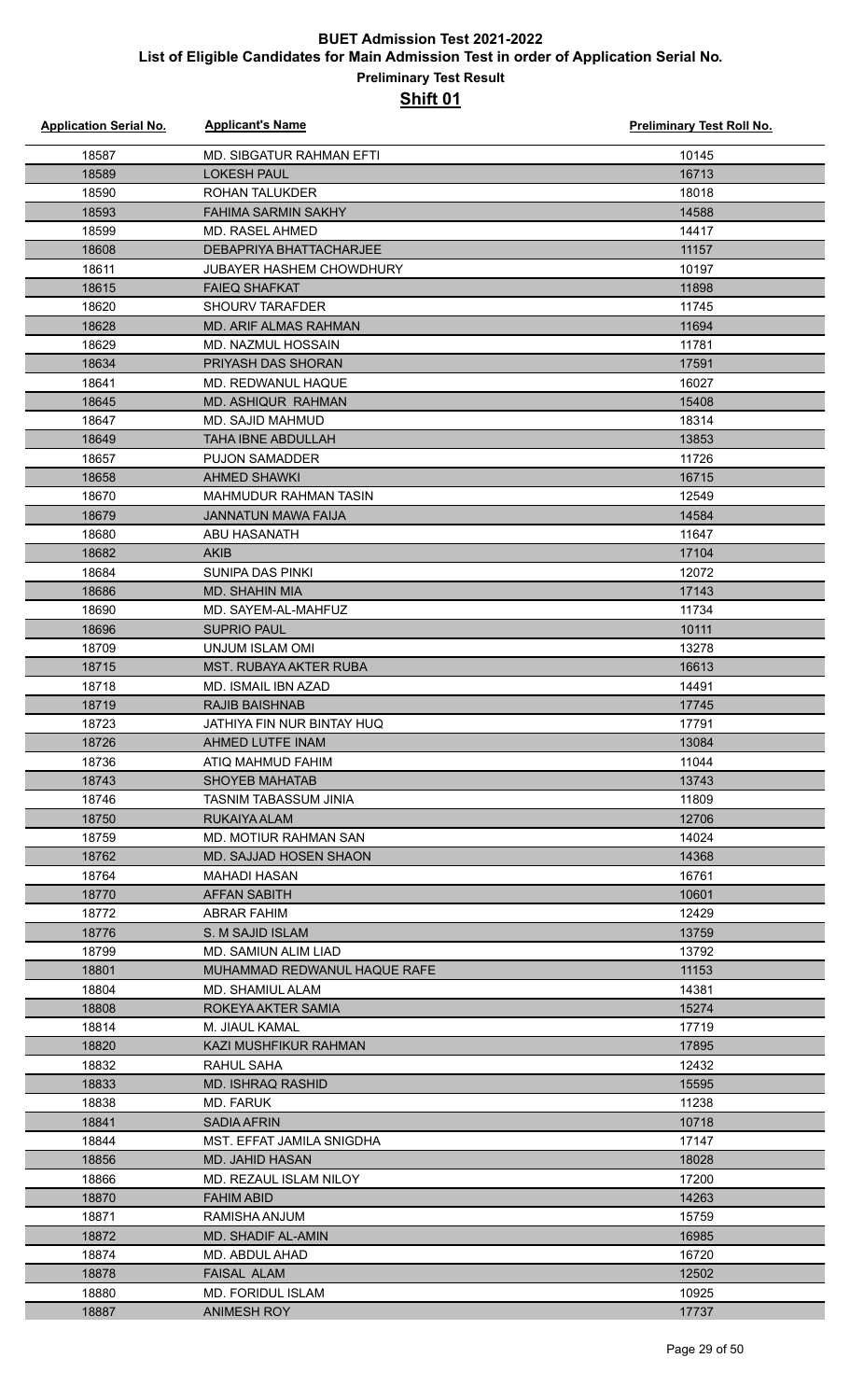| <b>Application Serial No.</b> | <b>Applicant's Name</b>                      | Preliminary Test Roll No. |
|-------------------------------|----------------------------------------------|---------------------------|
| 18587                         | MD. SIBGATUR RAHMAN EFTI                     | 10145                     |
| 18589                         | <b>LOKESH PAUL</b>                           | 16713                     |
| 18590                         | <b>ROHAN TALUKDER</b>                        | 18018                     |
| 18593                         | <b>FAHIMA SARMIN SAKHY</b>                   | 14588                     |
| 18599                         | MD. RASEL AHMED                              | 14417                     |
| 18608                         | <b>DEBAPRIYA BHATTACHARJEE</b>               | 11157                     |
| 18611                         | <b>JUBAYER HASHEM CHOWDHURY</b>              | 10197                     |
| 18615                         | <b>FAIEQ SHAFKAT</b>                         | 11898                     |
| 18620                         | <b>SHOURV TARAFDER</b>                       | 11745                     |
| 18628                         | <b>MD. ARIF ALMAS RAHMAN</b>                 | 11694                     |
| 18629                         | <b>MD. NAZMUL HOSSAIN</b>                    | 11781                     |
| 18634                         | PRIYASH DAS SHORAN                           | 17591                     |
| 18641                         | MD. REDWANUL HAQUE                           | 16027                     |
| 18645                         | <b>MD. ASHIQUR RAHMAN</b>                    | 15408                     |
| 18647                         | MD. SAJID MAHMUD                             | 18314                     |
| 18649                         | <b>TAHA IBNE ABDULLAH</b>                    | 13853                     |
| 18657                         | <b>PUJON SAMADDER</b>                        | 11726                     |
| 18658                         | <b>AHMED SHAWKI</b>                          | 16715                     |
| 18670                         | MAHMUDUR RAHMAN TASIN                        | 12549                     |
| 18679                         | <b>JANNATUN MAWA FAIJA</b>                   | 14584                     |
| 18680                         | ABU HASANATH                                 | 11647                     |
| 18682                         | <b>AKIB</b>                                  | 17104                     |
| 18684                         | SUNIPA DAS PINKI                             | 12072                     |
| 18686                         | <b>MD. SHAHIN MIA</b>                        | 17143                     |
| 18690                         | MD. SAYEM-AL-MAHFUZ                          | 11734                     |
| 18696                         | <b>SUPRIO PAUL</b>                           | 10111                     |
| 18709                         | UNJUM ISLAM OMI                              | 13278                     |
| 18715                         | <b>MST. RUBAYA AKTER RUBA</b>                | 16613                     |
| 18718                         | <b>MD. ISMAIL IBN AZAD</b>                   | 14491                     |
| 18719                         | <b>RAJIB BAISHNAB</b>                        | 17745                     |
| 18723                         | JATHIYA FIN NUR BINTAY HUQ                   | 17791                     |
| 18726                         | AHMED LUTFE INAM                             | 13084                     |
| 18736                         | ATIQ MAHMUD FAHIM                            | 11044                     |
| 18743                         | <b>SHOYEB MAHATAB</b>                        | 13743                     |
| 18746                         | <b>TASNIM TABASSUM JINIA</b>                 | 11809                     |
| 18750<br>18759                | RUKAIYA ALAM<br><b>MD. MOTIUR RAHMAN SAN</b> | 12706<br>14024            |
|                               | <b>MD. SAJJAD HOSEN SHAON</b>                |                           |
| 18762<br>18764                | MAHADI HASAN                                 | 14368<br>16761            |
| 18770                         | <b>AFFAN SABITH</b>                          | 10601                     |
| 18772                         | <b>ABRAR FAHIM</b>                           | 12429                     |
| 18776                         | S. M SAJID ISLAM                             | 13759                     |
| 18799                         | MD. SAMIUN ALIM LIAD                         | 13792                     |
| 18801                         | MUHAMMAD REDWANUL HAQUE RAFE                 | 11153                     |
| 18804                         | MD. SHAMIUL ALAM                             | 14381                     |
| 18808                         | ROKEYA AKTER SAMIA                           | 15274                     |
| 18814                         | M. JIAUL KAMAL                               | 17719                     |
| 18820                         | KAZI MUSHFIKUR RAHMAN                        | 17895                     |
| 18832                         | RAHUL SAHA                                   | 12432                     |
| 18833                         | MD. ISHRAQ RASHID                            | 15595                     |
| 18838                         | MD. FARUK                                    | 11238                     |
| 18841                         | <b>SADIA AFRIN</b>                           | 10718                     |
| 18844                         | MST. EFFAT JAMILA SNIGDHA                    | 17147                     |
| 18856                         | MD. JAHID HASAN                              | 18028                     |
| 18866                         | MD. REZAUL ISLAM NILOY                       | 17200                     |
| 18870                         | <b>FAHIM ABID</b>                            | 14263                     |
| 18871                         | RAMISHA ANJUM                                | 15759                     |
| 18872                         | <b>MD. SHADIF AL-AMIN</b>                    | 16985                     |
| 18874                         | MD. ABDUL AHAD                               | 16720                     |
| 18878                         | <b>FAISAL ALAM</b>                           | 12502                     |
| 18880                         | <b>MD. FORIDUL ISLAM</b>                     | 10925                     |
| 18887                         | <b>ANIMESH ROY</b>                           | 17737                     |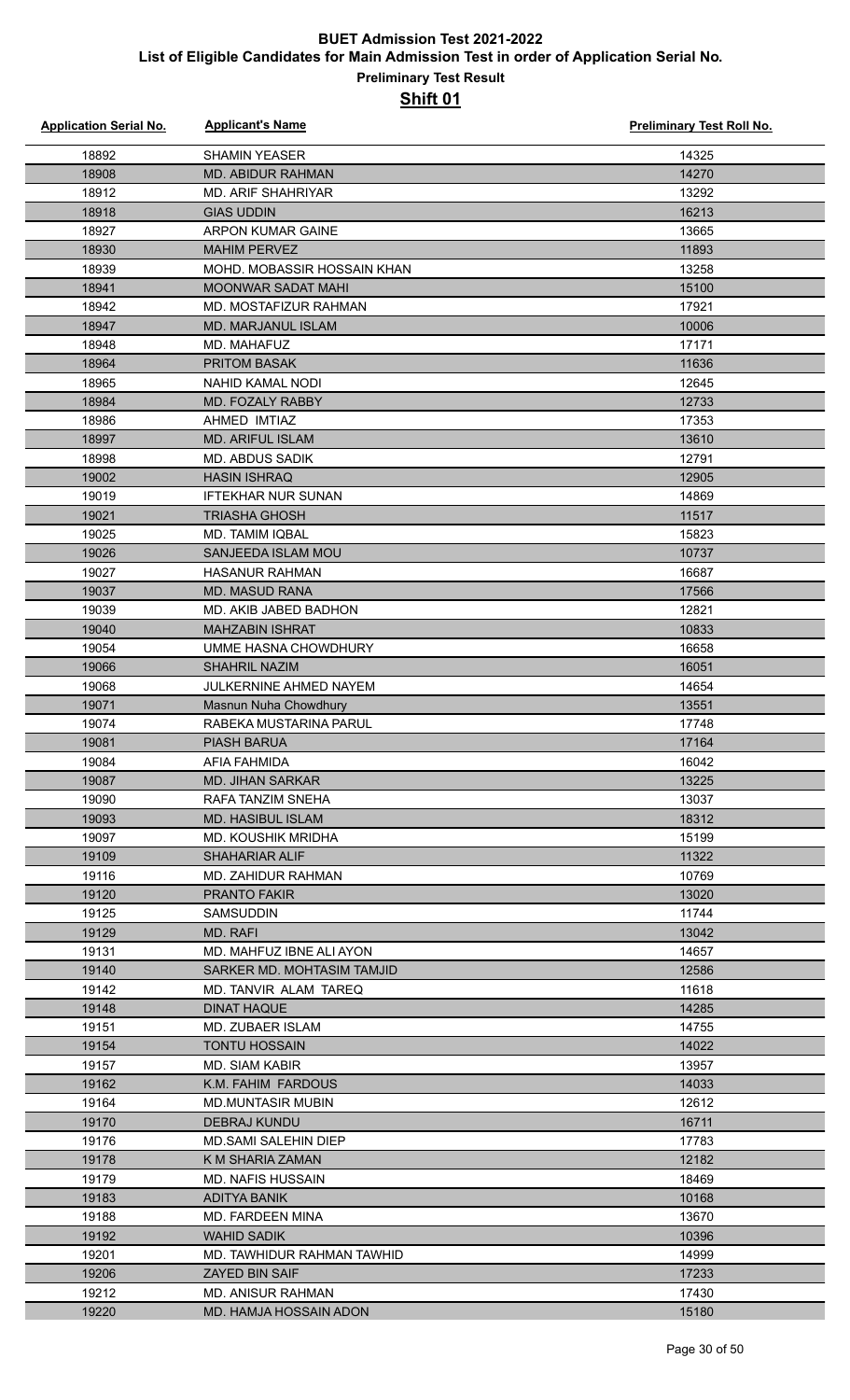| <b>Application Serial No.</b> | <b>Applicant's Name</b>       | <b>Preliminary Test Roll No.</b> |
|-------------------------------|-------------------------------|----------------------------------|
| 18892                         | <b>SHAMIN YEASER</b>          | 14325                            |
| 18908                         | <b>MD. ABIDUR RAHMAN</b>      | 14270                            |
| 18912                         | <b>MD. ARIF SHAHRIYAR</b>     | 13292                            |
| 18918                         | <b>GIAS UDDIN</b>             | 16213                            |
| 18927                         | <b>ARPON KUMAR GAINE</b>      | 13665                            |
| 18930                         | <b>MAHIM PERVEZ</b>           | 11893                            |
| 18939                         | MOHD. MOBASSIR HOSSAIN KHAN   | 13258                            |
| 18941                         | <b>MOONWAR SADAT MAHI</b>     | 15100                            |
| 18942                         | MD. MOSTAFIZUR RAHMAN         | 17921                            |
| 18947                         | <b>MD. MARJANUL ISLAM</b>     | 10006                            |
| 18948                         | MD. MAHAFUZ                   | 17171                            |
| 18964                         | <b>PRITOM BASAK</b>           | 11636                            |
| 18965                         | <b>NAHID KAMAL NODI</b>       | 12645                            |
| 18984                         | MD. FOZALY RABBY              | 12733                            |
| 18986                         | AHMED IMTIAZ                  | 17353                            |
| 18997                         | <b>MD. ARIFUL ISLAM</b>       | 13610                            |
| 18998                         | MD. ABDUS SADIK               | 12791                            |
| 19002                         | <b>HASIN ISHRAQ</b>           | 12905                            |
| 19019                         | <b>IFTEKHAR NUR SUNAN</b>     | 14869                            |
| 19021                         | <b>TRIASHA GHOSH</b>          | 11517                            |
| 19025                         | <b>MD. TAMIM IQBAL</b>        | 15823                            |
| 19026                         | SANJEEDA ISLAM MOU            | 10737                            |
| 19027                         | <b>HASANUR RAHMAN</b>         | 16687                            |
| 19037                         | <b>MD. MASUD RANA</b>         | 17566                            |
| 19039                         | MD. AKIB JABED BADHON         | 12821                            |
| 19040                         | <b>MAHZABIN ISHRAT</b>        | 10833                            |
| 19054                         | UMME HASNA CHOWDHURY          | 16658                            |
| 19066                         | <b>SHAHRIL NAZIM</b>          | 16051                            |
| 19068                         | <b>JULKERNINE AHMED NAYEM</b> | 14654                            |
| 19071                         | Masnun Nuha Chowdhury         | 13551                            |
| 19074                         | RABEKA MUSTARINA PARUL        | 17748                            |
| 19081                         | PIASH BARUA                   | 17164                            |
| 19084                         | AFIA FAHMIDA                  | 16042                            |
| 19087                         | <b>MD. JIHAN SARKAR</b>       | 13225                            |
| 19090                         | RAFA TANZIM SNEHA             | 13037                            |
| 19093                         | <b>MD. HASIBUL ISLAM</b>      | 18312                            |
| 19097                         | <b>MD. KOUSHIK MRIDHA</b>     | 15199                            |
| 19109                         | <b>SHAHARIAR ALIF</b>         | 11322                            |
| 19116                         | MD. ZAHIDUR RAHMAN            | 10769                            |
| 19120                         | <b>PRANTO FAKIR</b>           | 13020                            |
| 19125                         | <b>SAMSUDDIN</b>              | 11744                            |
| 19129                         | <b>MD. RAFI</b>               | 13042                            |
| 19131                         | MD. MAHFUZ IBNE ALI AYON      | 14657                            |
| 19140                         | SARKER MD. MOHTASIM TAMJID    | 12586                            |
| 19142                         | MD. TANVIR ALAM TAREQ         | 11618                            |
| 19148                         | <b>DINAT HAQUE</b>            | 14285                            |
| 19151                         | <b>MD. ZUBAER ISLAM</b>       | 14755                            |
| 19154                         | <b>TONTU HOSSAIN</b>          | 14022                            |
| 19157                         | MD. SIAM KABIR                | 13957                            |
| 19162                         | K.M. FAHIM FARDOUS            | 14033                            |
| 19164                         | <b>MD.MUNTASIR MUBIN</b>      | 12612                            |
| 19170                         | DEBRAJ KUNDU                  | 16711                            |
| 19176                         | <b>MD.SAMI SALEHIN DIEP</b>   | 17783                            |
| 19178                         | K M SHARIA ZAMAN              | 12182                            |
| 19179                         | <b>MD. NAFIS HUSSAIN</b>      | 18469                            |
| 19183                         | <b>ADITYA BANIK</b>           | 10168                            |
| 19188                         | MD. FARDEEN MINA              | 13670                            |
| 19192                         | <b>WAHID SADIK</b>            | 10396                            |
| 19201                         | MD. TAWHIDUR RAHMAN TAWHID    | 14999                            |
| 19206                         | <b>ZAYED BIN SAIF</b>         | 17233                            |
| 19212                         | <b>MD. ANISUR RAHMAN</b>      | 17430                            |
| 19220                         | MD. HAMJA HOSSAIN ADON        | 15180                            |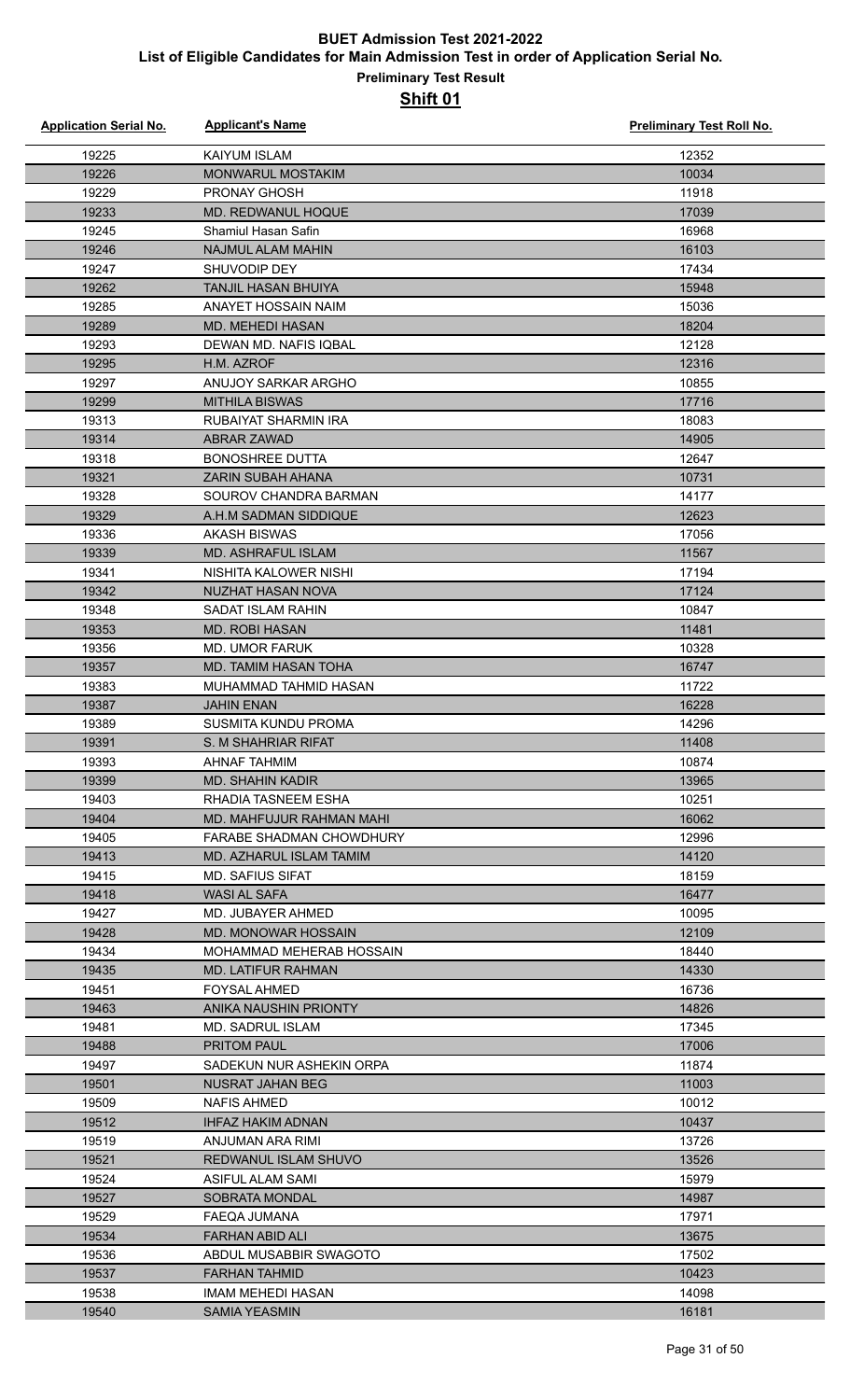| <b>Application Serial No.</b> | <b>Applicant's Name</b>                  | Preliminary Test Roll No. |
|-------------------------------|------------------------------------------|---------------------------|
| 19225                         | <b>KAIYUM ISLAM</b>                      | 12352                     |
| 19226                         | <b>MONWARUL MOSTAKIM</b>                 | 10034                     |
| 19229                         | PRONAY GHOSH                             | 11918                     |
| 19233                         | <b>MD. REDWANUL HOQUE</b>                | 17039                     |
| 19245                         | Shamiul Hasan Safin                      | 16968                     |
| 19246                         | <b>NAJMUL ALAM MAHIN</b>                 | 16103                     |
| 19247                         | SHUVODIP DEY                             | 17434                     |
| 19262                         | <b>TANJIL HASAN BHUIYA</b>               | 15948                     |
| 19285                         | ANAYET HOSSAIN NAIM                      | 15036                     |
| 19289                         | MD. MEHEDI HASAN                         | 18204                     |
| 19293                         | DEWAN MD. NAFIS IQBAL                    | 12128                     |
| 19295                         | H.M. AZROF                               | 12316                     |
| 19297                         | ANUJOY SARKAR ARGHO                      | 10855                     |
| 19299                         | <b>MITHILA BISWAS</b>                    | 17716                     |
| 19313                         | <b>RUBAIYAT SHARMIN IRA</b>              | 18083                     |
| 19314                         | <b>ABRAR ZAWAD</b>                       | 14905                     |
| 19318                         | <b>BONOSHREE DUTTA</b>                   | 12647                     |
| 19321                         | <b>ZARIN SUBAH AHANA</b>                 | 10731                     |
| 19328                         | SOUROV CHANDRA BARMAN                    | 14177                     |
| 19329                         | A.H.M SADMAN SIDDIQUE                    | 12623                     |
| 19336                         | <b>AKASH BISWAS</b>                      | 17056                     |
| 19339                         | MD. ASHRAFUL ISLAM                       | 11567                     |
| 19341                         | NISHITA KALOWER NISHI                    | 17194                     |
| 19342                         | NUZHAT HASAN NOVA                        | 17124                     |
| 19348                         | <b>SADAT ISLAM RAHIN</b>                 | 10847                     |
| 19353                         | <b>MD. ROBI HASAN</b>                    | 11481                     |
| 19356                         | <b>MD. UMOR FARUK</b>                    | 10328                     |
| 19357                         | MD. TAMIM HASAN TOHA                     | 16747                     |
| 19383                         | MUHAMMAD TAHMID HASAN                    | 11722                     |
| 19387                         | <b>JAHIN ENAN</b>                        | 16228                     |
| 19389                         | <b>SUSMITA KUNDU PROMA</b>               | 14296                     |
| 19391                         | S. M SHAHRIAR RIFAT                      | 11408                     |
| 19393                         | AHNAF TAHMIM                             | 10874                     |
| 19399                         | <b>MD. SHAHIN KADIR</b>                  | 13965                     |
| 19403                         | RHADIA TASNEEM ESHA                      | 10251                     |
| 19404                         | MD. MAHFUJUR RAHMAN MAHI                 | 16062                     |
| 19405                         | <b>FARABE SHADMAN CHOWDHURY</b>          | 12996                     |
| 19413                         | MD. AZHARUL ISLAM TAMIM                  | 14120                     |
| 19415                         | MD. SAFIUS SIFAT                         | 18159                     |
| 19418<br>19427                | <b>WASI AL SAFA</b><br>MD. JUBAYER AHMED | 16477<br>10095            |
| 19428                         | <b>MD. MONOWAR HOSSAIN</b>               | 12109                     |
| 19434                         | MOHAMMAD MEHERAB HOSSAIN                 | 18440                     |
| 19435                         | <b>MD. LATIFUR RAHMAN</b>                | 14330                     |
| 19451                         | <b>FOYSAL AHMED</b>                      | 16736                     |
| 19463                         | ANIKA NAUSHIN PRIONTY                    | 14826                     |
| 19481                         | MD. SADRUL ISLAM                         | 17345                     |
| 19488                         | <b>PRITOM PAUL</b>                       | 17006                     |
| 19497                         | SADEKUN NUR ASHEKIN ORPA                 | 11874                     |
| 19501                         | NUSRAT JAHAN BEG                         | 11003                     |
| 19509                         | NAFIS AHMED                              | 10012                     |
| 19512                         | <b>IHFAZ HAKIM ADNAN</b>                 | 10437                     |
| 19519                         | ANJUMAN ARA RIMI                         | 13726                     |
| 19521                         | REDWANUL ISLAM SHUVO                     | 13526                     |
| 19524                         | ASIFUL ALAM SAMI                         | 15979                     |
| 19527                         | <b>SOBRATA MONDAL</b>                    | 14987                     |
| 19529                         | FAEQA JUMANA                             | 17971                     |
| 19534                         | FARHAN ABID ALI                          | 13675                     |
| 19536                         | ABDUL MUSABBIR SWAGOTO                   | 17502                     |
| 19537                         | <b>FARHAN TAHMID</b>                     | 10423                     |
| 19538                         | IMAM MEHEDI HASAN                        | 14098                     |
| 19540                         | <b>SAMIA YEASMIN</b>                     | 16181                     |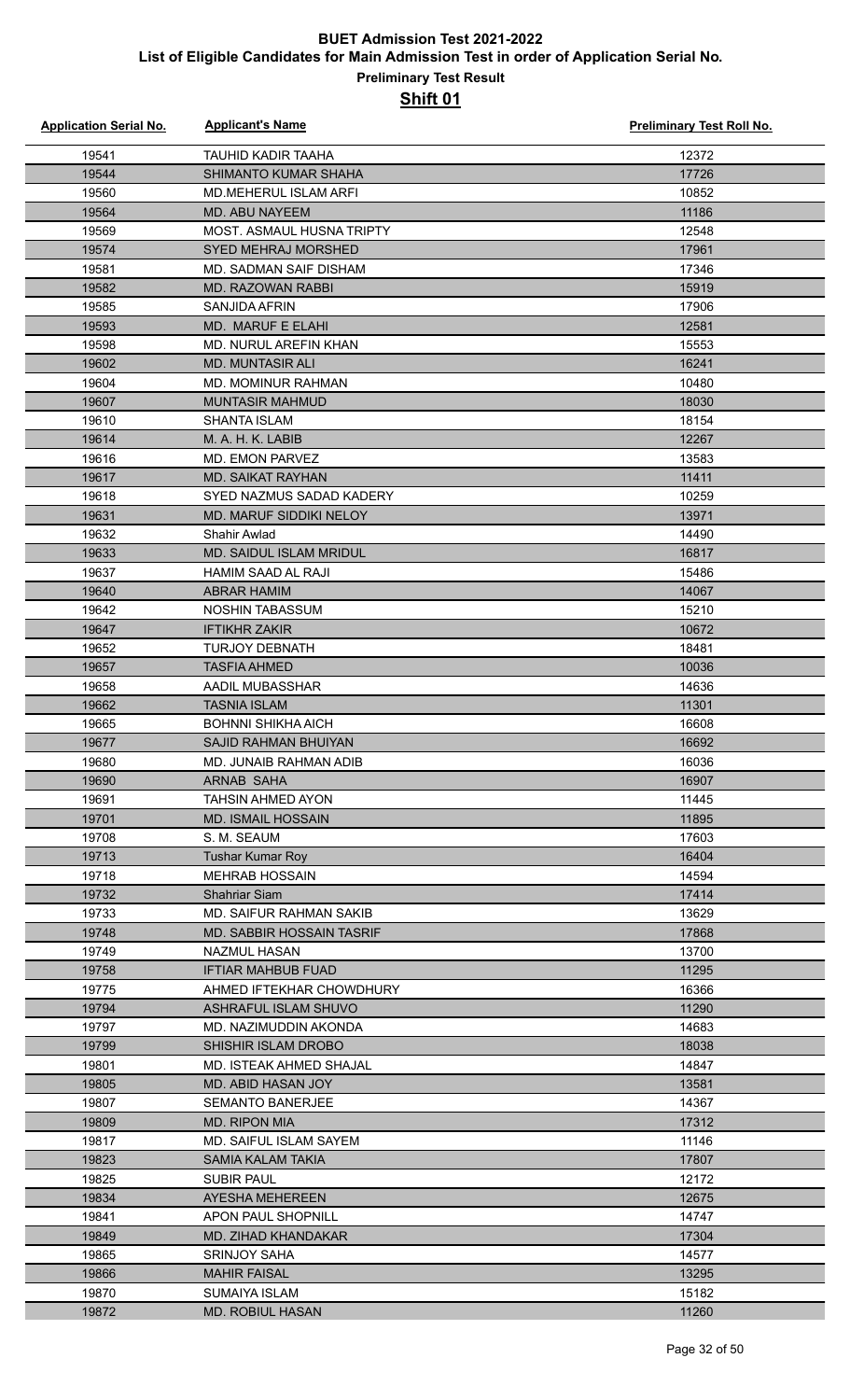| <b>Application Serial No.</b> | <b>Applicant's Name</b>          | Preliminary Test Roll No. |
|-------------------------------|----------------------------------|---------------------------|
| 19541                         | <b>TAUHID KADIR TAAHA</b>        | 12372                     |
| 19544                         | SHIMANTO KUMAR SHAHA             | 17726                     |
| 19560                         | <b>MD.MEHERUL ISLAM ARFI</b>     | 10852                     |
| 19564                         | <b>MD. ABU NAYEEM</b>            | 11186                     |
| 19569                         | <b>MOST. ASMAUL HUSNA TRIPTY</b> | 12548                     |
| 19574                         | <b>SYED MEHRAJ MORSHED</b>       | 17961                     |
| 19581                         | <b>MD. SADMAN SAIF DISHAM</b>    | 17346                     |
| 19582                         | <b>MD. RAZOWAN RABBI</b>         | 15919                     |
| 19585                         | SANJIDA AFRIN                    | 17906                     |
| 19593                         | MD. MARUF E ELAHI                | 12581                     |
| 19598                         | MD. NURUL AREFIN KHAN            | 15553                     |
| 19602                         | <b>MD. MUNTASIR ALI</b>          | 16241                     |
| 19604                         | <b>MD. MOMINUR RAHMAN</b>        | 10480                     |
| 19607                         | <b>MUNTASIR MAHMUD</b>           | 18030                     |
| 19610                         | <b>SHANTA ISLAM</b>              | 18154                     |
| 19614                         | M. A. H. K. LABIB                | 12267                     |
| 19616                         | <b>MD. EMON PARVEZ</b>           | 13583                     |
| 19617                         | <b>MD. SAIKAT RAYHAN</b>         | 11411                     |
| 19618                         | SYED NAZMUS SADAD KADERY         | 10259                     |
| 19631                         | MD. MARUF SIDDIKI NELOY          | 13971                     |
| 19632                         | <b>Shahir Awlad</b>              | 14490                     |
| 19633                         | MD. SAIDUL ISLAM MRIDUL          | 16817                     |
| 19637                         | <b>HAMIM SAAD AL RAJI</b>        | 15486                     |
| 19640                         | <b>ABRAR HAMIM</b>               | 14067                     |
| 19642                         | <b>NOSHIN TABASSUM</b>           | 15210                     |
| 19647                         | <b>IFTIKHR ZAKIR</b>             | 10672                     |
| 19652                         | <b>TURJOY DEBNATH</b>            | 18481                     |
| 19657                         | <b>TASFIA AHMED</b>              | 10036                     |
| 19658                         | AADIL MUBASSHAR                  | 14636                     |
| 19662                         | <b>TASNIA ISLAM</b>              | 11301                     |
| 19665                         | <b>BOHNNI SHIKHA AICH</b>        | 16608                     |
| 19677                         | SAJID RAHMAN BHUIYAN             | 16692                     |
| 19680                         | MD. JUNAIB RAHMAN ADIB           | 16036                     |
| 19690                         | ARNAB SAHA                       | 16907                     |
| 19691                         | TAHSIN AHMED AYON                | 11445                     |
| 19701                         | <b>MD. ISMAIL HOSSAIN</b>        | 11895                     |
| 19708                         | S. M. SEAUM                      | 17603                     |
| 19713                         | <b>Tushar Kumar Roy</b>          | 16404                     |
| 19718                         | <b>MEHRAB HOSSAIN</b>            | 14594                     |
| 19732                         | <b>Shahriar Siam</b>             | 17414                     |
| 19733                         | MD. SAIFUR RAHMAN SAKIB          | 13629                     |
| 19748                         | MD. SABBIR HOSSAIN TASRIF        | 17868                     |
| 19749                         | NAZMUL HASAN                     | 13700                     |
| 19758                         | <b>IFTIAR MAHBUB FUAD</b>        | 11295                     |
| 19775                         | AHMED IFTEKHAR CHOWDHURY         | 16366                     |
| 19794                         | ASHRAFUL ISLAM SHUVO             | 11290                     |
| 19797                         | MD. NAZIMUDDIN AKONDA            | 14683                     |
| 19799                         | SHISHIR ISLAM DROBO              | 18038                     |
| 19801                         | MD. ISTEAK AHMED SHAJAL          | 14847                     |
| 19805                         | <b>MD. ABID HASAN JOY</b>        | 13581                     |
| 19807                         | <b>SEMANTO BANERJEE</b>          | 14367                     |
| 19809                         | <b>MD. RIPON MIA</b>             | 17312                     |
| 19817                         | <b>MD. SAIFUL ISLAM SAYEM</b>    | 11146                     |
| 19823                         | SAMIA KALAM TAKIA                | 17807                     |
| 19825                         | <b>SUBIR PAUL</b>                | 12172                     |
| 19834                         | AYESHA MEHEREEN                  | 12675                     |
| 19841                         | APON PAUL SHOPNILL               | 14747                     |
| 19849                         | MD. ZIHAD KHANDAKAR              | 17304                     |
| 19865                         | <b>SRINJOY SAHA</b>              | 14577                     |
| 19866                         | <b>MAHIR FAISAL</b>              | 13295                     |
| 19870                         | <b>SUMAIYA ISLAM</b>             | 15182                     |
| 19872                         | MD. ROBIUL HASAN                 | 11260                     |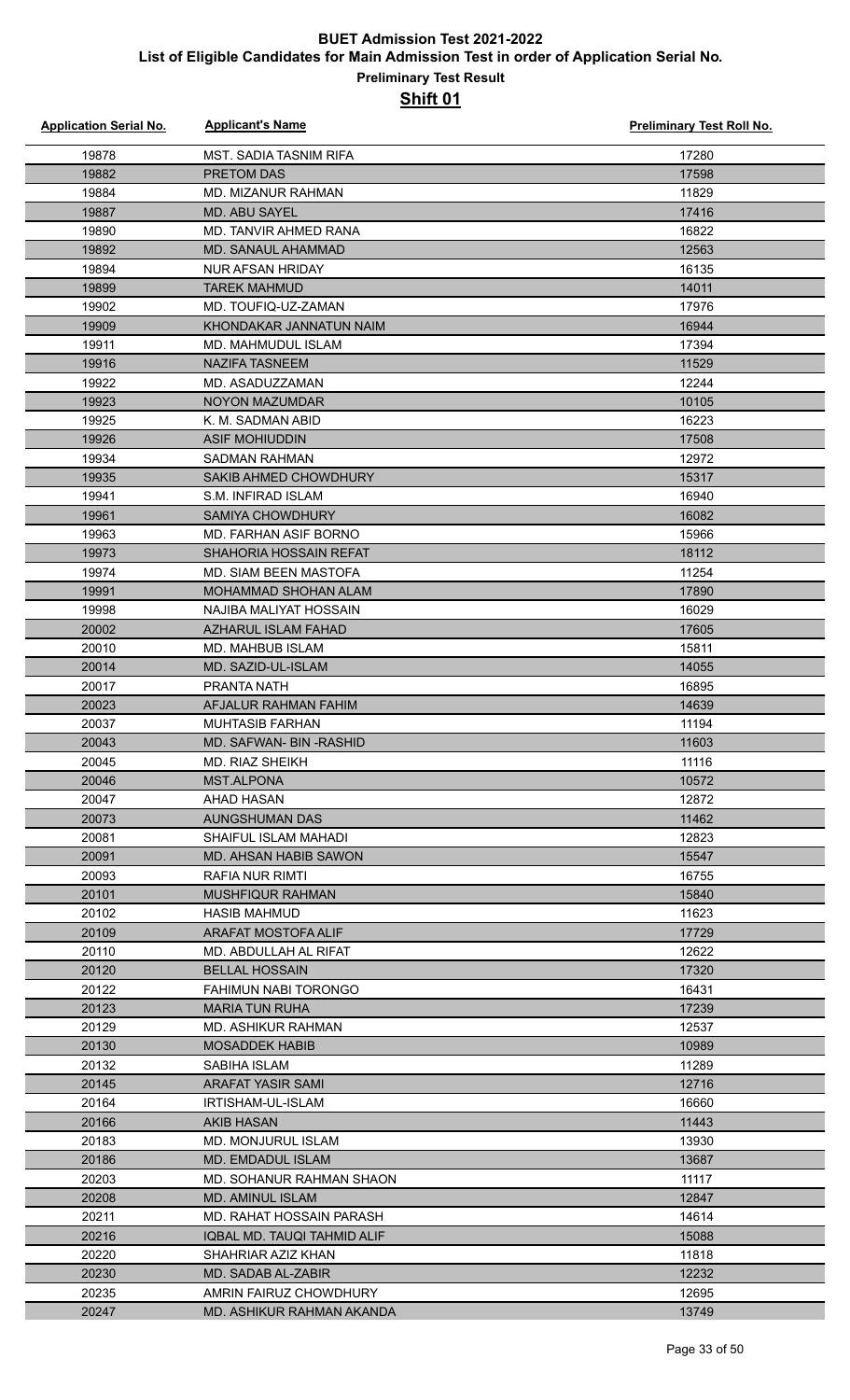| <b>Application Serial No.</b> | <b>Applicant's Name</b>                | <b>Preliminary Test Roll No.</b> |
|-------------------------------|----------------------------------------|----------------------------------|
| 19878                         | <b>MST. SADIA TASNIM RIFA</b>          | 17280                            |
| 19882                         | <b>PRETOM DAS</b>                      | 17598                            |
| 19884                         | <b>MD. MIZANUR RAHMAN</b>              | 11829                            |
| 19887                         | <b>MD. ABU SAYEL</b>                   | 17416                            |
| 19890                         | MD. TANVIR AHMED RANA                  | 16822                            |
| 19892                         | MD. SANAUL AHAMMAD                     | 12563                            |
| 19894                         | NUR AFSAN HRIDAY                       | 16135                            |
| 19899                         | <b>TAREK MAHMUD</b>                    | 14011                            |
| 19902                         | MD. TOUFIQ-UZ-ZAMAN                    | 17976                            |
| 19909                         | KHONDAKAR JANNATUN NAIM                | 16944                            |
| 19911                         | MD. MAHMUDUL ISLAM                     | 17394                            |
| 19916                         | <b>NAZIFA TASNEEM</b>                  | 11529                            |
| 19922                         | MD. ASADUZZAMAN                        | 12244                            |
| 19923                         | NOYON MAZUMDAR                         | 10105                            |
| 19925                         | K. M. SADMAN ABID                      | 16223                            |
| 19926                         | <b>ASIF MOHIUDDIN</b>                  | 17508                            |
| 19934                         | <b>SADMAN RAHMAN</b>                   | 12972                            |
| 19935                         | SAKIB AHMED CHOWDHURY                  | 15317                            |
| 19941                         | S.M. INFIRAD ISLAM                     | 16940                            |
| 19961                         | <b>SAMIYA CHOWDHURY</b>                | 16082                            |
| 19963                         | MD. FARHAN ASIF BORNO                  | 15966                            |
| 19973                         | SHAHORIA HOSSAIN REFAT                 | 18112                            |
| 19974                         | <b>MD. SIAM BEEN MASTOFA</b>           | 11254                            |
| 19991                         | MOHAMMAD SHOHAN ALAM                   | 17890                            |
| 19998                         | NAJIBA MALIYAT HOSSAIN                 | 16029                            |
| 20002                         | <b>AZHARUL ISLAM FAHAD</b>             | 17605                            |
| 20010                         | MD. MAHBUB ISLAM                       | 15811                            |
| 20014                         | MD. SAZID-UL-ISLAM                     | 14055                            |
| 20017                         | PRANTA NATH                            | 16895                            |
| 20023                         | AFJALUR RAHMAN FAHIM                   | 14639                            |
| 20037                         | <b>MUHTASIB FARHAN</b>                 | 11194                            |
| 20043                         | MD. SAFWAN- BIN -RASHID                | 11603                            |
| 20045                         | MD. RIAZ SHEIKH                        | 11116                            |
| 20046                         | <b>MST.ALPONA</b>                      | 10572                            |
| 20047                         | AHAD HASAN                             | 12872                            |
| 20073                         | AUNGSHUMAN DAS                         | 11462                            |
| 20081                         | SHAIFUL ISLAM MAHADI                   | 12823                            |
| 20091                         | <b>MD. AHSAN HABIB SAWON</b>           | 15547                            |
| 20093                         | RAFIA NUR RIMTI                        | 16755                            |
| 20101                         | <b>MUSHFIQUR RAHMAN</b>                | 15840                            |
| 20102                         | <b>HASIB MAHMUD</b>                    | 11623                            |
| 20109                         | ARAFAT MOSTOFA ALIF                    | 17729                            |
| 20110                         | MD. ABDULLAH AL RIFAT                  | 12622                            |
| 20120                         | <b>BELLAL HOSSAIN</b>                  | 17320                            |
| 20122                         | FAHIMUN NABI TORONGO                   | 16431                            |
| 20123                         | <b>MARIA TUN RUHA</b>                  | 17239                            |
| 20129                         | MD. ASHIKUR RAHMAN                     | 12537                            |
| 20130                         | <b>MOSADDEK HABIB</b>                  | 10989                            |
| 20132                         | SABIHA ISLAM                           | 11289                            |
| 20145                         | ARAFAT YASIR SAMI                      | 12716                            |
| 20164<br>20166                | IRTISHAM-UL-ISLAM<br><b>AKIB HASAN</b> | 16660<br>11443                   |
| 20183                         | MD. MONJURUL ISLAM                     | 13930                            |
| 20186                         | MD. EMDADUL ISLAM                      | 13687                            |
| 20203                         | MD. SOHANUR RAHMAN SHAON               | 11117                            |
| 20208                         | <b>MD. AMINUL ISLAM</b>                | 12847                            |
| 20211                         | MD. RAHAT HOSSAIN PARASH               | 14614                            |
| 20216                         | IQBAL MD. TAUQI TAHMID ALIF            | 15088                            |
| 20220                         | SHAHRIAR AZIZ KHAN                     | 11818                            |
| 20230                         | MD. SADAB AL-ZABIR                     | 12232                            |
| 20235                         | AMRIN FAIRUZ CHOWDHURY                 | 12695                            |
| 20247                         | MD. ASHIKUR RAHMAN AKANDA              | 13749                            |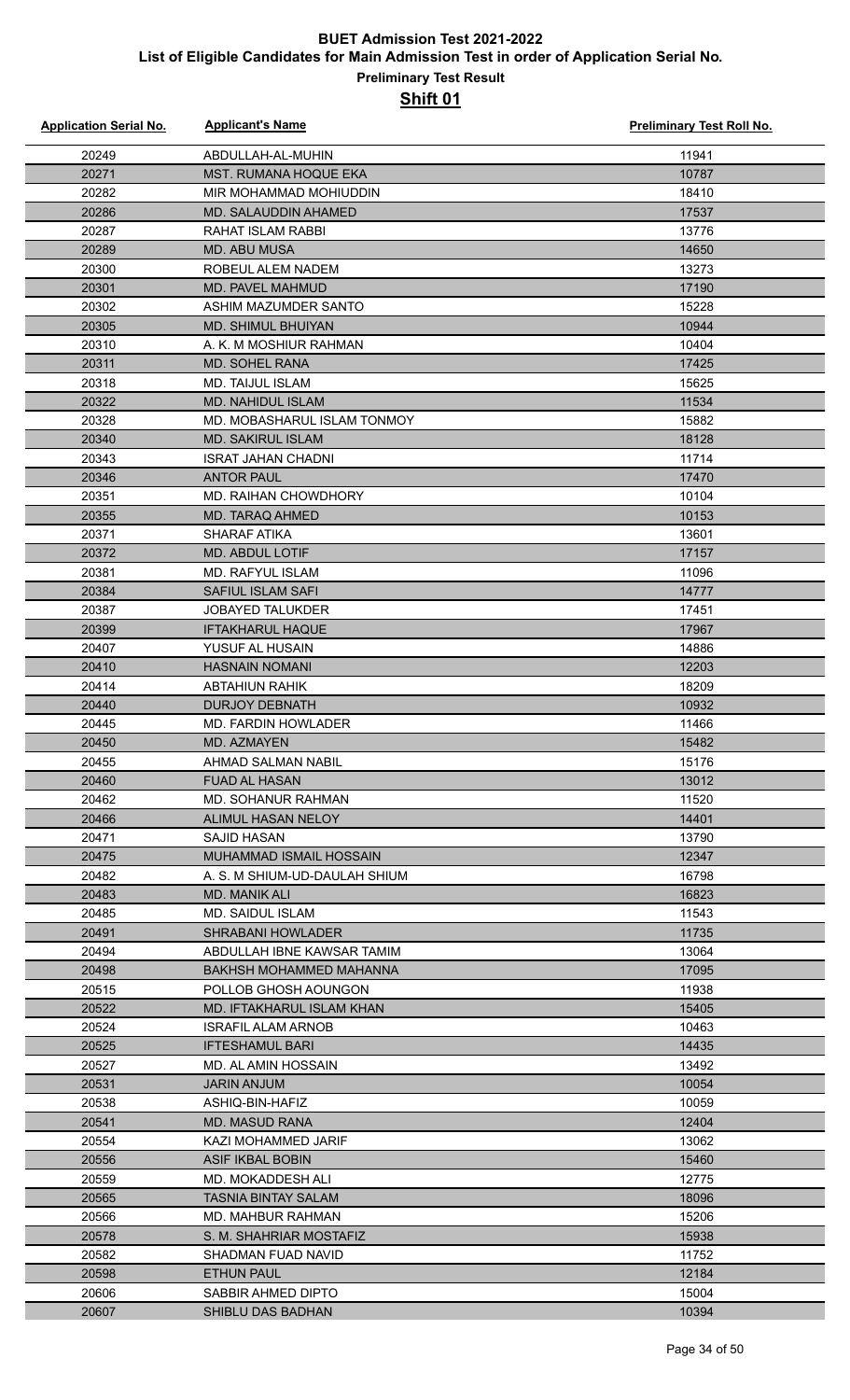| <b>Application Serial No.</b> | <b>Applicant's Name</b>                              | Preliminary Test Roll No. |
|-------------------------------|------------------------------------------------------|---------------------------|
| 20249                         | ABDULLAH-AL-MUHIN                                    | 11941                     |
| 20271                         | <b>MST. RUMANA HOQUE EKA</b>                         | 10787                     |
| 20282                         | MIR MOHAMMAD MOHIUDDIN                               | 18410                     |
| 20286                         | MD. SALAUDDIN AHAMED                                 | 17537                     |
| 20287                         | RAHAT ISLAM RABBI                                    | 13776                     |
| 20289                         | <b>MD. ABU MUSA</b>                                  | 14650                     |
| 20300                         | ROBEUL ALEM NADEM                                    | 13273                     |
| 20301                         | MD. PAVEL MAHMUD                                     | 17190                     |
| 20302                         | ASHIM MAZUMDER SANTO                                 | 15228                     |
| 20305                         | <b>MD. SHIMUL BHUIYAN</b>                            | 10944                     |
| 20310                         | A. K. M MOSHIUR RAHMAN                               | 10404                     |
| 20311                         | <b>MD. SOHEL RANA</b>                                | 17425                     |
| 20318                         | MD. TAIJUL ISLAM                                     | 15625                     |
| 20322                         | MD. NAHIDUL ISLAM                                    | 11534                     |
| 20328                         | MD. MOBASHARUL ISLAM TONMOY                          | 15882                     |
| 20340                         | <b>MD. SAKIRUL ISLAM</b>                             | 18128                     |
| 20343                         | <b>ISRAT JAHAN CHADNI</b>                            | 11714                     |
| 20346                         | <b>ANTOR PAUL</b>                                    | 17470                     |
| 20351                         | MD. RAIHAN CHOWDHORY                                 | 10104                     |
| 20355                         | MD. TARAQ AHMED                                      | 10153                     |
| 20371                         | <b>SHARAF ATIKA</b>                                  | 13601                     |
| 20372                         | <b>MD. ABDUL LOTIF</b>                               | 17157                     |
| 20381                         | <b>MD. RAFYUL ISLAM</b>                              | 11096                     |
| 20384                         | SAFIUL ISLAM SAFI                                    | 14777                     |
| 20387                         | <b>JOBAYED TALUKDER</b>                              | 17451                     |
| 20399                         | <b>IFTAKHARUL HAQUE</b>                              | 17967                     |
| 20407                         | YUSUF AL HUSAIN                                      | 14886                     |
| 20410                         | <b>HASNAIN NOMANI</b>                                | 12203                     |
| 20414                         | <b>ABTAHIUN RAHIK</b>                                | 18209                     |
| 20440                         | <b>DURJOY DEBNATH</b>                                | 10932                     |
| 20445                         | MD. FARDIN HOWLADER                                  | 11466                     |
| 20450                         | <b>MD. AZMAYEN</b>                                   | 15482                     |
| 20455                         | AHMAD SALMAN NABIL                                   | 15176                     |
| 20460                         | <b>FUAD AL HASAN</b>                                 | 13012                     |
| 20462                         | <b>MD. SOHANUR RAHMAN</b>                            | 11520                     |
| 20466                         | ALIMUL HASAN NELOY                                   | 14401                     |
| 20471                         | SAJID HASAN                                          | 13790                     |
| 20475                         | MUHAMMAD ISMAIL HOSSAIN                              | 12347                     |
| 20482                         | A. S. M SHIUM-UD-DAULAH SHIUM                        | 16798                     |
| 20483                         | <b>MD. MANIK ALI</b>                                 | 16823                     |
| 20485                         | MD. SAIDUL ISLAM                                     | 11543                     |
| 20491                         | <b>SHRABANI HOWLADER</b>                             | 11735                     |
| 20494                         | ABDULLAH IBNE KAWSAR TAMIM                           | 13064                     |
| 20498                         | BAKHSH MOHAMMED MAHANNA                              | 17095                     |
| 20515                         | POLLOB GHOSH AOUNGON                                 | 11938                     |
| 20522                         | MD. IFTAKHARUL ISLAM KHAN                            | 15405                     |
| 20524                         | <b>ISRAFIL ALAM ARNOB</b>                            | 10463                     |
| 20525                         | <b>IFTESHAMUL BARI</b>                               | 14435                     |
| 20527                         | MD. AL AMIN HOSSAIN                                  | 13492                     |
| 20531                         | <b>JARIN ANJUM</b>                                   | 10054                     |
| 20538                         | ASHIQ-BIN-HAFIZ                                      | 10059                     |
| 20541                         | <b>MD. MASUD RANA</b>                                | 12404                     |
| 20554                         | KAZI MOHAMMED JARIF                                  | 13062                     |
| 20556                         | ASIF IKBAL BOBIN                                     | 15460                     |
| 20559                         | MD. MOKADDESH ALI                                    | 12775                     |
| 20565                         | <b>TASNIA BINTAY SALAM</b>                           | 18096                     |
| 20566                         | <b>MD. MAHBUR RAHMAN</b>                             | 15206                     |
| 20578                         | S. M. SHAHRIAR MOSTAFIZ<br><b>SHADMAN FUAD NAVID</b> | 15938<br>11752            |
| 20582                         |                                                      |                           |
| 20598<br>20606                | <b>ETHUN PAUL</b><br>SABBIR AHMED DIPTO              | 12184<br>15004            |
| 20607                         | <b>SHIBLU DAS BADHAN</b>                             | 10394                     |
|                               |                                                      |                           |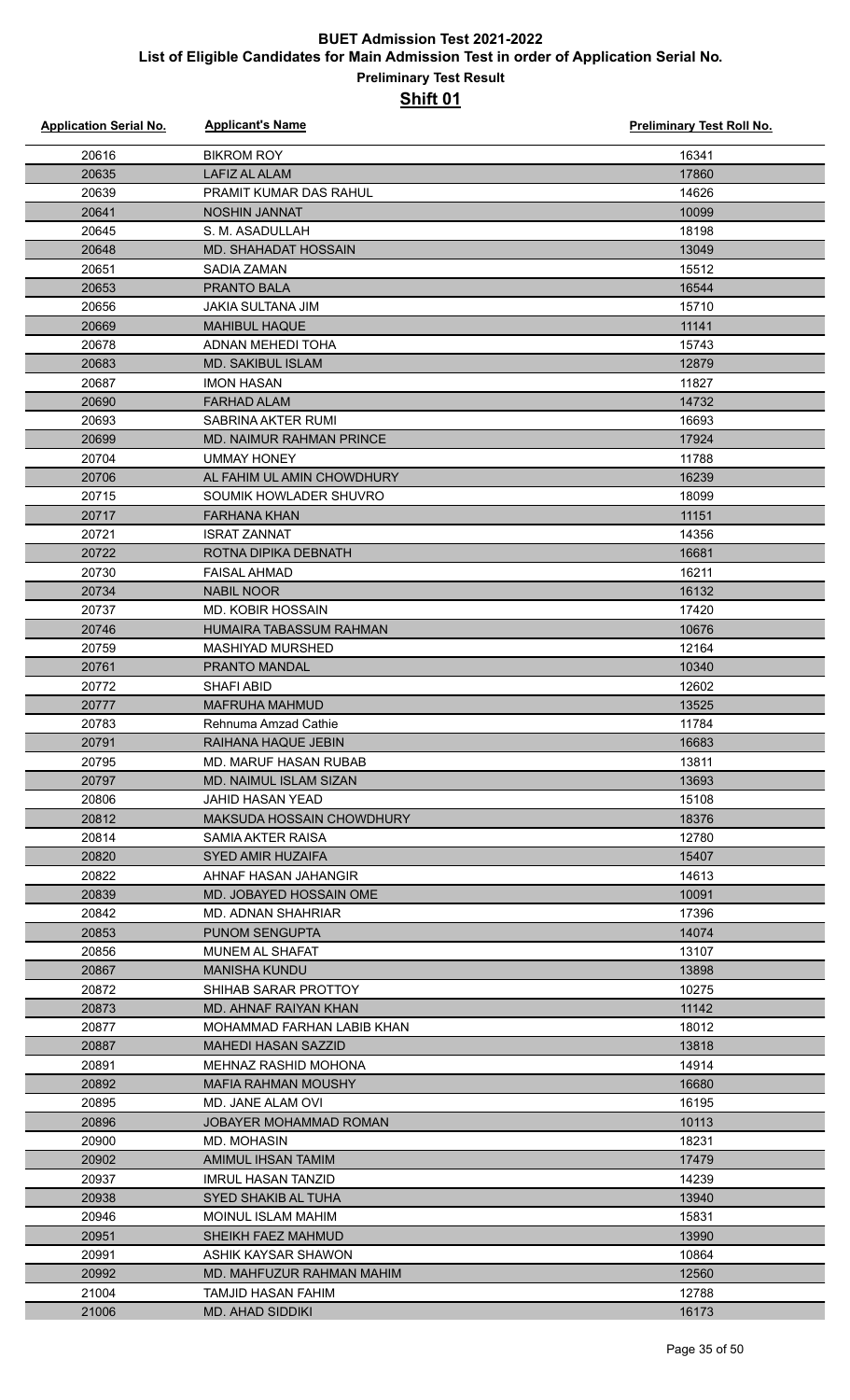| <b>Application Serial No.</b> | <b>Applicant's Name</b>         | <b>Preliminary Test Roll No.</b> |
|-------------------------------|---------------------------------|----------------------------------|
| 20616                         | <b>BIKROM ROY</b>               | 16341                            |
| 20635                         | <b>LAFIZ AL ALAM</b>            | 17860                            |
| 20639                         | PRAMIT KUMAR DAS RAHUL          | 14626                            |
| 20641                         | <b>NOSHIN JANNAT</b>            | 10099                            |
| 20645                         | S. M. ASADULLAH                 | 18198                            |
| 20648                         | <b>MD. SHAHADAT HOSSAIN</b>     | 13049                            |
| 20651                         | <b>SADIA ZAMAN</b>              | 15512                            |
| 20653                         | PRANTO BALA                     | 16544                            |
| 20656                         | <b>JAKIA SULTANA JIM</b>        | 15710                            |
| 20669                         | <b>MAHIBUL HAQUE</b>            | 11141                            |
| 20678                         | <b>ADNAN MEHEDI TOHA</b>        | 15743                            |
| 20683                         | <b>MD. SAKIBUL ISLAM</b>        | 12879                            |
| 20687                         | <b>IMON HASAN</b>               | 11827                            |
| 20690                         | <b>FARHAD ALAM</b>              | 14732                            |
| 20693                         | SABRINA AKTER RUMI              | 16693                            |
| 20699                         | <b>MD. NAIMUR RAHMAN PRINCE</b> | 17924                            |
| 20704                         | <b>UMMAY HONEY</b>              | 11788                            |
| 20706                         | AL FAHIM UL AMIN CHOWDHURY      | 16239                            |
| 20715                         | SOUMIK HOWLADER SHUVRO          | 18099                            |
| 20717                         | <b>FARHANA KHAN</b>             | 11151                            |
| 20721                         | <b>ISRAT ZANNAT</b>             | 14356                            |
| 20722                         | ROTNA DIPIKA DEBNATH            | 16681                            |
| 20730                         | <b>FAISAL AHMAD</b>             | 16211                            |
| 20734                         | <b>NABIL NOOR</b>               | 16132                            |
| 20737                         | <b>MD. KOBIR HOSSAIN</b>        | 17420                            |
| 20746                         | <b>HUMAIRA TABASSUM RAHMAN</b>  | 10676                            |
| 20759                         | <b>MASHIYAD MURSHED</b>         | 12164                            |
| 20761                         | <b>PRANTO MANDAL</b>            | 10340                            |
| 20772                         | <b>SHAFI ABID</b>               | 12602                            |
| 20777                         | <b>MAFRUHA MAHMUD</b>           | 13525                            |
| 20783                         | Rehnuma Amzad Cathie            | 11784                            |
| 20791                         | RAIHANA HAQUE JEBIN             | 16683                            |
| 20795                         | MD. MARUF HASAN RUBAB           | 13811                            |
| 20797                         | <b>MD. NAIMUL ISLAM SIZAN</b>   | 13693                            |
| 20806                         | JAHID HASAN YEAD                | 15108                            |
| 20812                         | MAKSUDA HOSSAIN CHOWDHURY       | 18376                            |
| 20814                         | SAMIA AKTER RAISA               | 12780                            |
| 20820                         | SYED AMIR HUZAIFA               | 15407                            |
| 20822                         | AHNAF HASAN JAHANGIR            | 14613                            |
| 20839                         | MD. JOBAYED HOSSAIN OME         | 10091                            |
| 20842                         | MD. ADNAN SHAHRIAR              | 17396                            |
| 20853                         | <b>PUNOM SENGUPTA</b>           | 14074                            |
| 20856                         | <b>MUNEM AL SHAFAT</b>          | 13107                            |
| 20867                         | <b>MANISHA KUNDU</b>            | 13898                            |
| 20872                         | SHIHAB SARAR PROTTOY            | 10275                            |
| 20873                         | MD. AHNAF RAIYAN KHAN           | 11142                            |
| 20877                         | MOHAMMAD FARHAN LABIB KHAN      | 18012                            |
| 20887                         | <b>MAHEDI HASAN SAZZID</b>      | 13818                            |
| 20891                         | MEHNAZ RASHID MOHONA            | 14914                            |
| 20892                         | MAFIA RAHMAN MOUSHY             | 16680                            |
| 20895                         | MD. JANE ALAM OVI               | 16195                            |
| 20896                         | <b>JOBAYER MOHAMMAD ROMAN</b>   | 10113                            |
| 20900                         | <b>MD. MOHASIN</b>              | 18231                            |
| 20902                         | AMIMUL IHSAN TAMIM              | 17479                            |
| 20937                         | <b>IMRUL HASAN TANZID</b>       | 14239                            |
| 20938                         | SYED SHAKIB AL TUHA             | 13940                            |
| 20946                         | MOINUL ISLAM MAHIM              | 15831                            |
| 20951                         | SHEIKH FAEZ MAHMUD              | 13990                            |
| 20991                         | ASHIK KAYSAR SHAWON             | 10864                            |
| 20992                         | MD. MAHFUZUR RAHMAN MAHIM       | 12560                            |
| 21004                         | TAMJID HASAN FAHIM              | 12788                            |
| 21006                         | <b>MD. AHAD SIDDIKI</b>         | 16173                            |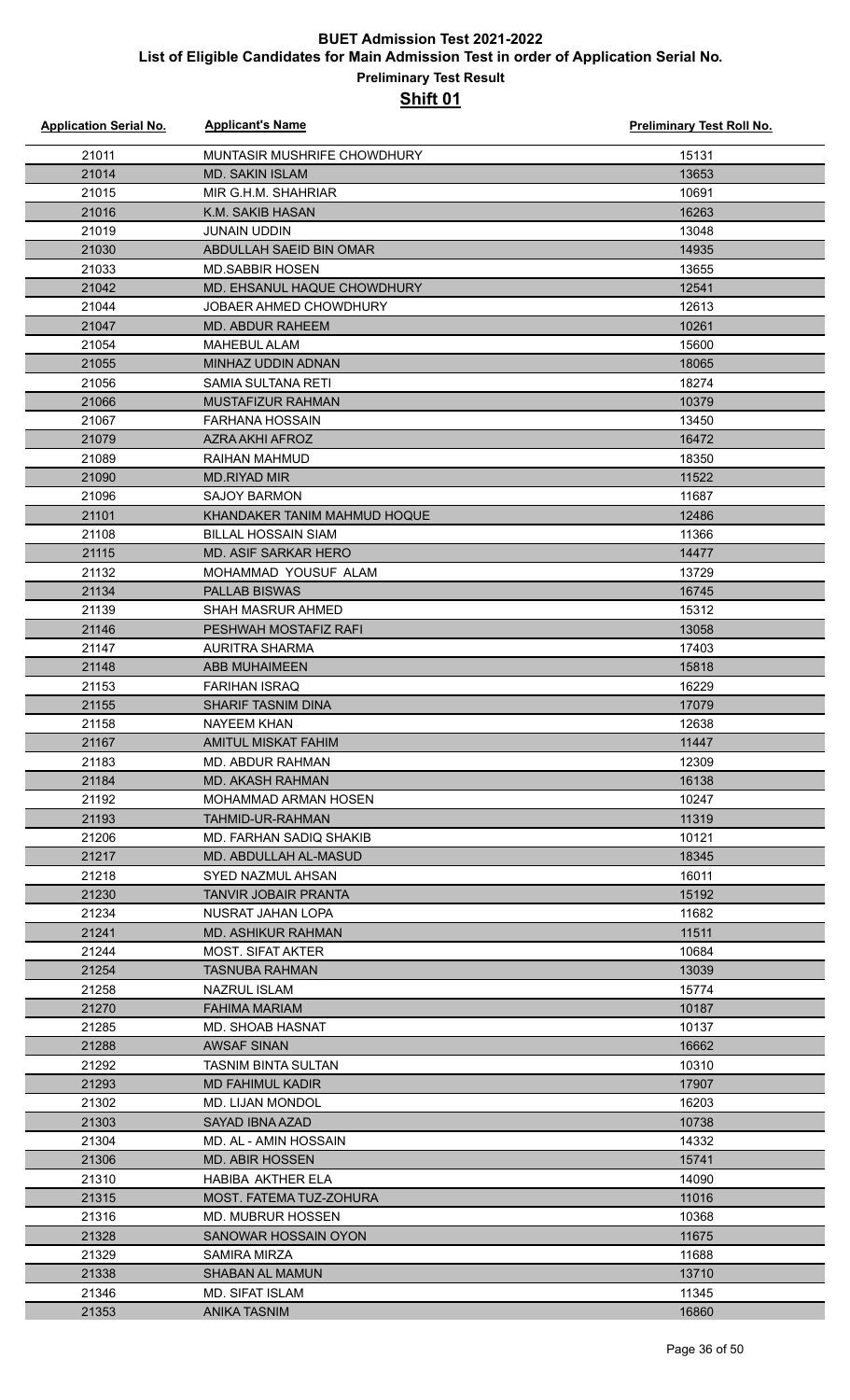| <b>Application Serial No.</b> | <b>Applicant's Name</b>                   | <b>Preliminary Test Roll No.</b> |
|-------------------------------|-------------------------------------------|----------------------------------|
| 21011                         | MUNTASIR MUSHRIFE CHOWDHURY               | 15131                            |
| 21014                         | <b>MD. SAKIN ISLAM</b>                    | 13653                            |
| 21015                         | MIR G.H.M. SHAHRIAR                       | 10691                            |
| 21016                         | K.M. SAKIB HASAN                          | 16263                            |
| 21019                         | <b>JUNAIN UDDIN</b>                       | 13048                            |
| 21030                         | ABDULLAH SAEID BIN OMAR                   | 14935                            |
| 21033                         | <b>MD.SABBIR HOSEN</b>                    | 13655                            |
| 21042                         | MD. EHSANUL HAQUE CHOWDHURY               | 12541                            |
| 21044                         | JOBAER AHMED CHOWDHURY                    | 12613                            |
| 21047                         | <b>MD. ABDUR RAHEEM</b>                   | 10261                            |
| 21054                         | MAHEBUL ALAM                              | 15600                            |
| 21055                         | MINHAZ UDDIN ADNAN                        | 18065                            |
| 21056                         | SAMIA SULTANA RETI                        | 18274                            |
| 21066                         | <b>MUSTAFIZUR RAHMAN</b>                  | 10379                            |
| 21067                         | <b>FARHANA HOSSAIN</b>                    | 13450                            |
| 21079                         | <b>AZRA AKHI AFROZ</b>                    | 16472                            |
| 21089                         | RAIHAN MAHMUD                             | 18350                            |
| 21090                         | <b>MD.RIYAD MIR</b>                       | 11522                            |
| 21096                         | <b>SAJOY BARMON</b>                       | 11687                            |
| 21101                         | KHANDAKER TANIM MAHMUD HOQUE              | 12486                            |
| 21108                         | <b>BILLAL HOSSAIN SIAM</b>                | 11366                            |
| 21115                         | MD. ASIF SARKAR HERO                      | 14477                            |
| 21132                         | MOHAMMAD YOUSUF ALAM                      | 13729                            |
| 21134                         | <b>PALLAB BISWAS</b>                      | 16745                            |
| 21139                         | SHAH MASRUR AHMED                         | 15312                            |
| 21146                         | PESHWAH MOSTAFIZ RAFI                     | 13058                            |
| 21147                         | <b>AURITRA SHARMA</b>                     | 17403                            |
| 21148                         | <b>ABB MUHAIMEEN</b>                      | 15818                            |
| 21153                         | <b>FARIHAN ISRAQ</b>                      | 16229                            |
| 21155                         | <b>SHARIF TASNIM DINA</b>                 | 17079                            |
| 21158                         | <b>NAYEEM KHAN</b>                        | 12638                            |
| 21167                         | AMITUL MISKAT FAHIM                       | 11447                            |
| 21183                         | MD. ABDUR RAHMAN                          | 12309                            |
| 21184                         | <b>MD. AKASH RAHMAN</b>                   | 16138                            |
| 21192                         | MOHAMMAD ARMAN HOSEN                      | 10247                            |
| 21193                         | TAHMID-UR-RAHMAN                          | 11319                            |
| 21206                         | MD. FARHAN SADIO SHAKIB                   | 10121                            |
| 21217                         | MD. ABDULLAH AL-MASUD                     | 18345                            |
| 21218                         | SYED NAZMUL AHSAN                         | 16011                            |
| 21230                         | TANVIR JOBAIR PRANTA<br>NUSRAT JAHAN LOPA | 15192                            |
| 21234<br>21241                | <b>MD. ASHIKUR RAHMAN</b>                 | 11682<br>11511                   |
| 21244                         | <b>MOST. SIFAT AKTER</b>                  | 10684                            |
| 21254                         | <b>TASNUBA RAHMAN</b>                     | 13039                            |
| 21258                         | NAZRUL ISLAM                              | 15774                            |
| 21270                         | <b>FAHIMA MARIAM</b>                      | 10187                            |
| 21285                         | MD. SHOAB HASNAT                          | 10137                            |
| 21288                         | <b>AWSAF SINAN</b>                        | 16662                            |
| 21292                         | TASNIM BINTA SULTAN                       | 10310                            |
| 21293                         | <b>MD FAHIMUL KADIR</b>                   | 17907                            |
| 21302                         | <b>MD. LIJAN MONDOL</b>                   | 16203                            |
| 21303                         | SAYAD IBNA AZAD                           | 10738                            |
| 21304                         | MD. AL - AMIN HOSSAIN                     | 14332                            |
| 21306                         | <b>MD. ABIR HOSSEN</b>                    | 15741                            |
| 21310                         | HABIBA AKTHER ELA                         | 14090                            |
| 21315                         | MOST. FATEMA TUZ-ZOHURA                   | 11016                            |
| 21316                         | <b>MD. MUBRUR HOSSEN</b>                  | 10368                            |
| 21328                         | SANOWAR HOSSAIN OYON                      | 11675                            |
| 21329                         | SAMIRA MIRZA                              | 11688                            |
| 21338                         | <b>SHABAN AL MAMUN</b>                    | 13710                            |
| 21346                         | <b>MD. SIFAT ISLAM</b>                    | 11345                            |
| 21353                         | <b>ANIKA TASNIM</b>                       | 16860                            |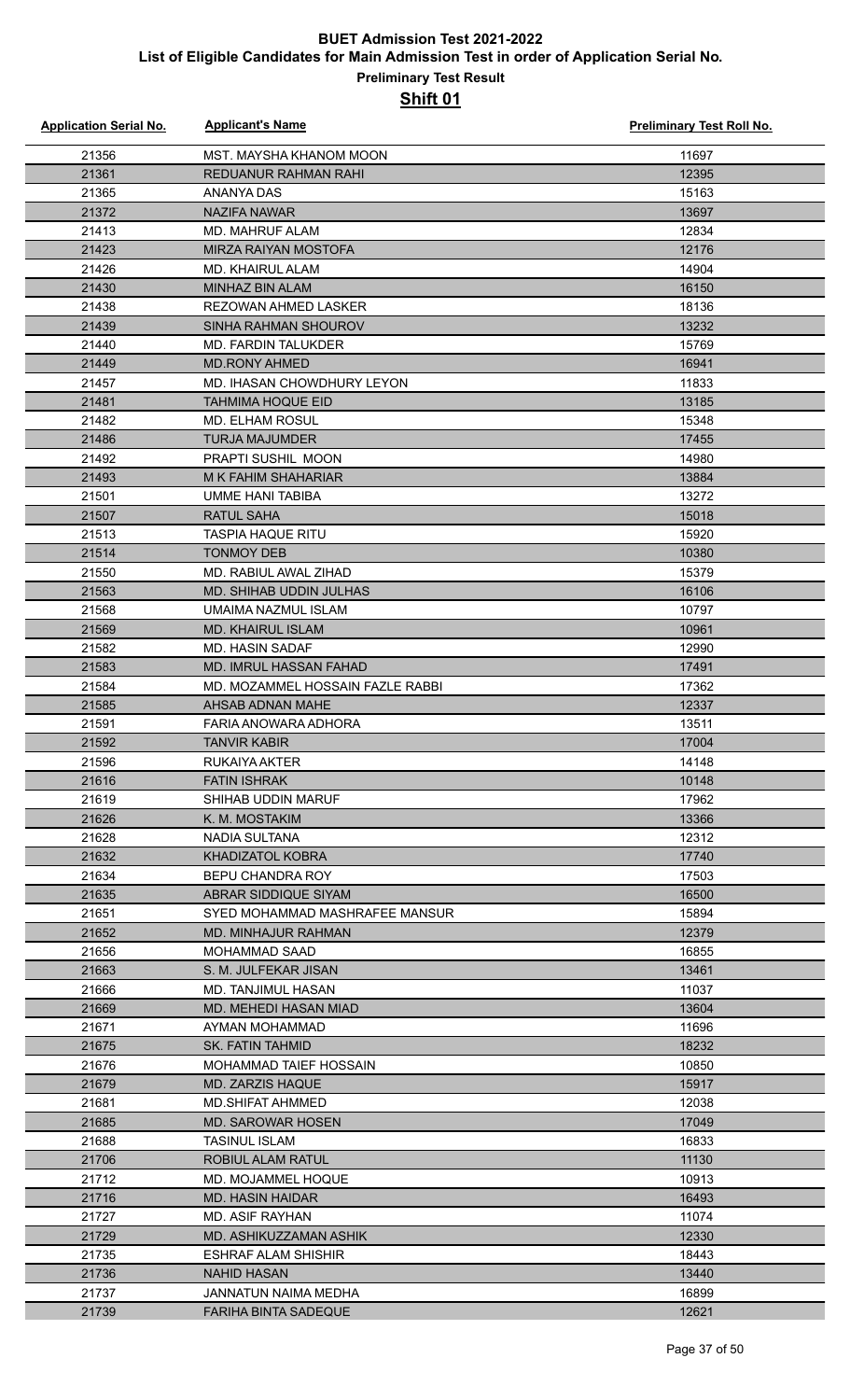| <b>Application Serial No.</b> | <b>Applicant's Name</b>                                    | Preliminary Test Roll No. |
|-------------------------------|------------------------------------------------------------|---------------------------|
| 21356                         | MST. MAYSHA KHANOM MOON                                    | 11697                     |
| 21361                         | REDUANUR RAHMAN RAHI                                       | 12395                     |
| 21365                         | ANANYA DAS                                                 | 15163                     |
| 21372                         | NAZIFA NAWAR                                               | 13697                     |
| 21413                         | <b>MD. MAHRUF ALAM</b>                                     | 12834                     |
| 21423                         | <b>MIRZA RAIYAN MOSTOFA</b>                                | 12176                     |
| 21426                         | <b>MD. KHAIRUL ALAM</b>                                    | 14904                     |
| 21430                         | <b>MINHAZ BIN ALAM</b>                                     | 16150                     |
| 21438                         | <b>REZOWAN AHMED LASKER</b>                                | 18136                     |
| 21439                         | <b>SINHA RAHMAN SHOUROV</b>                                | 13232                     |
| 21440                         | MD. FARDIN TALUKDER                                        | 15769                     |
| 21449                         | <b>MD.RONY AHMED</b>                                       | 16941                     |
| 21457                         | MD. IHASAN CHOWDHURY LEYON                                 | 11833                     |
| 21481                         | <b>TAHMIMA HOQUE EID</b>                                   | 13185                     |
| 21482                         | <b>MD. ELHAM ROSUL</b>                                     | 15348                     |
| 21486                         | <b>TURJA MAJUMDER</b>                                      | 17455                     |
| 21492                         | PRAPTI SUSHIL MOON                                         | 14980                     |
| 21493                         | <b>M K FAHIM SHAHARIAR</b>                                 | 13884                     |
| 21501                         | UMME HANI TABIBA                                           | 13272                     |
| 21507                         | <b>RATUL SAHA</b>                                          | 15018                     |
| 21513                         | <b>TASPIA HAQUE RITU</b>                                   | 15920                     |
| 21514                         | <b>TONMOY DEB</b>                                          | 10380                     |
| 21550                         | MD. RABIUL AWAL ZIHAD                                      | 15379                     |
| 21563                         | <b>MD. SHIHAB UDDIN JULHAS</b>                             | 16106                     |
| 21568                         | UMAIMA NAZMUL ISLAM                                        | 10797                     |
| 21569                         | <b>MD. KHAIRUL ISLAM</b>                                   | 10961                     |
| 21582                         | <b>MD. HASIN SADAF</b>                                     | 12990                     |
|                               |                                                            | 17491                     |
| 21583                         | MD. IMRUL HASSAN FAHAD<br>MD. MOZAMMEL HOSSAIN FAZLE RABBI | 17362                     |
| 21584                         |                                                            |                           |
| 21585                         | AHSAB ADNAN MAHE<br>FARIA ANOWARA ADHORA                   | 12337                     |
| 21591<br>21592                | <b>TANVIR KABIR</b>                                        | 13511<br>17004            |
|                               |                                                            |                           |
| 21596                         | RUKAIYA AKTER<br><b>FATIN ISHRAK</b>                       | 14148<br>10148            |
| 21616<br>21619                | SHIHAB UDDIN MARUF                                         | 17962                     |
|                               |                                                            | 13366                     |
| 21626                         | K. M. MOSTAKIM                                             |                           |
| 21628                         | NADIA SULTANA                                              | 12312                     |
| 21632                         | <b>KHADIZATOL KOBRA</b>                                    | 17740                     |
| 21634                         | <b>BEPU CHANDRA ROY</b>                                    | 17503                     |
| 21635                         | ABRAR SIDDIQUE SIYAM<br>SYED MOHAMMAD MASHRAFEE MANSUR     | 16500<br>15894            |
| 21651                         |                                                            |                           |
| 21652                         | MD. MINHAJUR RAHMAN                                        | 12379                     |
| 21656                         | MOHAMMAD SAAD                                              | 16855                     |
| 21663                         | S. M. JULFEKAR JISAN                                       | 13461                     |
| 21666                         | <b>MD. TANJIMUL HASAN</b>                                  | 11037                     |
| 21669                         | MD. MEHEDI HASAN MIAD                                      | 13604                     |
| 21671                         | AYMAN MOHAMMAD                                             | 11696                     |
| 21675                         | SK. FATIN TAHMID                                           | 18232                     |
| 21676                         | <b>MOHAMMAD TAIEF HOSSAIN</b>                              | 10850                     |
| 21679                         | MD. ZARZIS HAQUE                                           | 15917                     |
| 21681                         | MD.SHIFAT AHMMED                                           | 12038                     |
| 21685                         | <b>MD. SAROWAR HOSEN</b>                                   | 17049                     |
| 21688                         | <b>TASINUL ISLAM</b>                                       | 16833                     |
| 21706                         | ROBIUL ALAM RATUL                                          | 11130                     |
| 21712                         | MD. MOJAMMEL HOQUE                                         | 10913                     |
| 21716                         | <b>MD. HASIN HAIDAR</b>                                    | 16493                     |
| 21727                         | MD. ASIF RAYHAN                                            | 11074                     |
| 21729                         | MD. ASHIKUZZAMAN ASHIK                                     | 12330                     |
| 21735                         | ESHRAF ALAM SHISHIR                                        | 18443                     |
| 21736                         | <b>NAHID HASAN</b>                                         | 13440                     |
| 21737                         | JANNATUN NAIMA MEDHA                                       | 16899                     |
| 21739                         | <b>FARIHA BINTA SADEQUE</b>                                | 12621                     |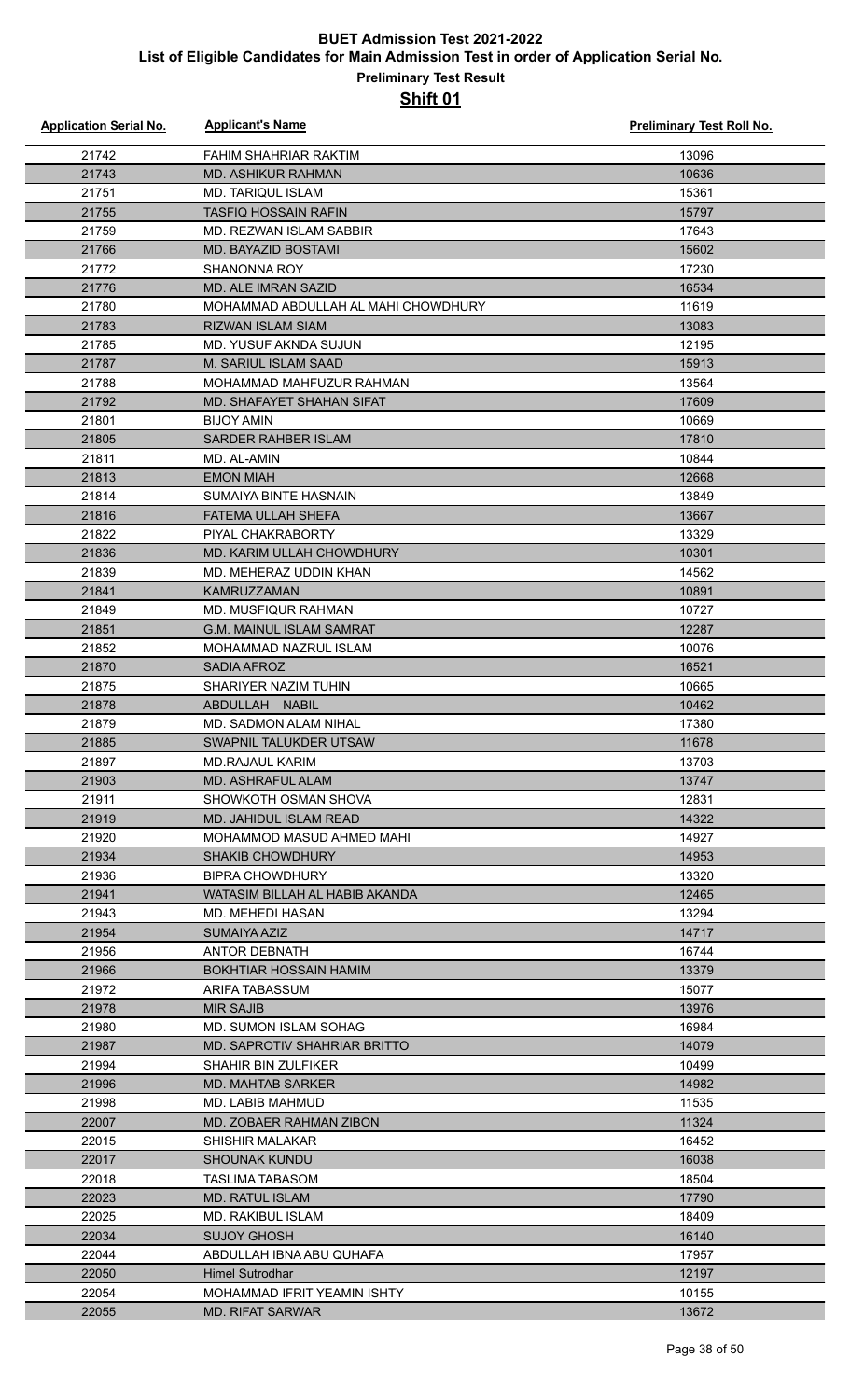### **Preliminary Test Result Shift 01**

| <b>Application Serial No.</b> | <b>Applicant's Name</b>                 | Preliminary Test Roll No. |
|-------------------------------|-----------------------------------------|---------------------------|
| 21742                         | <b>FAHIM SHAHRIAR RAKTIM</b>            | 13096                     |
| 21743                         | <b>MD. ASHIKUR RAHMAN</b>               | 10636                     |
| 21751                         | <b>MD. TARIQUL ISLAM</b>                | 15361                     |
| 21755                         | <b>TASFIQ HOSSAIN RAFIN</b>             | 15797                     |
| 21759                         | MD. REZWAN ISLAM SABBIR                 | 17643                     |
| 21766                         | <b>MD. BAYAZID BOSTAMI</b>              | 15602                     |
| 21772                         | <b>SHANONNA ROY</b>                     | 17230                     |
| 21776                         | MD. ALE IMRAN SAZID                     | 16534                     |
| 21780                         | MOHAMMAD ABDULLAH AL MAHI CHOWDHURY     | 11619                     |
| 21783                         | RIZWAN ISLAM SIAM                       | 13083                     |
| 21785                         | MD. YUSUF AKNDA SUJUN                   | 12195                     |
| 21787                         | M. SARIUL ISLAM SAAD                    | 15913                     |
| 21788                         | MOHAMMAD MAHFUZUR RAHMAN                | 13564                     |
| 21792                         | MD. SHAFAYET SHAHAN SIFAT               | 17609                     |
| 21801                         | <b>BIJOY AMIN</b>                       | 10669                     |
| 21805                         | <b>SARDER RAHBER ISLAM</b>              | 17810                     |
| 21811                         | MD. AL-AMIN                             | 10844                     |
| 21813                         | <b>EMON MIAH</b>                        | 12668                     |
| 21814                         | SUMAIYA BINTE HASNAIN                   | 13849                     |
| 21816                         | <b>FATEMA ULLAH SHEFA</b>               | 13667                     |
| 21822                         | PIYAL CHAKRABORTY                       | 13329                     |
| 21836                         | MD. KARIM ULLAH CHOWDHURY               | 10301                     |
| 21839                         | MD. MEHERAZ UDDIN KHAN                  | 14562                     |
| 21841                         | <b>KAMRUZZAMAN</b>                      | 10891                     |
| 21849                         | MD. MUSFIQUR RAHMAN                     | 10727                     |
| 21851                         | G.M. MAINUL ISLAM SAMRAT                | 12287                     |
| 21852                         | MOHAMMAD NAZRUL ISLAM                   | 10076                     |
| 21870                         | <b>SADIA AFROZ</b>                      | 16521                     |
| 21875                         | SHARIYER NAZIM TUHIN                    | 10665                     |
| 21878                         | ABDULLAH NABIL                          | 10462                     |
| 21879                         | MD. SADMON ALAM NIHAL                   | 17380                     |
| 21885                         | SWAPNIL TALUKDER UTSAW                  | 11678                     |
| 21897                         | <b>MD.RAJAUL KARIM</b>                  | 13703                     |
| 21903                         | <b>MD. ASHRAFUL ALAM</b>                | 13747                     |
| 21911                         | SHOWKOTH OSMAN SHOVA                    | 12831                     |
| 21919                         | MD. JAHIDUL ISLAM READ                  | 14322                     |
| 21920                         | MOHAMMOD MASUD AHMED MAHI               | 14927                     |
| 21934                         | <b>SHAKIB CHOWDHURY</b>                 | 14953                     |
| 21936                         | BIPRA CHOWDHURY                         | 13320                     |
| 21941                         | WATASIM BILLAH AL HABIB AKANDA          | 12465                     |
| 21943                         | MD. MEHEDI HASAN                        | 13294                     |
| 21954                         | SUMAIYA AZIZ                            | 14717                     |
| 21956                         | ANTOR DEBNATH                           | 16744                     |
| 21966                         | <b>BOKHTIAR HOSSAIN HAMIM</b>           | 13379                     |
| 21972                         | ARIFA TABASSUM                          | 15077                     |
| 21978                         | <b>MIR SAJIB</b>                        | 13976                     |
| 21980                         | <b>MD. SUMON ISLAM SOHAG</b>            | 16984                     |
| 21987                         | MD. SAPROTIV SHAHRIAR BRITTO            | 14079                     |
| 21994                         | <b>SHAHIR BIN ZULFIKER</b>              | 10499                     |
| 21996                         | MD. MAHTAB SARKER                       | 14982                     |
| 21998                         | MD. LABIB MAHMUD                        | 11535                     |
| 22007                         | MD. ZOBAER RAHMAN ZIBON                 | 11324                     |
| 22015                         | <b>SHISHIR MALAKAR</b>                  | 16452                     |
| 22017                         | <b>SHOUNAK KUNDU</b>                    | 16038                     |
| 22018                         | TASLIMA TABASOM                         | 18504                     |
| 22023                         | <b>MD. RATUL ISLAM</b>                  | 17790                     |
| 22025<br>22034                | MD. RAKIBUL ISLAM<br><b>SUJOY GHOSH</b> | 18409                     |
| 22044                         | ABDULLAH IBNA ABU QUHAFA                | 16140<br>17957            |
| 22050                         | <b>Himel Sutrodhar</b>                  | 12197                     |
| 22054                         | MOHAMMAD IFRIT YEAMIN ISHTY             | 10155                     |
| 22055                         | <b>MD. RIFAT SARWAR</b>                 | 13672                     |
|                               |                                         |                           |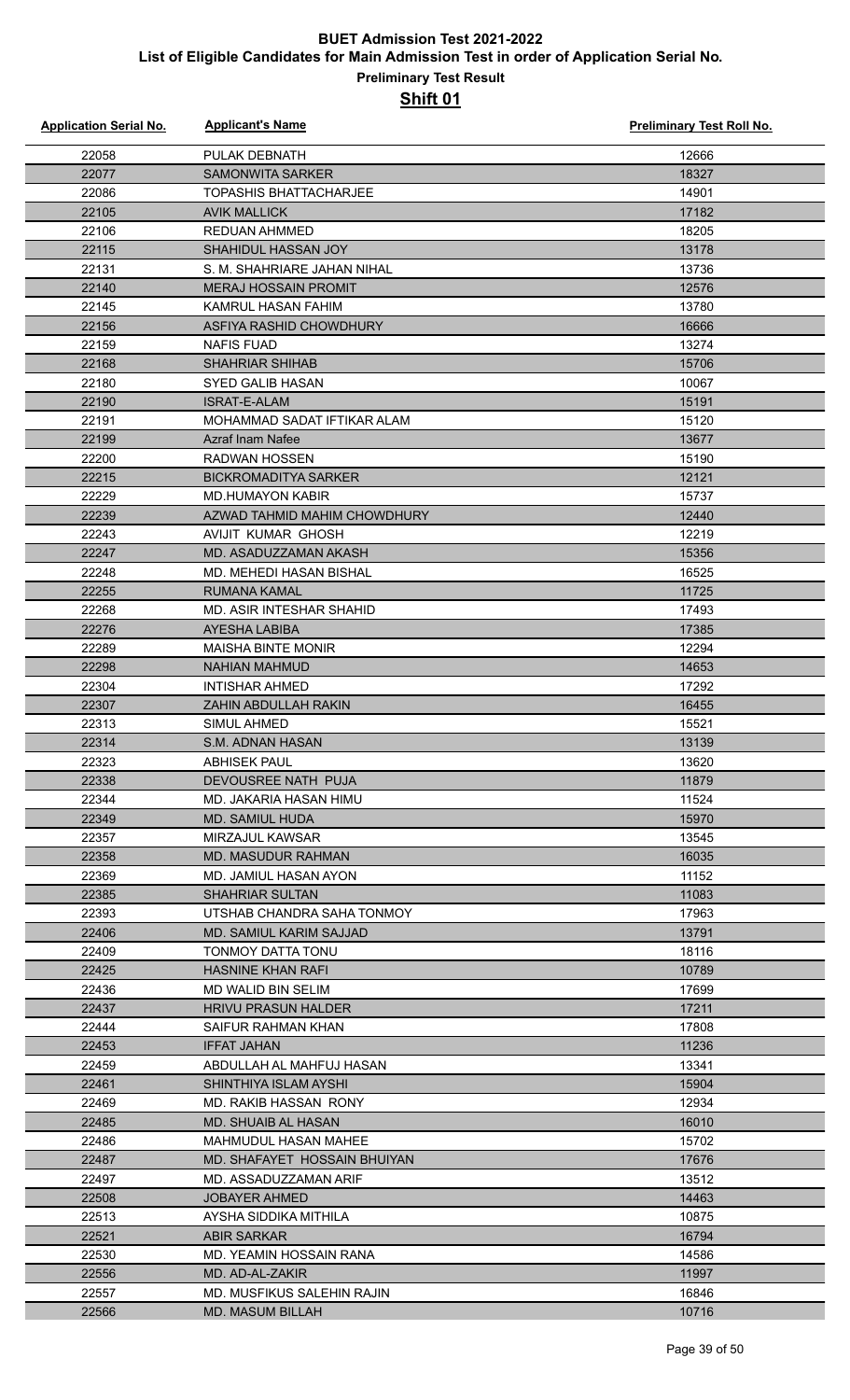| <b>Application Serial No.</b> | <b>Applicant's Name</b>        | <b>Preliminary Test Roll No.</b> |
|-------------------------------|--------------------------------|----------------------------------|
| 22058                         | PULAK DEBNATH                  | 12666                            |
| 22077                         | <b>SAMONWITA SARKER</b>        | 18327                            |
| 22086                         | <b>TOPASHIS BHATTACHARJEE</b>  | 14901                            |
| 22105                         | <b>AVIK MALLICK</b>            | 17182                            |
| 22106                         | <b>REDUAN AHMMED</b>           | 18205                            |
| 22115                         | <b>SHAHIDUL HASSAN JOY</b>     | 13178                            |
| 22131                         | S. M. SHAHRIARE JAHAN NIHAL    | 13736                            |
| 22140                         | <b>MERAJ HOSSAIN PROMIT</b>    | 12576                            |
| 22145                         | KAMRUL HASAN FAHIM             | 13780                            |
| 22156                         | ASFIYA RASHID CHOWDHURY        | 16666                            |
| 22159                         | <b>NAFIS FUAD</b>              | 13274                            |
| 22168                         | <b>SHAHRIAR SHIHAB</b>         | 15706                            |
| 22180                         | <b>SYED GALIB HASAN</b>        | 10067                            |
| 22190                         | <b>ISRAT-E-ALAM</b>            | 15191                            |
| 22191                         | MOHAMMAD SADAT IFTIKAR ALAM    | 15120                            |
| 22199                         | <b>Azraf Inam Nafee</b>        | 13677                            |
| 22200                         | <b>RADWAN HOSSEN</b>           | 15190                            |
| 22215                         | <b>BICKROMADITYA SARKER</b>    | 12121                            |
| 22229                         | <b>MD.HUMAYON KABIR</b>        | 15737                            |
| 22239                         | AZWAD TAHMID MAHIM CHOWDHURY   | 12440                            |
| 22243                         | AVIJIT KUMAR GHOSH             | 12219                            |
| 22247                         | MD. ASADUZZAMAN AKASH          | 15356                            |
| 22248                         | <b>MD. MEHEDI HASAN BISHAL</b> | 16525                            |
| 22255                         | RUMANA KAMAL                   | 11725                            |
| 22268                         | MD. ASIR INTESHAR SHAHID       | 17493                            |
| 22276                         | AYESHA LABIBA                  | 17385                            |
| 22289                         | <b>MAISHA BINTE MONIR</b>      | 12294                            |
| 22298                         | <b>NAHIAN MAHMUD</b>           | 14653                            |
| 22304                         | <b>INTISHAR AHMED</b>          | 17292                            |
| 22307                         | ZAHIN ABDULLAH RAKIN           | 16455                            |
| 22313                         | SIMUL AHMED                    | 15521                            |
| 22314                         | S.M. ADNAN HASAN               | 13139                            |
| 22323                         | ABHISEK PAUL                   | 13620                            |
| 22338                         | DEVOUSREE NATH PUJA            | 11879                            |
| 22344                         | MD. JAKARIA HASAN HIMU         | 11524                            |
| 22349                         | <b>MD. SAMIUL HUDA</b>         | 15970                            |
| 22357                         | MIRZAJUL KAWSAR                | 13545                            |
| 22358                         | <b>MD. MASUDUR RAHMAN</b>      | 16035                            |
| 22369                         | MD. JAMIUL HASAN AYON          | 11152                            |
| 22385                         | <b>SHAHRIAR SULTAN</b>         | 11083                            |
| 22393                         | UTSHAB CHANDRA SAHA TONMOY     | 17963                            |
| 22406                         | MD. SAMIUL KARIM SAJJAD        | 13791                            |
| 22409                         | TONMOY DATTA TONU              | 18116                            |
| 22425                         | HASNINE KHAN RAFI              | 10789                            |
| 22436                         | <b>MD WALID BIN SELIM</b>      | 17699                            |
| 22437                         | <b>HRIVU PRASUN HALDER</b>     | 17211                            |
| 22444                         | SAIFUR RAHMAN KHAN             | 17808                            |
| 22453                         | <b>IFFAT JAHAN</b>             | 11236                            |
| 22459                         | ABDULLAH AL MAHFUJ HASAN       | 13341                            |
| 22461                         | SHINTHIYA ISLAM AYSHI          | 15904                            |
| 22469                         | MD. RAKIB HASSAN RONY          | 12934                            |
| 22485                         | MD. SHUAIB AL HASAN            | 16010                            |
| 22486                         | MAHMUDUL HASAN MAHEE           | 15702                            |
| 22487                         | MD. SHAFAYET HOSSAIN BHUIYAN   | 17676                            |
| 22497                         | MD. ASSADUZZAMAN ARIF          | 13512                            |
| 22508                         | <b>JOBAYER AHMED</b>           | 14463                            |
| 22513                         | AYSHA SIDDIKA MITHILA          | 10875                            |
| 22521                         | <b>ABIR SARKAR</b>             | 16794                            |
| 22530                         | MD. YEAMIN HOSSAIN RANA        | 14586                            |
| 22556                         | MD. AD-AL-ZAKIR                | 11997                            |
| 22557                         | MD. MUSFIKUS SALEHIN RAJIN     | 16846                            |
| 22566                         | <b>MD. MASUM BILLAH</b>        | 10716                            |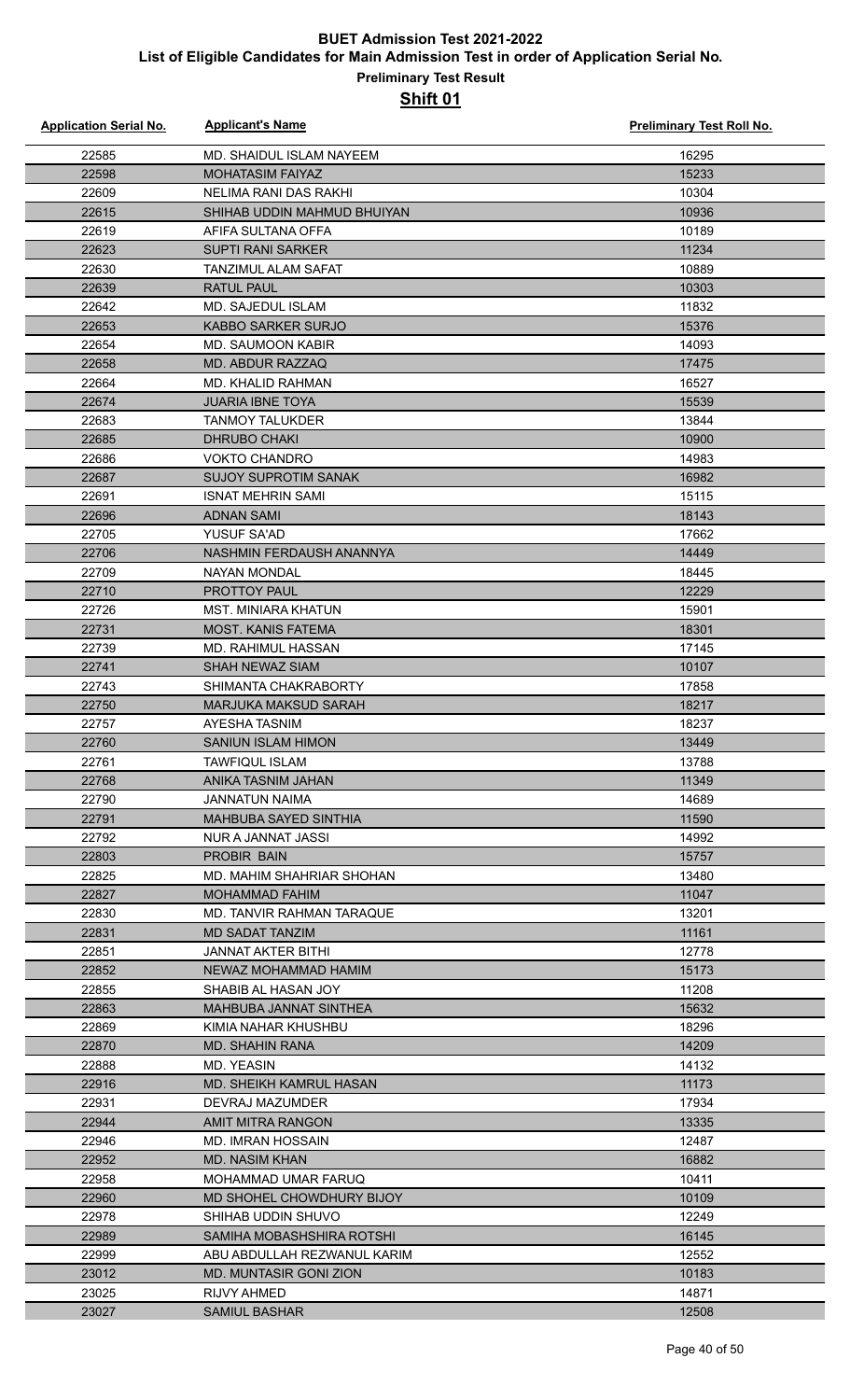| <b>Application Serial No.</b> | <b>Applicant's Name</b>                 | <b>Preliminary Test Roll No.</b> |
|-------------------------------|-----------------------------------------|----------------------------------|
| 22585                         | MD. SHAIDUL ISLAM NAYEEM                | 16295                            |
| 22598                         | <b>MOHATASIM FAIYAZ</b>                 | 15233                            |
| 22609                         | NELIMA RANI DAS RAKHI                   | 10304                            |
| 22615                         | SHIHAB UDDIN MAHMUD BHUIYAN             | 10936                            |
| 22619                         | AFIFA SULTANA OFFA                      | 10189                            |
| 22623                         | <b>SUPTI RANI SARKER</b>                | 11234                            |
| 22630                         | <b>TANZIMUL ALAM SAFAT</b>              | 10889                            |
| 22639                         | <b>RATUL PAUL</b>                       | 10303                            |
| 22642                         | <b>MD. SAJEDUL ISLAM</b>                | 11832                            |
| 22653                         | <b>KABBO SARKER SURJO</b>               | 15376                            |
| 22654                         | MD. SAUMOON KABIR                       | 14093                            |
| 22658                         | MD. ABDUR RAZZAQ                        | 17475                            |
| 22664                         | <b>MD. KHALID RAHMAN</b>                | 16527                            |
| 22674                         | <b>JUARIA IBNE TOYA</b>                 | 15539                            |
| 22683                         | <b>TANMOY TALUKDER</b>                  | 13844                            |
| 22685                         | <b>DHRUBO CHAKI</b>                     | 10900                            |
| 22686                         | <b>VOKTO CHANDRO</b>                    | 14983                            |
| 22687                         | <b>SUJOY SUPROTIM SANAK</b>             | 16982                            |
| 22691                         | <b>ISNAT MEHRIN SAMI</b>                | 15115                            |
| 22696                         | <b>ADNAN SAMI</b>                       | 18143                            |
| 22705                         | YUSUF SA'AD                             | 17662                            |
| 22706                         | NASHMIN FERDAUSH ANANNYA                | 14449                            |
| 22709                         | <b>NAYAN MONDAL</b>                     | 18445                            |
| 22710                         | <b>PROTTOY PAUL</b>                     | 12229                            |
| 22726                         | <b>MST. MINIARA KHATUN</b>              | 15901                            |
| 22731                         | <b>MOST. KANIS FATEMA</b>               | 18301                            |
| 22739                         | <b>MD. RAHIMUL HASSAN</b>               | 17145                            |
| 22741                         | SHAH NEWAZ SIAM                         | 10107                            |
| 22743                         | SHIMANTA CHAKRABORTY                    | 17858                            |
| 22750                         | <b>MARJUKA MAKSUD SARAH</b>             | 18217                            |
| 22757                         | <b>AYESHA TASNIM</b>                    | 18237                            |
| 22760                         | SANIUN ISLAM HIMON                      | 13449                            |
| 22761                         | <b>TAWFIQUL ISLAM</b>                   | 13788                            |
| 22768                         | ANIKA TASNIM JAHAN                      | 11349<br>14689                   |
| 22790<br>22791                | JANNATUN NAIMA<br>MAHBUBA SAYED SINTHIA | 11590                            |
| 22792                         | NUR A JANNAT JASSI                      | 14992                            |
| 22803                         | <b>PROBIR BAIN</b>                      | 15757                            |
| 22825                         | MD. MAHIM SHAHRIAR SHOHAN               | 13480                            |
| 22827                         | <b>MOHAMMAD FAHIM</b>                   | 11047                            |
| 22830                         | MD. TANVIR RAHMAN TARAQUE               | 13201                            |
| 22831                         | MD SADAT TANZIM                         | 11161                            |
| 22851                         | JANNAT AKTER BITHI                      | 12778                            |
| 22852                         | NEWAZ MOHAMMAD HAMIM                    | 15173                            |
| 22855                         | SHABIB AL HASAN JOY                     | 11208                            |
| 22863                         | MAHBUBA JANNAT SINTHEA                  | 15632                            |
| 22869                         | KIMIA NAHAR KHUSHBU                     | 18296                            |
| 22870                         | MD. SHAHIN RANA                         | 14209                            |
| 22888                         | <b>MD. YEASIN</b>                       | 14132                            |
| 22916                         | <b>MD. SHEIKH KAMRUL HASAN</b>          | 11173                            |
| 22931                         | DEVRAJ MAZUMDER                         | 17934                            |
| 22944                         | AMIT MITRA RANGON                       | 13335                            |
| 22946                         | <b>MD. IMRAN HOSSAIN</b>                | 12487                            |
| 22952                         | <b>MD. NASIM KHAN</b>                   | 16882                            |
| 22958                         | MOHAMMAD UMAR FARUQ                     | 10411                            |
| 22960                         | MD SHOHEL CHOWDHURY BIJOY               | 10109                            |
| 22978                         | SHIHAB UDDIN SHUVO                      | 12249                            |
| 22989                         | SAMIHA MOBASHSHIRA ROTSHI               | 16145                            |
| 22999                         | ABU ABDULLAH REZWANUL KARIM             | 12552                            |
| 23012                         | MD. MUNTASIR GONI ZION                  | 10183                            |
| 23025                         | RIJVY AHMED                             | 14871                            |
| 23027                         | <b>SAMIUL BASHAR</b>                    | 12508                            |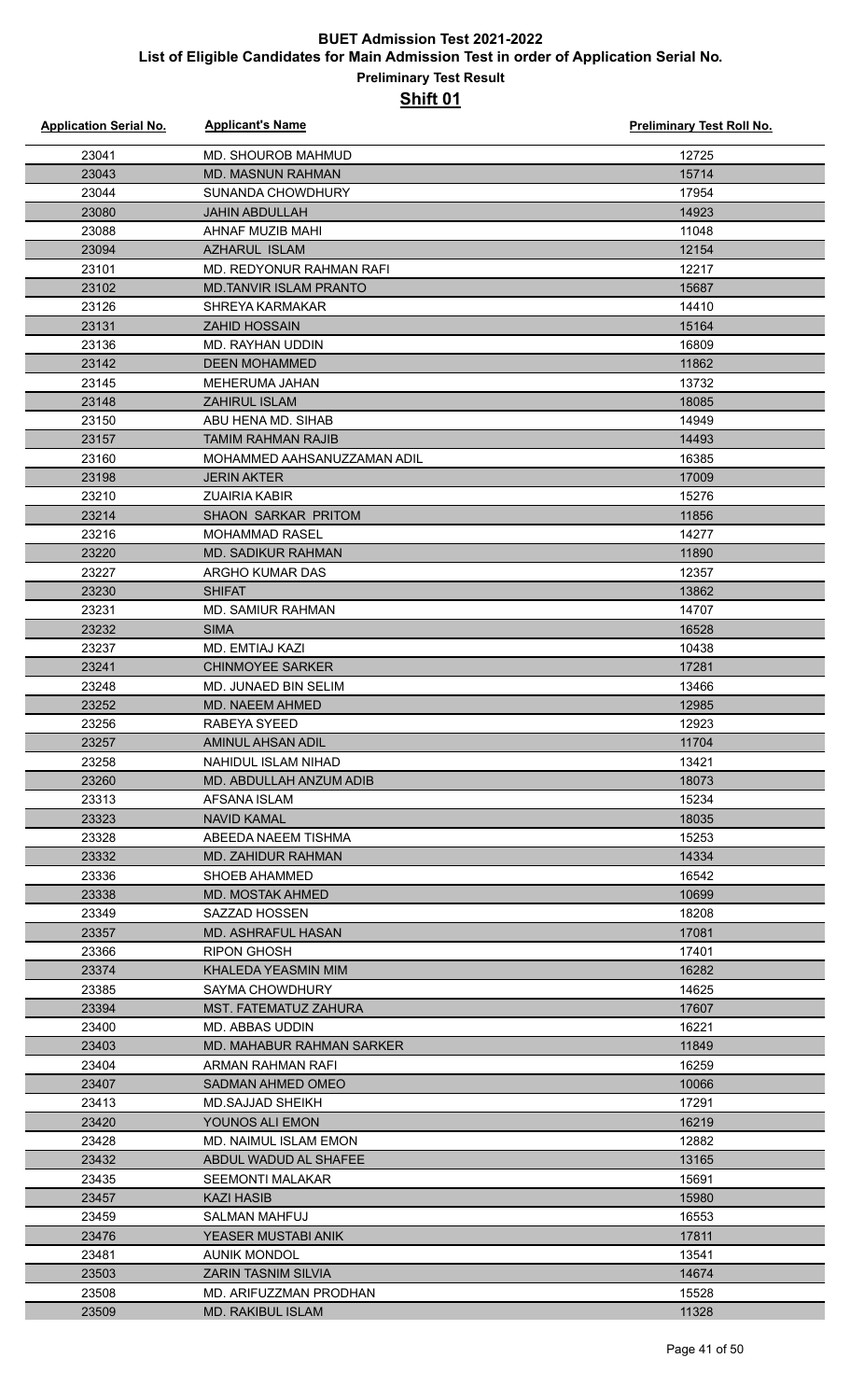| <b>Application Serial No.</b> | <b>Applicant's Name</b>       | <b>Preliminary Test Roll No.</b> |
|-------------------------------|-------------------------------|----------------------------------|
| 23041                         | MD. SHOUROB MAHMUD            | 12725                            |
| 23043                         | MD. MASNUN RAHMAN             | 15714                            |
| 23044                         | SUNANDA CHOWDHURY             | 17954                            |
| 23080                         | <b>JAHIN ABDULLAH</b>         | 14923                            |
| 23088                         | AHNAF MUZIB MAHI              | 11048                            |
| 23094                         | <b>AZHARUL ISLAM</b>          | 12154                            |
| 23101                         | MD. REDYONUR RAHMAN RAFI      | 12217                            |
| 23102                         | <b>MD.TANVIR ISLAM PRANTO</b> | 15687                            |
| 23126                         | <b>SHREYA KARMAKAR</b>        | 14410                            |
| 23131                         | <b>ZAHID HOSSAIN</b>          | 15164                            |
| 23136                         | MD. RAYHAN UDDIN              | 16809                            |
| 23142                         | <b>DEEN MOHAMMED</b>          | 11862                            |
| 23145                         | MEHERUMA JAHAN                | 13732                            |
| 23148                         | ZAHIRUL ISLAM                 | 18085                            |
| 23150                         | ABU HENA MD. SIHAB            | 14949                            |
| 23157                         | <b>TAMIM RAHMAN RAJIB</b>     | 14493                            |
| 23160                         | MOHAMMED AAHSANUZZAMAN ADIL   | 16385                            |
| 23198                         | <b>JERIN AKTER</b>            | 17009                            |
| 23210                         | <b>ZUAIRIA KABIR</b>          | 15276                            |
| 23214                         | SHAON SARKAR PRITOM           | 11856                            |
| 23216                         | <b>MOHAMMAD RASEL</b>         | 14277                            |
| 23220                         | <b>MD. SADIKUR RAHMAN</b>     | 11890                            |
| 23227                         | ARGHO KUMAR DAS               | 12357                            |
| 23230                         | <b>SHIFAT</b>                 | 13862                            |
| 23231                         | MD. SAMIUR RAHMAN             | 14707                            |
| 23232                         | <b>SIMA</b>                   | 16528                            |
| 23237                         | MD. EMTIAJ KAZI               | 10438                            |
| 23241                         | <b>CHINMOYEE SARKER</b>       | 17281                            |
| 23248                         | MD. JUNAED BIN SELIM          | 13466                            |
| 23252                         | MD. NAEEM AHMED               | 12985                            |
| 23256                         | RABEYA SYEED                  | 12923                            |
| 23257                         | AMINUL AHSAN ADIL             | 11704                            |
| 23258                         | NAHIDUL ISLAM NIHAD           | 13421                            |
| 23260                         | MD. ABDULLAH ANZUM ADIB       | 18073                            |
| 23313                         | AFSANA ISLAM                  | 15234                            |
| 23323                         | <b>NAVID KAMAL</b>            | 18035                            |
| 23328                         | ABEEDA NAEEM TISHMA           | 15253                            |
| 23332                         | MD. ZAHIDUR RAHMAN            | 14334                            |
| 23336                         | SHOEB AHAMMED                 | 16542                            |
| 23338                         | MD. MOSTAK AHMED              | 10699                            |
| 23349                         | SAZZAD HOSSEN                 | 18208                            |
| 23357                         | MD. ASHRAFUL HASAN            | 17081                            |
| 23366                         | <b>RIPON GHOSH</b>            | 17401                            |
| 23374                         | KHALEDA YEASMIN MIM           | 16282                            |
| 23385                         | <b>SAYMA CHOWDHURY</b>        | 14625                            |
| 23394                         | <b>MST. FATEMATUZ ZAHURA</b>  | 17607                            |
| 23400                         | MD. ABBAS UDDIN               | 16221                            |
| 23403                         | MD. MAHABUR RAHMAN SARKER     | 11849                            |
| 23404                         | ARMAN RAHMAN RAFI             | 16259                            |
| 23407                         | SADMAN AHMED OMEO             | 10066                            |
| 23413                         | <b>MD.SAJJAD SHEIKH</b>       | 17291                            |
| 23420                         | YOUNOS ALI EMON               | 16219                            |
| 23428                         | <b>MD. NAIMUL ISLAM EMON</b>  | 12882                            |
| 23432                         | ABDUL WADUD AL SHAFEE         | 13165                            |
| 23435                         | <b>SEEMONTI MALAKAR</b>       | 15691                            |
| 23457                         | <b>KAZI HASIB</b>             | 15980                            |
| 23459                         | SALMAN MAHFUJ                 | 16553                            |
| 23476                         | YEASER MUSTABI ANIK           | 17811                            |
| 23481                         | <b>AUNIK MONDOL</b>           | 13541                            |
| 23503                         | ZARIN TASNIM SILVIA           | 14674                            |
| 23508                         | MD. ARIFUZZMAN PRODHAN        | 15528                            |
| 23509                         | <b>MD. RAKIBUL ISLAM</b>      | 11328                            |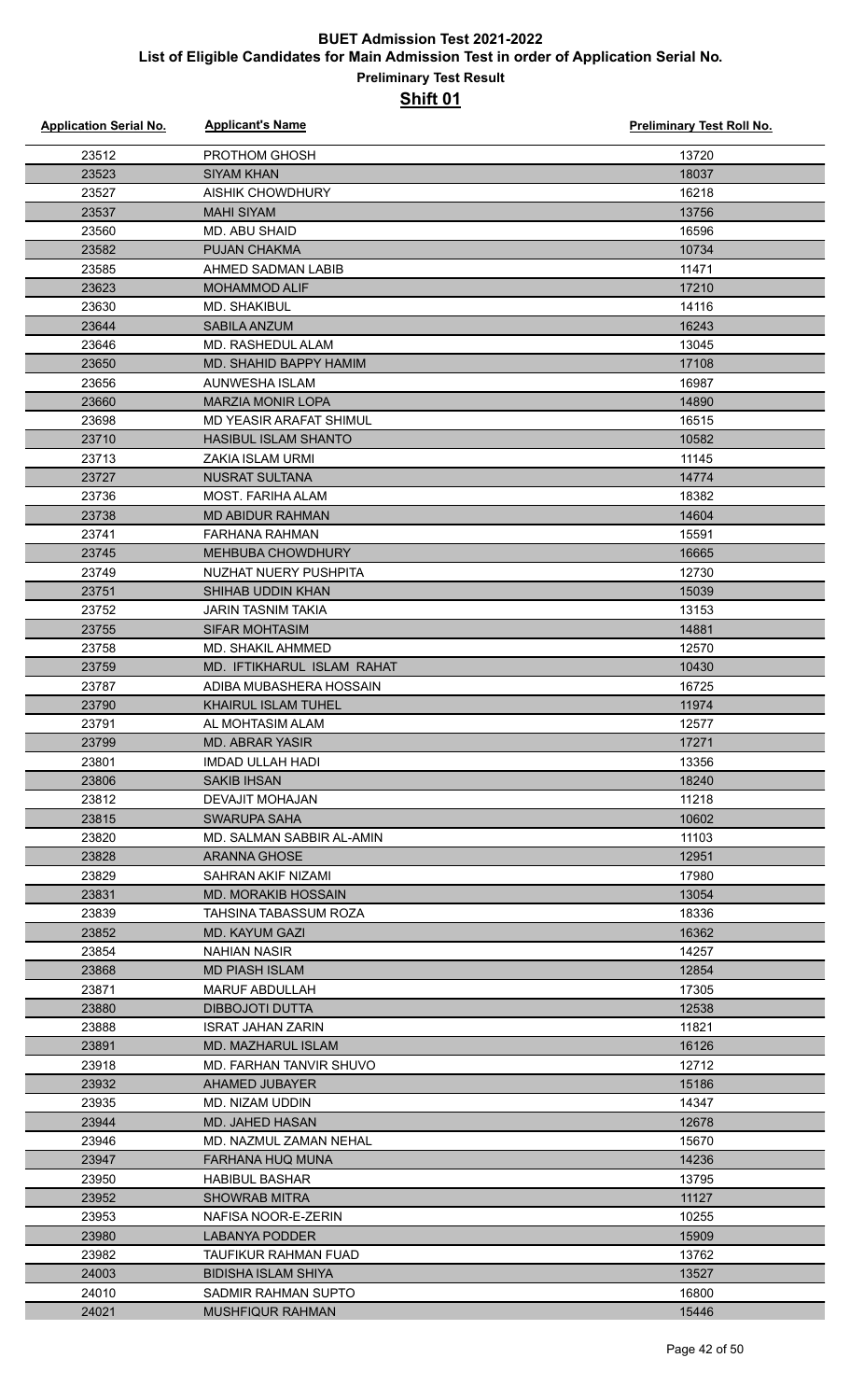| <b>Application Serial No.</b> | <b>Applicant's Name</b>                         | <b>Preliminary Test Roll No.</b> |
|-------------------------------|-------------------------------------------------|----------------------------------|
| 23512                         | <b>PROTHOM GHOSH</b>                            | 13720                            |
| 23523                         | <b>SIYAM KHAN</b>                               | 18037                            |
| 23527                         | <b>AISHIK CHOWDHURY</b>                         | 16218                            |
| 23537                         | <b>MAHI SIYAM</b>                               | 13756                            |
| 23560                         | <b>MD. ABU SHAID</b>                            | 16596                            |
| 23582                         | PUJAN CHAKMA                                    | 10734                            |
| 23585                         | AHMED SADMAN LABIB                              | 11471                            |
| 23623                         | <b>MOHAMMOD ALIF</b>                            | 17210                            |
| 23630                         | <b>MD. SHAKIBUL</b>                             | 14116                            |
| 23644                         | <b>SABILA ANZUM</b>                             | 16243                            |
| 23646                         | MD. RASHEDUL ALAM                               | 13045                            |
| 23650                         | MD. SHAHID BAPPY HAMIM                          | 17108                            |
| 23656                         | AUNWESHA ISLAM                                  | 16987                            |
| 23660                         | <b>MARZIA MONIR LOPA</b>                        | 14890                            |
| 23698                         | MD YEASIR ARAFAT SHIMUL                         | 16515                            |
| 23710                         | <b>HASIBUL ISLAM SHANTO</b>                     | 10582                            |
| 23713                         | ZAKIA ISLAM URMI                                | 11145                            |
| 23727                         | <b>NUSRAT SULTANA</b>                           | 14774                            |
| 23736                         | MOST. FARIHA ALAM                               | 18382                            |
| 23738                         | <b>MD ABIDUR RAHMAN</b>                         | 14604                            |
| 23741                         | <b>FARHANA RAHMAN</b>                           | 15591                            |
| 23745                         | <b>MEHBUBA CHOWDHURY</b>                        | 16665                            |
| 23749                         | NUZHAT NUERY PUSHPITA                           | 12730                            |
| 23751                         | SHIHAB UDDIN KHAN                               | 15039                            |
| 23752                         | <b>JARIN TASNIM TAKIA</b>                       | 13153                            |
| 23755                         | <b>SIFAR MOHTASIM</b>                           | 14881                            |
| 23758                         | MD. SHAKIL AHMMED                               | 12570                            |
| 23759                         | MD. IFTIKHARUL ISLAM RAHAT                      | 10430                            |
| 23787                         | ADIBA MUBASHERA HOSSAIN                         | 16725                            |
| 23790                         | KHAIRUL ISLAM TUHEL                             | 11974                            |
| 23791                         | AL MOHTASIM ALAM                                | 12577                            |
| 23799                         | <b>MD. ABRAR YASIR</b>                          | 17271                            |
| 23801                         | IMDAD ULLAH HADI                                | 13356                            |
| 23806                         | <b>SAKIB IHSAN</b>                              | 18240                            |
| 23812                         | DEVAJIT MOHAJAN                                 | 11218                            |
| 23815                         | SWARUPA SAHA                                    | 10602                            |
| 23820                         | MD. SALMAN SABBIR AL-AMIN                       | 11103                            |
| 23828                         | ARANNA GHOSE                                    | 12951                            |
| 23829                         | SAHRAN AKIF NIZAMI                              | 17980                            |
| 23831                         | <b>MD. MORAKIB HOSSAIN</b>                      | 13054                            |
| 23839                         | TAHSINA TABASSUM ROZA                           | 18336                            |
| 23852                         | <b>MD. KAYUM GAZI</b>                           | 16362                            |
| 23854                         | <b>NAHIAN NASIR</b>                             | 14257                            |
| 23868                         | <b>MD PIASH ISLAM</b>                           | 12854                            |
| 23871<br>23880                | <b>MARUF ABDULLAH</b><br><b>DIBBOJOTI DUTTA</b> | 17305<br>12538                   |
| 23888                         | ISRAT JAHAN ZARIN                               | 11821                            |
| 23891                         | MD. MAZHARUL ISLAM                              | 16126                            |
| 23918                         | MD. FARHAN TANVIR SHUVO                         | 12712                            |
| 23932                         | <b>AHAMED JUBAYER</b>                           | 15186                            |
| 23935                         | MD. NIZAM UDDIN                                 | 14347                            |
| 23944                         | MD. JAHED HASAN                                 | 12678                            |
| 23946                         | MD. NAZMUL ZAMAN NEHAL                          | 15670                            |
| 23947                         | <b>FARHANA HUQ MUNA</b>                         | 14236                            |
| 23950                         | <b>HABIBUL BASHAR</b>                           | 13795                            |
| 23952                         | <b>SHOWRAB MITRA</b>                            | 11127                            |
| 23953                         | NAFISA NOOR-E-ZERIN                             | 10255                            |
| 23980                         | <b>LABANYA PODDER</b>                           | 15909                            |
| 23982                         | TAUFIKUR RAHMAN FUAD                            | 13762                            |
| 24003                         | <b>BIDISHA ISLAM SHIYA</b>                      | 13527                            |
| 24010                         | <b>SADMIR RAHMAN SUPTO</b>                      | 16800                            |
| 24021                         | <b>MUSHFIQUR RAHMAN</b>                         | 15446                            |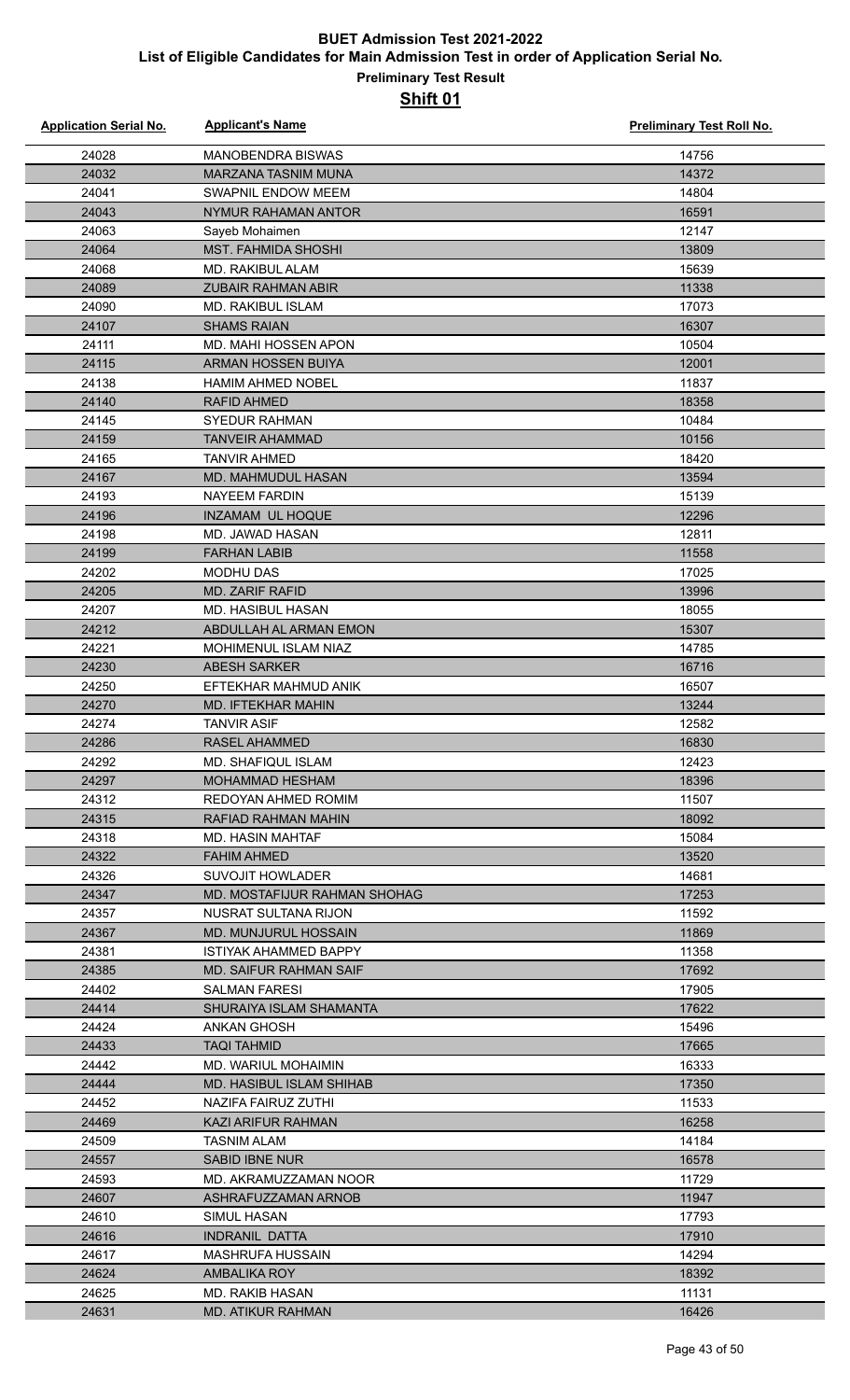| <b>Application Serial No.</b> | <b>Applicant's Name</b>                           | <b>Preliminary Test Roll No.</b> |
|-------------------------------|---------------------------------------------------|----------------------------------|
| 24028                         | <b>MANOBENDRA BISWAS</b>                          | 14756                            |
| 24032                         | <b>MARZANA TASNIM MUNA</b>                        | 14372                            |
| 24041                         | <b>SWAPNIL ENDOW MEEM</b>                         | 14804                            |
| 24043                         | NYMUR RAHAMAN ANTOR                               | 16591                            |
| 24063                         | Sayeb Mohaimen                                    | 12147                            |
| 24064                         | <b>MST. FAHMIDA SHOSHI</b>                        | 13809                            |
| 24068                         | <b>MD. RAKIBUL ALAM</b>                           | 15639                            |
| 24089                         | <b>ZUBAIR RAHMAN ABIR</b>                         | 11338                            |
| 24090                         | <b>MD. RAKIBUL ISLAM</b>                          | 17073                            |
| 24107                         | <b>SHAMS RAIAN</b>                                | 16307                            |
| 24111                         | MD. MAHI HOSSEN APON                              | 10504                            |
| 24115                         | <b>ARMAN HOSSEN BUIYA</b>                         | 12001                            |
| 24138                         | <b>HAMIM AHMED NOBEL</b>                          | 11837                            |
| 24140                         | <b>RAFID AHMED</b>                                | 18358                            |
| 24145                         | <b>SYEDUR RAHMAN</b>                              | 10484                            |
| 24159                         | <b>TANVEIR AHAMMAD</b>                            | 10156                            |
| 24165                         | <b>TANVIR AHMED</b>                               | 18420                            |
| 24167                         | <b>MD. MAHMUDUL HASAN</b>                         | 13594                            |
| 24193                         | <b>NAYEEM FARDIN</b>                              | 15139                            |
| 24196                         | INZAMAM UL HOQUE                                  | 12296                            |
| 24198                         | <b>MD. JAWAD HASAN</b>                            | 12811                            |
| 24199                         | <b>FARHAN LABIB</b>                               | 11558                            |
| 24202                         | <b>MODHU DAS</b>                                  | 17025                            |
| 24205                         | <b>MD. ZARIF RAFID</b>                            | 13996                            |
| 24207                         | MD. HASIBUL HASAN                                 | 18055                            |
| 24212                         | ABDULLAH AL ARMAN EMON                            | 15307                            |
| 24221                         | MOHIMENUL ISLAM NIAZ                              | 14785                            |
| 24230                         | <b>ABESH SARKER</b>                               | 16716<br>16507                   |
| 24250<br>24270                | EFTEKHAR MAHMUD ANIK<br><b>MD. IFTEKHAR MAHIN</b> | 13244                            |
| 24274                         | <b>TANVIR ASIF</b>                                | 12582                            |
| 24286                         | RASEL AHAMMED                                     | 16830                            |
| 24292                         | MD. SHAFIQUL ISLAM                                | 12423                            |
| 24297                         | <b>MOHAMMAD HESHAM</b>                            | 18396                            |
| 24312                         | REDOYAN AHMED ROMIM                               | 11507                            |
| 24315                         | RAFIAD RAHMAN MAHIN                               | 18092                            |
| 24318                         | MD. HASIN MAHTAF                                  | 15084                            |
| 24322                         | <b>FAHIM AHMED</b>                                | 13520                            |
| 24326                         | <b>SUVOJIT HOWLADER</b>                           | 14681                            |
| 24347                         | MD. MOSTAFIJUR RAHMAN SHOHAG                      | 17253                            |
| 24357                         | NUSRAT SULTANA RIJON                              | 11592                            |
| 24367                         | MD. MUNJURUL HOSSAIN                              | 11869                            |
| 24381                         | <b>ISTIYAK AHAMMED BAPPY</b>                      | 11358                            |
| 24385                         | MD. SAIFUR RAHMAN SAIF                            | 17692                            |
| 24402                         | <b>SALMAN FARESI</b>                              | 17905                            |
| 24414                         | SHURAIYA ISLAM SHAMANTA                           | 17622                            |
| 24424                         | ANKAN GHOSH                                       | 15496                            |
| 24433                         | <b>TAQI TAHMID</b>                                | 17665                            |
| 24442                         | <b>MD. WARIUL MOHAIMIN</b>                        | 16333                            |
| 24444                         | MD. HASIBUL ISLAM SHIHAB                          | 17350                            |
| 24452                         | NAZIFA FAIRUZ ZUTHI                               | 11533                            |
| 24469                         | KAZI ARIFUR RAHMAN                                | 16258                            |
| 24509                         | <b>TASNIM ALAM</b>                                | 14184                            |
| 24557                         | <b>SABID IBNE NUR</b>                             | 16578                            |
| 24593                         | MD. AKRAMUZZAMAN NOOR                             | 11729                            |
| 24607<br>24610                | ASHRAFUZZAMAN ARNOB<br>SIMUL HASAN                | 11947<br>17793                   |
| 24616                         | <b>INDRANIL DATTA</b>                             | 17910                            |
| 24617                         | MASHRUFA HUSSAIN                                  | 14294                            |
| 24624                         | AMBALIKA ROY                                      | 18392                            |
| 24625                         | MD. RAKIB HASAN                                   | 11131                            |
| 24631                         | <b>MD. ATIKUR RAHMAN</b>                          | 16426                            |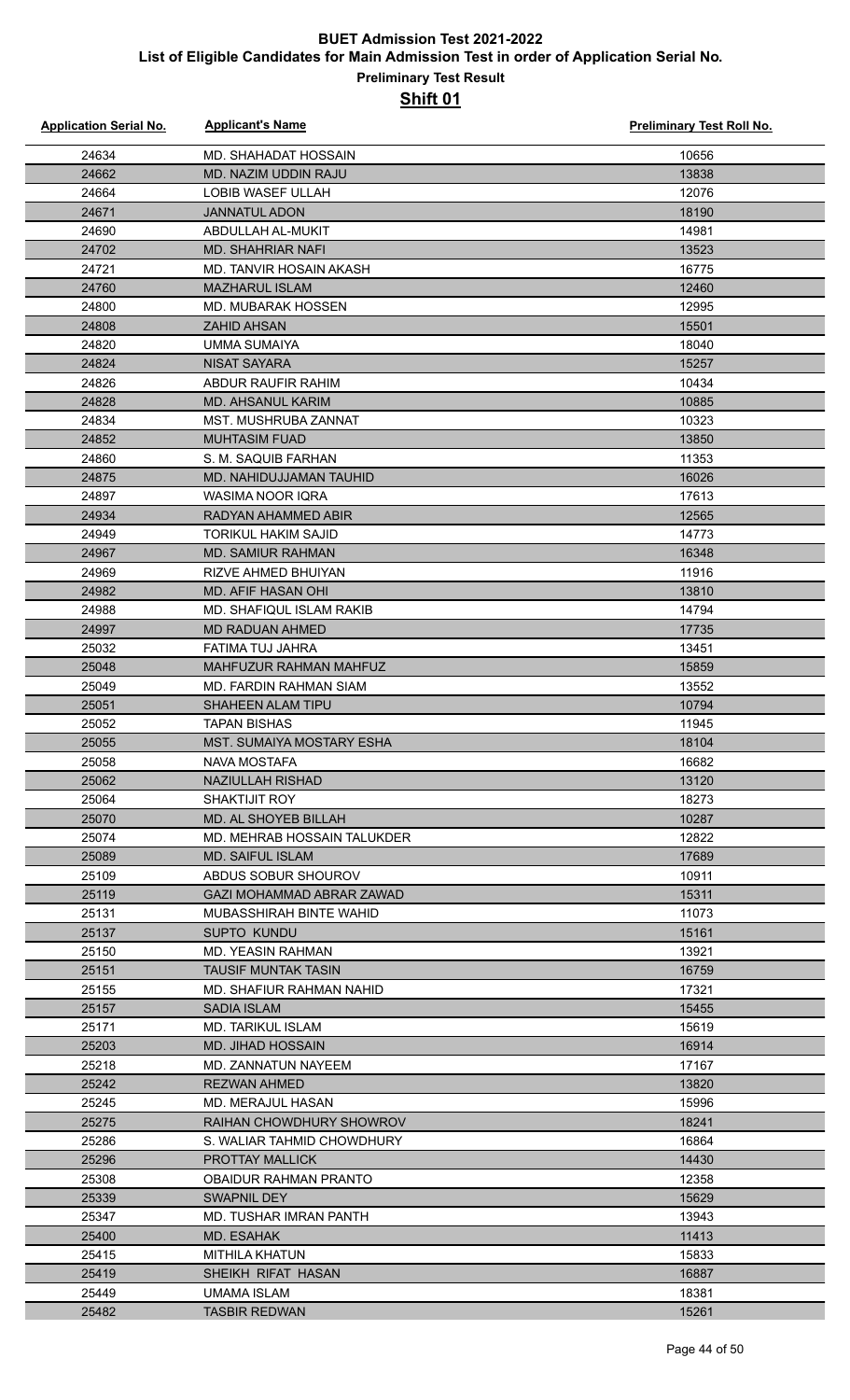| <b>Application Serial No.</b> | <b>Applicant's Name</b>                         | Preliminary Test Roll No. |
|-------------------------------|-------------------------------------------------|---------------------------|
| 24634                         | MD. SHAHADAT HOSSAIN                            | 10656                     |
| 24662                         | <b>MD. NAZIM UDDIN RAJU</b>                     | 13838                     |
| 24664                         | LOBIB WASEF ULLAH                               | 12076                     |
| 24671                         | <b>JANNATUL ADON</b>                            | 18190                     |
| 24690                         | ABDULLAH AL-MUKIT                               | 14981                     |
| 24702                         | <b>MD. SHAHRIAR NAFI</b>                        | 13523                     |
| 24721                         | MD. TANVIR HOSAIN AKASH                         | 16775                     |
| 24760                         | <b>MAZHARUL ISLAM</b>                           | 12460                     |
| 24800                         | MD. MUBARAK HOSSEN                              | 12995                     |
| 24808                         | <b>ZAHID AHSAN</b>                              | 15501                     |
| 24820                         | UMMA SUMAIYA                                    | 18040                     |
| 24824                         | <b>NISAT SAYARA</b>                             | 15257                     |
| 24826                         | ABDUR RAUFIR RAHIM                              | 10434                     |
| 24828                         | <b>MD. AHSANUL KARIM</b>                        | 10885                     |
| 24834                         | <b>MST. MUSHRUBA ZANNAT</b>                     | 10323                     |
| 24852                         | <b>MUHTASIM FUAD</b>                            | 13850                     |
| 24860                         | S. M. SAQUIB FARHAN                             | 11353                     |
| 24875                         | MD. NAHIDUJJAMAN TAUHID                         | 16026                     |
| 24897                         | <b>WASIMA NOOR IQRA</b>                         | 17613                     |
| 24934                         | RADYAN AHAMMED ABIR                             | 12565                     |
| 24949                         | <b>TORIKUL HAKIM SAJID</b>                      | 14773                     |
| 24967                         | <b>MD. SAMIUR RAHMAN</b>                        | 16348                     |
| 24969                         | <b>RIZVE AHMED BHUIYAN</b>                      | 11916                     |
| 24982                         | MD. AFIF HASAN OHI                              | 13810                     |
| 24988                         | MD. SHAFIQUL ISLAM RAKIB                        | 14794                     |
| 24997                         | <b>MD RADUAN AHMED</b>                          | 17735                     |
| 25032                         | FATIMA TUJ JAHRA                                | 13451                     |
| 25048                         | MAHFUZUR RAHMAN MAHFUZ                          | 15859                     |
| 25049                         | MD. FARDIN RAHMAN SIAM                          | 13552                     |
| 25051                         | <b>SHAHEEN ALAM TIPU</b>                        | 10794                     |
| 25052                         | <b>TAPAN BISHAS</b>                             | 11945                     |
| 25055                         | MST. SUMAIYA MOSTARY ESHA                       | 18104                     |
| 25058                         | NAVA MOSTAFA                                    | 16682                     |
| 25062                         | <b>NAZIULLAH RISHAD</b>                         | 13120                     |
| 25064                         | <b>SHAKTIJIT ROY</b>                            | 18273                     |
| 25070                         | MD. AL SHOYEB BILLAH                            | 10287                     |
| 25074                         | MD. MEHRAB HOSSAIN TALUKDER                     | 12822                     |
| 25089                         | <b>MD. SAIFUL ISLAM</b>                         | 17689                     |
| 25109                         | ABDUS SOBUR SHOUROV                             | 10911                     |
| 25119                         | GAZI MOHAMMAD ABRAR ZAWAD                       | 15311                     |
| 25131                         | MUBASSHIRAH BINTE WAHID                         | 11073                     |
| 25137                         | SUPTO KUNDU                                     | 15161                     |
| 25150                         | MD. YEASIN RAHMAN                               | 13921                     |
| 25151                         | TAUSIF MUNTAK TASIN                             | 16759                     |
| 25155                         | MD. SHAFIUR RAHMAN NAHID                        | 17321                     |
| 25157                         | <b>SADIA ISLAM</b>                              | 15455                     |
| 25171                         | MD. TARIKUL ISLAM                               | 15619                     |
| 25203<br>25218                | <b>MD. JIHAD HOSSAIN</b><br>MD. ZANNATUN NAYEEM | 16914<br>17167            |
| 25242                         | <b>REZWAN AHMED</b>                             | 13820                     |
| 25245                         | MD. MERAJUL HASAN                               | 15996                     |
| 25275                         | RAIHAN CHOWDHURY SHOWROV                        | 18241                     |
| 25286                         | S. WALIAR TAHMID CHOWDHURY                      | 16864                     |
| 25296                         | <b>PROTTAY MALLICK</b>                          | 14430                     |
| 25308                         | OBAIDUR RAHMAN PRANTO                           | 12358                     |
| 25339                         | SWAPNIL DEY                                     | 15629                     |
| 25347                         | MD. TUSHAR IMRAN PANTH                          | 13943                     |
| 25400                         | MD. ESAHAK                                      | 11413                     |
| 25415                         | MITHILA KHATUN                                  | 15833                     |
| 25419                         | SHEIKH RIFAT HASAN                              | 16887                     |
| 25449                         | <b>UMAMA ISLAM</b>                              | 18381                     |
| 25482                         | <b>TASBIR REDWAN</b>                            | 15261                     |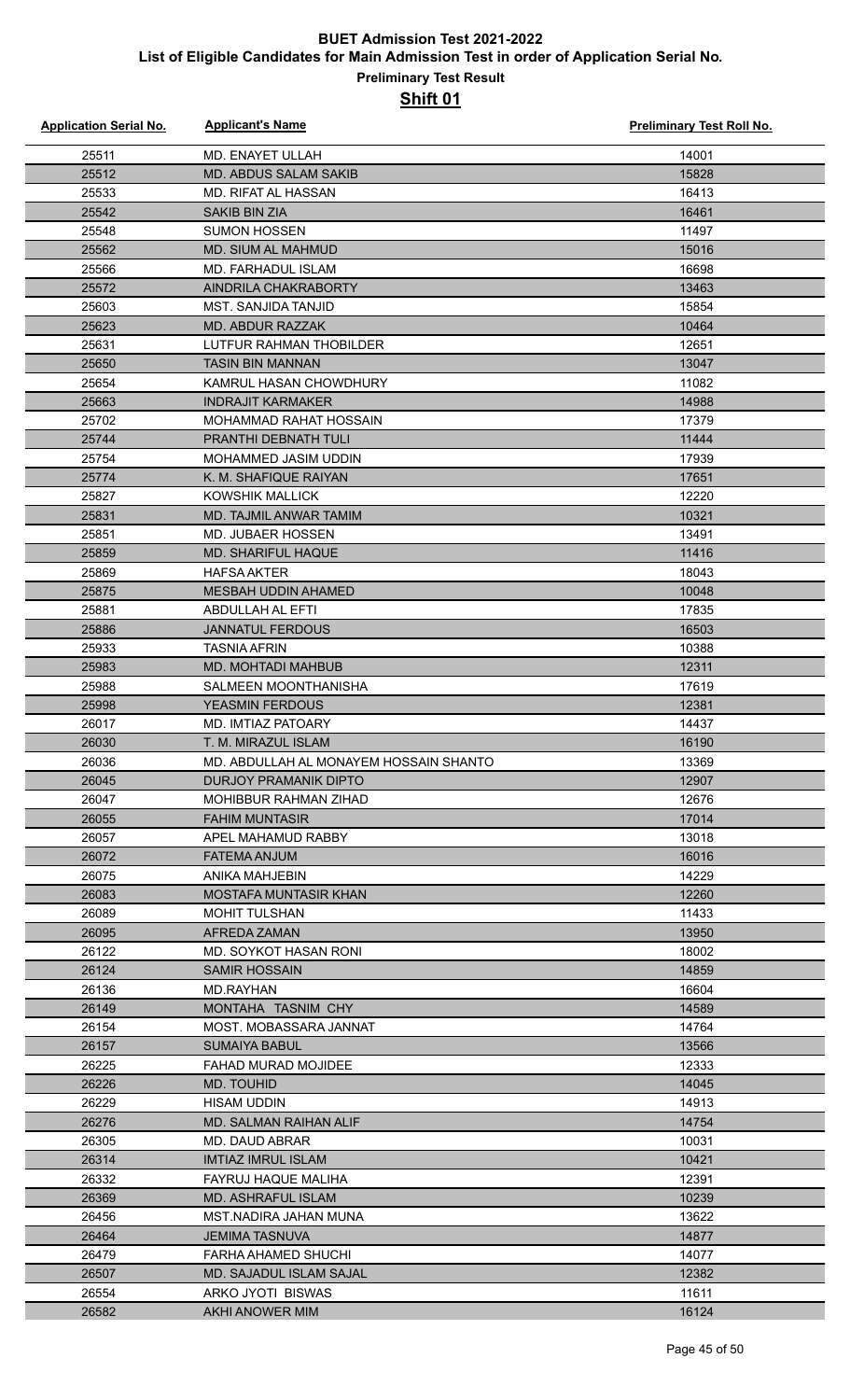| <b>Application Serial No.</b> | <b>Applicant's Name</b>                | <b>Preliminary Test Roll No.</b> |
|-------------------------------|----------------------------------------|----------------------------------|
| 25511                         | MD. ENAYET ULLAH                       | 14001                            |
| 25512                         | <b>MD. ABDUS SALAM SAKIB</b>           | 15828                            |
| 25533                         | <b>MD. RIFAT AL HASSAN</b>             | 16413                            |
| 25542                         | <b>SAKIB BIN ZIA</b>                   | 16461                            |
| 25548                         | <b>SUMON HOSSEN</b>                    | 11497                            |
| 25562                         | <b>MD. SIUM AL MAHMUD</b>              | 15016                            |
| 25566                         | MD. FARHADUL ISLAM                     | 16698                            |
| 25572                         | AINDRILA CHAKRABORTY                   | 13463                            |
| 25603                         | <b>MST. SANJIDA TANJID</b>             | 15854                            |
| 25623                         | <b>MD. ABDUR RAZZAK</b>                | 10464                            |
| 25631                         | <b>LUTFUR RAHMAN THOBILDER</b>         | 12651                            |
| 25650                         | <b>TASIN BIN MANNAN</b>                | 13047                            |
| 25654                         | KAMRUL HASAN CHOWDHURY                 | 11082                            |
| 25663                         | <b>INDRAJIT KARMAKER</b>               | 14988                            |
| 25702                         | MOHAMMAD RAHAT HOSSAIN                 | 17379                            |
| 25744                         | PRANTHI DEBNATH TULI                   | 11444                            |
| 25754                         | MOHAMMED JASIM UDDIN                   | 17939                            |
| 25774                         | K. M. SHAFIQUE RAIYAN                  | 17651                            |
| 25827                         | <b>KOWSHIK MALLICK</b>                 | 12220                            |
| 25831                         | MD. TAJMIL ANWAR TAMIM                 | 10321                            |
| 25851                         | MD. JUBAER HOSSEN                      | 13491                            |
| 25859                         | MD. SHARIFUL HAQUE                     | 11416                            |
| 25869                         | <b>HAFSA AKTER</b>                     | 18043                            |
| 25875                         | <b>MESBAH UDDIN AHAMED</b>             | 10048                            |
| 25881                         | ABDULLAH AL EFTI                       | 17835                            |
| 25886                         | <b>JANNATUL FERDOUS</b>                | 16503                            |
| 25933                         | <b>TASNIA AFRIN</b>                    | 10388                            |
|                               | <b>MD. MOHTADI MAHBUB</b>              |                                  |
| 25983                         |                                        | 12311                            |
| 25988                         | SALMEEN MOONTHANISHA                   | 17619                            |
| 25998                         | <b>YEASMIN FERDOUS</b>                 | 12381                            |
| 26017                         | MD. IMTIAZ PATOARY                     | 14437                            |
| 26030                         | T. M. MIRAZUL ISLAM                    | 16190                            |
| 26036                         | MD. ABDULLAH AL MONAYEM HOSSAIN SHANTO | 13369                            |
| 26045                         | DURJOY PRAMANIK DIPTO                  | 12907                            |
| 26047                         | MOHIBBUR RAHMAN ZIHAD                  | 12676<br>17014                   |
| 26055<br>26057                | <b>FAHIM MUNTASIR</b>                  |                                  |
|                               | APEL MAHAMUD RABBY                     | 13018                            |
| 26072                         | <b>FATEMA ANJUM</b>                    | 16016<br>14229                   |
| 26075                         | ANIKA MAHJEBIN                         |                                  |
| 26083                         | <b>MOSTAFA MUNTASIR KHAN</b>           | 12260                            |
| 26089                         | <b>MOHIT TULSHAN</b>                   | 11433                            |
| 26095                         | AFREDA ZAMAN                           | 13950                            |
| 26122                         | MD. SOYKOT HASAN RONI                  | 18002                            |
| 26124                         | <b>SAMIR HOSSAIN</b>                   | 14859                            |
| 26136                         | MD.RAYHAN                              | 16604                            |
| 26149                         | MONTAHA TASNIM CHY                     | 14589                            |
| 26154                         | MOST. MOBASSARA JANNAT                 | 14764                            |
| 26157                         | <b>SUMAIYA BABUL</b>                   | 13566                            |
| 26225                         | FAHAD MURAD MOJIDEE                    | 12333                            |
| 26226                         | <b>MD. TOUHID</b>                      | 14045                            |
| 26229                         | <b>HISAM UDDIN</b>                     | 14913                            |
| 26276                         | <b>MD. SALMAN RAIHAN ALIF</b>          | 14754                            |
| 26305                         | MD. DAUD ABRAR                         | 10031                            |
| 26314                         | <b>IMTIAZ IMRUL ISLAM</b>              | 10421                            |
| 26332                         | FAYRUJ HAQUE MALIHA                    | 12391                            |
| 26369                         | <b>MD. ASHRAFUL ISLAM</b>              | 10239                            |
| 26456                         | MST.NADIRA JAHAN MUNA                  | 13622                            |
| 26464                         | <b>JEMIMA TASNUVA</b>                  | 14877                            |
| 26479                         | FARHA AHAMED SHUCHI                    | 14077                            |
| 26507                         | MD. SAJADUL ISLAM SAJAL                | 12382                            |
| 26554                         | ARKO JYOTI BISWAS                      | 11611                            |
| 26582                         | AKHI ANOWER MIM                        | 16124                            |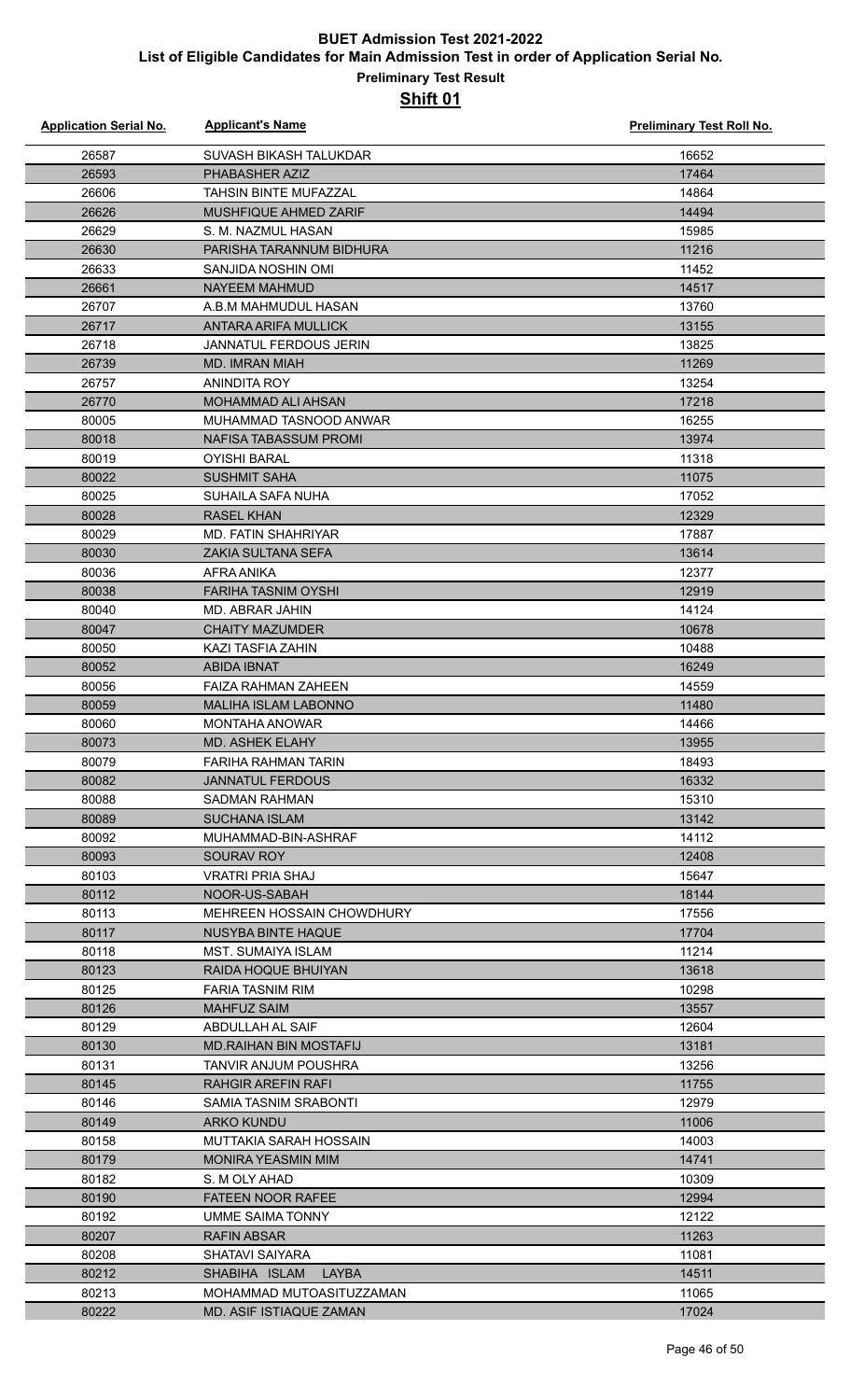| <b>Application Serial No.</b> | <b>Applicant's Name</b>                         | Preliminary Test Roll No. |
|-------------------------------|-------------------------------------------------|---------------------------|
| 26587                         | SUVASH BIKASH TALUKDAR                          | 16652                     |
| 26593                         | PHABASHER AZIZ                                  | 17464                     |
| 26606                         | <b>TAHSIN BINTE MUFAZZAL</b>                    | 14864                     |
| 26626                         | MUSHFIQUE AHMED ZARIF                           | 14494                     |
| 26629                         | S. M. NAZMUL HASAN                              | 15985                     |
| 26630                         | PARISHA TARANNUM BIDHURA                        | 11216                     |
| 26633                         | SANJIDA NOSHIN OMI                              | 11452                     |
| 26661                         | <b>NAYEEM MAHMUD</b>                            | 14517                     |
| 26707                         | A.B.M MAHMUDUL HASAN                            | 13760                     |
| 26717                         | ANTARA ARIFA MULLICK                            | 13155                     |
| 26718                         | JANNATUL FERDOUS JERIN                          | 13825                     |
| 26739                         | <b>MD. IMRAN MIAH</b>                           | 11269                     |
| 26757                         | ANINDITA ROY                                    | 13254                     |
| 26770                         | MOHAMMAD ALI AHSAN                              | 17218                     |
| 80005                         | MUHAMMAD TASNOOD ANWAR                          | 16255                     |
| 80018                         | NAFISA TABASSUM PROMI                           | 13974                     |
| 80019                         | <b>OYISHI BARAL</b>                             | 11318                     |
| 80022                         | <b>SUSHMIT SAHA</b>                             | 11075                     |
| 80025                         | SUHAILA SAFA NUHA                               | 17052                     |
| 80028                         |                                                 |                           |
| 80029                         | <b>RASEL KHAN</b><br><b>MD. FATIN SHAHRIYAR</b> | 12329<br>17887            |
|                               |                                                 |                           |
| 80030                         | <b>ZAKIA SULTANA SEFA</b>                       | 13614                     |
| 80036<br>80038                | AFRA ANIKA<br><b>FARIHA TASNIM OYSHI</b>        | 12377<br>12919            |
|                               |                                                 |                           |
| 80040                         | MD. ABRAR JAHIN                                 | 14124                     |
| 80047                         | <b>CHAITY MAZUMDER</b>                          | 10678                     |
| 80050                         | KAZI TASFIA ZAHIN                               | 10488                     |
| 80052                         | ABIDA IBNAT                                     | 16249                     |
| 80056                         | FAIZA RAHMAN ZAHEEN                             | 14559                     |
| 80059                         | <b>MALIHA ISLAM LABONNO</b>                     | 11480                     |
| 80060                         | <b>MONTAHA ANOWAR</b>                           | 14466                     |
| 80073                         | MD. ASHEK ELAHY                                 | 13955                     |
| 80079                         | <b>FARIHA RAHMAN TARIN</b>                      | 18493                     |
| 80082                         | <b>JANNATUL FERDOUS</b>                         | 16332                     |
| 80088                         | SADMAN RAHMAN                                   | 15310                     |
| 80089                         | <b>SUCHANA ISLAM</b>                            | 13142                     |
| 80092                         | MUHAMMAD-BIN-ASHRAF                             | 14112                     |
| 80093                         | SOURAV ROY                                      | 12408                     |
| 80103                         | VRATRI PRIA SHAJ                                | 15647                     |
| 80112                         | NOOR-US-SABAH                                   | 18144                     |
| 80113                         | MEHREEN HOSSAIN CHOWDHURY                       | 17556                     |
| 80117                         | NUSYBA BINTE HAQUE                              | 17704                     |
| 80118                         | <b>MST. SUMAIYA ISLAM</b>                       | 11214                     |
| 80123                         | RAIDA HOQUE BHUIYAN                             | 13618                     |
| 80125                         | FARIA TASNIM RIM                                | 10298                     |
| 80126                         | <b>MAHFUZ SAIM</b>                              | 13557                     |
| 80129                         | ABDULLAH AL SAIF                                | 12604                     |
| 80130                         | <b>MD.RAIHAN BIN MOSTAFIJ</b>                   | 13181                     |
| 80131                         | TANVIR ANJUM POUSHRA                            | 13256                     |
| 80145                         | RAHGIR AREFIN RAFI                              | 11755                     |
| 80146                         | SAMIA TASNIM SRABONTI                           | 12979                     |
| 80149                         | <b>ARKO KUNDU</b>                               | 11006                     |
| 80158                         | MUTTAKIA SARAH HOSSAIN                          | 14003                     |
| 80179                         | <b>MONIRA YEASMIN MIM</b>                       | 14741                     |
| 80182                         | S. M OLY AHAD                                   | 10309                     |
| 80190                         | <b>FATEEN NOOR RAFEE</b>                        | 12994                     |
| 80192                         | UMME SAIMA TONNY                                | 12122                     |
| 80207                         | <b>RAFIN ABSAR</b>                              | 11263                     |
| 80208                         | <b>SHATAVI SAIYARA</b>                          | 11081                     |
| 80212                         | SHABIHA ISLAM<br>LAYBA                          | 14511                     |
| 80213                         | MOHAMMAD MUTOASITUZZAMAN                        | 11065                     |
| 80222                         | <b>MD. ASIF ISTIAQUE ZAMAN</b>                  | 17024                     |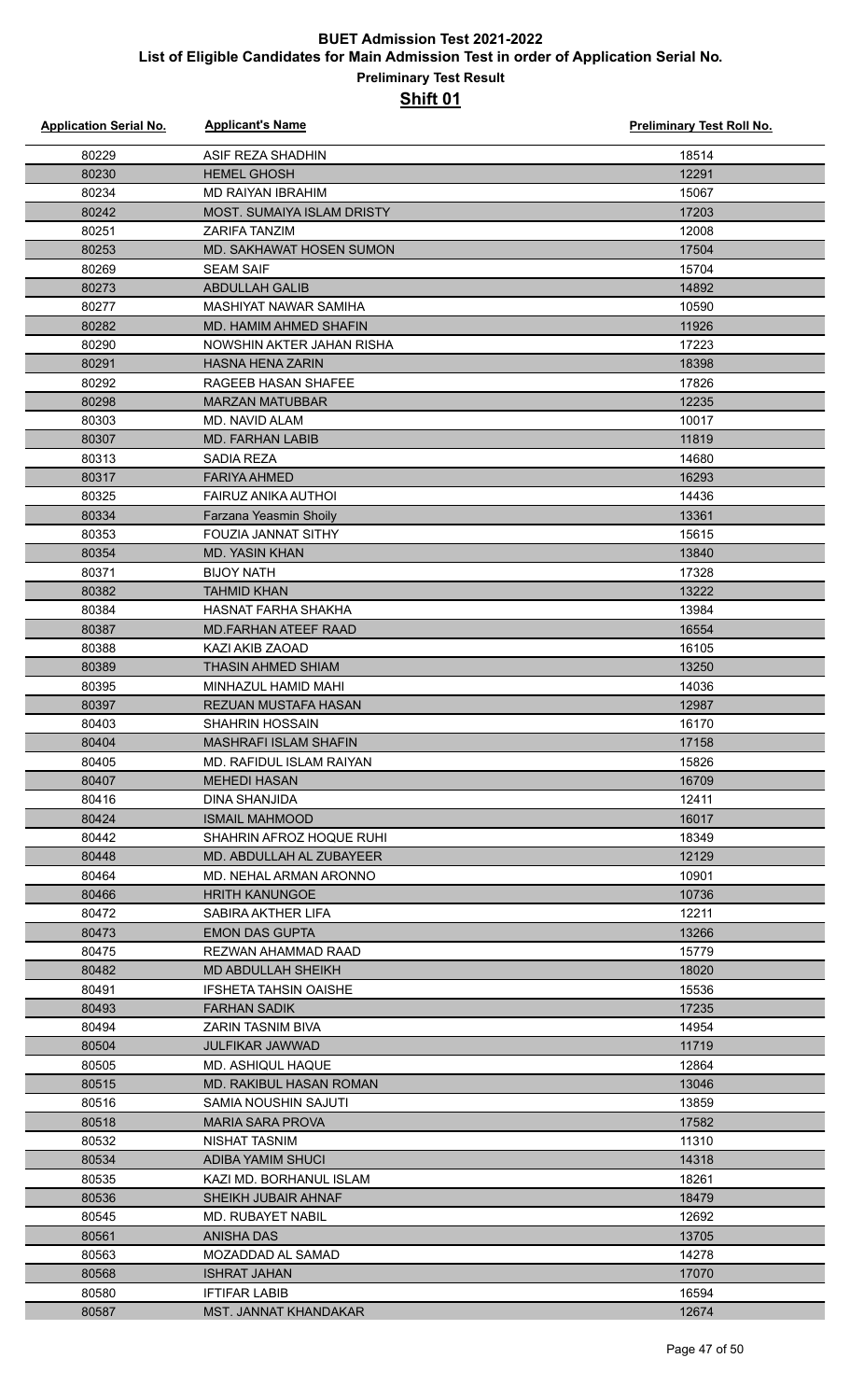| <b>Application Serial No.</b> | <b>Applicant's Name</b>                           | <b>Preliminary Test Roll No.</b> |
|-------------------------------|---------------------------------------------------|----------------------------------|
| 80229                         | ASIF REZA SHADHIN                                 | 18514                            |
| 80230                         | <b>HEMEL GHOSH</b>                                | 12291                            |
| 80234                         | <b>MD RAIYAN IBRAHIM</b>                          | 15067                            |
| 80242                         | <b>MOST. SUMAIYA ISLAM DRISTY</b>                 | 17203                            |
| 80251                         | <b>ZARIFA TANZIM</b>                              | 12008                            |
| 80253                         | MD. SAKHAWAT HOSEN SUMON                          | 17504                            |
| 80269                         | <b>SEAM SAIF</b>                                  | 15704                            |
| 80273                         | <b>ABDULLAH GALIB</b>                             | 14892                            |
| 80277                         | MASHIYAT NAWAR SAMIHA                             | 10590                            |
| 80282                         | <b>MD. HAMIM AHMED SHAFIN</b>                     | 11926                            |
| 80290                         | NOWSHIN AKTER JAHAN RISHA                         | 17223                            |
| 80291                         | <b>HASNA HENA ZARIN</b>                           | 18398                            |
| 80292                         | RAGEEB HASAN SHAFEE                               | 17826                            |
| 80298                         | <b>MARZAN MATUBBAR</b>                            | 12235                            |
| 80303                         | MD. NAVID ALAM                                    | 10017                            |
| 80307                         | <b>MD. FARHAN LABIB</b>                           | 11819                            |
| 80313                         | <b>SADIA REZA</b>                                 | 14680                            |
| 80317                         | <b>FARIYA AHMED</b>                               | 16293                            |
| 80325                         | <b>FAIRUZ ANIKA AUTHOI</b>                        | 14436                            |
| 80334                         | Farzana Yeasmin Shoily                            | 13361                            |
| 80353                         | FOUZIA JANNAT SITHY                               | 15615                            |
| 80354                         | <b>MD. YASIN KHAN</b>                             | 13840                            |
| 80371                         | <b>BIJOY NATH</b>                                 | 17328                            |
| 80382                         | <b>TAHMID KHAN</b>                                | 13222                            |
| 80384                         | HASNAT FARHA SHAKHA                               | 13984                            |
| 80387                         | <b>MD.FARHAN ATEEF RAAD</b>                       | 16554                            |
| 80388                         | KAZI AKIB ZAOAD                                   | 16105                            |
| 80389                         | <b>THASIN AHMED SHIAM</b>                         | 13250                            |
| 80395                         | MINHAZUL HAMID MAHI                               | 14036                            |
| 80397                         | REZUAN MUSTAFA HASAN                              | 12987                            |
| 80403                         | <b>SHAHRIN HOSSAIN</b>                            | 16170                            |
| 80404                         | <b>MASHRAFI ISLAM SHAFIN</b>                      | 17158                            |
| 80405                         | MD. RAFIDUL ISLAM RAIYAN                          | 15826                            |
| 80407                         | <b>MEHEDI HASAN</b>                               | 16709                            |
| 80416                         | DINA SHANJIDA                                     | 12411                            |
| 80424<br>80442                | <b>ISMAIL MAHMOOD</b><br>SHAHRIN AFROZ HOQUE RUHI | 16017<br>18349                   |
| 80448                         | MD. ABDULLAH AL ZUBAYEER                          | 12129                            |
| 80464                         | MD. NEHAL ARMAN ARONNO                            | 10901                            |
| 80466                         | <b>HRITH KANUNGOE</b>                             | 10736                            |
| 80472                         | SABIRA AKTHER LIFA                                | 12211                            |
| 80473                         | <b>EMON DAS GUPTA</b>                             | 13266                            |
| 80475                         | REZWAN AHAMMAD RAAD                               | 15779                            |
| 80482                         | <b>MD ABDULLAH SHEIKH</b>                         | 18020                            |
| 80491                         | <b>IFSHETA TAHSIN OAISHE</b>                      | 15536                            |
| 80493                         | <b>FARHAN SADIK</b>                               | 17235                            |
| 80494                         | ZARIN TASNIM BIVA                                 | 14954                            |
| 80504                         | <b>JULFIKAR JAWWAD</b>                            | 11719                            |
| 80505                         | MD. ASHIQUL HAQUE                                 | 12864                            |
| 80515                         | <b>MD. RAKIBUL HASAN ROMAN</b>                    | 13046                            |
| 80516                         | SAMIA NOUSHIN SAJUTI                              | 13859                            |
| 80518                         | <b>MARIA SARA PROVA</b>                           | 17582                            |
| 80532                         | NISHAT TASNIM                                     | 11310                            |
| 80534                         | ADIBA YAMIM SHUCI                                 | 14318                            |
| 80535                         | KAZI MD. BORHANUL ISLAM                           | 18261                            |
| 80536                         | <b>SHEIKH JUBAIR AHNAF</b>                        | 18479                            |
| 80545                         | MD. RUBAYET NABIL                                 | 12692                            |
| 80561                         | ANISHA DAS                                        | 13705                            |
| 80563                         | MOZADDAD AL SAMAD                                 | 14278                            |
| 80568                         | <b>ISHRAT JAHAN</b>                               | 17070                            |
| 80580                         | <b>IFTIFAR LABIB</b>                              | 16594                            |
| 80587                         | <b>MST. JANNAT KHANDAKAR</b>                      | 12674                            |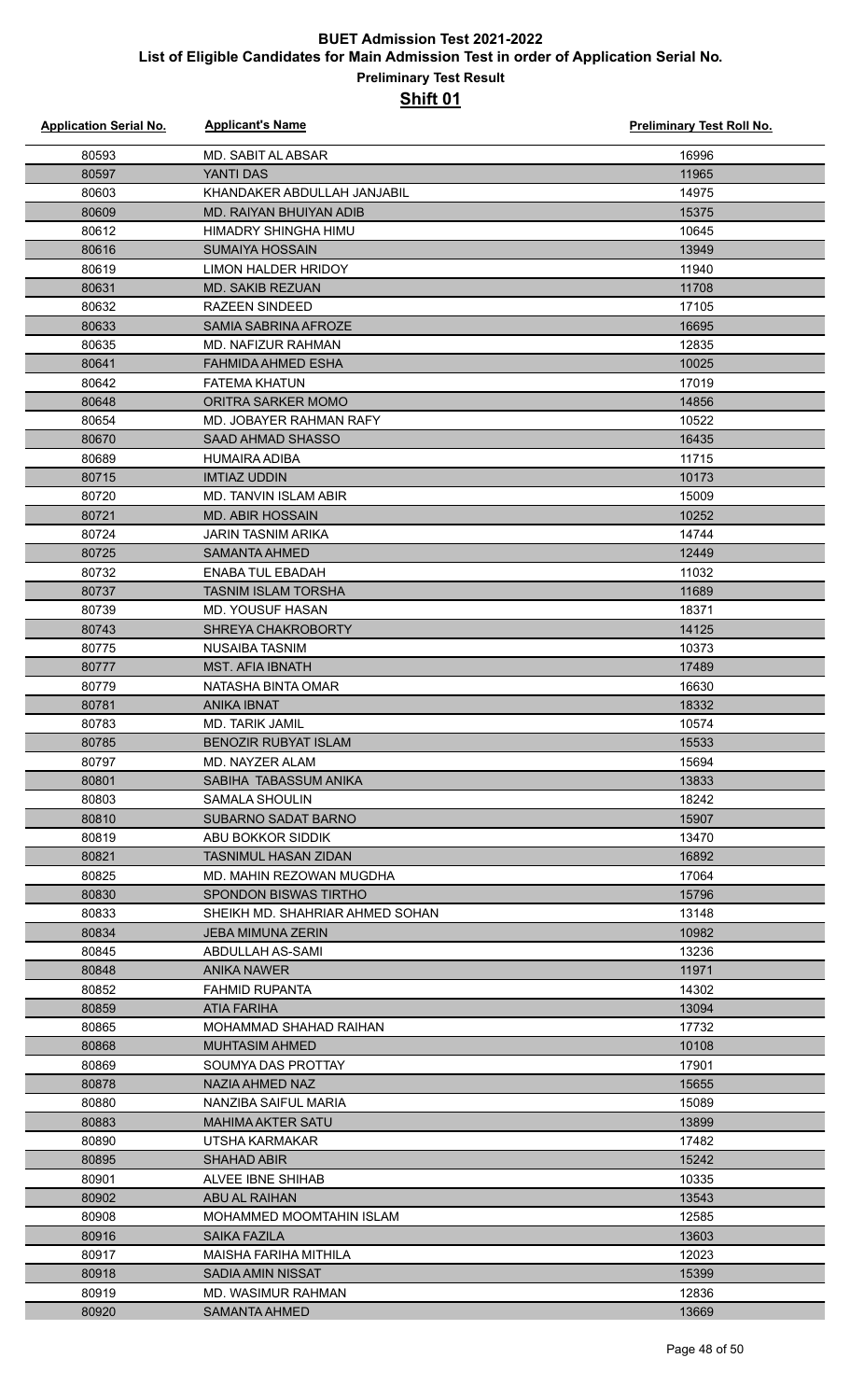| <b>Application Serial No.</b> | <b>Applicant's Name</b>                          | <b>Preliminary Test Roll No.</b> |
|-------------------------------|--------------------------------------------------|----------------------------------|
| 80593                         | <b>MD. SABIT AL ABSAR</b>                        | 16996                            |
| 80597                         | YANTI DAS                                        | 11965                            |
| 80603                         | KHANDAKER ABDULLAH JANJABIL                      | 14975                            |
| 80609                         | MD. RAIYAN BHUIYAN ADIB                          | 15375                            |
| 80612                         | HIMADRY SHINGHA HIMU                             | 10645                            |
| 80616                         | <b>SUMAIYA HOSSAIN</b>                           | 13949                            |
| 80619                         | <b>LIMON HALDER HRIDOY</b>                       | 11940                            |
| 80631                         | <b>MD. SAKIB REZUAN</b>                          | 11708                            |
| 80632                         | <b>RAZEEN SINDEED</b>                            | 17105                            |
| 80633                         | <b>SAMIA SABRINA AFROZE</b>                      | 16695                            |
| 80635                         | MD. NAFIZUR RAHMAN                               | 12835                            |
| 80641                         | <b>FAHMIDA AHMED ESHA</b>                        | 10025                            |
| 80642                         | <b>FATEMA KHATUN</b>                             | 17019                            |
| 80648                         | ORITRA SARKER MOMO                               | 14856                            |
| 80654                         | MD. JOBAYER RAHMAN RAFY                          | 10522                            |
| 80670                         | SAAD AHMAD SHASSO                                | 16435                            |
| 80689                         | <b>HUMAIRA ADIBA</b>                             | 11715                            |
| 80715                         | <b>IMTIAZ UDDIN</b>                              | 10173                            |
| 80720                         | <b>MD. TANVIN ISLAM ABIR</b>                     | 15009                            |
| 80721                         | <b>MD. ABIR HOSSAIN</b>                          | 10252                            |
| 80724                         | JARIN TASNIM ARIKA                               | 14744                            |
| 80725                         | <b>SAMANTA AHMED</b>                             | 12449                            |
| 80732                         | <b>ENABA TUL EBADAH</b>                          | 11032                            |
| 80737                         | <b>TASNIM ISLAM TORSHA</b>                       | 11689                            |
| 80739                         | <b>MD. YOUSUF HASAN</b>                          | 18371                            |
| 80743                         | <b>SHREYA CHAKROBORTY</b>                        | 14125                            |
| 80775                         | <b>NUSAIBA TASNIM</b>                            | 10373                            |
| 80777                         | <b>MST. AFIA IBNATH</b>                          | 17489                            |
| 80779                         | NATASHA BINTA OMAR                               | 16630                            |
| 80781                         | <b>ANIKA IBNAT</b>                               | 18332                            |
| 80783                         | MD. TARIK JAMIL                                  | 10574                            |
| 80785                         | BENOZIR RUBYAT ISLAM                             | 15533                            |
| 80797                         | MD. NAYZER ALAM                                  | 15694                            |
| 80801                         | SABIHA TABASSUM ANIKA                            | 13833                            |
| 80803                         | SAMALA SHOULIN                                   | 18242                            |
| 80810                         | <b>SUBARNO SADAT BARNO</b>                       | 15907                            |
| 80819                         | ABU BOKKOR SIDDIK<br><b>TASNIMUL HASAN ZIDAN</b> | 13470<br>16892                   |
| 80821<br>80825                | MD. MAHIN REZOWAN MUGDHA                         | 17064                            |
| 80830                         | <b>SPONDON BISWAS TIRTHO</b>                     | 15796                            |
| 80833                         | SHEIKH MD. SHAHRIAR AHMED SOHAN                  | 13148                            |
| 80834                         | <b>JEBA MIMUNA ZERIN</b>                         | 10982                            |
| 80845                         | ABDULLAH AS-SAMI                                 | 13236                            |
| 80848                         | ANIKA NAWER                                      | 11971                            |
| 80852                         | <b>FAHMID RUPANTA</b>                            | 14302                            |
| 80859                         | <b>ATIA FARIHA</b>                               | 13094                            |
| 80865                         | MOHAMMAD SHAHAD RAIHAN                           | 17732                            |
| 80868                         | <b>MUHTASIM AHMED</b>                            | 10108                            |
| 80869                         | SOUMYA DAS PROTTAY                               | 17901                            |
| 80878                         | NAZIA AHMED NAZ                                  | 15655                            |
| 80880                         | NANZIBA SAIFUL MARIA                             | 15089                            |
| 80883                         | <b>MAHIMA AKTER SATU</b>                         | 13899                            |
| 80890                         | UTSHA KARMAKAR                                   | 17482                            |
| 80895                         | <b>SHAHAD ABIR</b>                               | 15242                            |
| 80901                         | ALVEE IBNE SHIHAB                                | 10335                            |
| 80902                         | <b>ABU AL RAIHAN</b>                             | 13543                            |
| 80908                         | MOHAMMED MOOMTAHIN ISLAM                         | 12585                            |
| 80916                         | SAIKA FAZILA                                     | 13603                            |
| 80917                         | MAISHA FARIHA MITHILA                            | 12023                            |
| 80918                         | <b>SADIA AMIN NISSAT</b>                         | 15399                            |
| 80919                         | MD. WASIMUR RAHMAN                               | 12836                            |
| 80920                         | <b>SAMANTA AHMED</b>                             | 13669                            |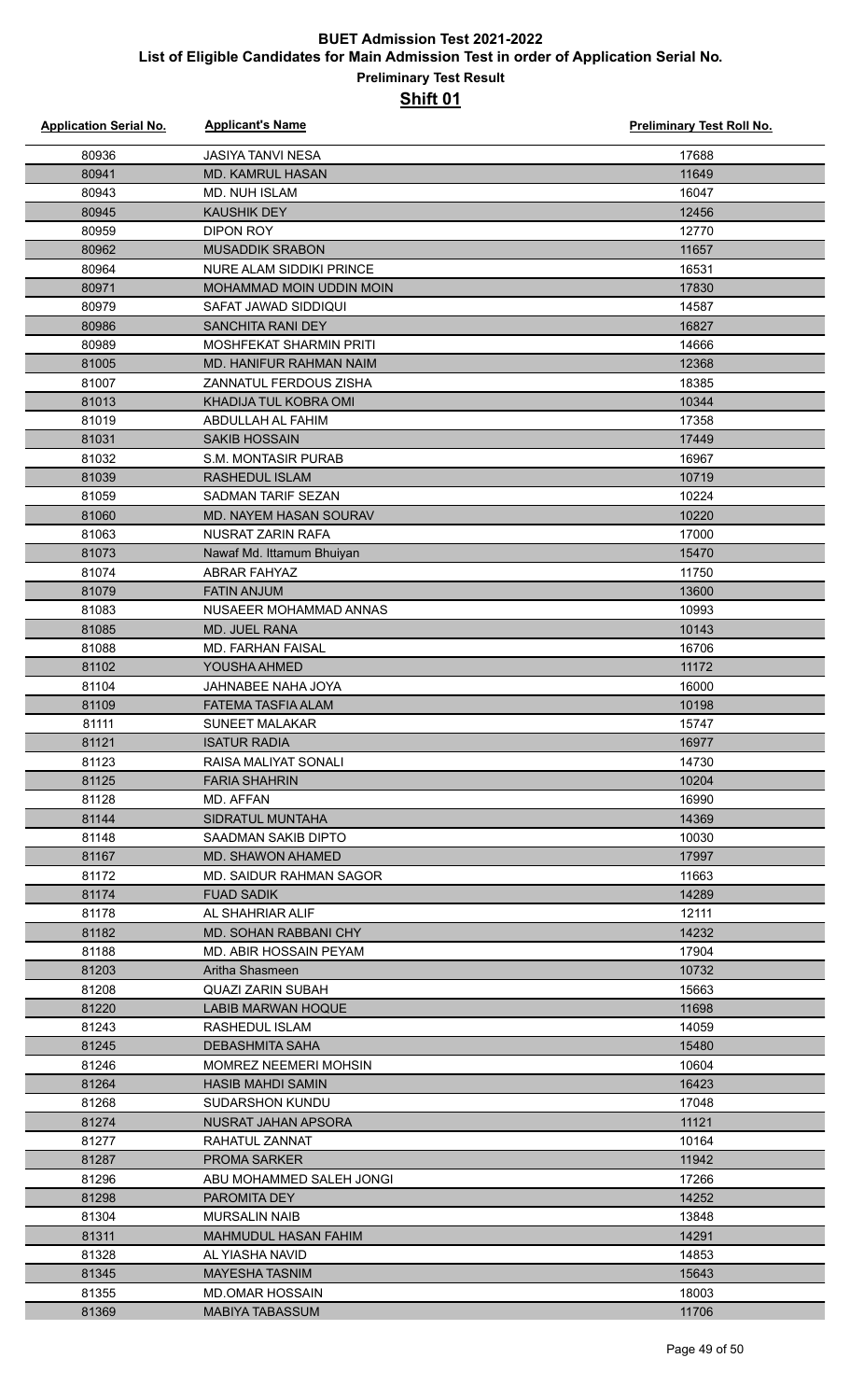| <b>Application Serial No.</b> | <b>Applicant's Name</b>                         | <b>Preliminary Test Roll No.</b> |
|-------------------------------|-------------------------------------------------|----------------------------------|
| 80936                         | <b>JASIYA TANVI NESA</b>                        | 17688                            |
| 80941                         | MD. KAMRUL HASAN                                | 11649                            |
| 80943                         | <b>MD. NUH ISLAM</b>                            | 16047                            |
| 80945                         | <b>KAUSHIK DEY</b>                              | 12456                            |
| 80959                         | <b>DIPON ROY</b>                                | 12770                            |
| 80962                         | <b>MUSADDIK SRABON</b>                          | 11657                            |
| 80964                         | <b>NURE ALAM SIDDIKI PRINCE</b>                 | 16531                            |
| 80971                         | MOHAMMAD MOIN UDDIN MOIN                        | 17830                            |
| 80979                         | SAFAT JAWAD SIDDIQUI                            | 14587                            |
| 80986                         | <b>SANCHITA RANI DEY</b>                        | 16827                            |
| 80989                         | MOSHFEKAT SHARMIN PRITI                         | 14666                            |
| 81005                         | MD. HANIFUR RAHMAN NAIM                         | 12368                            |
| 81007                         | ZANNATUL FERDOUS ZISHA                          | 18385                            |
| 81013                         | KHADIJA TUL KOBRA OMI                           | 10344                            |
| 81019                         | ABDULLAH AL FAHIM                               | 17358                            |
| 81031                         | <b>SAKIB HOSSAIN</b>                            | 17449                            |
| 81032                         | <b>S.M. MONTASIR PURAB</b>                      | 16967                            |
| 81039                         | <b>RASHEDUL ISLAM</b>                           | 10719                            |
| 81059                         | <b>SADMAN TARIF SEZAN</b>                       | 10224                            |
| 81060                         | MD. NAYEM HASAN SOURAV                          | 10220                            |
| 81063                         | NUSRAT ZARIN RAFA                               | 17000                            |
| 81073                         | Nawaf Md. Ittamum Bhuiyan                       | 15470                            |
| 81074                         | <b>ABRAR FAHYAZ</b>                             | 11750                            |
| 81079                         | <b>FATIN ANJUM</b>                              | 13600                            |
| 81083                         | NUSAEER MOHAMMAD ANNAS                          | 10993                            |
| 81085                         | <b>MD. JUEL RANA</b>                            | 10143                            |
| 81088                         | <b>MD. FARHAN FAISAL</b>                        | 16706                            |
| 81102                         | YOUSHA AHMED                                    | 11172                            |
| 81104                         | JAHNABEE NAHA JOYA                              | 16000                            |
| 81109                         | <b>FATEMA TASFIA ALAM</b>                       | 10198                            |
| 81111                         | <b>SUNEET MALAKAR</b>                           | 15747                            |
| 81121                         | <b>ISATUR RADIA</b>                             | 16977                            |
| 81123                         | RAISA MALIYAT SONALI                            | 14730                            |
| 81125                         | <b>FARIA SHAHRIN</b>                            | 10204                            |
| 81128                         | MD. AFFAN                                       | 16990                            |
| 81144                         | <b>SIDRATUL MUNTAHA</b>                         | 14369                            |
| 81148                         | SAADMAN SAKIB DIPTO                             | 10030                            |
| 81167                         | MD. SHAWON AHAMED                               | 17997                            |
| 81172                         | MD. SAIDUR RAHMAN SAGOR                         | 11663                            |
| 81174                         | <b>FUAD SADIK</b>                               | 14289                            |
| 81178                         | AL SHAHRIAR ALIF                                | 12111                            |
| 81182                         | MD. SOHAN RABBANI CHY                           | 14232                            |
| 81188                         | MD. ABIR HOSSAIN PEYAM                          | 17904                            |
| 81203                         | Aritha Shasmeen                                 | 10732                            |
| 81208                         | <b>QUAZI ZARIN SUBAH</b>                        | 15663                            |
| 81220                         | <b>LABIB MARWAN HOQUE</b>                       | 11698                            |
| 81243                         | RASHEDUL ISLAM                                  | 14059                            |
| 81245                         | DEBASHMITA SAHA                                 | 15480                            |
| 81246                         | <b>MOMREZ NEEMERI MOHSIN</b>                    | 10604                            |
| 81264                         | <b>HASIB MAHDI SAMIN</b>                        | 16423                            |
| 81268                         | <b>SUDARSHON KUNDU</b>                          | 17048                            |
| 81274                         | NUSRAT JAHAN APSORA                             | 11121                            |
| 81277                         | RAHATUL ZANNAT                                  | 10164                            |
| 81287                         | <b>PROMA SARKER</b>                             | 11942                            |
| 81296                         | ABU MOHAMMED SALEH JONGI                        | 17266                            |
| 81298                         | <b>PAROMITA DEY</b>                             | 14252                            |
| 81304                         | <b>MURSALIN NAIB</b>                            | 13848                            |
| 81311                         | <b>MAHMUDUL HASAN FAHIM</b><br>AL YIASHA NAVID  | 14291                            |
| 81328                         |                                                 | 14853                            |
| 81345<br>81355                | <b>MAYESHA TASNIM</b><br><b>MD.OMAR HOSSAIN</b> | 15643<br>18003                   |
| 81369                         | <b>MABIYA TABASSUM</b>                          | 11706                            |
|                               |                                                 |                                  |